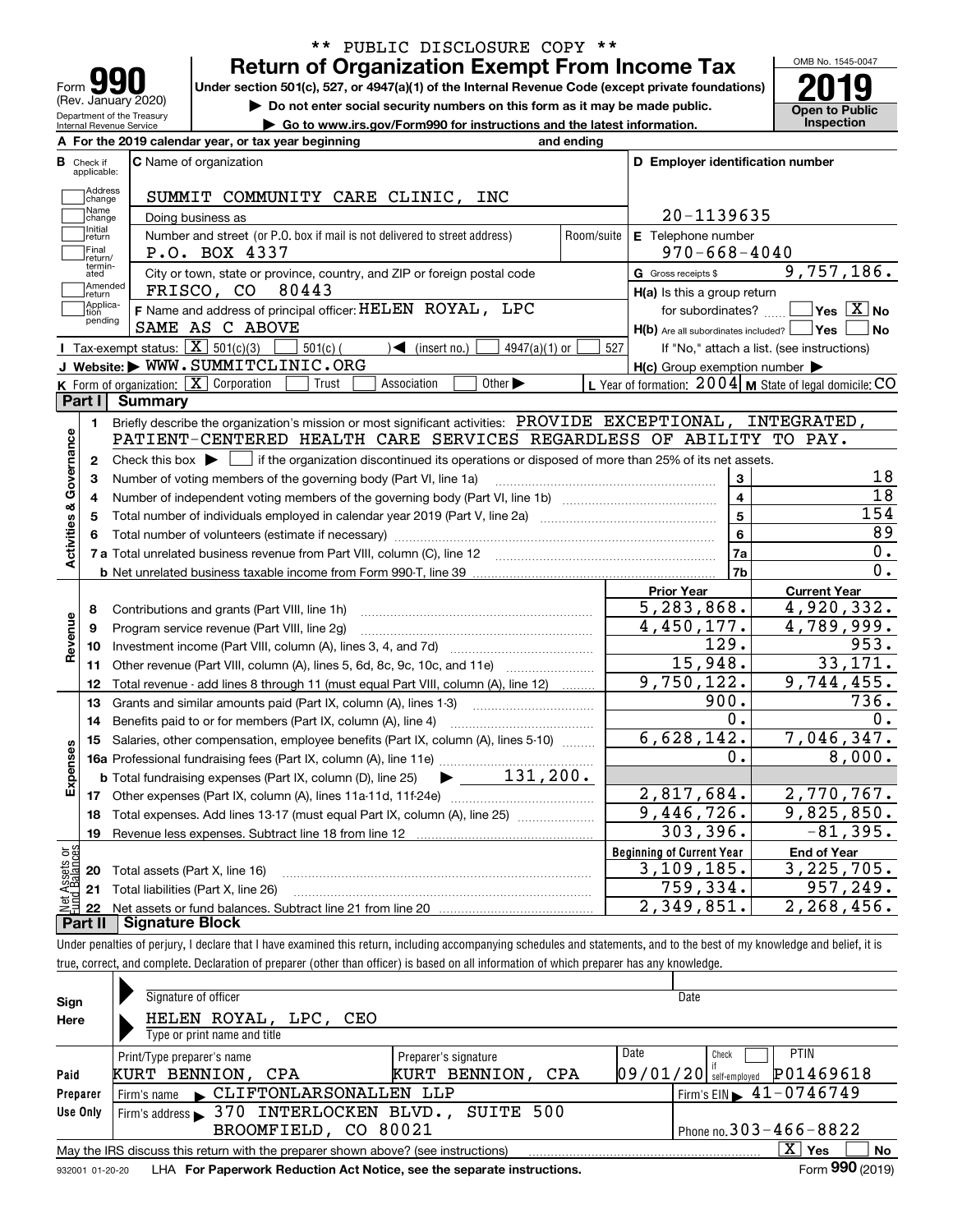| <u>loin</u><br>Form                                    |
|--------------------------------------------------------|
| (Rev. January 2020)                                    |
| Department of the Treasury<br>Internal Revenue Service |

### **Return of Organization Exempt From Income Tax** \*\* PUBLIC DISCLOSURE COPY \*\*

Under section 501(c), 527, or 4947(a)(1) of the Internal Revenue Code (except private foundations) **2019** 

**| Do not enter social security numbers on this form as it may be made public.**

**| Go to www.irs.gov/Form990 for instructions and the latest information. Inspection**



|                         |                         | A For the 2019 calendar year, or tax year beginning                                                                                         | and ending |                                                     |                                                                 |
|-------------------------|-------------------------|---------------------------------------------------------------------------------------------------------------------------------------------|------------|-----------------------------------------------------|-----------------------------------------------------------------|
| В                       | Check if<br>applicable: | <b>C</b> Name of organization                                                                                                               |            | D Employer identification number                    |                                                                 |
|                         | Address<br>change       | SUMMIT COMMUNITY CARE CLINIC,<br>INC                                                                                                        |            |                                                     |                                                                 |
|                         | Name<br>change          | Doing business as                                                                                                                           |            | 20-1139635                                          |                                                                 |
|                         | Initial<br>return       | Number and street (or P.O. box if mail is not delivered to street address)                                                                  | Room/suite | E Telephone number                                  |                                                                 |
|                         | Final<br>return/        | P.O. BOX 4337                                                                                                                               |            | $970 - 668 - 4040$                                  |                                                                 |
|                         | termin-<br>ated         | City or town, state or province, country, and ZIP or foreign postal code                                                                    |            | G Gross receipts \$                                 | 9,757,186.                                                      |
|                         | Amended<br>return       | 80443<br>FRISCO, CO                                                                                                                         |            | H(a) Is this a group return                         |                                                                 |
|                         | Applica-<br>tion        | F Name and address of principal officer: HELEN ROYAL, LPC                                                                                   |            | for subordinates?                                   | $\overline{\mathsf{Yes} \mathrel{\hspace{0.5pt}\mathsf{X}}}$ No |
|                         | pending                 | SAME AS C ABOVE                                                                                                                             |            | $H(b)$ Are all subordinates included? $\Box$ Yes    | No                                                              |
|                         |                         | Tax-exempt status: $\boxed{\mathbf{X}}$ 501(c)(3)<br>$\mathcal{A}$ (insert no.)<br>$501(c)$ (<br>$4947(a)(1)$ or                            | 527        |                                                     | If "No," attach a list. (see instructions)                      |
|                         |                         | J Website: WWW.SUMMITCLINIC.ORG                                                                                                             |            | $H(c)$ Group exemption number $\blacktriangleright$ |                                                                 |
|                         |                         | K Form of organization: $X$ Corporation<br>Association<br>Other $\blacktriangleright$<br>Trust                                              |            |                                                     | L Year of formation: 2004   M State of legal domicile: CO       |
|                         | Part I                  | <b>Summary</b>                                                                                                                              |            |                                                     |                                                                 |
|                         | 1.                      | Briefly describe the organization's mission or most significant activities: PROVIDE EXCEPTIONAL,                                            |            |                                                     | INTEGRATED,                                                     |
| Activities & Governance |                         | PATIENT-CENTERED HEALTH CARE SERVICES REGARDLESS OF ABILITY TO PAY.                                                                         |            |                                                     |                                                                 |
|                         | $\mathbf{2}$            | Check this box $\blacktriangleright$ $\Box$ if the organization discontinued its operations or disposed of more than 25% of its net assets. |            |                                                     |                                                                 |
|                         | 3                       | Number of voting members of the governing body (Part VI, line 1a)                                                                           |            | 3                                                   | 18                                                              |
|                         | 4                       |                                                                                                                                             |            | $\overline{4}$                                      | 18                                                              |
|                         | 5                       |                                                                                                                                             |            | $5\phantom{a}$                                      | 154                                                             |
|                         | 6                       |                                                                                                                                             |            | 6                                                   | 89                                                              |
|                         |                         |                                                                                                                                             |            | 7a                                                  | 0.                                                              |
|                         |                         |                                                                                                                                             |            | 7b                                                  | 0.                                                              |
|                         |                         |                                                                                                                                             |            | <b>Prior Year</b>                                   | <b>Current Year</b>                                             |
|                         | 8                       | Contributions and grants (Part VIII, line 1h)                                                                                               |            | 5,283,868.                                          | 4,920,332.                                                      |
|                         | 9                       | Program service revenue (Part VIII, line 2g)                                                                                                |            | 4,450,177.                                          | 4,789,999.                                                      |
| Revenue                 | 10                      |                                                                                                                                             |            | 129.                                                | 953.                                                            |
|                         | 11                      | Other revenue (Part VIII, column (A), lines 5, 6d, 8c, 9c, 10c, and 11e)                                                                    |            | 15,948.                                             | 33,171.                                                         |
|                         | 12                      | Total revenue - add lines 8 through 11 (must equal Part VIII, column (A), line 12)                                                          |            | 9,750,122.                                          | 9,744,455.                                                      |
|                         | 13                      | Grants and similar amounts paid (Part IX, column (A), lines 1-3)                                                                            |            | 900.                                                | 736.                                                            |
|                         | 14                      | Benefits paid to or for members (Part IX, column (A), line 4)                                                                               |            | $0$ .                                               | 0.                                                              |
|                         | 15                      | Salaries, other compensation, employee benefits (Part IX, column (A), lines 5-10)                                                           |            | 6,628,142.                                          | 7,046,347.                                                      |
|                         |                         |                                                                                                                                             |            | Ο.                                                  | 8,000.                                                          |
|                         |                         | $\blacktriangleright$ 131,200.<br><b>b</b> Total fundraising expenses (Part IX, column (D), line 25)                                        |            |                                                     |                                                                 |
|                         |                         |                                                                                                                                             |            | 2,817,684.                                          | 2,770,767.                                                      |
|                         |                         |                                                                                                                                             |            |                                                     |                                                                 |
|                         | 18                      | Total expenses. Add lines 13-17 (must equal Part IX, column (A), line 25) [                                                                 |            | 9,446,726.                                          | 9,825,850.                                                      |
|                         | 19                      |                                                                                                                                             |            | 303,396.                                            | $-81,395.$                                                      |
|                         |                         |                                                                                                                                             |            | <b>Beginning of Current Year</b>                    | <b>End of Year</b>                                              |
| Expenses<br>ăğ          |                         | <b>20</b> Total assets (Part X, line 16)                                                                                                    |            | 3, 109, 185.                                        | 3, 225, 705.                                                    |
| <b>Ssets</b><br>Balanc  | 22                      | 21 Total liabilities (Part X, line 26)                                                                                                      |            | 759, 334.<br>2,349,851.                             | 957,249.<br>2, 268, 456.                                        |

Under penalties of perjury, I declare that I have examined this return, including accompanying schedules and statements, and to the best of my knowledge and belief, it is true, correct, and complete. Declaration of preparer (other than officer) is based on all information of which preparer has any knowledge.

| Sign            | Signature of officer                                                              |                      | Date                                        |
|-----------------|-----------------------------------------------------------------------------------|----------------------|---------------------------------------------|
| Here            | HELEN ROYAL, LPC, CEO                                                             |                      |                                             |
|                 | Type or print name and title                                                      |                      |                                             |
|                 | Print/Type preparer's name                                                        | Preparer's signature | Date<br><b>PTIN</b><br>Check                |
| Paid            | KURT BENNION, CPA                                                                 | KURT BENNION, CPA    | P01469618<br>$09/01/20$ self-employed       |
| Preparer        | Firm's name CLIFTONLARSONALLEN LLP                                                |                      | Firm's EIN $\blacktriangleright$ 41-0746749 |
| Use Only        | Firm's address > 370 INTERLOCKEN BLVD., SUITE 500                                 |                      |                                             |
|                 | BROOMFIELD, CO 80021                                                              |                      | Phone no. $303 - 466 - 8822$                |
|                 | May the IRS discuss this return with the preparer shown above? (see instructions) |                      | $X \mid Y$ es<br><b>No</b>                  |
| 932001 01-20-20 | LHA For Paperwork Reduction Act Notice, see the separate instructions.            |                      | Form 990 (2019)                             |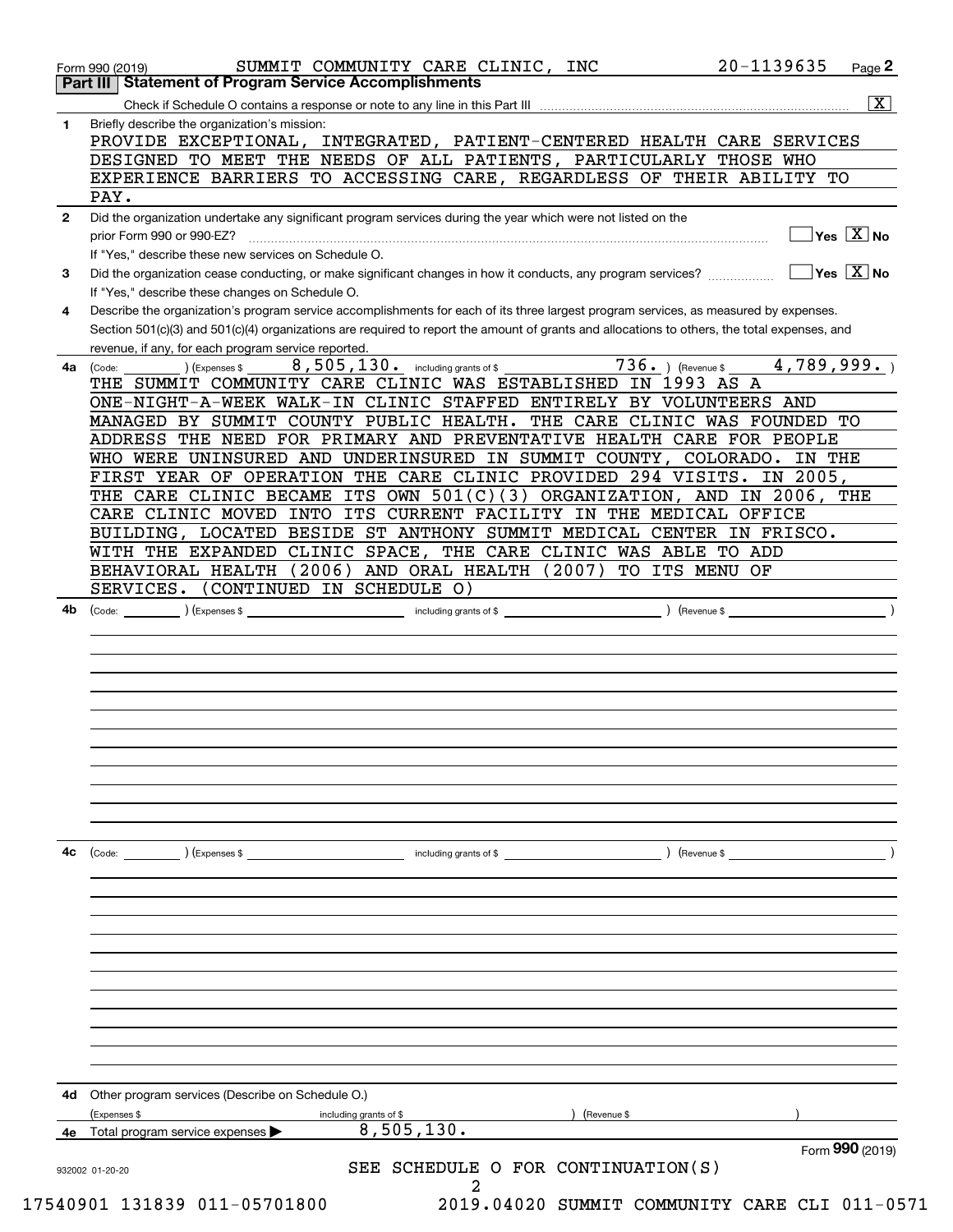|              | Part III   Statement of Program Service Accomplishments<br>$\overline{\mathbf{x}}$                                                           |
|--------------|----------------------------------------------------------------------------------------------------------------------------------------------|
| 1.           | Briefly describe the organization's mission:                                                                                                 |
|              | PROVIDE EXCEPTIONAL, INTEGRATED, PATIENT-CENTERED HEALTH CARE SERVICES                                                                       |
|              | DESIGNED TO MEET THE NEEDS OF ALL PATIENTS, PARTICULARLY THOSE WHO                                                                           |
|              | EXPERIENCE BARRIERS TO ACCESSING CARE, REGARDLESS OF THEIR ABILITY TO                                                                        |
|              | PAY.                                                                                                                                         |
| $\mathbf{2}$ | Did the organization undertake any significant program services during the year which were not listed on the                                 |
|              | $Yes \ \boxed{X}$ No<br>prior Form 990 or 990-EZ?                                                                                            |
|              | If "Yes," describe these new services on Schedule O.                                                                                         |
| 3            | $Yes \ \boxed{X}$ No<br>Did the organization cease conducting, or make significant changes in how it conducts, any program services?         |
|              | If "Yes," describe these changes on Schedule O.                                                                                              |
| 4            | Describe the organization's program service accomplishments for each of its three largest program services, as measured by expenses.         |
|              | Section 501(c)(3) and 501(c)(4) organizations are required to report the amount of grants and allocations to others, the total expenses, and |
|              | revenue, if any, for each program service reported.                                                                                          |
| 4a           | $\overline{7}36.$ ) (Revenue \$<br>8,505,130. including grants of \$<br>4,789,999.<br>Expenses \$<br>(Code:                                  |
|              | THE SUMMIT COMMUNITY CARE CLINIC WAS ESTABLISHED IN 1993 AS A                                                                                |
|              | ONE-NIGHT-A-WEEK WALK-IN CLINIC STAFFED ENTIRELY BY VOLUNTEERS AND                                                                           |
|              | MANAGED BY SUMMIT COUNTY PUBLIC HEALTH. THE CARE CLINIC WAS FOUNDED TO                                                                       |
|              | ADDRESS THE NEED FOR PRIMARY AND PREVENTATIVE HEALTH CARE FOR PEOPLE                                                                         |
|              | WHO WERE UNINSURED AND UNDERINSURED IN SUMMIT COUNTY, COLORADO. IN THE                                                                       |
|              | FIRST YEAR OF OPERATION THE CARE CLINIC PROVIDED 294 VISITS. IN 2005,                                                                        |
|              | THE CARE CLINIC BECAME ITS OWN 501(C)(3) ORGANIZATION, AND IN 2006, THE                                                                      |
|              | CARE CLINIC MOVED INTO ITS CURRENT FACILITY IN THE MEDICAL OFFICE                                                                            |
|              | BUILDING, LOCATED BESIDE ST ANTHONY SUMMIT MEDICAL CENTER IN FRISCO.                                                                         |
|              | WITH THE EXPANDED CLINIC SPACE, THE CARE CLINIC WAS ABLE TO ADD                                                                              |
|              | BEHAVIORAL HEALTH (2006) AND ORAL HEALTH (2007)<br>TO ITS MENU OF                                                                            |
|              | (CONTINUED IN SCHEDULE O)<br>SERVICES.                                                                                                       |
| 4b           | $\sqrt{$ (Revenue \$ $\sqrt{ }$<br>including grants of \$<br>) (Expenses \$<br>(Code:                                                        |
|              |                                                                                                                                              |
|              |                                                                                                                                              |
|              |                                                                                                                                              |
|              |                                                                                                                                              |
|              |                                                                                                                                              |
|              |                                                                                                                                              |
|              |                                                                                                                                              |
|              |                                                                                                                                              |
|              |                                                                                                                                              |
|              |                                                                                                                                              |
|              |                                                                                                                                              |
|              |                                                                                                                                              |
| 4c           | ) (Revenue \$<br>(Code:<br>) (Expenses \$<br>including grants of \$                                                                          |
|              |                                                                                                                                              |
|              |                                                                                                                                              |
|              |                                                                                                                                              |
|              |                                                                                                                                              |
|              |                                                                                                                                              |
|              |                                                                                                                                              |
|              |                                                                                                                                              |
|              |                                                                                                                                              |
|              |                                                                                                                                              |
|              |                                                                                                                                              |
|              |                                                                                                                                              |
|              |                                                                                                                                              |
|              |                                                                                                                                              |
| 4d           |                                                                                                                                              |
|              | Other program services (Describe on Schedule O.)<br>(Expenses \$<br>including grants of \$<br>(Revenue \$                                    |
| 4e           | 8,505,130.<br>Total program service expenses ▶                                                                                               |
|              | Form 990 (2019)                                                                                                                              |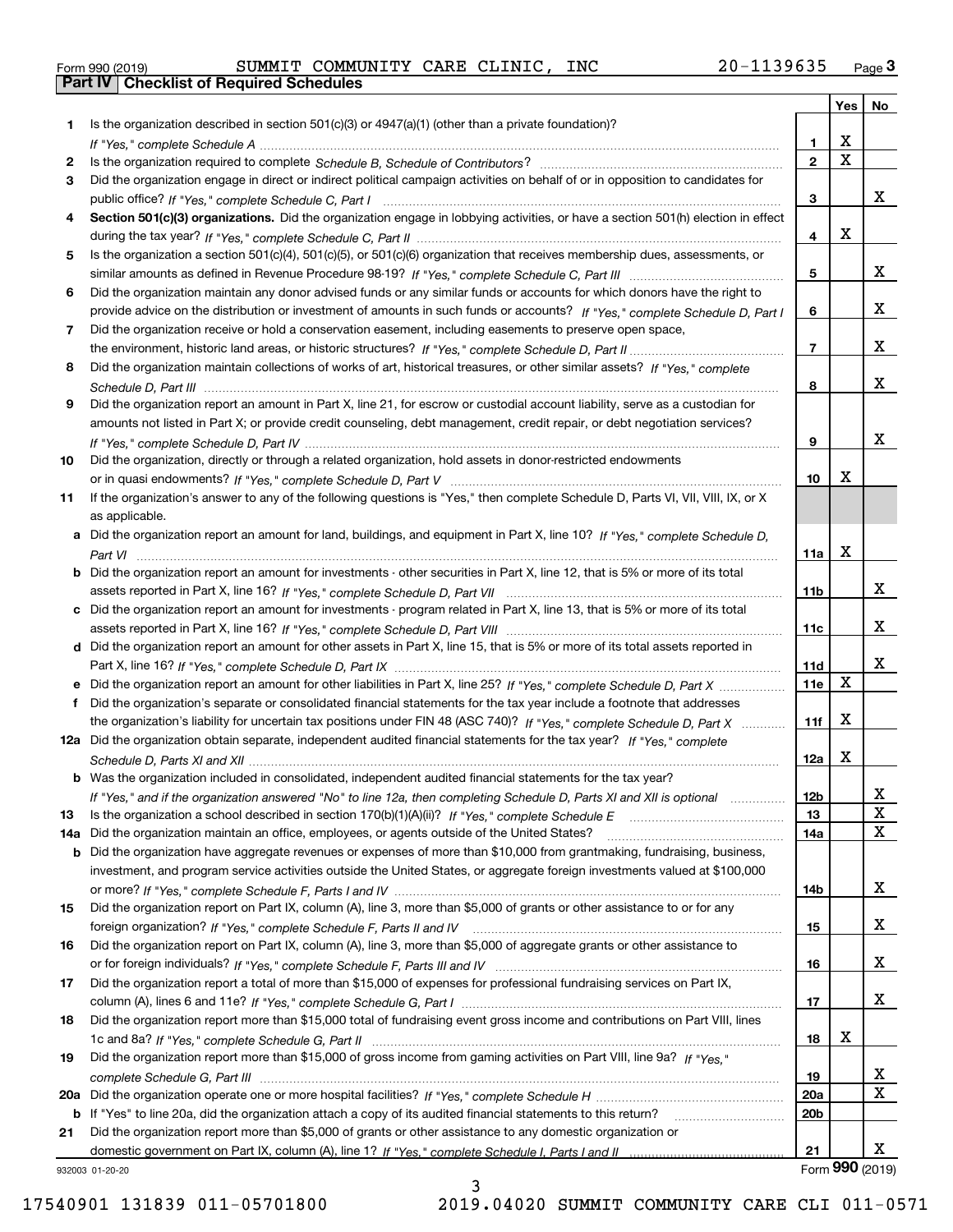| Form 990 (2019) |  |  |
|-----------------|--|--|

Form 990 (2019) SUMMIT COMMUNITY CARE CLINIC,INC 20-1139635 <sub>Page</sub> 3<br>**Part IV | Checklist of Required Schedules** 

|     |                                                                                                                                                                                                                                                           |                 | Yes                     | No              |
|-----|-----------------------------------------------------------------------------------------------------------------------------------------------------------------------------------------------------------------------------------------------------------|-----------------|-------------------------|-----------------|
| 1   | Is the organization described in section $501(c)(3)$ or $4947(a)(1)$ (other than a private foundation)?                                                                                                                                                   |                 |                         |                 |
|     |                                                                                                                                                                                                                                                           | 1.              | X                       |                 |
| 2   |                                                                                                                                                                                                                                                           | $\overline{2}$  | $\overline{\mathbf{x}}$ |                 |
| 3   | Did the organization engage in direct or indirect political campaign activities on behalf of or in opposition to candidates for                                                                                                                           |                 |                         |                 |
|     |                                                                                                                                                                                                                                                           | 3               |                         | х               |
| 4   | Section 501(c)(3) organizations. Did the organization engage in lobbying activities, or have a section 501(h) election in effect                                                                                                                          |                 | X                       |                 |
|     |                                                                                                                                                                                                                                                           | 4               |                         |                 |
| 5   | Is the organization a section 501(c)(4), 501(c)(5), or 501(c)(6) organization that receives membership dues, assessments, or                                                                                                                              |                 |                         | х               |
| 6   |                                                                                                                                                                                                                                                           | 5               |                         |                 |
|     | Did the organization maintain any donor advised funds or any similar funds or accounts for which donors have the right to<br>provide advice on the distribution or investment of amounts in such funds or accounts? If "Yes," complete Schedule D, Part I | 6               |                         | х               |
| 7   | Did the organization receive or hold a conservation easement, including easements to preserve open space,                                                                                                                                                 |                 |                         |                 |
|     |                                                                                                                                                                                                                                                           | $\overline{7}$  |                         | х               |
| 8   | Did the organization maintain collections of works of art, historical treasures, or other similar assets? If "Yes," complete                                                                                                                              |                 |                         |                 |
|     |                                                                                                                                                                                                                                                           | 8               |                         | x               |
| 9   | Did the organization report an amount in Part X, line 21, for escrow or custodial account liability, serve as a custodian for                                                                                                                             |                 |                         |                 |
|     | amounts not listed in Part X; or provide credit counseling, debt management, credit repair, or debt negotiation services?                                                                                                                                 |                 |                         |                 |
|     |                                                                                                                                                                                                                                                           | 9               |                         | х               |
| 10  | Did the organization, directly or through a related organization, hold assets in donor-restricted endowments                                                                                                                                              |                 |                         |                 |
|     |                                                                                                                                                                                                                                                           | 10              | X                       |                 |
| 11  | If the organization's answer to any of the following questions is "Yes," then complete Schedule D, Parts VI, VIII, VIII, IX, or X                                                                                                                         |                 |                         |                 |
|     | as applicable.                                                                                                                                                                                                                                            |                 |                         |                 |
|     | a Did the organization report an amount for land, buildings, and equipment in Part X, line 10? If "Yes," complete Schedule D,                                                                                                                             |                 |                         |                 |
|     |                                                                                                                                                                                                                                                           | 11a             | X                       |                 |
|     | Did the organization report an amount for investments - other securities in Part X, line 12, that is 5% or more of its total                                                                                                                              |                 |                         |                 |
|     |                                                                                                                                                                                                                                                           | 11 <sub>b</sub> |                         | x               |
| c   | Did the organization report an amount for investments - program related in Part X, line 13, that is 5% or more of its total                                                                                                                               |                 |                         | х               |
|     |                                                                                                                                                                                                                                                           | 11c             |                         |                 |
|     | d Did the organization report an amount for other assets in Part X, line 15, that is 5% or more of its total assets reported in                                                                                                                           | 11d             |                         | х               |
|     | Did the organization report an amount for other liabilities in Part X, line 25? If "Yes," complete Schedule D, Part X                                                                                                                                     | 11e             | $\mathbf X$             |                 |
|     | Did the organization's separate or consolidated financial statements for the tax year include a footnote that addresses                                                                                                                                   |                 |                         |                 |
|     | the organization's liability for uncertain tax positions under FIN 48 (ASC 740)? If "Yes," complete Schedule D, Part X                                                                                                                                    | 11f             | X                       |                 |
|     | 12a Did the organization obtain separate, independent audited financial statements for the tax year? If "Yes," complete                                                                                                                                   |                 |                         |                 |
|     |                                                                                                                                                                                                                                                           | 12a             | X                       |                 |
|     | <b>b</b> Was the organization included in consolidated, independent audited financial statements for the tax year?                                                                                                                                        |                 |                         |                 |
|     | If "Yes," and if the organization answered "No" to line 12a, then completing Schedule D, Parts XI and XII is optional                                                                                                                                     | 12b             |                         | ᅀ               |
| 13  |                                                                                                                                                                                                                                                           | 13              |                         | $\mathbf X$     |
| 14a | Did the organization maintain an office, employees, or agents outside of the United States?                                                                                                                                                               | 14a             |                         | X               |
| b   | Did the organization have aggregate revenues or expenses of more than \$10,000 from grantmaking, fundraising, business,                                                                                                                                   |                 |                         |                 |
|     | investment, and program service activities outside the United States, or aggregate foreign investments valued at \$100,000                                                                                                                                |                 |                         |                 |
|     |                                                                                                                                                                                                                                                           | 14b             |                         | x               |
| 15  | Did the organization report on Part IX, column (A), line 3, more than \$5,000 of grants or other assistance to or for any                                                                                                                                 |                 |                         |                 |
|     |                                                                                                                                                                                                                                                           | 15              |                         | x               |
| 16  | Did the organization report on Part IX, column (A), line 3, more than \$5,000 of aggregate grants or other assistance to                                                                                                                                  |                 |                         |                 |
|     |                                                                                                                                                                                                                                                           | 16              |                         | x               |
| 17  | Did the organization report a total of more than \$15,000 of expenses for professional fundraising services on Part IX,                                                                                                                                   | 17              |                         | x               |
| 18  | Did the organization report more than \$15,000 total of fundraising event gross income and contributions on Part VIII, lines                                                                                                                              |                 |                         |                 |
|     |                                                                                                                                                                                                                                                           | 18              | х                       |                 |
| 19  | Did the organization report more than \$15,000 of gross income from gaming activities on Part VIII, line 9a? If "Yes."                                                                                                                                    |                 |                         |                 |
|     |                                                                                                                                                                                                                                                           | 19              |                         | X               |
| 20a |                                                                                                                                                                                                                                                           | 20a             |                         | X               |
| b   | If "Yes" to line 20a, did the organization attach a copy of its audited financial statements to this return?                                                                                                                                              | 20 <sub>b</sub> |                         |                 |
| 21  | Did the organization report more than \$5,000 of grants or other assistance to any domestic organization or                                                                                                                                               |                 |                         |                 |
|     |                                                                                                                                                                                                                                                           | 21              |                         | x               |
|     | 932003 01-20-20                                                                                                                                                                                                                                           |                 |                         | Form 990 (2019) |

3

932003 01-20-20

17540901 131839 011-05701800 2019.04020 SUMMIT COMMUNITY CARE CLI 011-0571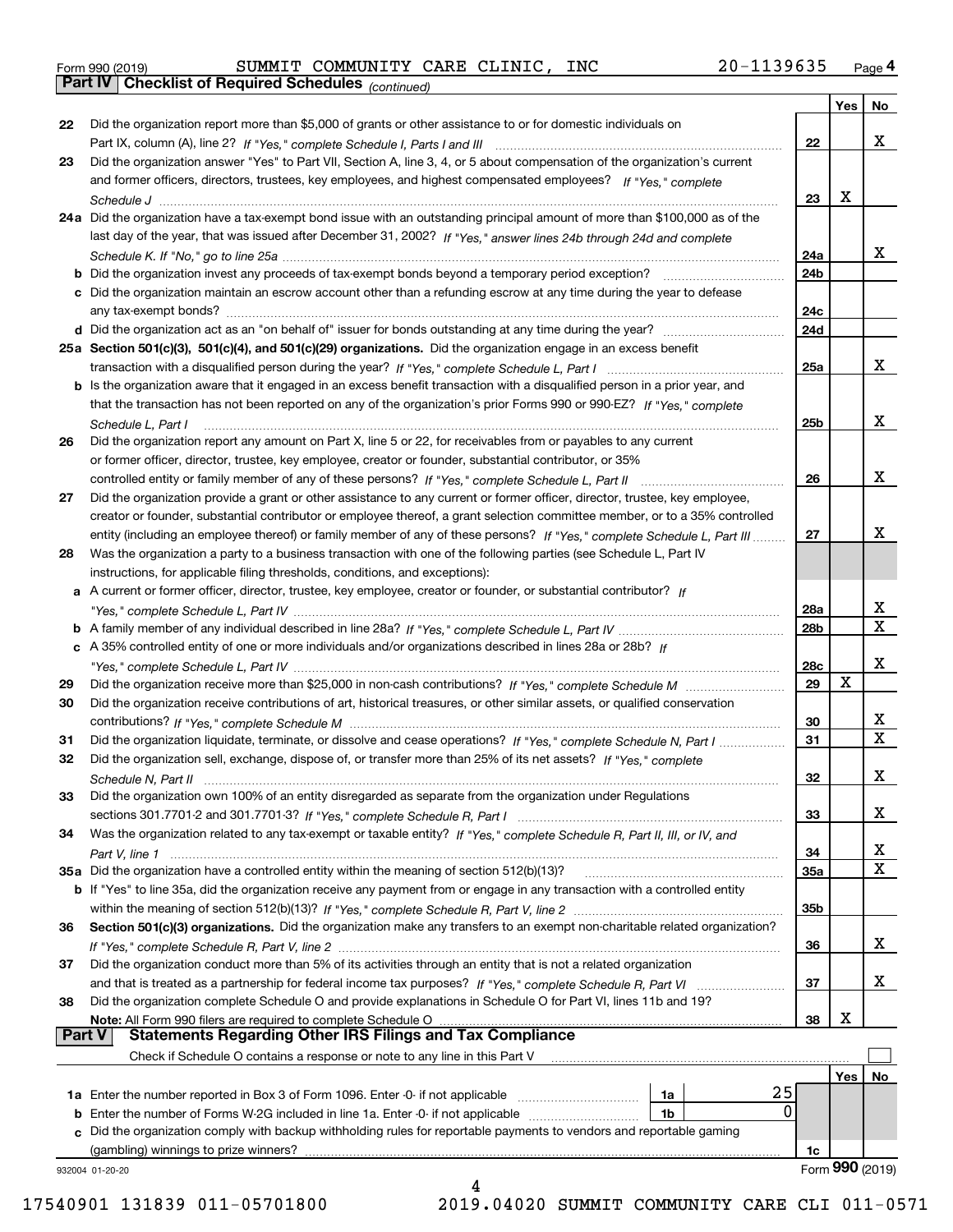|  | Form 990 (2019) |  |
|--|-----------------|--|
|  |                 |  |

*(continued)* Form 990 (2019) SUMMIT COMMUNITY CARE CLINIC,INC 20-1139635 <sub>Page</sub> 4<br>**Part IV | Checklist of Required Schedules** <sub>(continued)</sub>

|               |                                                                                                                              |     | Yes | No                      |
|---------------|------------------------------------------------------------------------------------------------------------------------------|-----|-----|-------------------------|
| 22            | Did the organization report more than \$5,000 of grants or other assistance to or for domestic individuals on                |     |     |                         |
|               |                                                                                                                              | 22  |     | x                       |
| 23            | Did the organization answer "Yes" to Part VII, Section A, line 3, 4, or 5 about compensation of the organization's current   |     |     |                         |
|               | and former officers, directors, trustees, key employees, and highest compensated employees? If "Yes," complete               |     |     |                         |
|               |                                                                                                                              | 23  | х   |                         |
|               | 24a Did the organization have a tax-exempt bond issue with an outstanding principal amount of more than \$100,000 as of the  |     |     |                         |
|               | last day of the year, that was issued after December 31, 2002? If "Yes," answer lines 24b through 24d and complete           |     |     |                         |
|               |                                                                                                                              | 24a |     | X.                      |
|               | b Did the organization invest any proceeds of tax-exempt bonds beyond a temporary period exception?                          | 24b |     |                         |
|               | c Did the organization maintain an escrow account other than a refunding escrow at any time during the year to defease       |     |     |                         |
|               | any tax-exempt bonds?                                                                                                        | 24c |     |                         |
|               |                                                                                                                              | 24d |     |                         |
|               | 25a Section 501(c)(3), 501(c)(4), and 501(c)(29) organizations. Did the organization engage in an excess benefit             |     |     |                         |
|               |                                                                                                                              | 25a |     | X.                      |
|               |                                                                                                                              |     |     |                         |
|               | b Is the organization aware that it engaged in an excess benefit transaction with a disqualified person in a prior year, and |     |     |                         |
|               | that the transaction has not been reported on any of the organization's prior Forms 990 or 990-EZ? If "Yes." complete        |     |     | X.                      |
|               | Schedule L, Part I                                                                                                           | 25b |     |                         |
| 26            | Did the organization report any amount on Part X, line 5 or 22, for receivables from or payables to any current              |     |     |                         |
|               | or former officer, director, trustee, key employee, creator or founder, substantial contributor, or 35%                      |     |     |                         |
|               |                                                                                                                              | 26  |     | x                       |
| 27            | Did the organization provide a grant or other assistance to any current or former officer, director, trustee, key employee,  |     |     |                         |
|               | creator or founder, substantial contributor or employee thereof, a grant selection committee member, or to a 35% controlled  |     |     |                         |
|               | entity (including an employee thereof) or family member of any of these persons? If "Yes," complete Schedule L, Part III     | 27  |     | x                       |
| 28            | Was the organization a party to a business transaction with one of the following parties (see Schedule L, Part IV            |     |     |                         |
|               | instructions, for applicable filing thresholds, conditions, and exceptions):                                                 |     |     |                         |
|               | a A current or former officer, director, trustee, key employee, creator or founder, or substantial contributor? If           |     |     |                         |
|               |                                                                                                                              | 28a |     | x                       |
|               |                                                                                                                              | 28b |     | X                       |
|               | c A 35% controlled entity of one or more individuals and/or organizations described in lines 28a or 28b? If                  |     |     |                         |
|               |                                                                                                                              | 28c |     | x                       |
| 29            |                                                                                                                              | 29  | X   |                         |
| 30            | Did the organization receive contributions of art, historical treasures, or other similar assets, or qualified conservation  |     |     |                         |
|               |                                                                                                                              | 30  |     | X.                      |
| 31            | Did the organization liquidate, terminate, or dissolve and cease operations? If "Yes," complete Schedule N, Part I           | 31  |     | $\overline{\mathbf{x}}$ |
| 32            | Did the organization sell, exchange, dispose of, or transfer more than 25% of its net assets? If "Yes," complete             |     |     |                         |
|               | Schedule N, Part II                                                                                                          | 32  |     | x                       |
| 33            | Did the organization own 100% of an entity disregarded as separate from the organization under Regulations                   |     |     |                         |
|               |                                                                                                                              | 33  |     | X                       |
| 34            | Was the organization related to any tax-exempt or taxable entity? If "Yes," complete Schedule R, Part II, III, or IV, and    |     |     |                         |
|               |                                                                                                                              | 34  |     | X                       |
|               | 35a Did the organization have a controlled entity within the meaning of section 512(b)(13)?                                  | 35a |     | X                       |
|               | b If "Yes" to line 35a, did the organization receive any payment from or engage in any transaction with a controlled entity  |     |     |                         |
|               |                                                                                                                              | 35b |     |                         |
| 36            | Section 501(c)(3) organizations. Did the organization make any transfers to an exempt non-charitable related organization?   |     |     |                         |
|               |                                                                                                                              | 36  |     | x                       |
| 37            | Did the organization conduct more than 5% of its activities through an entity that is not a related organization             |     |     |                         |
|               | and that is treated as a partnership for federal income tax purposes? If "Yes," complete Schedule R, Part VI                 | 37  |     | x                       |
| 38            | Did the organization complete Schedule O and provide explanations in Schedule O for Part VI, lines 11b and 19?               |     |     |                         |
|               | Note: All Form 990 filers are required to complete Schedule O                                                                | 38  | X   |                         |
| <b>Part V</b> | <b>Statements Regarding Other IRS Filings and Tax Compliance</b>                                                             |     |     |                         |
|               | Check if Schedule O contains a response or note to any line in this Part V                                                   |     |     |                         |
|               |                                                                                                                              |     | Yes | No                      |
|               | 25<br>1a Enter the number reported in Box 3 of Form 1096. Enter -0- if not applicable<br>1a                                  |     |     |                         |
|               | 0<br><b>b</b> Enter the number of Forms W-2G included in line 1a. Enter -0- if not applicable <i>manumumumum</i><br>1b       |     |     |                         |
|               | c Did the organization comply with backup withholding rules for reportable payments to vendors and reportable gaming         |     |     |                         |
|               | (gambling) winnings to prize winners?                                                                                        | 1c  |     |                         |
|               | 932004 01-20-20                                                                                                              |     |     | Form 990 (2019)         |
|               |                                                                                                                              |     |     |                         |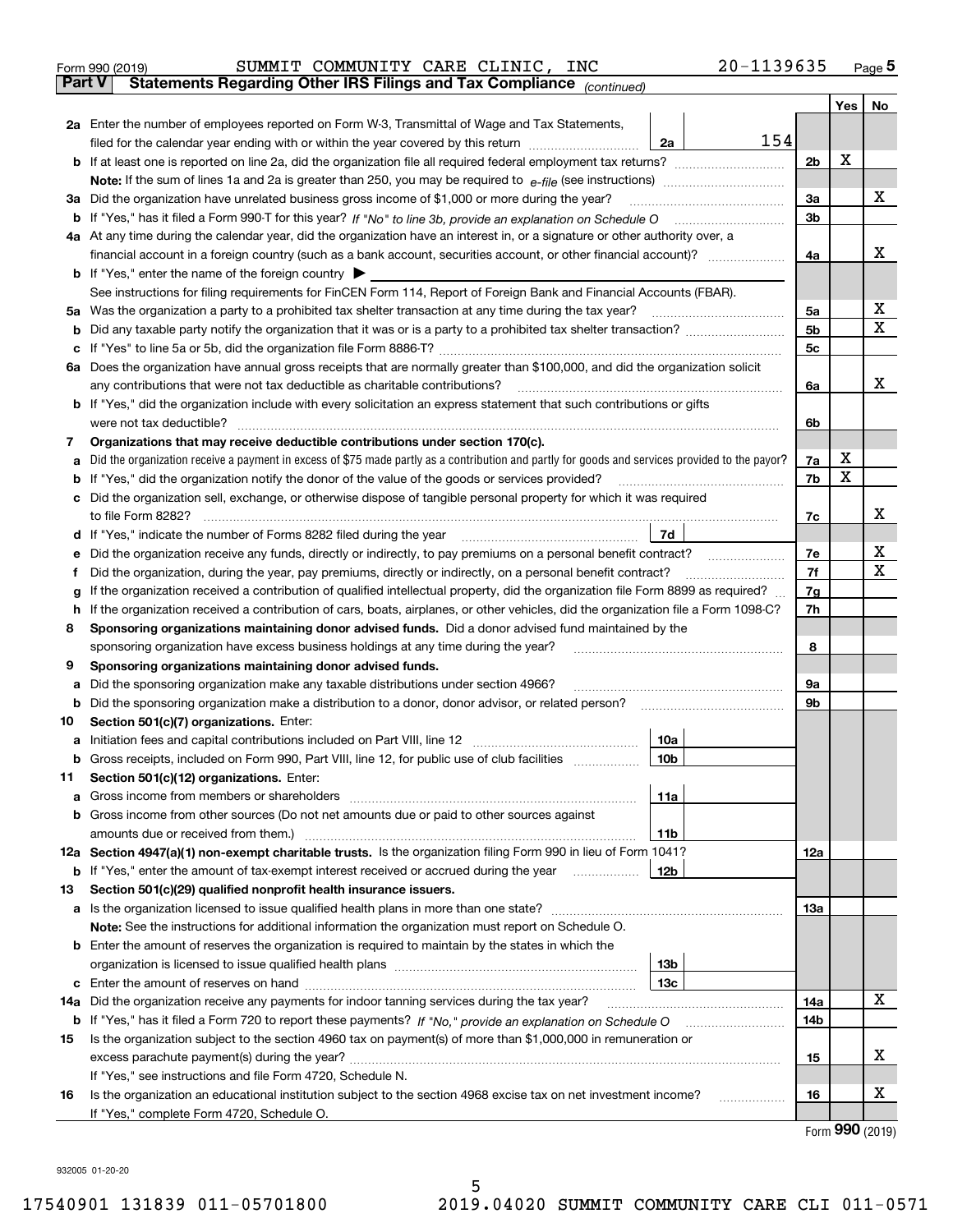| Form 990 (2019) |  | SUMMIT COMMUNITY CARE CLINIC, INC                                                              |  | 20-1139635 | Page $5$ |
|-----------------|--|------------------------------------------------------------------------------------------------|--|------------|----------|
|                 |  | <b>Part V</b> Statements Regarding Other IRS Filings and Tax Compliance <sub>(continued)</sub> |  |            |          |

| Part V | Statements Regarding Other IRS Fillings and Tax Compilance $_{(continued)}$                                                                                                                                                         |                |     |    |
|--------|-------------------------------------------------------------------------------------------------------------------------------------------------------------------------------------------------------------------------------------|----------------|-----|----|
|        |                                                                                                                                                                                                                                     |                | Yes | No |
|        | 2a Enter the number of employees reported on Form W-3, Transmittal of Wage and Tax Statements,                                                                                                                                      |                |     |    |
|        | 154<br>filed for the calendar year ending with or within the year covered by this return<br>2a                                                                                                                                      |                |     |    |
|        |                                                                                                                                                                                                                                     | 2 <sub>b</sub> | X   |    |
|        |                                                                                                                                                                                                                                     |                |     |    |
|        | 3a Did the organization have unrelated business gross income of \$1,000 or more during the year?                                                                                                                                    | За             |     | х  |
|        | b If "Yes," has it filed a Form 990-T for this year? If "No" to line 3b, provide an explanation on Schedule O                                                                                                                       | 3b             |     |    |
|        | 4a At any time during the calendar year, did the organization have an interest in, or a signature or other authority over, a                                                                                                        |                |     |    |
|        | financial account in a foreign country (such as a bank account, securities account, or other financial account)?                                                                                                                    | 4a             |     | х  |
|        | <b>b</b> If "Yes," enter the name of the foreign country                                                                                                                                                                            |                |     |    |
|        | See instructions for filing requirements for FinCEN Form 114, Report of Foreign Bank and Financial Accounts (FBAR).                                                                                                                 |                |     | х  |
|        | 5a Was the organization a party to a prohibited tax shelter transaction at any time during the tax year?                                                                                                                            | 5а             |     | Χ  |
|        |                                                                                                                                                                                                                                     | 5b             |     |    |
|        |                                                                                                                                                                                                                                     | 5c             |     |    |
|        | 6a Does the organization have annual gross receipts that are normally greater than \$100,000, and did the organization solicit<br>any contributions that were not tax deductible as charitable contributions?                       | 6a             |     | х  |
|        | <b>b</b> If "Yes," did the organization include with every solicitation an express statement that such contributions or gifts                                                                                                       |                |     |    |
|        | were not tax deductible?                                                                                                                                                                                                            | 6b             |     |    |
| 7      | Organizations that may receive deductible contributions under section 170(c).                                                                                                                                                       |                |     |    |
| а      | Did the organization receive a payment in excess of \$75 made partly as a contribution and partly for goods and services provided to the payor?                                                                                     | 7a             | х   |    |
| b      | If "Yes," did the organization notify the donor of the value of the goods or services provided?                                                                                                                                     | 7b             | X   |    |
|        | c Did the organization sell, exchange, or otherwise dispose of tangible personal property for which it was required                                                                                                                 |                |     |    |
|        | to file Form 8282?                                                                                                                                                                                                                  | 7c             |     | х  |
|        | 7d<br>d If "Yes," indicate the number of Forms 8282 filed during the year                                                                                                                                                           |                |     |    |
| е      | Did the organization receive any funds, directly or indirectly, to pay premiums on a personal benefit contract?                                                                                                                     | 7e             |     | х  |
| f      | Did the organization, during the year, pay premiums, directly or indirectly, on a personal benefit contract?                                                                                                                        | 7f             |     | х  |
| g      | If the organization received a contribution of qualified intellectual property, did the organization file Form 8899 as required?                                                                                                    | 7g             |     |    |
| h      | If the organization received a contribution of cars, boats, airplanes, or other vehicles, did the organization file a Form 1098-C?                                                                                                  | 7h             |     |    |
| 8      | Sponsoring organizations maintaining donor advised funds. Did a donor advised fund maintained by the                                                                                                                                |                |     |    |
|        | sponsoring organization have excess business holdings at any time during the year?                                                                                                                                                  | 8              |     |    |
| 9      | Sponsoring organizations maintaining donor advised funds.                                                                                                                                                                           |                |     |    |
| а      | Did the sponsoring organization make any taxable distributions under section 4966?                                                                                                                                                  | 9а             |     |    |
|        | <b>b</b> Did the sponsoring organization make a distribution to a donor, donor advisor, or related person?                                                                                                                          | 9b             |     |    |
| 10     | Section 501(c)(7) organizations. Enter:                                                                                                                                                                                             |                |     |    |
| а      | Initiation fees and capital contributions included on Part VIII, line 12<br>10a                                                                                                                                                     |                |     |    |
|        | b Gross receipts, included on Form 990, Part VIII, line 12, for public use of club facilities<br>10 <sub>b</sub>                                                                                                                    |                |     |    |
| 11.    | Section 501(c)(12) organizations. Enter:                                                                                                                                                                                            |                |     |    |
|        | 11a                                                                                                                                                                                                                                 |                |     |    |
|        | <b>b</b> Gross income from other sources (Do not net amounts due or paid to other sources against                                                                                                                                   |                |     |    |
|        | 11b                                                                                                                                                                                                                                 |                |     |    |
|        | 12a Section 4947(a)(1) non-exempt charitable trusts. Is the organization filing Form 990 in lieu of Form 1041?                                                                                                                      | 12a            |     |    |
|        | 12b<br><b>b</b> If "Yes," enter the amount of tax-exempt interest received or accrued during the year                                                                                                                               |                |     |    |
| 13     | Section 501(c)(29) qualified nonprofit health insurance issuers.                                                                                                                                                                    |                |     |    |
|        | a Is the organization licensed to issue qualified health plans in more than one state?                                                                                                                                              | 13a            |     |    |
|        | Note: See the instructions for additional information the organization must report on Schedule O.                                                                                                                                   |                |     |    |
|        | <b>b</b> Enter the amount of reserves the organization is required to maintain by the states in which the                                                                                                                           |                |     |    |
|        | 13 <sub>b</sub>                                                                                                                                                                                                                     |                |     |    |
|        | 13с                                                                                                                                                                                                                                 |                |     | x  |
|        | 14a Did the organization receive any payments for indoor tanning services during the tax year?                                                                                                                                      | 14a<br>14b     |     |    |
| 15     | <b>b</b> If "Yes," has it filed a Form 720 to report these payments? If "No," provide an explanation on Schedule O<br>Is the organization subject to the section 4960 tax on payment(s) of more than \$1,000,000 in remuneration or |                |     |    |
|        |                                                                                                                                                                                                                                     | 15             |     | х  |
|        | If "Yes," see instructions and file Form 4720, Schedule N.                                                                                                                                                                          |                |     |    |
| 16     | Is the organization an educational institution subject to the section 4968 excise tax on net investment income?                                                                                                                     | 16             |     | х  |
|        | If "Yes," complete Form 4720, Schedule O.                                                                                                                                                                                           |                |     |    |
|        |                                                                                                                                                                                                                                     |                |     |    |

Form (2019) **990**

932005 01-20-20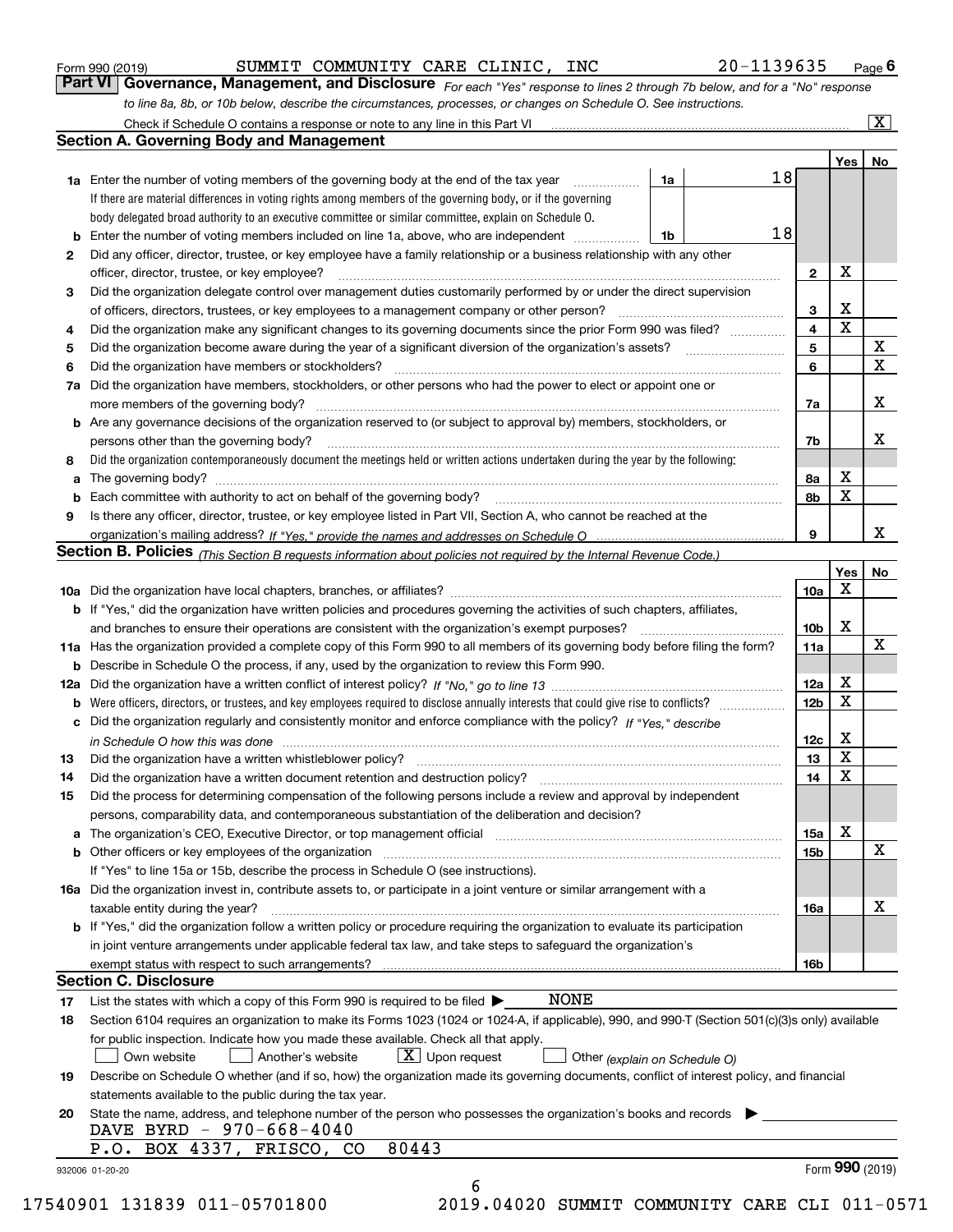| Form 990 (2019) |  |  |
|-----------------|--|--|
|                 |  |  |

#### SUMMIT COMMUNITY CARE CLINIC, INC 20-1139635

*For each "Yes" response to lines 2 through 7b below, and for a "No" response to line 8a, 8b, or 10b below, describe the circumstances, processes, or changes on Schedule O. See instructions.* Form 990 (2019) **COMMIT COMMUNITY CARE CLINIC, INC** 20-1139635 Page 6<br>**Part VI Governance, Management, and Disclosure** *For each "Yes" response to lines 2 through 7b below, and for a "No" response* 

|    | <b>1a</b> Enter the number of voting members of the governing body at the end of the tax year                                                                                                                                  | 1a | 18 |                         | Yes <sub>1</sub> | No                      |
|----|--------------------------------------------------------------------------------------------------------------------------------------------------------------------------------------------------------------------------------|----|----|-------------------------|------------------|-------------------------|
|    | If there are material differences in voting rights among members of the governing body, or if the governing                                                                                                                    |    |    |                         |                  |                         |
|    | body delegated broad authority to an executive committee or similar committee, explain on Schedule O.                                                                                                                          |    |    |                         |                  |                         |
| b  | Enter the number of voting members included on line 1a, above, who are independent                                                                                                                                             | 1b | 18 |                         |                  |                         |
| 2  | Did any officer, director, trustee, or key employee have a family relationship or a business relationship with any other                                                                                                       |    |    |                         |                  |                         |
|    | officer, director, trustee, or key employee?                                                                                                                                                                                   |    |    | $\mathbf{2}$            | X                |                         |
| 3  | Did the organization delegate control over management duties customarily performed by or under the direct supervision                                                                                                          |    |    |                         |                  |                         |
|    |                                                                                                                                                                                                                                |    |    | 3                       | X                |                         |
| 4  | Did the organization make any significant changes to its governing documents since the prior Form 990 was filed?                                                                                                               |    |    | $\overline{\mathbf{4}}$ | $\mathbf X$      |                         |
| 5  |                                                                                                                                                                                                                                |    |    | 5                       |                  | $\mathbf X$             |
| 6  | Did the organization have members or stockholders?                                                                                                                                                                             |    |    | 6                       |                  | $\overline{\mathbf{x}}$ |
| 7a | Did the organization have members, stockholders, or other persons who had the power to elect or appoint one or                                                                                                                 |    |    |                         |                  |                         |
|    |                                                                                                                                                                                                                                |    |    | 7a                      |                  | X                       |
|    | <b>b</b> Are any governance decisions of the organization reserved to (or subject to approval by) members, stockholders, or                                                                                                    |    |    |                         |                  |                         |
|    | persons other than the governing body?                                                                                                                                                                                         |    |    | 7b                      |                  | X                       |
| 8  | Did the organization contemporaneously document the meetings held or written actions undertaken during the year by the following:                                                                                              |    |    |                         |                  |                         |
| a  |                                                                                                                                                                                                                                |    |    | 8а                      | X                |                         |
|    |                                                                                                                                                                                                                                |    |    | 8b                      | X                |                         |
| 9  | Is there any officer, director, trustee, or key employee listed in Part VII, Section A, who cannot be reached at the                                                                                                           |    |    |                         |                  |                         |
|    |                                                                                                                                                                                                                                |    |    | 9                       |                  | X                       |
|    | Section B. Policies <sub>(This</sub> Section B requests information about policies not required by the Internal Revenue Code.)                                                                                                 |    |    |                         |                  |                         |
|    |                                                                                                                                                                                                                                |    |    |                         | Yes              | No                      |
|    |                                                                                                                                                                                                                                |    |    | 10a                     | X                |                         |
|    | <b>b</b> If "Yes," did the organization have written policies and procedures governing the activities of such chapters, affiliates,                                                                                            |    |    |                         |                  |                         |
|    |                                                                                                                                                                                                                                |    |    | 10b                     | X                |                         |
|    | 11a Has the organization provided a complete copy of this Form 990 to all members of its governing body before filing the form?                                                                                                |    |    | 11a                     |                  | $\mathbf X$             |
|    | <b>b</b> Describe in Schedule O the process, if any, used by the organization to review this Form 990.                                                                                                                         |    |    |                         |                  |                         |
|    |                                                                                                                                                                                                                                |    |    | 12a                     | X                |                         |
| b  |                                                                                                                                                                                                                                |    |    | 12 <sub>b</sub>         | X                |                         |
|    | c Did the organization regularly and consistently monitor and enforce compliance with the policy? If "Yes," describe                                                                                                           |    |    |                         |                  |                         |
|    | in Schedule O how this was done measured and the control of the control of the state of the control of the control of the control of the control of the control of the control of the control of the control of the control of |    |    | 12c                     | X                |                         |
| 13 |                                                                                                                                                                                                                                |    |    | 13                      | $\mathbf x$      |                         |
| 14 |                                                                                                                                                                                                                                |    |    | 14                      | X                |                         |
| 15 | Did the process for determining compensation of the following persons include a review and approval by independent                                                                                                             |    |    |                         |                  |                         |
|    | persons, comparability data, and contemporaneous substantiation of the deliberation and decision?                                                                                                                              |    |    |                         |                  |                         |
|    |                                                                                                                                                                                                                                |    |    | 15a                     | X                |                         |
|    |                                                                                                                                                                                                                                |    |    | 15b                     |                  | X                       |
|    | If "Yes" to line 15a or 15b, describe the process in Schedule O (see instructions).                                                                                                                                            |    |    |                         |                  |                         |
|    | 16a Did the organization invest in, contribute assets to, or participate in a joint venture or similar arrangement with a                                                                                                      |    |    |                         |                  |                         |
|    | taxable entity during the year?                                                                                                                                                                                                |    |    | 16a                     |                  | X                       |
|    | <b>b</b> If "Yes," did the organization follow a written policy or procedure requiring the organization to evaluate its participation                                                                                          |    |    |                         |                  |                         |
|    | in joint venture arrangements under applicable federal tax law, and take steps to safequard the organization's                                                                                                                 |    |    |                         |                  |                         |
|    | exempt status with respect to such arrangements?                                                                                                                                                                               |    |    | 16b                     |                  |                         |
|    | <b>Section C. Disclosure</b>                                                                                                                                                                                                   |    |    |                         |                  |                         |
| 17 | <b>NONE</b><br>List the states with which a copy of this Form 990 is required to be filed $\blacktriangleright$                                                                                                                |    |    |                         |                  |                         |
| 18 | Section 6104 requires an organization to make its Forms 1023 (1024 or 1024-A, if applicable), 990, and 990-T (Section 501(c)(3)s only) available                                                                               |    |    |                         |                  |                         |
|    | for public inspection. Indicate how you made these available. Check all that apply.                                                                                                                                            |    |    |                         |                  |                         |
|    | $X$ Upon request<br>Another's website<br>Own website<br>Other (explain on Schedule O)                                                                                                                                          |    |    |                         |                  |                         |
| 19 | Describe on Schedule O whether (and if so, how) the organization made its governing documents, conflict of interest policy, and financial                                                                                      |    |    |                         |                  |                         |
|    | statements available to the public during the tax year.                                                                                                                                                                        |    |    |                         |                  |                         |
| 20 | State the name, address, and telephone number of the person who possesses the organization's books and records                                                                                                                 |    |    |                         |                  |                         |
|    | DAVE BYRD - 970-668-4040                                                                                                                                                                                                       |    |    |                         |                  |                         |
|    | P.O. BOX 4337, FRISCO, CO<br>80443                                                                                                                                                                                             |    |    |                         |                  | Form 990 (2019)         |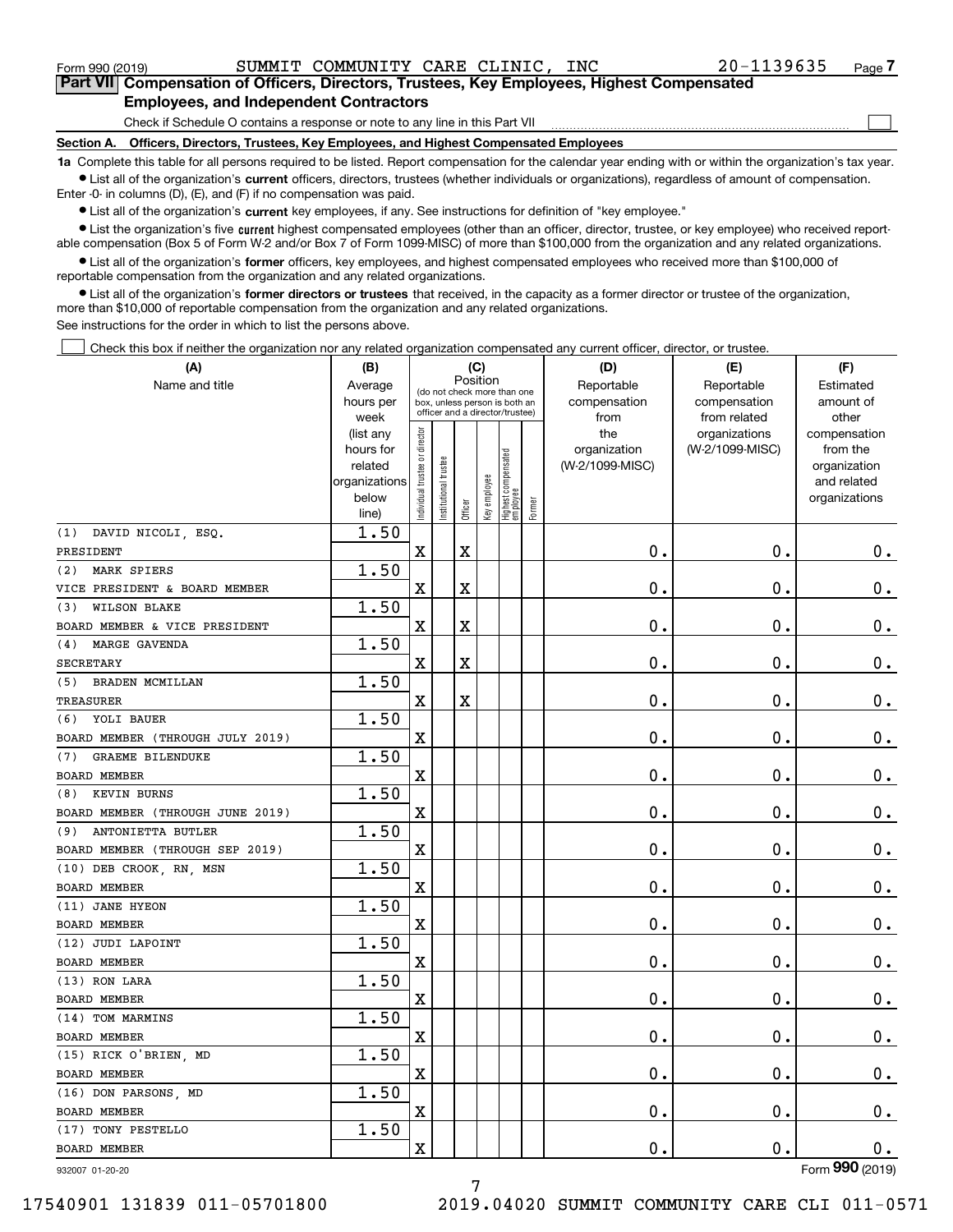Form 990 (2019) SUMMIT COMMUNITY CARE CLINIC,INC 20-1139635 <sub>Page</sub>

 $\mathcal{L}^{\text{max}}$ 

**7Part VII Compensation of Officers, Directors, Trustees, Key Employees, Highest Compensated Employees, and Independent Contractors**

Check if Schedule O contains a response or note to any line in this Part VII

**Section A. Officers, Directors, Trustees, Key Employees, and Highest Compensated Employees**

**1a**  Complete this table for all persons required to be listed. Report compensation for the calendar year ending with or within the organization's tax year. **•** List all of the organization's current officers, directors, trustees (whether individuals or organizations), regardless of amount of compensation.

Enter -0- in columns (D), (E), and (F) if no compensation was paid.

 $\bullet$  List all of the organization's  $\,$ current key employees, if any. See instructions for definition of "key employee."

**•** List the organization's five current highest compensated employees (other than an officer, director, trustee, or key employee) who received reportable compensation (Box 5 of Form W-2 and/or Box 7 of Form 1099-MISC) of more than \$100,000 from the organization and any related organizations.

**•** List all of the organization's former officers, key employees, and highest compensated employees who received more than \$100,000 of reportable compensation from the organization and any related organizations.

**former directors or trustees**  ¥ List all of the organization's that received, in the capacity as a former director or trustee of the organization, more than \$10,000 of reportable compensation from the organization and any related organizations.

See instructions for the order in which to list the persons above.

Check this box if neither the organization nor any related organization compensated any current officer, director, or trustee.  $\mathcal{L}^{\text{max}}$ 

| (A)                              | (B)                      | (C)                            |                       |          |              |                                  | (D)    | (E)             | (F)             |                             |
|----------------------------------|--------------------------|--------------------------------|-----------------------|----------|--------------|----------------------------------|--------|-----------------|-----------------|-----------------------------|
| Name and title                   | Average                  |                                |                       | Position |              | (do not check more than one      |        | Reportable      | Reportable      | Estimated                   |
|                                  | hours per                |                                |                       |          |              | box, unless person is both an    |        | compensation    | compensation    | amount of                   |
|                                  | week                     |                                |                       |          |              | officer and a director/trustee)  |        | from            | from related    | other                       |
|                                  | (list any                |                                |                       |          |              |                                  |        | the             | organizations   | compensation                |
|                                  | hours for                |                                |                       |          |              |                                  |        | organization    | (W-2/1099-MISC) | from the                    |
|                                  | related<br>organizations |                                |                       |          |              |                                  |        | (W-2/1099-MISC) |                 | organization<br>and related |
|                                  | below                    |                                |                       |          |              |                                  |        |                 |                 | organizations               |
|                                  | line)                    | Individual trustee or director | Institutional trustee | Officer  | Key employee | Highest compensated<br> employee | Former |                 |                 |                             |
| (1) DAVID NICOLI, ESQ.           | 1.50                     |                                |                       |          |              |                                  |        |                 |                 |                             |
| PRESIDENT                        |                          | $\overline{\mathbf{X}}$        |                       | X        |              |                                  |        | 0.              | 0.              | 0.                          |
| (2) MARK SPIERS                  | 1.50                     |                                |                       |          |              |                                  |        |                 |                 |                             |
| VICE PRESIDENT & BOARD MEMBER    |                          | X                              |                       | X        |              |                                  |        | 0.              | 0.              | 0.                          |
| <b>WILSON BLAKE</b><br>(3)       | 1.50                     |                                |                       |          |              |                                  |        |                 |                 |                             |
| BOARD MEMBER & VICE PRESIDENT    |                          | X                              |                       | X        |              |                                  |        | 0.              | 0.              | 0.                          |
| MARGE GAVENDA<br>(4)             | 1.50                     |                                |                       |          |              |                                  |        |                 |                 |                             |
| <b>SECRETARY</b>                 |                          | X                              |                       | X        |              |                                  |        | 0.              | 0.              | 0.                          |
| <b>BRADEN MCMILLAN</b><br>(5)    | 1.50                     |                                |                       |          |              |                                  |        |                 |                 |                             |
| <b>TREASURER</b>                 |                          | X                              |                       | X        |              |                                  |        | 0.              | 0.              | 0.                          |
| (6) YOLI BAUER                   | 1.50                     |                                |                       |          |              |                                  |        |                 |                 |                             |
| BOARD MEMBER (THROUGH JULY 2019) |                          | X                              |                       |          |              |                                  |        | 0.              | 0.              | 0.                          |
| <b>GRAEME BILENDUKE</b><br>(7)   | 1.50                     |                                |                       |          |              |                                  |        |                 |                 |                             |
| <b>BOARD MEMBER</b>              |                          | X                              |                       |          |              |                                  |        | 0.              | 0.              | 0.                          |
| KEVIN BURNS<br>(8)               | 1.50                     |                                |                       |          |              |                                  |        |                 |                 |                             |
| BOARD MEMBER (THROUGH JUNE 2019) |                          | X                              |                       |          |              |                                  |        | 0.              | 0.              | 0.                          |
| ANTONIETTA BUTLER<br>(9)         | 1.50                     |                                |                       |          |              |                                  |        |                 |                 |                             |
| BOARD MEMBER (THROUGH SEP 2019)  |                          | X                              |                       |          |              |                                  |        | 0.              | 0.              | 0.                          |
| (10) DEB CROOK, RN, MSN          | 1.50                     |                                |                       |          |              |                                  |        |                 |                 |                             |
| <b>BOARD MEMBER</b>              |                          | X                              |                       |          |              |                                  |        | 0.              | 0.              | 0.                          |
| (11) JANE HYEON                  | 1.50                     |                                |                       |          |              |                                  |        |                 |                 |                             |
| <b>BOARD MEMBER</b>              |                          | X                              |                       |          |              |                                  |        | 0.              | 0.              | 0.                          |
| (12) JUDI LAPOINT                | 1.50                     |                                |                       |          |              |                                  |        |                 |                 |                             |
| <b>BOARD MEMBER</b>              |                          | X                              |                       |          |              |                                  |        | 0.              | 0.              | 0.                          |
| (13) RON LARA                    | 1.50                     |                                |                       |          |              |                                  |        |                 |                 |                             |
| BOARD MEMBER                     |                          | X                              |                       |          |              |                                  |        | 0.              | 0.              | 0.                          |
| (14) TOM MARMINS                 | 1.50                     |                                |                       |          |              |                                  |        |                 |                 |                             |
| <b>BOARD MEMBER</b>              |                          | X                              |                       |          |              |                                  |        | 0.              | $\mathbf 0$ .   | 0.                          |
| (15) RICK O'BRIEN, MD            | 1.50                     |                                |                       |          |              |                                  |        |                 |                 |                             |
| BOARD MEMBER                     |                          | $\mathbf X$                    |                       |          |              |                                  |        | $\mathbf 0$ .   | $\mathbf 0$ .   | 0.                          |
| (16) DON PARSONS, MD             | 1.50                     |                                |                       |          |              |                                  |        |                 |                 |                             |
| BOARD MEMBER                     |                          | $\mathbf X$                    |                       |          |              |                                  |        | 0.              | $\mathbf 0$ .   | $0_{\cdot}$                 |
| (17) TONY PESTELLO               | 1.50                     |                                |                       |          |              |                                  |        |                 |                 |                             |
| BOARD MEMBER                     |                          | X                              |                       |          |              |                                  |        | $\mathbf 0$ .   | $\mathbf 0$ .   | 0.                          |
| 932007 01-20-20                  |                          |                                |                       |          |              |                                  |        |                 |                 | Form 990 (2019)             |

932007 01-20-20

17540901 131839 011-05701800 2019.04020 SUMMIT COMMUNITY CARE CLI 011-0571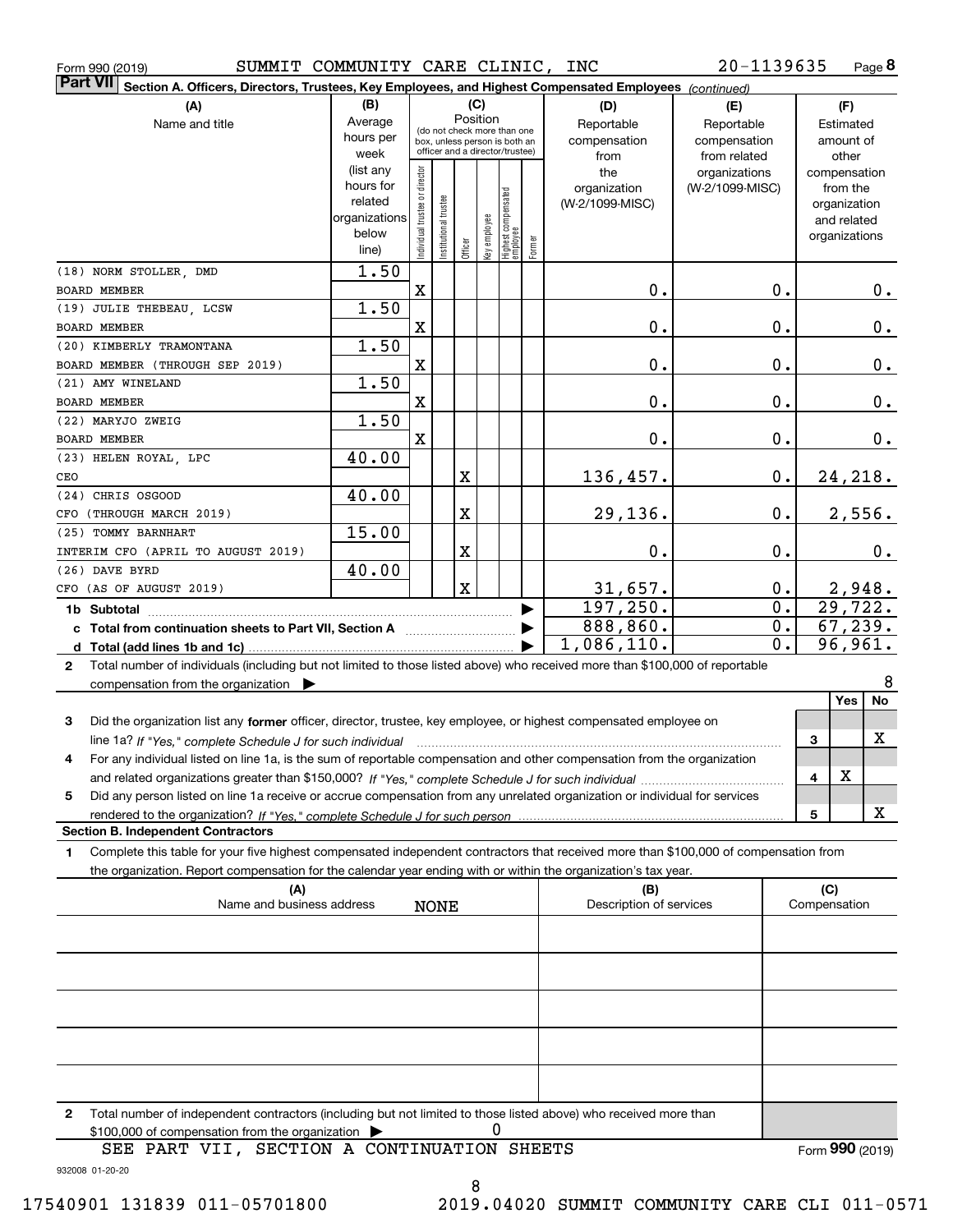| Form 990 (2019) | SUMMIT | ' COMMUNITY CARE CLINIC, |  |  | INC | 20-1139635 | Page |
|-----------------|--------|--------------------------|--|--|-----|------------|------|
|-----------------|--------|--------------------------|--|--|-----|------------|------|

**8**

| Part VII  <br>Section A. Officers, Directors, Trustees, Key Employees, and Highest Compensated Employees (continued)                                                     |                        |                                |                       |             |              |                                   |        |                                 |                 |                             |
|--------------------------------------------------------------------------------------------------------------------------------------------------------------------------|------------------------|--------------------------------|-----------------------|-------------|--------------|-----------------------------------|--------|---------------------------------|-----------------|-----------------------------|
| (A)                                                                                                                                                                      | (B)                    |                                |                       |             | (C)          |                                   |        | (D)                             | (E)             | (F)                         |
| Name and title                                                                                                                                                           | Average                |                                |                       |             | Position     | (do not check more than one       |        | Reportable                      | Reportable      | Estimated                   |
|                                                                                                                                                                          | hours per              |                                |                       |             |              | box, unless person is both an     |        | compensation                    | compensation    | amount of                   |
|                                                                                                                                                                          | week                   |                                |                       |             |              | officer and a director/trustee)   |        | from                            | from related    | other                       |
|                                                                                                                                                                          | (list any<br>hours for |                                |                       |             |              |                                   |        | the                             | organizations   | compensation                |
|                                                                                                                                                                          | related                |                                |                       |             |              |                                   |        | organization<br>(W-2/1099-MISC) | (W-2/1099-MISC) | from the                    |
|                                                                                                                                                                          | organizations          | Individual trustee or director | Institutional trustee |             |              |                                   |        |                                 |                 | organization<br>and related |
|                                                                                                                                                                          | below                  |                                |                       |             |              |                                   |        |                                 |                 | organizations               |
|                                                                                                                                                                          | line)                  |                                |                       | Officer     | Key employee | Highest compensated<br>  employee | Former |                                 |                 |                             |
| (18) NORM STOLLER, DMD                                                                                                                                                   | 1.50                   |                                |                       |             |              |                                   |        |                                 |                 |                             |
| BOARD MEMBER                                                                                                                                                             |                        | $\mathbf X$                    |                       |             |              |                                   |        | 0.                              | 0.              | $0$ .                       |
| (19) JULIE THEBEAU, LCSW                                                                                                                                                 | 1.50                   |                                |                       |             |              |                                   |        |                                 |                 |                             |
| BOARD MEMBER                                                                                                                                                             |                        | $\mathbf x$                    |                       |             |              |                                   |        | 0.                              | 0.              | 0.                          |
| (20) KIMBERLY TRAMONTANA                                                                                                                                                 | 1.50                   |                                |                       |             |              |                                   |        |                                 |                 |                             |
| BOARD MEMBER (THROUGH SEP 2019)                                                                                                                                          |                        | $\mathbf x$                    |                       |             |              |                                   |        | 0.                              | 0.              | 0.                          |
| (21) AMY WINELAND                                                                                                                                                        | 1.50                   |                                |                       |             |              |                                   |        |                                 |                 |                             |
| BOARD MEMBER                                                                                                                                                             |                        | $\mathbf x$                    |                       |             |              |                                   |        | 0.                              | 0.              | 0.                          |
| (22) MARYJO ZWEIG                                                                                                                                                        | 1.50                   |                                |                       |             |              |                                   |        |                                 |                 |                             |
| BOARD MEMBER                                                                                                                                                             |                        | X                              |                       |             |              |                                   |        | 0.                              | 0.              | 0.                          |
| (23) HELEN ROYAL, LPC<br>CEO                                                                                                                                             | 40.00                  |                                |                       | X           |              |                                   |        |                                 | 0.              | 24, 218.                    |
| (24) CHRIS OSGOOD                                                                                                                                                        | 40.00                  |                                |                       |             |              |                                   |        | 136,457.                        |                 |                             |
| CFO (THROUGH MARCH 2019)                                                                                                                                                 |                        |                                |                       | X           |              |                                   |        | 29,136.                         | 0.              | 2,556.                      |
| (25) TOMMY BARNHART                                                                                                                                                      | 15.00                  |                                |                       |             |              |                                   |        |                                 |                 |                             |
| INTERIM CFO (APRIL TO AUGUST 2019)                                                                                                                                       |                        |                                |                       | X           |              |                                   |        | 0.                              | 0.              | 0.                          |
| (26) DAVE BYRD                                                                                                                                                           | 40.00                  |                                |                       |             |              |                                   |        |                                 |                 |                             |
| CFO (AS OF AUGUST 2019)                                                                                                                                                  |                        |                                |                       | $\mathbf X$ |              |                                   |        | 31,657.                         | 0.              | 2,948.                      |
| 1b Subtotal                                                                                                                                                              |                        |                                |                       |             |              |                                   |        | 197, 250.                       | 0.              | $\overline{29,722.}$        |
| c Total from continuation sheets to Part VII, Section A [11] [12] Total from continuation sheets to Part VII, Section A                                                  |                        |                                |                       |             |              |                                   |        | 888, 860.                       | 0.              | 67, 239.                    |
|                                                                                                                                                                          |                        |                                |                       |             |              |                                   |        | 1,086,110.                      | 0.              | 96,961.                     |
| Total number of individuals (including but not limited to those listed above) who received more than \$100,000 of reportable<br>$\mathbf{2}$                             |                        |                                |                       |             |              |                                   |        |                                 |                 |                             |
| compensation from the organization $\blacktriangleright$                                                                                                                 |                        |                                |                       |             |              |                                   |        |                                 |                 | 8                           |
|                                                                                                                                                                          |                        |                                |                       |             |              |                                   |        |                                 |                 | Yes<br>No                   |
| Did the organization list any former officer, director, trustee, key employee, or highest compensated employee on<br>3                                                   |                        |                                |                       |             |              |                                   |        |                                 |                 |                             |
|                                                                                                                                                                          |                        |                                |                       |             |              |                                   |        |                                 |                 | X<br>3                      |
| For any individual listed on line 1a, is the sum of reportable compensation and other compensation from the organization<br>4                                            |                        |                                |                       |             |              |                                   |        |                                 |                 |                             |
|                                                                                                                                                                          |                        |                                |                       |             |              |                                   |        |                                 |                 | X<br>4                      |
| Did any person listed on line 1a receive or accrue compensation from any unrelated organization or individual for services<br>5                                          |                        |                                |                       |             |              |                                   |        |                                 |                 |                             |
| rendered to the organization? If "Yes." complete Schedule J for such person<br><b>Section B. Independent Contractors</b>                                                 |                        |                                |                       |             |              |                                   |        |                                 |                 | X<br>5                      |
| Complete this table for your five highest compensated independent contractors that received more than \$100,000 of compensation from<br>1                                |                        |                                |                       |             |              |                                   |        |                                 |                 |                             |
| the organization. Report compensation for the calendar year ending with or within the organization's tax year.                                                           |                        |                                |                       |             |              |                                   |        |                                 |                 |                             |
| (A)                                                                                                                                                                      |                        |                                |                       |             |              |                                   |        | (B)                             |                 | (C)                         |
| Name and business address                                                                                                                                                |                        |                                | <b>NONE</b>           |             |              |                                   |        | Description of services         |                 | Compensation                |
|                                                                                                                                                                          |                        |                                |                       |             |              |                                   |        |                                 |                 |                             |
|                                                                                                                                                                          |                        |                                |                       |             |              |                                   |        |                                 |                 |                             |
|                                                                                                                                                                          |                        |                                |                       |             |              |                                   |        |                                 |                 |                             |
|                                                                                                                                                                          |                        |                                |                       |             |              |                                   |        |                                 |                 |                             |
|                                                                                                                                                                          |                        |                                |                       |             |              |                                   |        |                                 |                 |                             |
|                                                                                                                                                                          |                        |                                |                       |             |              |                                   |        |                                 |                 |                             |
|                                                                                                                                                                          |                        |                                |                       |             |              |                                   |        |                                 |                 |                             |
|                                                                                                                                                                          |                        |                                |                       |             |              |                                   |        |                                 |                 |                             |
|                                                                                                                                                                          |                        |                                |                       |             |              |                                   |        |                                 |                 |                             |
|                                                                                                                                                                          |                        |                                |                       |             |              |                                   |        |                                 |                 |                             |
| Total number of independent contractors (including but not limited to those listed above) who received more than<br>2<br>\$100,000 of compensation from the organization |                        |                                |                       |             | 0            |                                   |        |                                 |                 |                             |
| SEE PART VII, SECTION A CONTINUATION SHEETS                                                                                                                              |                        |                                |                       |             |              |                                   |        |                                 |                 | Form 990 (2019)             |
|                                                                                                                                                                          |                        |                                |                       |             |              |                                   |        |                                 |                 |                             |

932008 01-20-20

8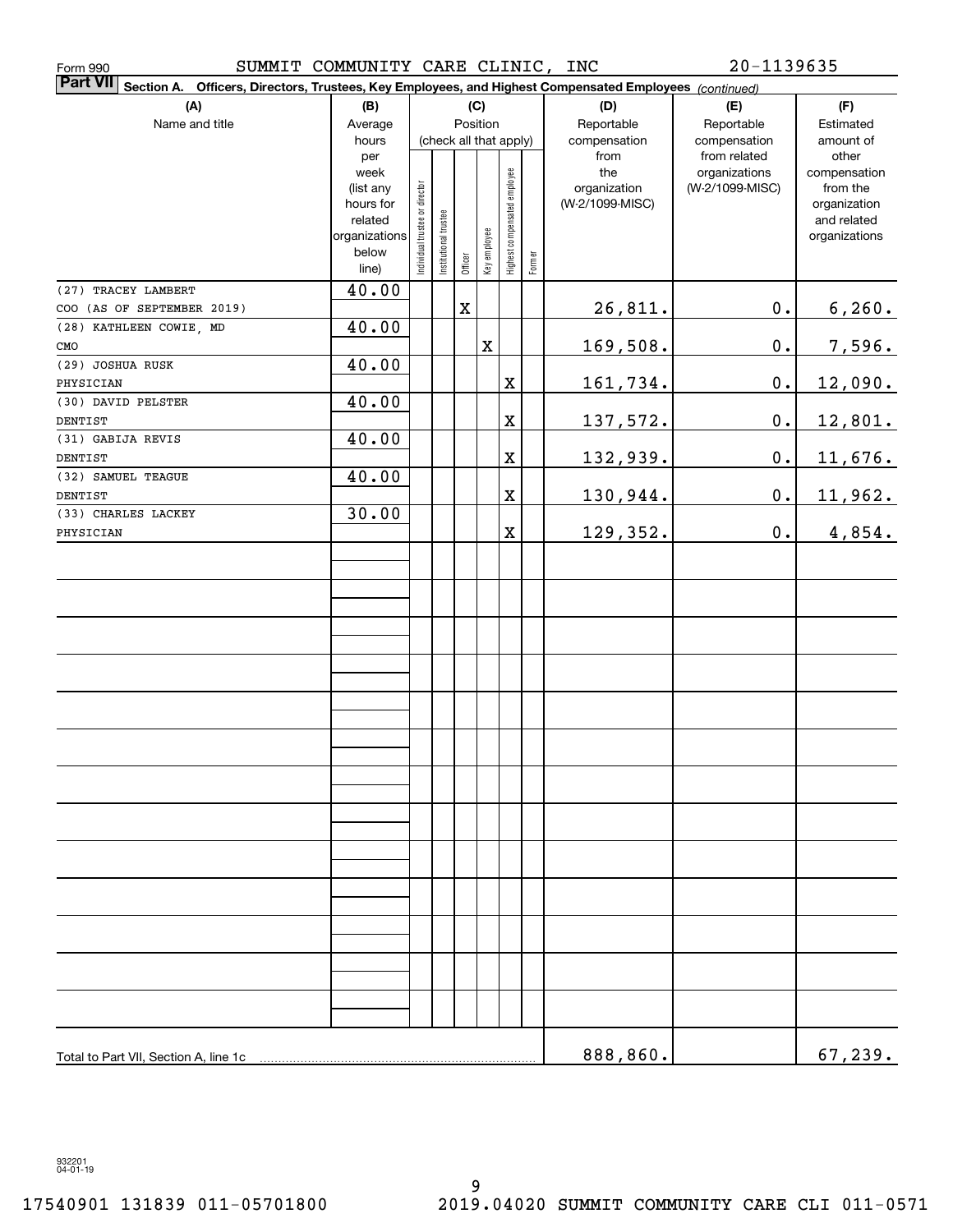| Form 990                                                                                                                  | $20 - 1139635$<br>SUMMIT COMMUNITY CARE CLINIC, INC |                                |                       |             |              |                              |        |                      |                              |                              |
|---------------------------------------------------------------------------------------------------------------------------|-----------------------------------------------------|--------------------------------|-----------------------|-------------|--------------|------------------------------|--------|----------------------|------------------------------|------------------------------|
| <b>Part VII</b><br>Section A. Officers, Directors, Trustees, Key Employees, and Highest Compensated Employees (continued) |                                                     |                                |                       |             |              |                              |        |                      |                              |                              |
| (A)                                                                                                                       | (B)                                                 |                                |                       |             | (C)          |                              |        | (D)                  | (E)                          | (F)                          |
| Name and title                                                                                                            | Average                                             |                                |                       | Position    |              |                              |        | Reportable           | Reportable                   | Estimated                    |
|                                                                                                                           | hours<br>per                                        |                                |                       |             |              | (check all that apply)       |        | compensation<br>from | compensation<br>from related | amount of<br>other           |
|                                                                                                                           | week                                                |                                |                       |             |              |                              |        | the                  | organizations                | compensation                 |
|                                                                                                                           | (list any                                           |                                |                       |             |              | Highest compensated employee |        | organization         | (W-2/1099-MISC)              | from the                     |
|                                                                                                                           | hours for                                           |                                |                       |             |              |                              |        | (W-2/1099-MISC)      |                              | organization                 |
|                                                                                                                           | related<br>organizations                            |                                |                       |             |              |                              |        |                      |                              | and related<br>organizations |
|                                                                                                                           | below                                               | Individual trustee or director | Institutional trustee |             | Key employee |                              |        |                      |                              |                              |
|                                                                                                                           | line)                                               |                                |                       | Officer     |              |                              | Former |                      |                              |                              |
| (27) TRACEY LAMBERT                                                                                                       | 40.00                                               |                                |                       |             |              |                              |        |                      |                              |                              |
| COO (AS OF SEPTEMBER 2019)                                                                                                |                                                     |                                |                       | $\mathbf X$ |              |                              |        | 26,811.              | $\mathbf 0$ .                | 6, 260.                      |
| (28) KATHLEEN COWIE, MD                                                                                                   | 40.00                                               |                                |                       |             |              |                              |        |                      |                              |                              |
| CMO                                                                                                                       |                                                     |                                |                       |             | X            |                              |        | 169,508.             | $\mathbf 0$ .                | 7,596.                       |
| (29) JOSHUA RUSK                                                                                                          | 40.00                                               |                                |                       |             |              |                              |        |                      |                              |                              |
| PHYSICIAN                                                                                                                 |                                                     |                                |                       |             |              | X                            |        | 161,734.             | $\mathbf 0$ .                | 12,090.                      |
| (30) DAVID PELSTER                                                                                                        | 40.00                                               |                                |                       |             |              |                              |        |                      |                              |                              |
| DENTIST                                                                                                                   |                                                     |                                |                       |             |              | $\mathbf X$                  |        | 137,572.             | $\mathbf 0$ .                | 12,801.                      |
| (31) GABIJA REVIS                                                                                                         | 40.00                                               |                                |                       |             |              |                              |        |                      |                              |                              |
| DENTIST<br>(32) SAMUEL TEAGUE                                                                                             | 40.00                                               |                                |                       |             |              | X                            |        | 132,939.             | $\mathbf 0$ .                | 11,676.                      |
| DENTIST                                                                                                                   |                                                     |                                |                       |             |              | $\mathbf X$                  |        | 130,944.             | $\mathbf 0$ .                | <u>11,962.</u>               |
| (33) CHARLES LACKEY                                                                                                       | 30.00                                               |                                |                       |             |              |                              |        |                      |                              |                              |
| PHYSICIAN                                                                                                                 |                                                     |                                |                       |             |              | $\mathbf X$                  |        | 129,352.             | $\mathbf 0$ .                | 4,854.                       |
|                                                                                                                           |                                                     |                                |                       |             |              |                              |        |                      |                              |                              |
|                                                                                                                           |                                                     |                                |                       |             |              |                              |        |                      |                              |                              |
|                                                                                                                           |                                                     |                                |                       |             |              |                              |        |                      |                              |                              |
|                                                                                                                           |                                                     |                                |                       |             |              |                              |        |                      |                              |                              |
|                                                                                                                           |                                                     |                                |                       |             |              |                              |        |                      |                              |                              |
|                                                                                                                           |                                                     |                                |                       |             |              |                              |        |                      |                              |                              |
|                                                                                                                           |                                                     |                                |                       |             |              |                              |        |                      |                              |                              |
|                                                                                                                           |                                                     |                                |                       |             |              |                              |        |                      |                              |                              |
|                                                                                                                           |                                                     |                                |                       |             |              |                              |        |                      |                              |                              |
|                                                                                                                           |                                                     |                                |                       |             |              |                              |        |                      |                              |                              |
|                                                                                                                           |                                                     |                                |                       |             |              |                              |        |                      |                              |                              |
|                                                                                                                           |                                                     |                                |                       |             |              |                              |        |                      |                              |                              |
|                                                                                                                           |                                                     |                                |                       |             |              |                              |        |                      |                              |                              |
|                                                                                                                           |                                                     |                                |                       |             |              |                              |        |                      |                              |                              |
|                                                                                                                           |                                                     |                                |                       |             |              |                              |        |                      |                              |                              |
|                                                                                                                           |                                                     |                                |                       |             |              |                              |        |                      |                              |                              |
|                                                                                                                           |                                                     |                                |                       |             |              |                              |        |                      |                              |                              |
|                                                                                                                           |                                                     |                                |                       |             |              |                              |        |                      |                              |                              |
|                                                                                                                           |                                                     |                                |                       |             |              |                              |        |                      |                              |                              |
|                                                                                                                           |                                                     |                                |                       |             |              |                              |        |                      |                              |                              |
|                                                                                                                           |                                                     |                                |                       |             |              |                              |        |                      |                              |                              |
|                                                                                                                           |                                                     |                                |                       |             |              |                              |        |                      |                              |                              |
|                                                                                                                           |                                                     |                                |                       |             |              |                              |        |                      |                              |                              |
|                                                                                                                           |                                                     |                                |                       |             |              |                              |        |                      |                              |                              |
|                                                                                                                           |                                                     |                                |                       |             |              |                              |        |                      |                              |                              |
| Total to Part VII, Section A, line 1c                                                                                     |                                                     |                                |                       |             |              |                              |        | 888,860.             |                              | 67, 239.                     |

932201 04-01-19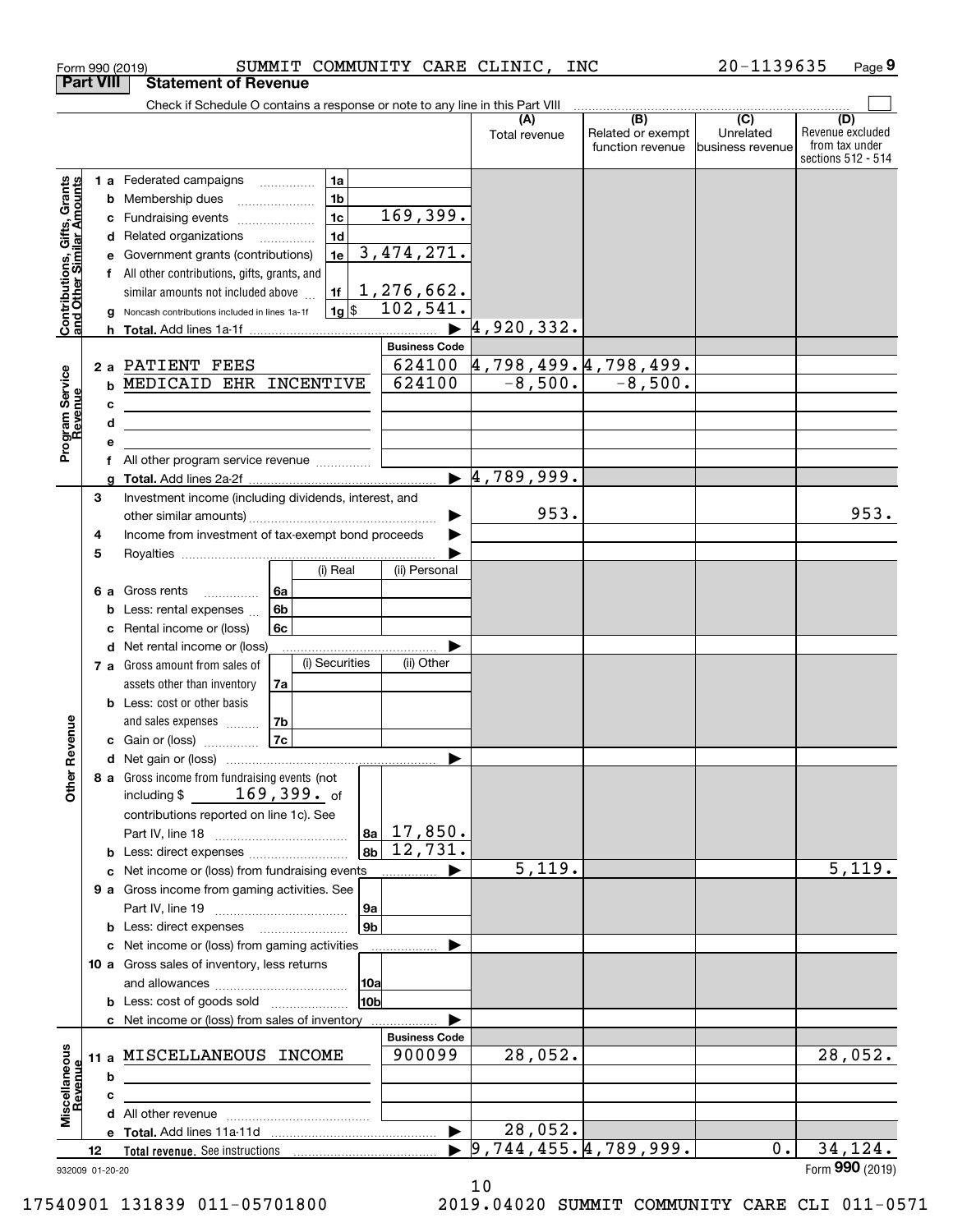| Check if Schedule O contains a response or note to any line in this Part VIII<br>(B)<br>$\overline{C}$<br>(D)<br>(A)<br>Related or exempt<br>Unrelated<br>Total revenue<br>from tax under<br>function revenue<br>business revenue<br><b>1 a</b> Federated campaigns<br>Contributions, Gifts, Grants<br>and Other Similar Amounts<br>1a<br>$\cdots$<br>1 <sub>b</sub><br>Membership dues<br>b<br>169,399.<br>1 <sub>c</sub><br>Fundraising events<br>с<br>1 <sub>d</sub><br>Related organizations<br>d<br>3,474,271.<br>1e<br>Government grants (contributions)<br>е<br>f All other contributions, gifts, grants, and<br>1,276,662.<br>similar amounts not included above<br>1f<br>102,541.<br>$1g$ s<br>Noncash contributions included in lines 1a-1f<br>a<br>4,920,332.<br><b>Business Code</b><br><u>4,798,499.4,798,499.</u><br>624100<br>2 a PATIENT FEES<br>Program Service<br>Revenue<br>$-8,500.$<br>$-8,500.$<br>624100<br>MEDICAID EHR INCENTIVE<br>b<br>с<br>the control of the control of the control of the control of the control of the control of<br>d<br><u> 1989 - Johann Stein, mars an deus Amerikaansk kommunister (</u><br>е<br>All other program service revenue<br>f<br>4,789,999.<br>$\blacktriangleright$<br>a<br>Investment income (including dividends, interest, and<br>3<br>953.<br>Income from investment of tax-exempt bond proceeds<br>4<br>5<br>(i) Real<br>(ii) Personal<br>Gross rents<br>6a<br>6а<br>.<br>6b<br>Less: rental expenses<br>b<br>6c<br>Rental income or (loss)<br>с<br>Net rental income or (loss)<br>d<br>(i) Securities<br>(ii) Other<br>7 a Gross amount from sales of<br>assets other than inventory<br>7a<br><b>b</b> Less: cost or other basis<br>Revenue<br>7b<br>and sales expenses<br> 7c <br>c Gain or (loss)<br>8 a Gross income from fundraising events (not<br><b>Other</b><br>$169,399.$ of<br>including \$<br>contributions reported on line 1c). See<br>$17,850$ .<br>  8a  <br>12,731.<br>8 <sub>b</sub><br><b>b</b> Less: direct expenses<br>5,119.<br>Net income or (loss) from fundraising events<br>c<br>9 a Gross income from gaming activities. See<br> 9a<br>9 <sub>b</sub><br><b>b</b> Less: direct expenses <b>manually</b><br>c Net income or (loss) from gaming activities<br>10 a Gross sales of inventory, less returns<br> 10a<br>10bl<br><b>b</b> Less: cost of goods sold<br>c Net income or (loss) from sales of inventory<br><b>Business Code</b><br>Miscellaneous<br>28,052.<br>900099<br>11 a MISCELLANEOUS INCOME<br>Revenue<br>b<br>c<br>28,052.<br>$\blacktriangleright$<br>9,744,455.4,789,999.<br>34, 124.<br>$0$ .<br>12<br>932009 01-20-20 | <b>Part VIII</b> | <b>Statement of Revenue</b> |  |  |                                        |
|-----------------------------------------------------------------------------------------------------------------------------------------------------------------------------------------------------------------------------------------------------------------------------------------------------------------------------------------------------------------------------------------------------------------------------------------------------------------------------------------------------------------------------------------------------------------------------------------------------------------------------------------------------------------------------------------------------------------------------------------------------------------------------------------------------------------------------------------------------------------------------------------------------------------------------------------------------------------------------------------------------------------------------------------------------------------------------------------------------------------------------------------------------------------------------------------------------------------------------------------------------------------------------------------------------------------------------------------------------------------------------------------------------------------------------------------------------------------------------------------------------------------------------------------------------------------------------------------------------------------------------------------------------------------------------------------------------------------------------------------------------------------------------------------------------------------------------------------------------------------------------------------------------------------------------------------------------------------------------------------------------------------------------------------------------------------------------------------------------------------------------------------------------------------------------------------------------------------------------------------------------------------------------------------------------------------------------------------------------------------------------------------------------------------------------------------------------------------------------------------------------------------------------------------------------------------------------------------------------------------------------------------|------------------|-----------------------------|--|--|----------------------------------------|
|                                                                                                                                                                                                                                                                                                                                                                                                                                                                                                                                                                                                                                                                                                                                                                                                                                                                                                                                                                                                                                                                                                                                                                                                                                                                                                                                                                                                                                                                                                                                                                                                                                                                                                                                                                                                                                                                                                                                                                                                                                                                                                                                                                                                                                                                                                                                                                                                                                                                                                                                                                                                                                         |                  |                             |  |  |                                        |
|                                                                                                                                                                                                                                                                                                                                                                                                                                                                                                                                                                                                                                                                                                                                                                                                                                                                                                                                                                                                                                                                                                                                                                                                                                                                                                                                                                                                                                                                                                                                                                                                                                                                                                                                                                                                                                                                                                                                                                                                                                                                                                                                                                                                                                                                                                                                                                                                                                                                                                                                                                                                                                         |                  |                             |  |  | Revenue excluded<br>sections 512 - 514 |
|                                                                                                                                                                                                                                                                                                                                                                                                                                                                                                                                                                                                                                                                                                                                                                                                                                                                                                                                                                                                                                                                                                                                                                                                                                                                                                                                                                                                                                                                                                                                                                                                                                                                                                                                                                                                                                                                                                                                                                                                                                                                                                                                                                                                                                                                                                                                                                                                                                                                                                                                                                                                                                         |                  |                             |  |  |                                        |
|                                                                                                                                                                                                                                                                                                                                                                                                                                                                                                                                                                                                                                                                                                                                                                                                                                                                                                                                                                                                                                                                                                                                                                                                                                                                                                                                                                                                                                                                                                                                                                                                                                                                                                                                                                                                                                                                                                                                                                                                                                                                                                                                                                                                                                                                                                                                                                                                                                                                                                                                                                                                                                         |                  |                             |  |  |                                        |
|                                                                                                                                                                                                                                                                                                                                                                                                                                                                                                                                                                                                                                                                                                                                                                                                                                                                                                                                                                                                                                                                                                                                                                                                                                                                                                                                                                                                                                                                                                                                                                                                                                                                                                                                                                                                                                                                                                                                                                                                                                                                                                                                                                                                                                                                                                                                                                                                                                                                                                                                                                                                                                         |                  |                             |  |  |                                        |
|                                                                                                                                                                                                                                                                                                                                                                                                                                                                                                                                                                                                                                                                                                                                                                                                                                                                                                                                                                                                                                                                                                                                                                                                                                                                                                                                                                                                                                                                                                                                                                                                                                                                                                                                                                                                                                                                                                                                                                                                                                                                                                                                                                                                                                                                                                                                                                                                                                                                                                                                                                                                                                         |                  |                             |  |  | 953.                                   |
|                                                                                                                                                                                                                                                                                                                                                                                                                                                                                                                                                                                                                                                                                                                                                                                                                                                                                                                                                                                                                                                                                                                                                                                                                                                                                                                                                                                                                                                                                                                                                                                                                                                                                                                                                                                                                                                                                                                                                                                                                                                                                                                                                                                                                                                                                                                                                                                                                                                                                                                                                                                                                                         |                  |                             |  |  |                                        |
|                                                                                                                                                                                                                                                                                                                                                                                                                                                                                                                                                                                                                                                                                                                                                                                                                                                                                                                                                                                                                                                                                                                                                                                                                                                                                                                                                                                                                                                                                                                                                                                                                                                                                                                                                                                                                                                                                                                                                                                                                                                                                                                                                                                                                                                                                                                                                                                                                                                                                                                                                                                                                                         |                  |                             |  |  |                                        |
|                                                                                                                                                                                                                                                                                                                                                                                                                                                                                                                                                                                                                                                                                                                                                                                                                                                                                                                                                                                                                                                                                                                                                                                                                                                                                                                                                                                                                                                                                                                                                                                                                                                                                                                                                                                                                                                                                                                                                                                                                                                                                                                                                                                                                                                                                                                                                                                                                                                                                                                                                                                                                                         |                  |                             |  |  |                                        |
|                                                                                                                                                                                                                                                                                                                                                                                                                                                                                                                                                                                                                                                                                                                                                                                                                                                                                                                                                                                                                                                                                                                                                                                                                                                                                                                                                                                                                                                                                                                                                                                                                                                                                                                                                                                                                                                                                                                                                                                                                                                                                                                                                                                                                                                                                                                                                                                                                                                                                                                                                                                                                                         |                  |                             |  |  |                                        |
|                                                                                                                                                                                                                                                                                                                                                                                                                                                                                                                                                                                                                                                                                                                                                                                                                                                                                                                                                                                                                                                                                                                                                                                                                                                                                                                                                                                                                                                                                                                                                                                                                                                                                                                                                                                                                                                                                                                                                                                                                                                                                                                                                                                                                                                                                                                                                                                                                                                                                                                                                                                                                                         |                  |                             |  |  |                                        |
|                                                                                                                                                                                                                                                                                                                                                                                                                                                                                                                                                                                                                                                                                                                                                                                                                                                                                                                                                                                                                                                                                                                                                                                                                                                                                                                                                                                                                                                                                                                                                                                                                                                                                                                                                                                                                                                                                                                                                                                                                                                                                                                                                                                                                                                                                                                                                                                                                                                                                                                                                                                                                                         |                  |                             |  |  | 5,119.                                 |
|                                                                                                                                                                                                                                                                                                                                                                                                                                                                                                                                                                                                                                                                                                                                                                                                                                                                                                                                                                                                                                                                                                                                                                                                                                                                                                                                                                                                                                                                                                                                                                                                                                                                                                                                                                                                                                                                                                                                                                                                                                                                                                                                                                                                                                                                                                                                                                                                                                                                                                                                                                                                                                         |                  |                             |  |  |                                        |
|                                                                                                                                                                                                                                                                                                                                                                                                                                                                                                                                                                                                                                                                                                                                                                                                                                                                                                                                                                                                                                                                                                                                                                                                                                                                                                                                                                                                                                                                                                                                                                                                                                                                                                                                                                                                                                                                                                                                                                                                                                                                                                                                                                                                                                                                                                                                                                                                                                                                                                                                                                                                                                         |                  |                             |  |  |                                        |
|                                                                                                                                                                                                                                                                                                                                                                                                                                                                                                                                                                                                                                                                                                                                                                                                                                                                                                                                                                                                                                                                                                                                                                                                                                                                                                                                                                                                                                                                                                                                                                                                                                                                                                                                                                                                                                                                                                                                                                                                                                                                                                                                                                                                                                                                                                                                                                                                                                                                                                                                                                                                                                         |                  |                             |  |  |                                        |
|                                                                                                                                                                                                                                                                                                                                                                                                                                                                                                                                                                                                                                                                                                                                                                                                                                                                                                                                                                                                                                                                                                                                                                                                                                                                                                                                                                                                                                                                                                                                                                                                                                                                                                                                                                                                                                                                                                                                                                                                                                                                                                                                                                                                                                                                                                                                                                                                                                                                                                                                                                                                                                         |                  |                             |  |  |                                        |
|                                                                                                                                                                                                                                                                                                                                                                                                                                                                                                                                                                                                                                                                                                                                                                                                                                                                                                                                                                                                                                                                                                                                                                                                                                                                                                                                                                                                                                                                                                                                                                                                                                                                                                                                                                                                                                                                                                                                                                                                                                                                                                                                                                                                                                                                                                                                                                                                                                                                                                                                                                                                                                         |                  |                             |  |  | 28,052.                                |
|                                                                                                                                                                                                                                                                                                                                                                                                                                                                                                                                                                                                                                                                                                                                                                                                                                                                                                                                                                                                                                                                                                                                                                                                                                                                                                                                                                                                                                                                                                                                                                                                                                                                                                                                                                                                                                                                                                                                                                                                                                                                                                                                                                                                                                                                                                                                                                                                                                                                                                                                                                                                                                         |                  |                             |  |  |                                        |
|                                                                                                                                                                                                                                                                                                                                                                                                                                                                                                                                                                                                                                                                                                                                                                                                                                                                                                                                                                                                                                                                                                                                                                                                                                                                                                                                                                                                                                                                                                                                                                                                                                                                                                                                                                                                                                                                                                                                                                                                                                                                                                                                                                                                                                                                                                                                                                                                                                                                                                                                                                                                                                         |                  |                             |  |  |                                        |
|                                                                                                                                                                                                                                                                                                                                                                                                                                                                                                                                                                                                                                                                                                                                                                                                                                                                                                                                                                                                                                                                                                                                                                                                                                                                                                                                                                                                                                                                                                                                                                                                                                                                                                                                                                                                                                                                                                                                                                                                                                                                                                                                                                                                                                                                                                                                                                                                                                                                                                                                                                                                                                         |                  |                             |  |  |                                        |
|                                                                                                                                                                                                                                                                                                                                                                                                                                                                                                                                                                                                                                                                                                                                                                                                                                                                                                                                                                                                                                                                                                                                                                                                                                                                                                                                                                                                                                                                                                                                                                                                                                                                                                                                                                                                                                                                                                                                                                                                                                                                                                                                                                                                                                                                                                                                                                                                                                                                                                                                                                                                                                         |                  |                             |  |  | Form 990 (2019)                        |

Form 990 (2019) SUMMIT COMMUNITY CARE CLINIC,INC 20-1139635 Page

**9**

<sup>10</sup> 17540901 131839 011-05701800 2019.04020 SUMMIT COMMUNITY CARE CLI 011-0571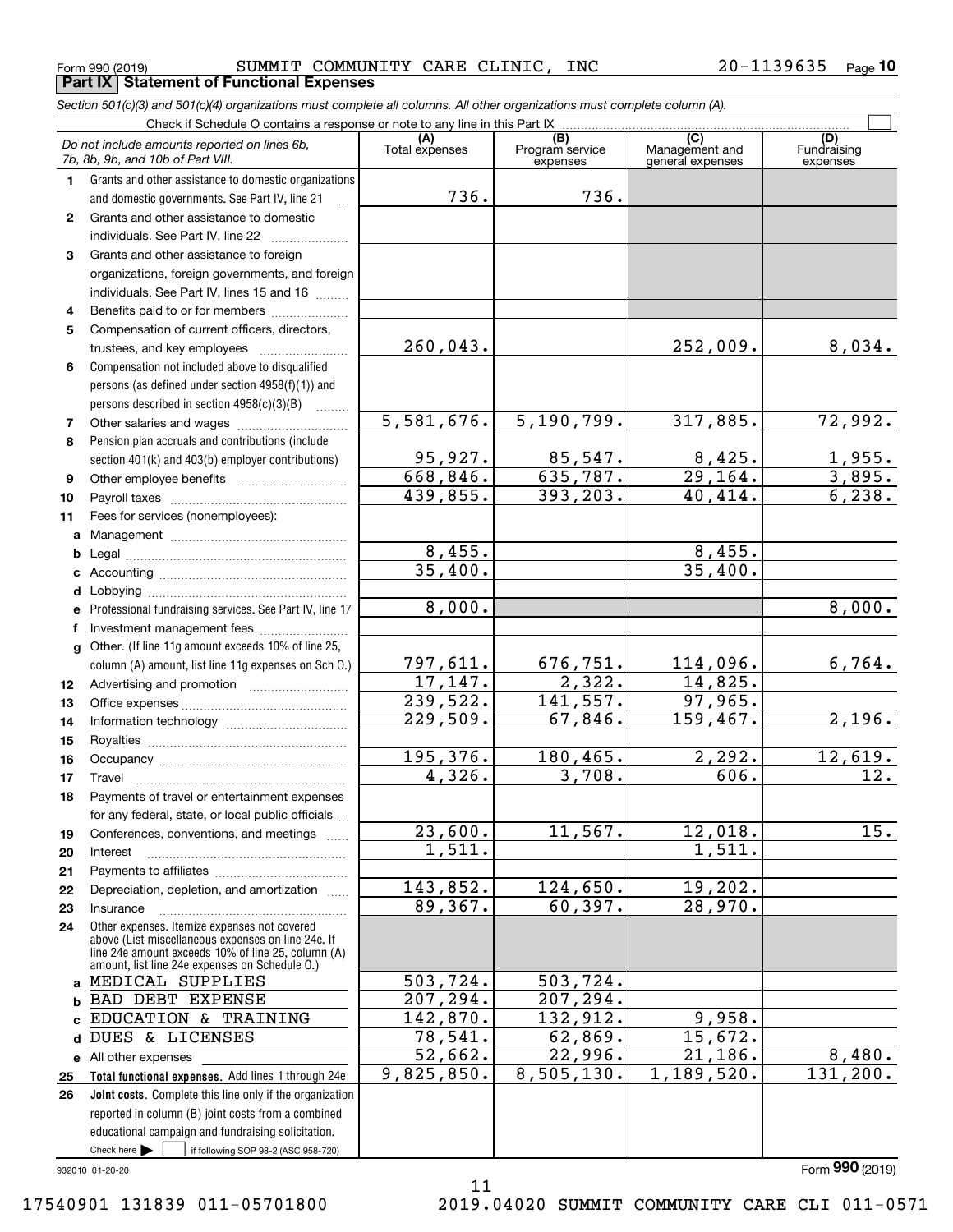<code>Form</code> 990 (2019) SUMMIT COMMUNITY CARE CLINIC , INC  $20-1139635$  <code>Page</code> **Part IX Statement of Functional Expenses**

*Section 501(c)(3) and 501(c)(4) organizations must complete all columns. All other organizations must complete column (A).*

|              | Check if Schedule O contains a response or note to any line in this Part IX                                                                                                                                |                |                                    |                                           |                                |
|--------------|------------------------------------------------------------------------------------------------------------------------------------------------------------------------------------------------------------|----------------|------------------------------------|-------------------------------------------|--------------------------------|
|              | Do not include amounts reported on lines 6b,<br>7b, 8b, 9b, and 10b of Part VIII.                                                                                                                          | Total expenses | (B)<br>Program service<br>expenses | (C)<br>Management and<br>general expenses | (D)<br>Fundraising<br>expenses |
| 1.           | Grants and other assistance to domestic organizations                                                                                                                                                      |                |                                    |                                           |                                |
|              | and domestic governments. See Part IV, line 21                                                                                                                                                             | 736.           | 736.                               |                                           |                                |
| $\mathbf{2}$ | Grants and other assistance to domestic                                                                                                                                                                    |                |                                    |                                           |                                |
|              | individuals. See Part IV, line 22                                                                                                                                                                          |                |                                    |                                           |                                |
| 3            | Grants and other assistance to foreign                                                                                                                                                                     |                |                                    |                                           |                                |
|              | organizations, foreign governments, and foreign                                                                                                                                                            |                |                                    |                                           |                                |
|              | individuals. See Part IV, lines 15 and 16                                                                                                                                                                  |                |                                    |                                           |                                |
| 4            | Benefits paid to or for members                                                                                                                                                                            |                |                                    |                                           |                                |
| 5            | Compensation of current officers, directors,                                                                                                                                                               |                |                                    |                                           |                                |
|              | trustees, and key employees                                                                                                                                                                                | 260,043.       |                                    | 252,009.                                  | 8,034.                         |
| 6            | Compensation not included above to disqualified                                                                                                                                                            |                |                                    |                                           |                                |
|              | persons (as defined under section 4958(f)(1)) and                                                                                                                                                          |                |                                    |                                           |                                |
|              | persons described in section 4958(c)(3)(B)                                                                                                                                                                 | 5,581,676.     | 5, 190, 799.                       | 317,885.                                  | 72,992.                        |
| 7            |                                                                                                                                                                                                            |                |                                    |                                           |                                |
| 8            | Pension plan accruals and contributions (include<br>section 401(k) and 403(b) employer contributions)                                                                                                      | 95,927.        | 85,547.                            | 8,425.                                    |                                |
| 9            |                                                                                                                                                                                                            | 668,846.       | 635,787.                           | $\overline{29}$ , 164.                    | <u>1,955.</u><br>3,895.        |
| 10           |                                                                                                                                                                                                            | 439,855.       | 393,203.                           | 40,414.                                   | 6, 238.                        |
| 11           | Fees for services (nonemployees):                                                                                                                                                                          |                |                                    |                                           |                                |
|              |                                                                                                                                                                                                            |                |                                    |                                           |                                |
| b            |                                                                                                                                                                                                            | 8,455.         |                                    | 8,455.                                    |                                |
| c            |                                                                                                                                                                                                            | 35,400.        |                                    | 35,400.                                   |                                |
| d            |                                                                                                                                                                                                            |                |                                    |                                           |                                |
|              | Professional fundraising services. See Part IV, line 17                                                                                                                                                    | 8,000.         |                                    |                                           | 8,000.                         |
| f            |                                                                                                                                                                                                            |                |                                    |                                           |                                |
| g            | Other. (If line 11g amount exceeds 10% of line 25,                                                                                                                                                         |                |                                    |                                           |                                |
|              | column (A) amount, list line 11g expenses on Sch O.)                                                                                                                                                       | 797,611.       | 676,751.                           | 114,096.                                  | 6,764.                         |
| 12           |                                                                                                                                                                                                            | 17,147.        | 2,322.                             | 14,825.                                   |                                |
| 13           |                                                                                                                                                                                                            | 239,522.       | 141,557.                           | 97,965.                                   |                                |
| 14           |                                                                                                                                                                                                            | 229,509.       | 67,846.                            | 159,467.                                  | 2,196.                         |
| 15           |                                                                                                                                                                                                            |                |                                    |                                           |                                |
| 16           |                                                                                                                                                                                                            | 195,376.       | 180,465.                           | 2, 292.                                   | 12,619.                        |
| 17           | Travel                                                                                                                                                                                                     | 4,326.         | 3,708.                             | 606.                                      | 12.                            |
| 18           | Payments of travel or entertainment expenses                                                                                                                                                               |                |                                    |                                           |                                |
|              | for any federal, state, or local public officials                                                                                                                                                          |                |                                    |                                           |                                |
| 19           | Conferences, conventions, and meetings                                                                                                                                                                     | 23,600.        | 11,567.                            | 12,018.                                   | 15.                            |
| 20           | Interest                                                                                                                                                                                                   | 1,511.         |                                    | 1,511.                                    |                                |
| 21           |                                                                                                                                                                                                            |                |                                    |                                           |                                |
| 22           | Depreciation, depletion, and amortization                                                                                                                                                                  | 143,852.       | 124,650.                           | 19,202.                                   |                                |
| 23           | Insurance                                                                                                                                                                                                  | 89,367.        | 60, 397.                           | 28,970.                                   |                                |
| 24           | Other expenses. Itemize expenses not covered<br>above (List miscellaneous expenses on line 24e. If<br>line 24e amount exceeds 10% of line 25, column (A)<br>amount, list line 24e expenses on Schedule O.) |                |                                    |                                           |                                |
| a            | MEDICAL SUPPLIES                                                                                                                                                                                           | 503,724.       | 503,724.                           |                                           |                                |
| b            | BAD DEBT EXPENSE                                                                                                                                                                                           | 207,294.       | 207,294.                           |                                           |                                |
|              | EDUCATION & TRAINING                                                                                                                                                                                       | 142,870.       | 132,912.                           | 9,958.                                    |                                |
| d            | DUES & LICENSES                                                                                                                                                                                            | 78,541.        | 62,869.                            | 15,672.                                   |                                |
|              | e All other expenses                                                                                                                                                                                       | 52,662.        | 22,996.                            | 21,186.                                   | 8,480.                         |
| 25           | Total functional expenses. Add lines 1 through 24e                                                                                                                                                         | 9,825,850.     | 8,505,130.                         | 1,189,520.                                | 131, 200.                      |
| 26           | Joint costs. Complete this line only if the organization                                                                                                                                                   |                |                                    |                                           |                                |
|              | reported in column (B) joint costs from a combined                                                                                                                                                         |                |                                    |                                           |                                |
|              | educational campaign and fundraising solicitation.                                                                                                                                                         |                |                                    |                                           |                                |
|              | Check here $\blacktriangleright$<br>if following SOP 98-2 (ASC 958-720)                                                                                                                                    |                |                                    |                                           |                                |

11

932010 01-20-20

17540901 131839 011-05701800 2019.04020 SUMMIT COMMUNITY CARE CLI 011-0571

Form (2019) **990**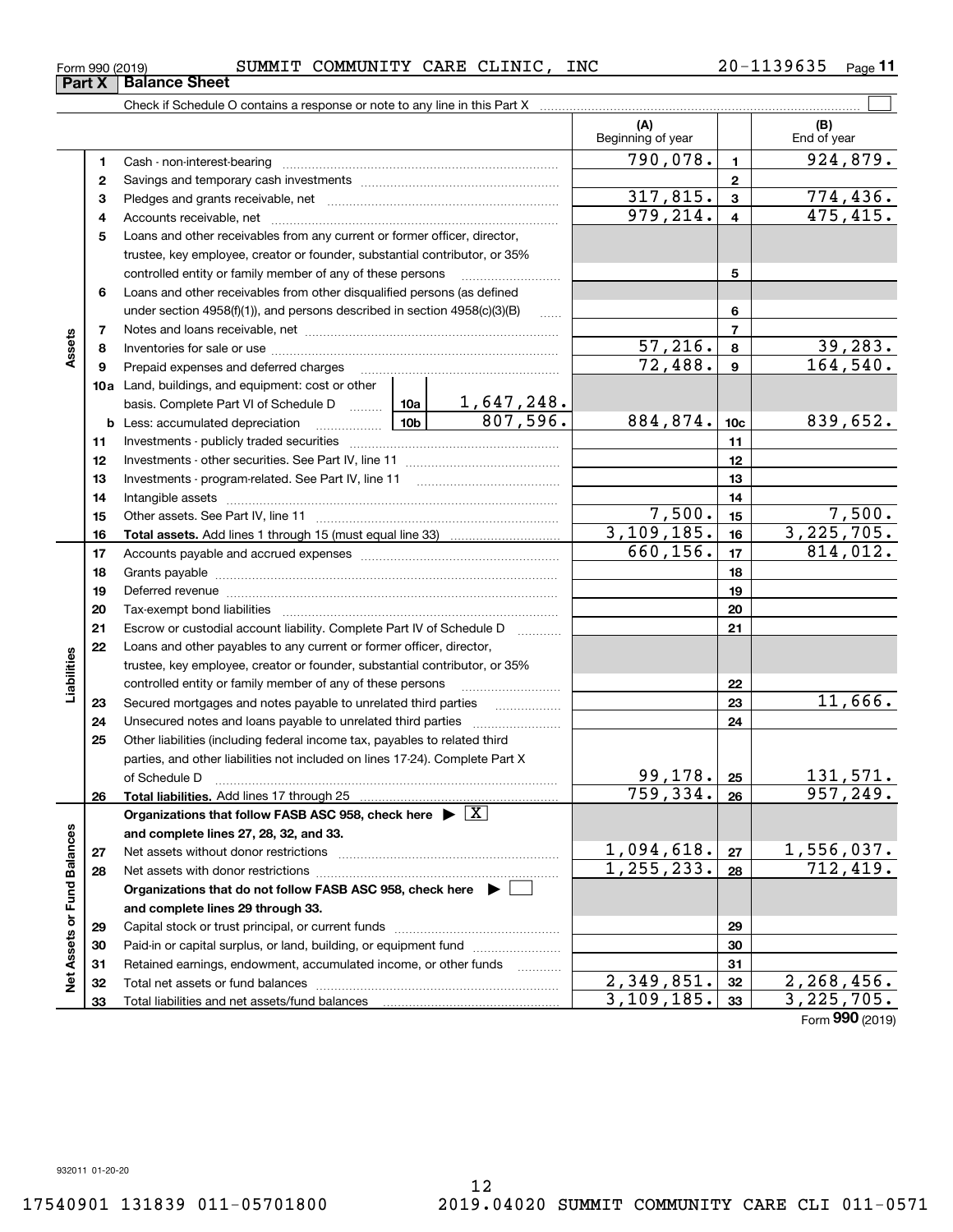|  | Form 990 (2019) |  | SUMMIT COMMUNITY CARE CLINIC, |  |  | <b>INC</b> | 20-1139635 | Page |
|--|-----------------|--|-------------------------------|--|--|------------|------------|------|
|--|-----------------|--|-------------------------------|--|--|------------|------------|------|

|                             |    | Check if Schedule O contains a response or note to any line in this Part X         |                     |                   |                             |                 |                                   |
|-----------------------------|----|------------------------------------------------------------------------------------|---------------------|-------------------|-----------------------------|-----------------|-----------------------------------|
|                             |    |                                                                                    |                     |                   | (A)<br>Beginning of year    |                 | (B)<br>End of year                |
|                             | 1. |                                                                                    |                     |                   | 790,078.                    | $\mathbf{1}$    | 924,879.                          |
|                             | 2  |                                                                                    |                     |                   |                             | $\mathbf{2}$    |                                   |
|                             | з  |                                                                                    |                     |                   | 317,815.                    | $\mathbf{3}$    | 774,436.                          |
|                             | 4  |                                                                                    |                     |                   | 979, 214.                   | $\overline{4}$  | 475,415.                          |
|                             | 5  | Loans and other receivables from any current or former officer, director,          |                     |                   |                             |                 |                                   |
|                             |    | trustee, key employee, creator or founder, substantial contributor, or 35%         |                     |                   |                             |                 |                                   |
|                             |    | controlled entity or family member of any of these persons                         |                     |                   |                             | 5               |                                   |
|                             | 6  | Loans and other receivables from other disqualified persons (as defined            |                     |                   |                             |                 |                                   |
|                             |    | under section $4958(f)(1)$ , and persons described in section $4958(c)(3)(B)$      |                     |                   |                             | 6               |                                   |
|                             | 7  |                                                                                    |                     | $\overline{7}$    |                             |                 |                                   |
| Assets                      | 8  |                                                                                    |                     | 57,216.           | 8                           | 39,283.         |                                   |
|                             | 9  | Prepaid expenses and deferred charges                                              |                     |                   | 72,488.                     | 9               | 164, 540.                         |
|                             |    | <b>10a</b> Land, buildings, and equipment: cost or other                           |                     |                   |                             |                 |                                   |
|                             |    |                                                                                    |                     |                   |                             |                 |                                   |
|                             |    |                                                                                    |                     |                   | 884,874.                    | 10 <sub>c</sub> | 839,652.                          |
|                             | 11 |                                                                                    |                     |                   |                             | 11              |                                   |
|                             | 12 |                                                                                    |                     |                   | 12                          |                 |                                   |
|                             | 13 |                                                                                    |                     | 13                |                             |                 |                                   |
|                             | 14 |                                                                                    |                     | 14                |                             |                 |                                   |
|                             | 15 |                                                                                    |                     | 7,500.            | 15                          | 7,500.          |                                   |
|                             | 16 |                                                                                    |                     |                   | 3, 109, 185.                | 16              | 3,225,705.                        |
|                             | 17 |                                                                                    |                     | 660, 156.         | 17                          | 814,012.        |                                   |
|                             | 18 |                                                                                    |                     |                   |                             | 18              |                                   |
|                             | 19 |                                                                                    |                     | 19                |                             |                 |                                   |
|                             | 20 |                                                                                    |                     |                   |                             | 20              |                                   |
|                             | 21 | Escrow or custodial account liability. Complete Part IV of Schedule D              |                     | 1.1.1.1.1.1.1.1.1 |                             | 21              |                                   |
|                             | 22 | Loans and other payables to any current or former officer, director,               |                     |                   |                             |                 |                                   |
| Liabilities                 |    | trustee, key employee, creator or founder, substantial contributor, or 35%         |                     |                   |                             |                 |                                   |
|                             |    | controlled entity or family member of any of these persons                         |                     |                   |                             | 22              |                                   |
|                             | 23 | Secured mortgages and notes payable to unrelated third parties                     |                     |                   |                             | 23              | 11,666.                           |
|                             | 24 |                                                                                    |                     |                   |                             | 24              |                                   |
|                             | 25 | Other liabilities (including federal income tax, payables to related third         |                     |                   |                             |                 |                                   |
|                             |    | parties, and other liabilities not included on lines 17-24). Complete Part X       |                     |                   |                             |                 |                                   |
|                             |    | of Schedule D                                                                      | 99,178.<br>759,334. | 25                | <u>131,571.</u><br>957,249. |                 |                                   |
|                             | 26 | Total liabilities. Add lines 17 through 25                                         |                     |                   |                             | 26              |                                   |
|                             |    | Organizations that follow FASB ASC 958, check here $\blacktriangleright \boxed{X}$ |                     |                   |                             |                 |                                   |
|                             |    | and complete lines 27, 28, 32, and 33.                                             |                     |                   |                             |                 |                                   |
|                             | 27 | Net assets without donor restrictions                                              |                     |                   | <u>1,094,618.</u>           | 27              | $\frac{1,556,037.}{712,419.}$     |
|                             | 28 |                                                                                    |                     | 1, 255, 233.      | 28                          |                 |                                   |
|                             |    | Organizations that do not follow FASB ASC 958, check here $\blacktriangleright$    |                     |                   |                             |                 |                                   |
|                             |    | and complete lines 29 through 33.                                                  |                     |                   |                             |                 |                                   |
|                             | 29 |                                                                                    |                     |                   |                             | 29              |                                   |
|                             | 30 | Paid-in or capital surplus, or land, building, or equipment fund                   |                     |                   |                             | 30              |                                   |
| Net Assets or Fund Balances | 31 | Retained earnings, endowment, accumulated income, or other funds                   |                     |                   | 2,349,851.                  | 31              |                                   |
|                             | 32 |                                                                                    |                     |                   | 3, 109, 185.                | 32<br>33        | <u>2,268,456.</u><br>3, 225, 705. |
|                             | 33 |                                                                                    |                     |                   |                             |                 |                                   |

Form (2019) **990**

## **Part X Balance Sheet**

|  | Form 990 (2019)   |
|--|-------------------|
|  | $\cdots$ $\cdots$ |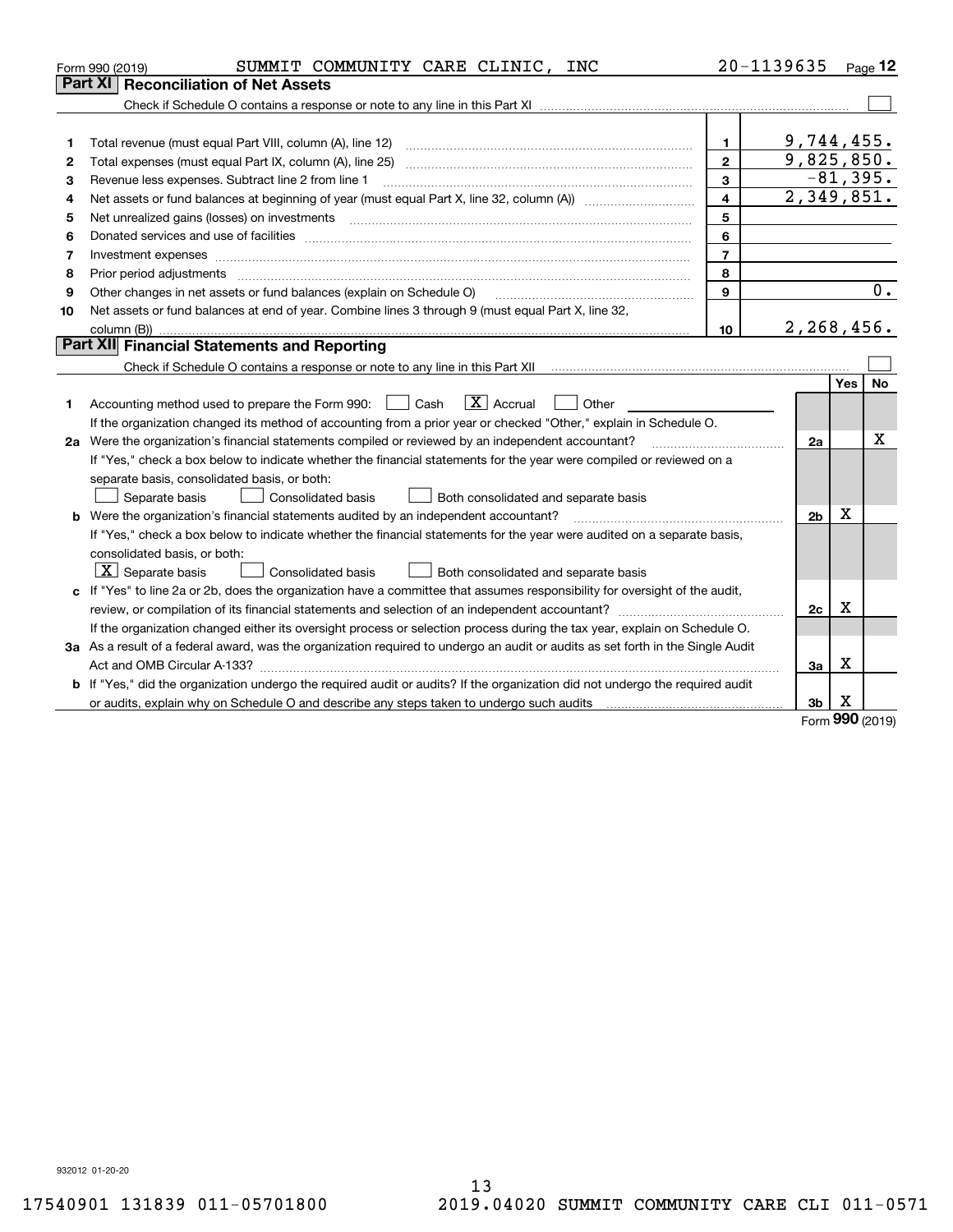|    | SUMMIT COMMUNITY CARE CLINIC, INC<br>Form 990 (2019)                                                                                                                                    |                | 20-1139635     |     | Page 12          |
|----|-----------------------------------------------------------------------------------------------------------------------------------------------------------------------------------------|----------------|----------------|-----|------------------|
|    | Part XI<br><b>Reconciliation of Net Assets</b>                                                                                                                                          |                |                |     |                  |
|    |                                                                                                                                                                                         |                |                |     |                  |
|    |                                                                                                                                                                                         |                |                |     |                  |
| 1  |                                                                                                                                                                                         | 1              | 9,744,455.     |     |                  |
| 2  |                                                                                                                                                                                         | $\mathbf{2}$   | 9,825,850.     |     |                  |
| з  | Revenue less expenses. Subtract line 2 from line 1                                                                                                                                      | 3              |                |     | $-81,395.$       |
| 4  |                                                                                                                                                                                         | 4              | 2,349,851.     |     |                  |
| 5  |                                                                                                                                                                                         | 5              |                |     |                  |
| 6  |                                                                                                                                                                                         | 6              |                |     |                  |
| 7  |                                                                                                                                                                                         | $\overline{7}$ |                |     |                  |
| 8  | Prior period adjustments                                                                                                                                                                | 8              |                |     |                  |
| 9  | Other changes in net assets or fund balances (explain on Schedule O)                                                                                                                    | $\mathbf{9}$   |                |     | $\overline{0}$ . |
| 10 | Net assets or fund balances at end of year. Combine lines 3 through 9 (must equal Part X, line 32,                                                                                      |                |                |     |                  |
|    |                                                                                                                                                                                         | 10             | 2, 268, 456.   |     |                  |
|    | <b>Part XII</b> Financial Statements and Reporting                                                                                                                                      |                |                |     |                  |
|    | Check if Schedule O contains a response or note to any line in this Part XII [11] [11] [11] [11] [11] [11] Check if Schedule O contains a response or note to any line in this Part XII |                |                |     |                  |
|    |                                                                                                                                                                                         |                |                | Yes | No               |
| 1. | $\boxed{\mathbf{X}}$ Accrual<br>Accounting method used to prepare the Form 990: <u>I</u> Cash<br>Other                                                                                  |                |                |     |                  |
|    | If the organization changed its method of accounting from a prior year or checked "Other," explain in Schedule O.                                                                       |                |                |     |                  |
|    | 2a Were the organization's financial statements compiled or reviewed by an independent accountant?                                                                                      |                | 2a             |     | x                |
|    | If "Yes," check a box below to indicate whether the financial statements for the year were compiled or reviewed on a                                                                    |                |                |     |                  |
|    | separate basis, consolidated basis, or both:                                                                                                                                            |                |                |     |                  |
|    | Separate basis<br>Consolidated basis<br>Both consolidated and separate basis                                                                                                            |                |                |     |                  |
|    | <b>b</b> Were the organization's financial statements audited by an independent accountant?                                                                                             |                | 2 <sub>b</sub> | X   |                  |
|    | If "Yes," check a box below to indicate whether the financial statements for the year were audited on a separate basis,                                                                 |                |                |     |                  |
|    | consolidated basis, or both:                                                                                                                                                            |                |                |     |                  |
|    | $\lfloor x \rfloor$ Separate basis<br><b>Consolidated basis</b><br>Both consolidated and separate basis                                                                                 |                |                |     |                  |
|    | c If "Yes" to line 2a or 2b, does the organization have a committee that assumes responsibility for oversight of the audit,                                                             |                |                |     |                  |
|    |                                                                                                                                                                                         |                | 2c             | X   |                  |
|    | If the organization changed either its oversight process or selection process during the tax year, explain on Schedule O.                                                               |                |                |     |                  |
|    | 3a As a result of a federal award, was the organization required to undergo an audit or audits as set forth in the Single Audit                                                         |                |                |     |                  |
|    |                                                                                                                                                                                         |                | За             | X   |                  |
|    | b If "Yes," did the organization undergo the required audit or audits? If the organization did not undergo the required audit                                                           |                |                |     |                  |
|    | or audits, explain why on Schedule O and describe any steps taken to undergo such audits manufactured university                                                                        |                | 3b             | х   |                  |

Form (2019) **990**

932012 01-20-20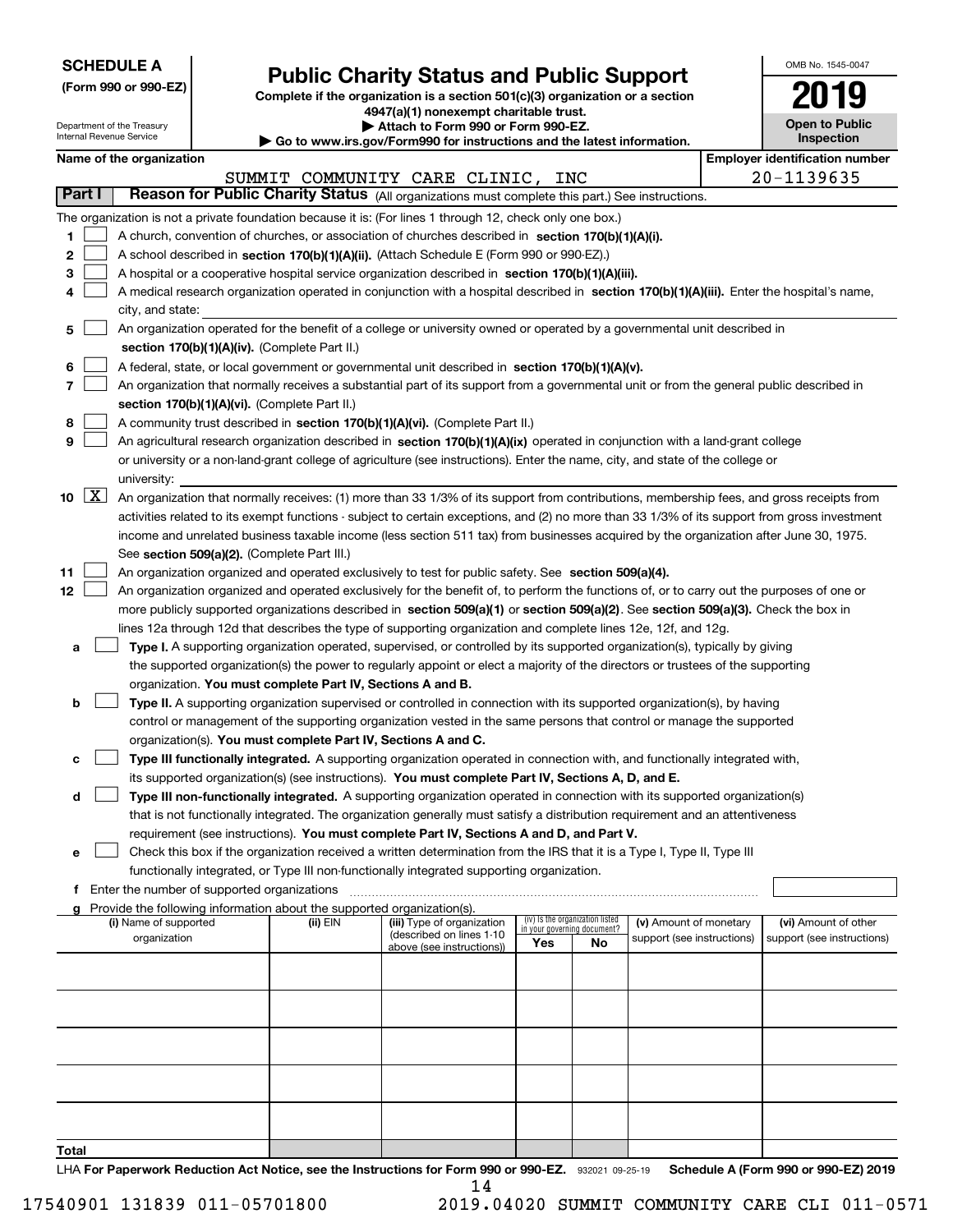| <b>SCHEDULE A</b> |
|-------------------|
|-------------------|

**(Form 990 or 990-EZ)**

## **Public Charity Status and Public Support**

**Complete if the organization is a section 501(c)(3) organization or a section 4947(a)(1) nonexempt charitable trust. | Attach to Form 990 or Form 990-EZ.** 

| OMB No. 1545-0047                   |
|-------------------------------------|
| 2019                                |
| <b>Open to Public</b><br>Inspection |

|    |                    | Department of the Treasury<br>Internal Revenue Service |                                               |                                                                        | Attach to Form 990 or Form 990-EZ.<br>$\blacktriangleright$ Go to www.irs.gov/Form990 for instructions and the latest information.                                                                                       |     |                                   |                            | <b>Open to Public</b><br><b>Inspection</b> |  |
|----|--------------------|--------------------------------------------------------|-----------------------------------------------|------------------------------------------------------------------------|--------------------------------------------------------------------------------------------------------------------------------------------------------------------------------------------------------------------------|-----|-----------------------------------|----------------------------|--------------------------------------------|--|
|    |                    | Name of the organization                               |                                               |                                                                        |                                                                                                                                                                                                                          |     |                                   |                            | <b>Employer identification number</b>      |  |
|    |                    |                                                        |                                               |                                                                        | SUMMIT COMMUNITY CARE CLINIC,                                                                                                                                                                                            | INC |                                   |                            | 20-1139635                                 |  |
|    | Part I             |                                                        |                                               |                                                                        | Reason for Public Charity Status (All organizations must complete this part.) See instructions.                                                                                                                          |     |                                   |                            |                                            |  |
|    |                    |                                                        |                                               |                                                                        | The organization is not a private foundation because it is: (For lines 1 through 12, check only one box.)                                                                                                                |     |                                   |                            |                                            |  |
| 1  |                    |                                                        |                                               |                                                                        | A church, convention of churches, or association of churches described in section 170(b)(1)(A)(i).                                                                                                                       |     |                                   |                            |                                            |  |
| 2  |                    |                                                        |                                               |                                                                        | A school described in section 170(b)(1)(A)(ii). (Attach Schedule E (Form 990 or 990-EZ).)                                                                                                                                |     |                                   |                            |                                            |  |
| 3  |                    |                                                        |                                               |                                                                        | A hospital or a cooperative hospital service organization described in section 170(b)(1)(A)(iii).                                                                                                                        |     |                                   |                            |                                            |  |
| 4  |                    |                                                        |                                               |                                                                        | A medical research organization operated in conjunction with a hospital described in section 170(b)(1)(A)(iii). Enter the hospital's name,                                                                               |     |                                   |                            |                                            |  |
|    |                    | city, and state:                                       |                                               |                                                                        |                                                                                                                                                                                                                          |     |                                   |                            |                                            |  |
| 5  |                    |                                                        |                                               |                                                                        | An organization operated for the benefit of a college or university owned or operated by a governmental unit described in                                                                                                |     |                                   |                            |                                            |  |
|    |                    |                                                        |                                               | section 170(b)(1)(A)(iv). (Complete Part II.)                          |                                                                                                                                                                                                                          |     |                                   |                            |                                            |  |
| 6  |                    |                                                        |                                               |                                                                        | A federal, state, or local government or governmental unit described in section 170(b)(1)(A)(v).                                                                                                                         |     |                                   |                            |                                            |  |
| 7  |                    |                                                        |                                               |                                                                        | An organization that normally receives a substantial part of its support from a governmental unit or from the general public described in                                                                                |     |                                   |                            |                                            |  |
|    |                    |                                                        |                                               | section 170(b)(1)(A)(vi). (Complete Part II.)                          |                                                                                                                                                                                                                          |     |                                   |                            |                                            |  |
| 8  |                    |                                                        |                                               |                                                                        | A community trust described in section 170(b)(1)(A)(vi). (Complete Part II.)                                                                                                                                             |     |                                   |                            |                                            |  |
| 9  |                    |                                                        |                                               |                                                                        | An agricultural research organization described in section 170(b)(1)(A)(ix) operated in conjunction with a land-grant college                                                                                            |     |                                   |                            |                                            |  |
|    |                    |                                                        |                                               |                                                                        | or university or a non-land-grant college of agriculture (see instructions). Enter the name, city, and state of the college or                                                                                           |     |                                   |                            |                                            |  |
|    |                    | university:                                            |                                               |                                                                        |                                                                                                                                                                                                                          |     |                                   |                            |                                            |  |
| 10 | $\boxed{\text{X}}$ |                                                        |                                               |                                                                        | An organization that normally receives: (1) more than 33 1/3% of its support from contributions, membership fees, and gross receipts from                                                                                |     |                                   |                            |                                            |  |
|    |                    |                                                        |                                               |                                                                        | activities related to its exempt functions - subject to certain exceptions, and (2) no more than 33 1/3% of its support from gross investment                                                                            |     |                                   |                            |                                            |  |
|    |                    |                                                        |                                               |                                                                        | income and unrelated business taxable income (less section 511 tax) from businesses acquired by the organization after June 30, 1975.                                                                                    |     |                                   |                            |                                            |  |
|    |                    |                                                        |                                               | See section 509(a)(2). (Complete Part III.)                            |                                                                                                                                                                                                                          |     |                                   |                            |                                            |  |
| 11 |                    |                                                        |                                               |                                                                        | An organization organized and operated exclusively to test for public safety. See section 509(a)(4).                                                                                                                     |     |                                   |                            |                                            |  |
| 12 |                    |                                                        |                                               |                                                                        | An organization organized and operated exclusively for the benefit of, to perform the functions of, or to carry out the purposes of one or                                                                               |     |                                   |                            |                                            |  |
|    |                    |                                                        |                                               |                                                                        | more publicly supported organizations described in section 509(a)(1) or section 509(a)(2). See section 509(a)(3). Check the box in                                                                                       |     |                                   |                            |                                            |  |
|    |                    |                                                        |                                               |                                                                        | lines 12a through 12d that describes the type of supporting organization and complete lines 12e, 12f, and 12g.                                                                                                           |     |                                   |                            |                                            |  |
| а  |                    |                                                        |                                               |                                                                        | Type I. A supporting organization operated, supervised, or controlled by its supported organization(s), typically by giving                                                                                              |     |                                   |                            |                                            |  |
|    |                    |                                                        |                                               |                                                                        | the supported organization(s) the power to regularly appoint or elect a majority of the directors or trustees of the supporting                                                                                          |     |                                   |                            |                                            |  |
|    |                    |                                                        |                                               | organization. You must complete Part IV, Sections A and B.             |                                                                                                                                                                                                                          |     |                                   |                            |                                            |  |
| b  |                    |                                                        |                                               |                                                                        | Type II. A supporting organization supervised or controlled in connection with its supported organization(s), by having                                                                                                  |     |                                   |                            |                                            |  |
|    |                    |                                                        |                                               |                                                                        | control or management of the supporting organization vested in the same persons that control or manage the supported                                                                                                     |     |                                   |                            |                                            |  |
|    |                    |                                                        |                                               | organization(s). You must complete Part IV, Sections A and C.          |                                                                                                                                                                                                                          |     |                                   |                            |                                            |  |
| с  |                    |                                                        |                                               |                                                                        | Type III functionally integrated. A supporting organization operated in connection with, and functionally integrated with,                                                                                               |     |                                   |                            |                                            |  |
|    |                    |                                                        |                                               |                                                                        | its supported organization(s) (see instructions). You must complete Part IV, Sections A, D, and E.                                                                                                                       |     |                                   |                            |                                            |  |
|    |                    |                                                        |                                               |                                                                        |                                                                                                                                                                                                                          |     |                                   |                            |                                            |  |
| d  |                    |                                                        |                                               |                                                                        | Type III non-functionally integrated. A supporting organization operated in connection with its supported organization(s)                                                                                                |     |                                   |                            |                                            |  |
|    |                    |                                                        |                                               |                                                                        | that is not functionally integrated. The organization generally must satisfy a distribution requirement and an attentiveness<br>requirement (see instructions). You must complete Part IV, Sections A and D, and Part V. |     |                                   |                            |                                            |  |
|    |                    |                                                        |                                               |                                                                        | Check this box if the organization received a written determination from the IRS that it is a Type I, Type II, Type III                                                                                                  |     |                                   |                            |                                            |  |
| е  |                    |                                                        |                                               |                                                                        | functionally integrated, or Type III non-functionally integrated supporting organization.                                                                                                                                |     |                                   |                            |                                            |  |
|    |                    |                                                        | f Enter the number of supported organizations |                                                                        |                                                                                                                                                                                                                          |     |                                   |                            |                                            |  |
|    |                    |                                                        |                                               | Provide the following information about the supported organization(s). |                                                                                                                                                                                                                          |     |                                   |                            |                                            |  |
| a  |                    | (i) Name of supported                                  |                                               | $(ii)$ EIN                                                             | (iii) Type of organization                                                                                                                                                                                               |     | (iv) Is the organization listed   | (v) Amount of monetary     | (vi) Amount of other                       |  |
|    |                    | organization                                           |                                               |                                                                        | (described on lines 1-10                                                                                                                                                                                                 | Yes | in your governing document?<br>No | support (see instructions) | support (see instructions)                 |  |
|    |                    |                                                        |                                               |                                                                        | above (see instructions))                                                                                                                                                                                                |     |                                   |                            |                                            |  |
|    |                    |                                                        |                                               |                                                                        |                                                                                                                                                                                                                          |     |                                   |                            |                                            |  |
|    |                    |                                                        |                                               |                                                                        |                                                                                                                                                                                                                          |     |                                   |                            |                                            |  |
|    |                    |                                                        |                                               |                                                                        |                                                                                                                                                                                                                          |     |                                   |                            |                                            |  |
|    |                    |                                                        |                                               |                                                                        |                                                                                                                                                                                                                          |     |                                   |                            |                                            |  |
|    |                    |                                                        |                                               |                                                                        |                                                                                                                                                                                                                          |     |                                   |                            |                                            |  |
|    |                    |                                                        |                                               |                                                                        |                                                                                                                                                                                                                          |     |                                   |                            |                                            |  |
|    |                    |                                                        |                                               |                                                                        |                                                                                                                                                                                                                          |     |                                   |                            |                                            |  |
|    |                    |                                                        |                                               |                                                                        |                                                                                                                                                                                                                          |     |                                   |                            |                                            |  |
|    |                    |                                                        |                                               |                                                                        |                                                                                                                                                                                                                          |     |                                   |                            |                                            |  |
|    |                    |                                                        |                                               |                                                                        |                                                                                                                                                                                                                          |     |                                   |                            |                                            |  |

**Total**

LHA For Paperwork Reduction Act Notice, see the Instructions for Form 990 or 990-EZ. 932021 09-25-19 Schedule A (Form 990 or 990-EZ) 2019 14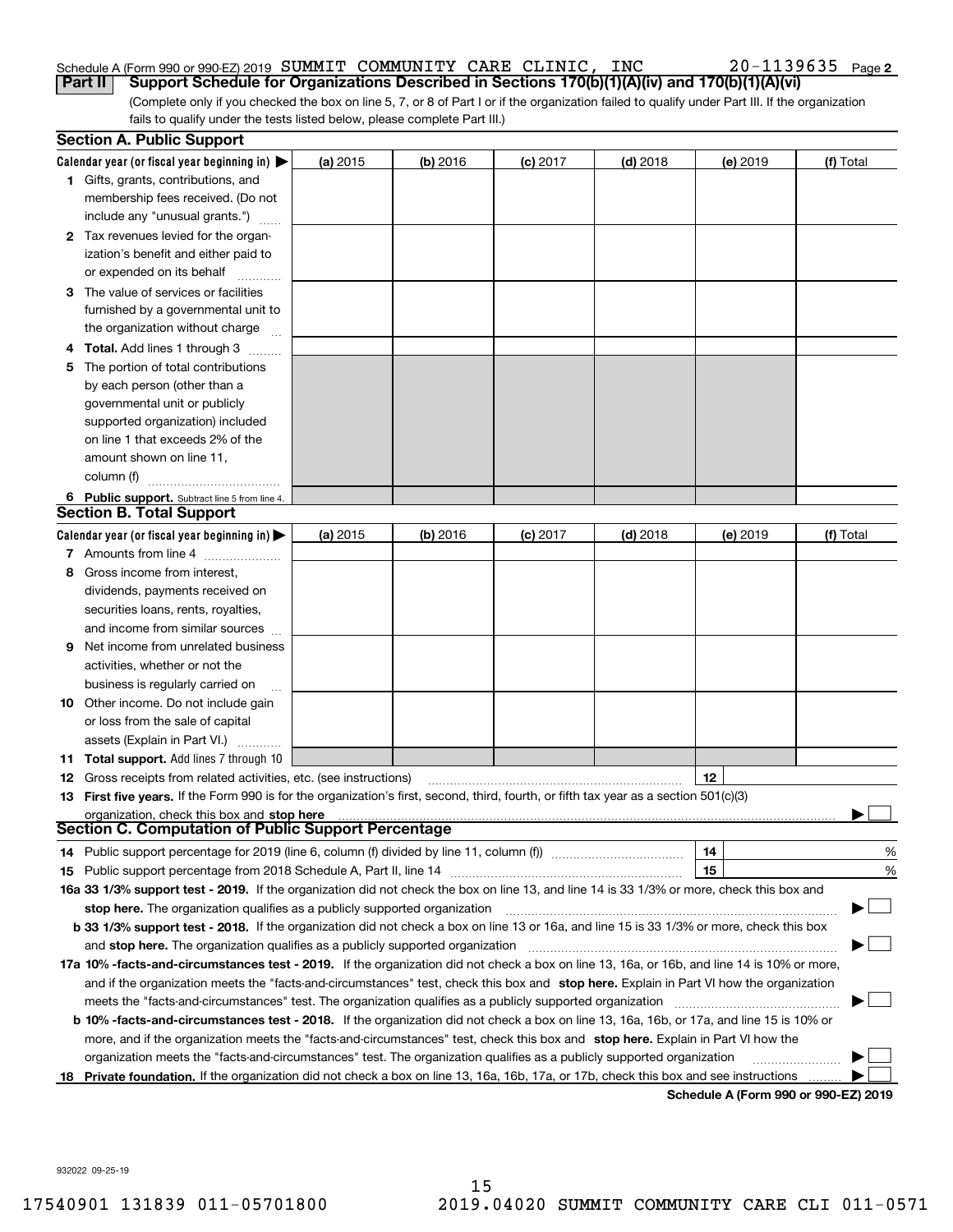#### Schedule A (Form 990 or 990-EZ) 2019 Page SUMMIT COMMUNITY CARE CLINIC, INC 20-1139635 **Part II** | Support Schedule for Organizations Described in Sections 170(b)(1)(A)(iv) and 170(b)(1)(A)(vi)

(Complete only if you checked the box on line 5, 7, or 8 of Part I or if the organization failed to qualify under Part III. If the organization fails to qualify under the tests listed below, please complete Part III.)

|    | <b>Section A. Public Support</b>                                                                                                               |            |            |            |            |          |                                      |
|----|------------------------------------------------------------------------------------------------------------------------------------------------|------------|------------|------------|------------|----------|--------------------------------------|
|    | Calendar year (or fiscal year beginning in) $\blacktriangleright$                                                                              | (a) 2015   | $(b)$ 2016 | $(c)$ 2017 | $(d)$ 2018 | (e) 2019 | (f) Total                            |
|    | <b>1</b> Gifts, grants, contributions, and                                                                                                     |            |            |            |            |          |                                      |
|    | membership fees received. (Do not                                                                                                              |            |            |            |            |          |                                      |
|    | include any "unusual grants.")                                                                                                                 |            |            |            |            |          |                                      |
|    | 2 Tax revenues levied for the organ-                                                                                                           |            |            |            |            |          |                                      |
|    | ization's benefit and either paid to                                                                                                           |            |            |            |            |          |                                      |
|    | or expended on its behalf                                                                                                                      |            |            |            |            |          |                                      |
|    | 3 The value of services or facilities                                                                                                          |            |            |            |            |          |                                      |
|    | furnished by a governmental unit to                                                                                                            |            |            |            |            |          |                                      |
|    | the organization without charge                                                                                                                |            |            |            |            |          |                                      |
|    | <b>4 Total.</b> Add lines 1 through 3                                                                                                          |            |            |            |            |          |                                      |
| 5. | The portion of total contributions                                                                                                             |            |            |            |            |          |                                      |
|    | by each person (other than a                                                                                                                   |            |            |            |            |          |                                      |
|    | governmental unit or publicly                                                                                                                  |            |            |            |            |          |                                      |
|    | supported organization) included                                                                                                               |            |            |            |            |          |                                      |
|    | on line 1 that exceeds 2% of the                                                                                                               |            |            |            |            |          |                                      |
|    | amount shown on line 11,                                                                                                                       |            |            |            |            |          |                                      |
|    | column (f)                                                                                                                                     |            |            |            |            |          |                                      |
|    | 6 Public support. Subtract line 5 from line 4.                                                                                                 |            |            |            |            |          |                                      |
|    | <b>Section B. Total Support</b>                                                                                                                |            |            |            |            |          |                                      |
|    | Calendar year (or fiscal year beginning in) $\blacktriangleright$                                                                              | (a) $2015$ | $(b)$ 2016 | $(c)$ 2017 | $(d)$ 2018 | (e) 2019 | (f) Total                            |
|    | 7 Amounts from line 4                                                                                                                          |            |            |            |            |          |                                      |
| 8  | Gross income from interest,                                                                                                                    |            |            |            |            |          |                                      |
|    | dividends, payments received on                                                                                                                |            |            |            |            |          |                                      |
|    | securities loans, rents, royalties,                                                                                                            |            |            |            |            |          |                                      |
|    | and income from similar sources                                                                                                                |            |            |            |            |          |                                      |
| 9  | Net income from unrelated business                                                                                                             |            |            |            |            |          |                                      |
|    | activities, whether or not the                                                                                                                 |            |            |            |            |          |                                      |
|    | business is regularly carried on                                                                                                               |            |            |            |            |          |                                      |
|    | <b>10</b> Other income. Do not include gain                                                                                                    |            |            |            |            |          |                                      |
|    | or loss from the sale of capital                                                                                                               |            |            |            |            |          |                                      |
|    | assets (Explain in Part VI.)                                                                                                                   |            |            |            |            |          |                                      |
|    | <b>11 Total support.</b> Add lines 7 through 10                                                                                                |            |            |            |            |          |                                      |
|    | <b>12</b> Gross receipts from related activities, etc. (see instructions)                                                                      |            |            |            |            | 12       |                                      |
|    | 13 First five years. If the Form 990 is for the organization's first, second, third, fourth, or fifth tax year as a section 501(c)(3)          |            |            |            |            |          |                                      |
|    | organization, check this box and stop here                                                                                                     |            |            |            |            |          |                                      |
|    | Section C. Computation of Public Support Percentage                                                                                            |            |            |            |            |          |                                      |
|    | 14 Public support percentage for 2019 (line 6, column (f) divided by line 11, column (f) <i>mummumumumum</i>                                   |            |            |            |            | 14       | %                                    |
|    |                                                                                                                                                |            |            |            |            | 15       | %                                    |
|    | 16a 33 1/3% support test - 2019. If the organization did not check the box on line 13, and line 14 is 33 1/3% or more, check this box and      |            |            |            |            |          |                                      |
|    | stop here. The organization qualifies as a publicly supported organization                                                                     |            |            |            |            |          |                                      |
|    | b 33 1/3% support test - 2018. If the organization did not check a box on line 13 or 16a, and line 15 is 33 1/3% or more, check this box       |            |            |            |            |          |                                      |
|    | and stop here. The organization qualifies as a publicly supported organization                                                                 |            |            |            |            |          |                                      |
|    | 17a 10% -facts-and-circumstances test - 2019. If the organization did not check a box on line 13, 16a, or 16b, and line 14 is 10% or more,     |            |            |            |            |          |                                      |
|    | and if the organization meets the "facts-and-circumstances" test, check this box and stop here. Explain in Part VI how the organization        |            |            |            |            |          |                                      |
|    | meets the "facts-and-circumstances" test. The organization qualifies as a publicly supported organization                                      |            |            |            |            |          |                                      |
|    | <b>b 10% -facts-and-circumstances test - 2018.</b> If the organization did not check a box on line 13, 16a, 16b, or 17a, and line 15 is 10% or |            |            |            |            |          |                                      |
|    | more, and if the organization meets the "facts-and-circumstances" test, check this box and stop here. Explain in Part VI how the               |            |            |            |            |          |                                      |
|    | organization meets the "facts-and-circumstances" test. The organization qualifies as a publicly supported organization                         |            |            |            |            |          |                                      |
|    | 18 Private foundation. If the organization did not check a box on line 13, 16a, 16b, 17a, or 17b, check this box and see instructions          |            |            |            |            |          |                                      |
|    |                                                                                                                                                |            |            |            |            |          | Schedule A (Form 990 or 990-F7) 2019 |

**Schedule A (Form 990 or 990-EZ) 2019**

932022 09-25-19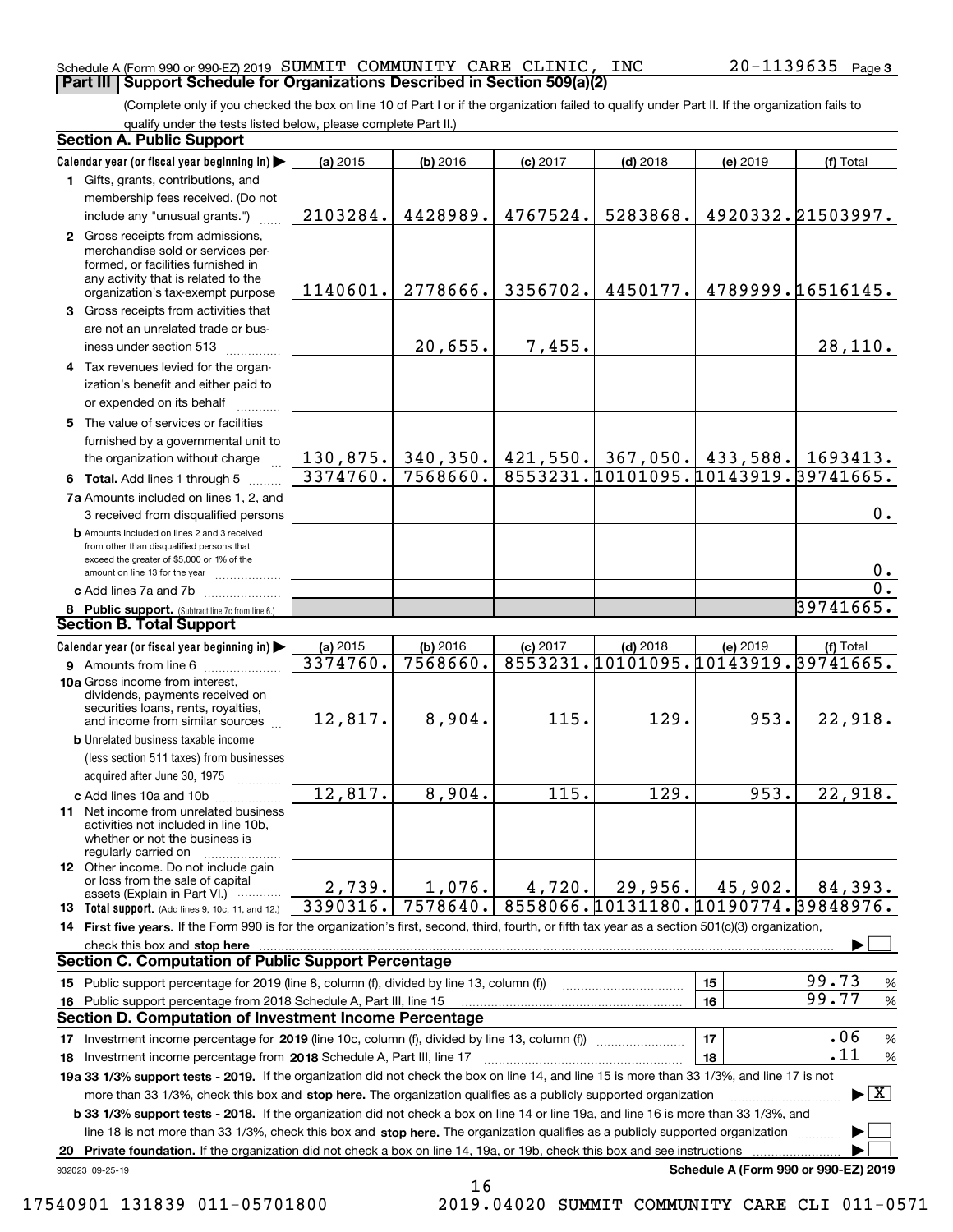#### Schedule A (Form 990 or 990-EZ) 2019 Page SUMMIT COMMUNITY CARE CLINIC, INC 20-1139635 **Part III Support Schedule for Organizations Described in Section 509(a)(2)**

(Complete only if you checked the box on line 10 of Part I or if the organization failed to qualify under Part II. If the organization fails to qualify under the tests listed below, please complete Part II.)

|    | <b>Section A. Public Support</b>                                                                                                                                                                                               |                      |                      |            |                                                   |          |                                          |
|----|--------------------------------------------------------------------------------------------------------------------------------------------------------------------------------------------------------------------------------|----------------------|----------------------|------------|---------------------------------------------------|----------|------------------------------------------|
|    | Calendar year (or fiscal year beginning in)                                                                                                                                                                                    | (a) 2015             | (b) 2016             | $(c)$ 2017 | $(d)$ 2018                                        | (e) 2019 | (f) Total                                |
|    | 1 Gifts, grants, contributions, and                                                                                                                                                                                            |                      |                      |            |                                                   |          |                                          |
|    | membership fees received. (Do not                                                                                                                                                                                              |                      |                      |            |                                                   |          |                                          |
|    | include any "unusual grants.")                                                                                                                                                                                                 | 2103284.             | 4428989.             | 4767524.   | 5283868.                                          |          | 4920332.21503997.                        |
|    | 2 Gross receipts from admissions,<br>merchandise sold or services per-<br>formed, or facilities furnished in<br>any activity that is related to the<br>organization's tax-exempt purpose                                       | 1140601.             | 2778666.             | 3356702.   | 4450177.                                          |          | 4789999.16516145.                        |
|    | 3 Gross receipts from activities that                                                                                                                                                                                          |                      |                      |            |                                                   |          |                                          |
|    | are not an unrelated trade or bus-<br>iness under section 513                                                                                                                                                                  |                      | 20,655.              | 7,455.     |                                                   |          | 28,110.                                  |
|    | 4 Tax revenues levied for the organ-                                                                                                                                                                                           |                      |                      |            |                                                   |          |                                          |
|    | ization's benefit and either paid to                                                                                                                                                                                           |                      |                      |            |                                                   |          |                                          |
|    | or expended on its behalf                                                                                                                                                                                                      |                      |                      |            |                                                   |          |                                          |
|    | 5 The value of services or facilities                                                                                                                                                                                          |                      |                      |            |                                                   |          |                                          |
|    | furnished by a governmental unit to                                                                                                                                                                                            |                      |                      |            |                                                   |          |                                          |
|    | the organization without charge                                                                                                                                                                                                | 130,875.             | 340,350.             |            | $421,550.$ $367,050.$ $433,588.$ 1693413.         |          |                                          |
|    | 6 Total. Add lines 1 through 5                                                                                                                                                                                                 | 3374760.             | 7568660.             |            | 8553231.10101095.10143919.39741665.               |          |                                          |
|    | 7a Amounts included on lines 1, 2, and                                                                                                                                                                                         |                      |                      |            |                                                   |          |                                          |
|    | 3 received from disqualified persons                                                                                                                                                                                           |                      |                      |            |                                                   |          | 0.                                       |
|    | <b>b</b> Amounts included on lines 2 and 3 received<br>from other than disqualified persons that                                                                                                                               |                      |                      |            |                                                   |          |                                          |
|    | exceed the greater of \$5,000 or 1% of the                                                                                                                                                                                     |                      |                      |            |                                                   |          |                                          |
|    | amount on line 13 for the year                                                                                                                                                                                                 |                      |                      |            |                                                   |          | 0.                                       |
|    | c Add lines 7a and 7b                                                                                                                                                                                                          |                      |                      |            |                                                   |          | $\overline{0}$ .                         |
|    | 8 Public support. (Subtract line 7c from line 6.)<br><b>Section B. Total Support</b>                                                                                                                                           |                      |                      |            |                                                   |          | 39741665.                                |
|    |                                                                                                                                                                                                                                |                      |                      |            |                                                   |          |                                          |
|    | Calendar year (or fiscal year beginning in)                                                                                                                                                                                    | (a) 2015<br>3374760. | (b) 2016<br>7568660. | $(c)$ 2017 | $(d)$ 2018<br>8553231.10101095.10143919.39741665. | (e) 2019 | (f) Total                                |
|    | <b>9</b> Amounts from line 6<br>10a Gross income from interest,                                                                                                                                                                |                      |                      |            |                                                   |          |                                          |
|    | dividends, payments received on<br>securities loans, rents, royalties,<br>and income from similar sources                                                                                                                      | 12,817.              | 8,904.               | 115.       | 129.                                              | 953.     | 22,918.                                  |
|    | <b>b</b> Unrelated business taxable income                                                                                                                                                                                     |                      |                      |            |                                                   |          |                                          |
|    | (less section 511 taxes) from businesses                                                                                                                                                                                       |                      |                      |            |                                                   |          |                                          |
|    | acquired after June 30, 1975                                                                                                                                                                                                   |                      |                      |            |                                                   |          |                                          |
|    | c Add lines 10a and 10b                                                                                                                                                                                                        | 12,817.              | 8,904.               | 115.       | 129.                                              | 953.     | 22,918.                                  |
|    | 11 Net income from unrelated business<br>activities not included in line 10b,<br>whether or not the business is<br>regularly carried on                                                                                        |                      |                      |            |                                                   |          |                                          |
|    | <b>12</b> Other income. Do not include gain                                                                                                                                                                                    |                      |                      |            |                                                   |          |                                          |
|    | or loss from the sale of capital<br>assets (Explain in Part VI.)                                                                                                                                                               | 2,739.               | 1,076.               | 4,720.     | 29,956.                                           | 45,902.  | 84,393.                                  |
|    | 13 Total support. (Add lines 9, 10c, 11, and 12.)                                                                                                                                                                              | 3390316.             | 7578640.             |            | 8558066.10131180.10190774.39848976.               |          |                                          |
|    | 14 First five years. If the Form 990 is for the organization's first, second, third, fourth, or fifth tax year as a section 501(c)(3) organization,                                                                            |                      |                      |            |                                                   |          |                                          |
|    | check this box and stop here with an intermediate control to the control of the state of the state of the control of the state of the control of the control of the control of the control of the control of the control of th |                      |                      |            |                                                   |          |                                          |
|    | <b>Section C. Computation of Public Support Percentage</b>                                                                                                                                                                     |                      |                      |            |                                                   |          |                                          |
|    | 15 Public support percentage for 2019 (line 8, column (f), divided by line 13, column (f))                                                                                                                                     |                      |                      |            |                                                   | 15       | 99.73<br>%                               |
|    | 16 Public support percentage from 2018 Schedule A, Part III, line 15                                                                                                                                                           |                      |                      |            |                                                   | 16       | 99.77<br>$\%$                            |
|    | <b>Section D. Computation of Investment Income Percentage</b>                                                                                                                                                                  |                      |                      |            |                                                   |          |                                          |
|    | 17 Investment income percentage for 2019 (line 10c, column (f), divided by line 13, column (f))                                                                                                                                |                      |                      |            |                                                   | 17       | .06<br>%                                 |
|    | 18 Investment income percentage from 2018 Schedule A, Part III, line 17                                                                                                                                                        |                      |                      |            |                                                   | 18       | .11<br>$\%$                              |
|    | 19a 33 1/3% support tests - 2019. If the organization did not check the box on line 14, and line 15 is more than 33 1/3%, and line 17 is not                                                                                   |                      |                      |            |                                                   |          |                                          |
|    | more than 33 1/3%, check this box and stop here. The organization qualifies as a publicly supported organization                                                                                                               |                      |                      |            |                                                   |          | $\blacktriangleright$ $\boxed{\text{X}}$ |
|    | b 33 1/3% support tests - 2018. If the organization did not check a box on line 14 or line 19a, and line 16 is more than 33 1/3%, and                                                                                          |                      |                      |            |                                                   |          |                                          |
|    | line 18 is not more than 33 1/3%, check this box and stop here. The organization qualifies as a publicly supported organization                                                                                                |                      |                      |            |                                                   |          |                                          |
| 20 | Private foundation. If the organization did not check a box on line 14, 19a, or 19b, check this box and see instructions                                                                                                       |                      |                      |            |                                                   |          |                                          |
|    | 932023 09-25-19                                                                                                                                                                                                                |                      |                      |            |                                                   |          | Schedule A (Form 990 or 990-EZ) 2019     |

16 17540901 131839 011-05701800 2019.04020 SUMMIT COMMUNITY CARE CLI 011-0571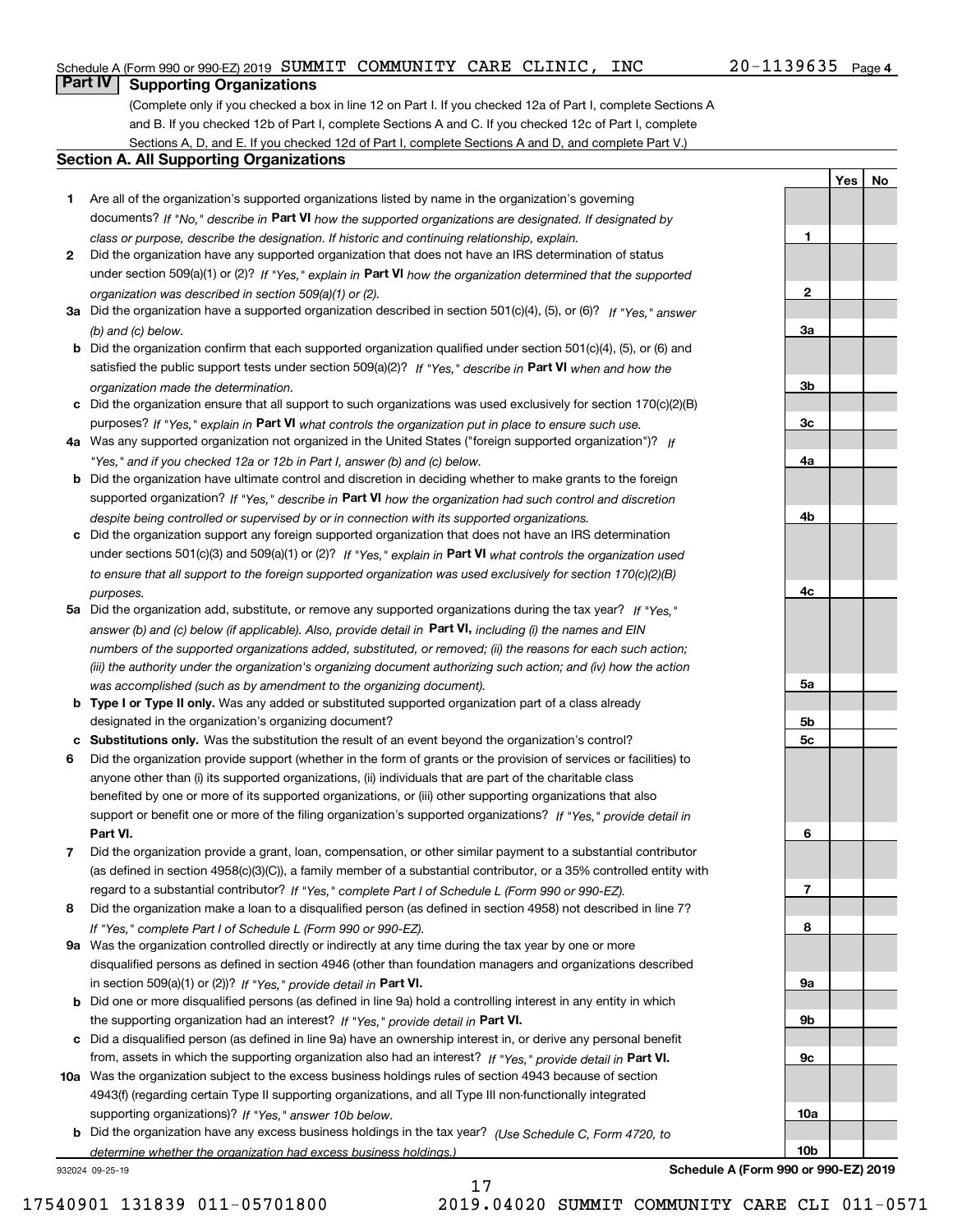#### Schedule A (Form 990 or 990-EZ) 2019 Page SUMMIT COMMUNITY CARE CLINIC, INC 20-1139635

#### 20-1139635 Page 4

**1**

**2**

**3a**

**3b**

**3c**

**4a**

**4b**

**4c**

**5a**

**5b5c**

**6**

**7**

**8**

**9a**

**9b**

**9c**

**10a**

**10b**

**YesNo**

## **Part IV Supporting Organizations**

(Complete only if you checked a box in line 12 on Part I. If you checked 12a of Part I, complete Sections A and B. If you checked 12b of Part I, complete Sections A and C. If you checked 12c of Part I, complete Sections A, D, and E. If you checked 12d of Part I, complete Sections A and D, and complete Part V.)

#### **Section A. All Supporting Organizations**

- **1** Are all of the organization's supported organizations listed by name in the organization's governing documents? If "No," describe in **Part VI** how the supported organizations are designated. If designated by *class or purpose, describe the designation. If historic and continuing relationship, explain.*
- **2** Did the organization have any supported organization that does not have an IRS determination of status under section 509(a)(1) or (2)? If "Yes," explain in Part VI how the organization determined that the supported *organization was described in section 509(a)(1) or (2).*
- **3a** Did the organization have a supported organization described in section 501(c)(4), (5), or (6)? If "Yes," answer *(b) and (c) below.*
- **b** Did the organization confirm that each supported organization qualified under section 501(c)(4), (5), or (6) and satisfied the public support tests under section 509(a)(2)? If "Yes," describe in **Part VI** when and how the *organization made the determination.*
- **c**Did the organization ensure that all support to such organizations was used exclusively for section 170(c)(2)(B) purposes? If "Yes," explain in **Part VI** what controls the organization put in place to ensure such use.
- **4a***If* Was any supported organization not organized in the United States ("foreign supported organization")? *"Yes," and if you checked 12a or 12b in Part I, answer (b) and (c) below.*
- **b** Did the organization have ultimate control and discretion in deciding whether to make grants to the foreign supported organization? If "Yes," describe in **Part VI** how the organization had such control and discretion *despite being controlled or supervised by or in connection with its supported organizations.*
- **c** Did the organization support any foreign supported organization that does not have an IRS determination under sections 501(c)(3) and 509(a)(1) or (2)? If "Yes," explain in **Part VI** what controls the organization used *to ensure that all support to the foreign supported organization was used exclusively for section 170(c)(2)(B) purposes.*
- **5a** Did the organization add, substitute, or remove any supported organizations during the tax year? If "Yes," answer (b) and (c) below (if applicable). Also, provide detail in **Part VI,** including (i) the names and EIN *numbers of the supported organizations added, substituted, or removed; (ii) the reasons for each such action; (iii) the authority under the organization's organizing document authorizing such action; and (iv) how the action was accomplished (such as by amendment to the organizing document).*
- **b** Type I or Type II only. Was any added or substituted supported organization part of a class already designated in the organization's organizing document?
- **cSubstitutions only.**  Was the substitution the result of an event beyond the organization's control?
- **6** Did the organization provide support (whether in the form of grants or the provision of services or facilities) to **Part VI.** *If "Yes," provide detail in* support or benefit one or more of the filing organization's supported organizations? anyone other than (i) its supported organizations, (ii) individuals that are part of the charitable class benefited by one or more of its supported organizations, or (iii) other supporting organizations that also
- **7**Did the organization provide a grant, loan, compensation, or other similar payment to a substantial contributor *If "Yes," complete Part I of Schedule L (Form 990 or 990-EZ).* regard to a substantial contributor? (as defined in section 4958(c)(3)(C)), a family member of a substantial contributor, or a 35% controlled entity with
- **8** Did the organization make a loan to a disqualified person (as defined in section 4958) not described in line 7? *If "Yes," complete Part I of Schedule L (Form 990 or 990-EZ).*
- **9a** Was the organization controlled directly or indirectly at any time during the tax year by one or more in section 509(a)(1) or (2))? If "Yes," *provide detail in* <code>Part VI.</code> disqualified persons as defined in section 4946 (other than foundation managers and organizations described
- **b** Did one or more disqualified persons (as defined in line 9a) hold a controlling interest in any entity in which the supporting organization had an interest? If "Yes," provide detail in P**art VI**.
- **c**Did a disqualified person (as defined in line 9a) have an ownership interest in, or derive any personal benefit from, assets in which the supporting organization also had an interest? If "Yes," provide detail in P**art VI.**
- **10a** Was the organization subject to the excess business holdings rules of section 4943 because of section supporting organizations)? If "Yes," answer 10b below. 4943(f) (regarding certain Type II supporting organizations, and all Type III non-functionally integrated
- **b** Did the organization have any excess business holdings in the tax year? (Use Schedule C, Form 4720, to *determine whether the organization had excess business holdings.)*

17

932024 09-25-19

**Schedule A (Form 990 or 990-EZ) 2019**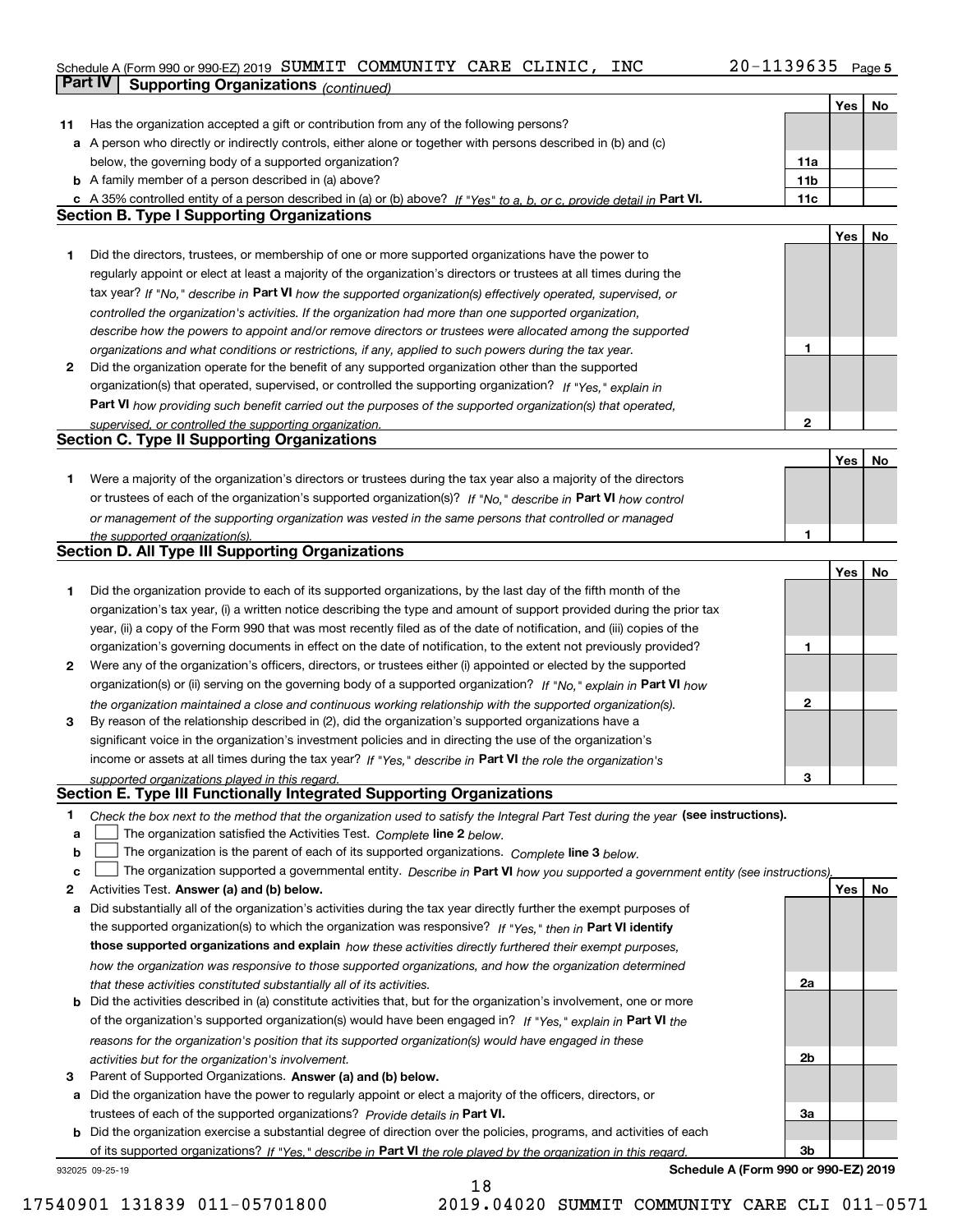#### Schedule A (Form 990 or 990-EZ) 2019 Page SUMMIT COMMUNITY CARE CLINIC, INC 20-1139635

|    | <b>Part IV</b><br><b>Supporting Organizations (continued)</b>                                                                     |                 |     |    |
|----|-----------------------------------------------------------------------------------------------------------------------------------|-----------------|-----|----|
|    |                                                                                                                                   |                 | Yes | No |
| 11 | Has the organization accepted a gift or contribution from any of the following persons?                                           |                 |     |    |
|    | a A person who directly or indirectly controls, either alone or together with persons described in (b) and (c)                    |                 |     |    |
|    | below, the governing body of a supported organization?                                                                            | 11a             |     |    |
|    | <b>b</b> A family member of a person described in (a) above?                                                                      | 11 <sub>b</sub> |     |    |
|    | c A 35% controlled entity of a person described in (a) or (b) above? If "Yes" to a, b, or c, provide detail in Part VI.           | 11c             |     |    |
|    | <b>Section B. Type I Supporting Organizations</b>                                                                                 |                 |     |    |
|    |                                                                                                                                   |                 | Yes | No |
| 1  | Did the directors, trustees, or membership of one or more supported organizations have the power to                               |                 |     |    |
|    | regularly appoint or elect at least a majority of the organization's directors or trustees at all times during the                |                 |     |    |
|    | tax year? If "No," describe in Part VI how the supported organization(s) effectively operated, supervised, or                     |                 |     |    |
|    | controlled the organization's activities. If the organization had more than one supported organization,                           |                 |     |    |
|    | describe how the powers to appoint and/or remove directors or trustees were allocated among the supported                         |                 |     |    |
|    | organizations and what conditions or restrictions, if any, applied to such powers during the tax year.                            | 1               |     |    |
| 2  | Did the organization operate for the benefit of any supported organization other than the supported                               |                 |     |    |
|    | organization(s) that operated, supervised, or controlled the supporting organization? If "Yes," explain in                        |                 |     |    |
|    | Part VI how providing such benefit carried out the purposes of the supported organization(s) that operated,                       |                 |     |    |
|    | supervised, or controlled the supporting organization.                                                                            | $\mathbf{2}$    |     |    |
|    | <b>Section C. Type II Supporting Organizations</b>                                                                                |                 |     |    |
|    |                                                                                                                                   |                 | Yes | No |
| 1  | Were a majority of the organization's directors or trustees during the tax year also a majority of the directors                  |                 |     |    |
|    | or trustees of each of the organization's supported organization(s)? If "No," describe in Part VI how control                     |                 |     |    |
|    | or management of the supporting organization was vested in the same persons that controlled or managed                            |                 |     |    |
|    | the supported organization(s).                                                                                                    | 1               |     |    |
|    | <b>Section D. All Type III Supporting Organizations</b>                                                                           |                 |     |    |
|    |                                                                                                                                   |                 | Yes | No |
| 1  | Did the organization provide to each of its supported organizations, by the last day of the fifth month of the                    |                 |     |    |
|    | organization's tax year, (i) a written notice describing the type and amount of support provided during the prior tax             |                 |     |    |
|    | year, (ii) a copy of the Form 990 that was most recently filed as of the date of notification, and (iii) copies of the            |                 |     |    |
|    | organization's governing documents in effect on the date of notification, to the extent not previously provided?                  | 1               |     |    |
| 2  | Were any of the organization's officers, directors, or trustees either (i) appointed or elected by the supported                  |                 |     |    |
|    | organization(s) or (ii) serving on the governing body of a supported organization? If "No," explain in Part VI how                |                 |     |    |
|    | the organization maintained a close and continuous working relationship with the supported organization(s).                       | $\mathbf{2}$    |     |    |
| 3  | By reason of the relationship described in (2), did the organization's supported organizations have a                             |                 |     |    |
|    | significant voice in the organization's investment policies and in directing the use of the organization's                        |                 |     |    |
|    | income or assets at all times during the tax year? If "Yes," describe in Part VI the role the organization's                      |                 |     |    |
|    | supported organizations played in this regard.                                                                                    | 3               |     |    |
|    | Section E. Type III Functionally Integrated Supporting Organizations                                                              |                 |     |    |
| 1  | Check the box next to the method that the organization used to satisfy the Integral Part Test during the year (see instructions). |                 |     |    |
| a  | The organization satisfied the Activities Test. Complete line 2 below.                                                            |                 |     |    |
| b  | The organization is the parent of each of its supported organizations. Complete line 3 below.                                     |                 |     |    |
| c  | The organization supported a governmental entity. Describe in Part VI how you supported a government entity (see instructions),   |                 |     |    |
| 2  | Activities Test. Answer (a) and (b) below.                                                                                        |                 | Yes | No |
| a  | Did substantially all of the organization's activities during the tax year directly further the exempt purposes of                |                 |     |    |
|    | the supported organization(s) to which the organization was responsive? If "Yes," then in Part VI identify                        |                 |     |    |
|    | those supported organizations and explain how these activities directly furthered their exempt purposes,                          |                 |     |    |
|    | how the organization was responsive to those supported organizations, and how the organization determined                         |                 |     |    |
|    | that these activities constituted substantially all of its activities.                                                            | 2a              |     |    |
|    | <b>b</b> Did the activities described in (a) constitute activities that, but for the organization's involvement, one or more      |                 |     |    |
|    | of the organization's supported organization(s) would have been engaged in? If "Yes," explain in Part VI the                      |                 |     |    |
|    | reasons for the organization's position that its supported organization(s) would have engaged in these                            |                 |     |    |
|    | activities but for the organization's involvement.                                                                                | 2b              |     |    |
| 3  | Parent of Supported Organizations. Answer (a) and (b) below.                                                                      |                 |     |    |
|    | a Did the organization have the power to regularly appoint or elect a majority of the officers, directors, or                     |                 |     |    |
|    | trustees of each of the supported organizations? Provide details in Part VI.                                                      | За              |     |    |
|    | <b>b</b> Did the organization exercise a substantial degree of direction over the policies, programs, and activities of each      |                 |     |    |
|    | of its supported organizations? If "Yes." describe in Part VI the role played by the organization in this regard.                 | 3b              |     |    |

18

932025 09-25-19

**Schedule A (Form 990 or 990-EZ) 2019**

17540901 131839 011-05701800 2019.04020 SUMMIT COMMUNITY CARE CLI 011-0571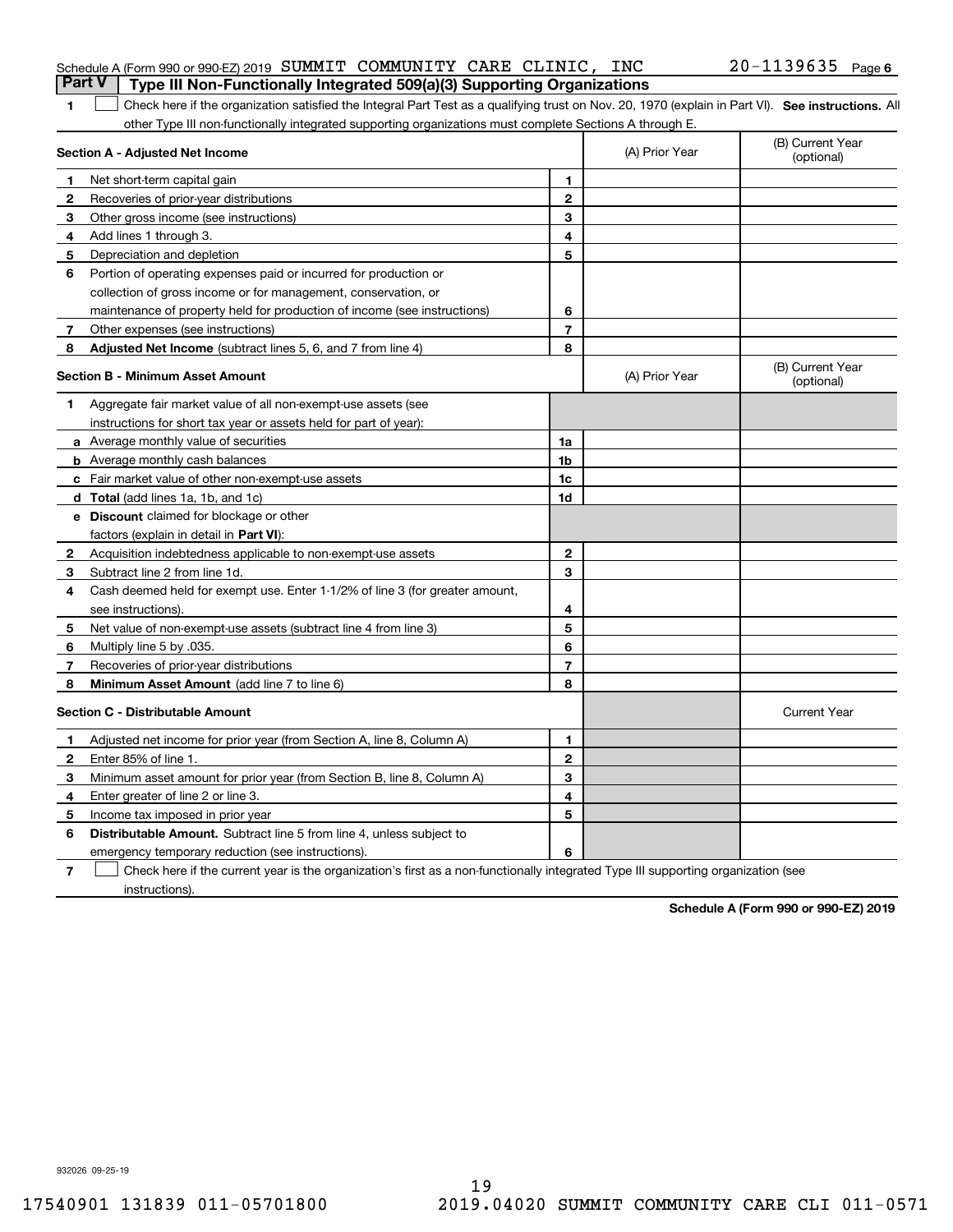| Schedule A (Form 990 or 990-EZ) 2019 SUMMIT COMMUNITY CARE CLINIC, INC<br><b>Part V</b> Type III Non-Functionally Integrated 509(a)(3) Supporting Organizations |  |  | $20 - 1139635$ Page 6 |  |
|-----------------------------------------------------------------------------------------------------------------------------------------------------------------|--|--|-----------------------|--|
|                                                                                                                                                                 |  |  |                       |  |

| 1 Check here if the organization satisfied the Integral Part Test as a qualifying trust on Nov. 20, 1970 (explain in Part VI). See instructions. All |  |
|------------------------------------------------------------------------------------------------------------------------------------------------------|--|
| other Type III non-functionally integrated supporting organizations must complete Sections A through E.                                              |  |

|              | Section A - Adjusted Net Income                                              |                | (A) Prior Year | (B) Current Year<br>(optional) |
|--------------|------------------------------------------------------------------------------|----------------|----------------|--------------------------------|
| 1            | Net short-term capital gain                                                  | 1              |                |                                |
| 2            | Recoveries of prior-year distributions                                       | $\mathbf{2}$   |                |                                |
| 3            | Other gross income (see instructions)                                        | 3              |                |                                |
| 4            | Add lines 1 through 3.                                                       | 4              |                |                                |
| 5            | Depreciation and depletion                                                   | 5              |                |                                |
| 6            | Portion of operating expenses paid or incurred for production or             |                |                |                                |
|              | collection of gross income or for management, conservation, or               |                |                |                                |
|              | maintenance of property held for production of income (see instructions)     | 6              |                |                                |
| 7            | Other expenses (see instructions)                                            | $\overline{7}$ |                |                                |
| 8            | <b>Adjusted Net Income</b> (subtract lines 5, 6, and 7 from line 4)          | 8              |                |                                |
|              | <b>Section B - Minimum Asset Amount</b>                                      |                | (A) Prior Year | (B) Current Year<br>(optional) |
| 1            | Aggregate fair market value of all non-exempt-use assets (see                |                |                |                                |
|              | instructions for short tax year or assets held for part of year):            |                |                |                                |
|              | a Average monthly value of securities                                        | 1a             |                |                                |
|              | <b>b</b> Average monthly cash balances                                       | 1 <sub>b</sub> |                |                                |
|              | c Fair market value of other non-exempt-use assets                           | 1c             |                |                                |
|              | d Total (add lines 1a, 1b, and 1c)                                           | 1 <sub>d</sub> |                |                                |
|              | <b>e</b> Discount claimed for blockage or other                              |                |                |                                |
|              | factors (explain in detail in <b>Part VI</b> ):                              |                |                |                                |
| $\mathbf{2}$ | Acquisition indebtedness applicable to non-exempt-use assets                 | $\mathbf{2}$   |                |                                |
| З            | Subtract line 2 from line 1d.                                                | 3              |                |                                |
| 4            | Cash deemed held for exempt use. Enter 1-1/2% of line 3 (for greater amount, |                |                |                                |
|              | see instructions).                                                           | 4              |                |                                |
| 5            | Net value of non-exempt-use assets (subtract line 4 from line 3)             | 5              |                |                                |
| 6            | Multiply line 5 by .035.                                                     | 6              |                |                                |
| 7            | Recoveries of prior-year distributions                                       | 7              |                |                                |
| 8            | Minimum Asset Amount (add line 7 to line 6)                                  | 8              |                |                                |
|              | <b>Section C - Distributable Amount</b>                                      |                |                | <b>Current Year</b>            |
| 1            | Adjusted net income for prior year (from Section A, line 8, Column A)        | 1              |                |                                |
| 2            | Enter 85% of line 1.                                                         | $\overline{2}$ |                |                                |
| з            | Minimum asset amount for prior year (from Section B, line 8, Column A)       | 3              |                |                                |
| 4            | Enter greater of line 2 or line 3.                                           | 4              |                |                                |
| 5            | Income tax imposed in prior year                                             | 5              |                |                                |
| 6            | Distributable Amount. Subtract line 5 from line 4, unless subject to         |                |                |                                |
|              | emergency temporary reduction (see instructions).                            | 6              |                |                                |
|              |                                                                              |                |                |                                |

**7** Check here if the current year is the organization's first as a non-functionally integrated Type III supporting organization (see instructions).

**Schedule A (Form 990 or 990-EZ) 2019**

932026 09-25-19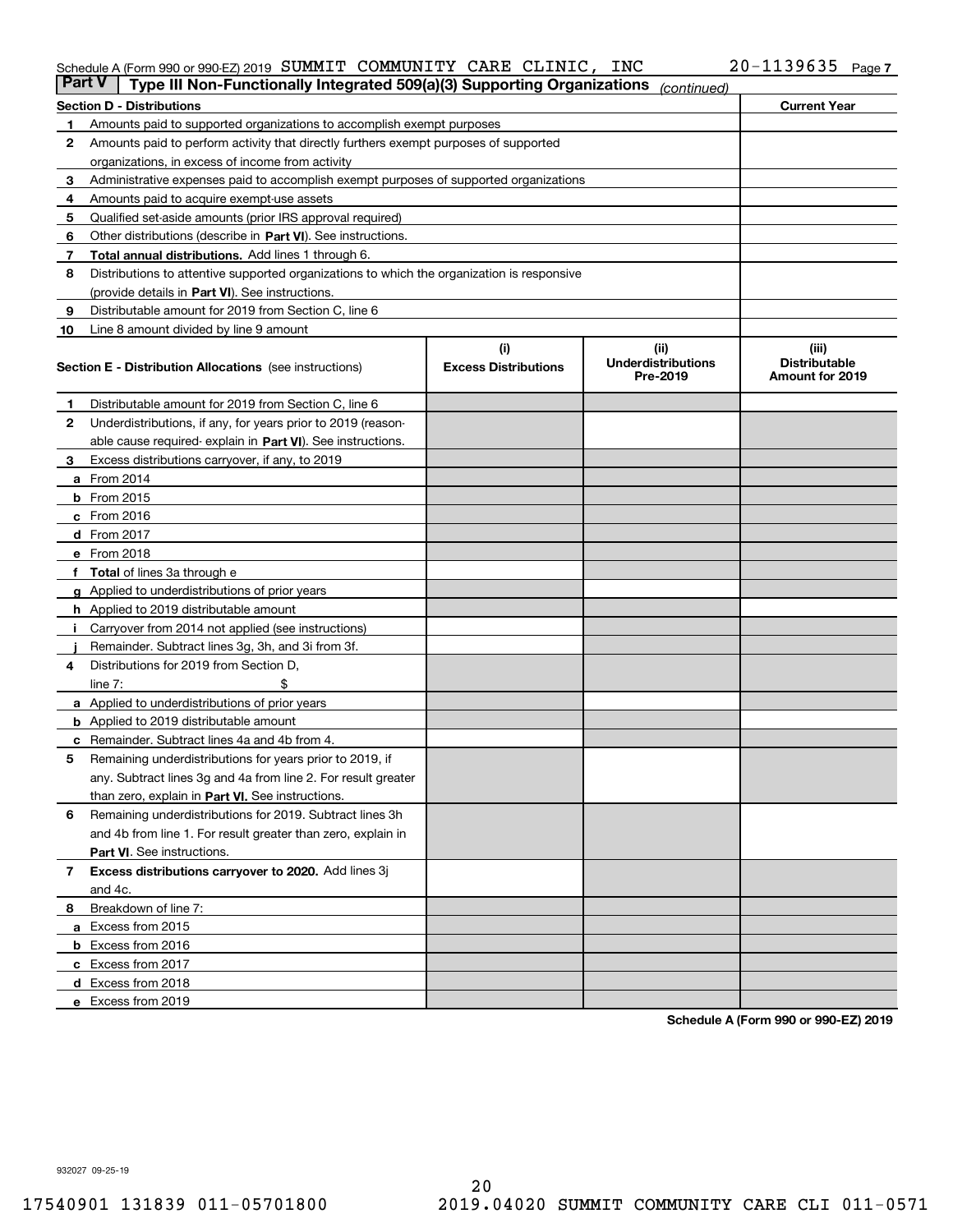#### Schedule A (Form 990 or 990-EZ) 2019 SUMMIT COMMUNITY CARE CLINIC, INC 2U-II39635 Page SUMMIT COMMUNITY CARE CLINIC, INC 20-1139635

| <b>Part V</b> | Type III Non-Functionally Integrated 509(a)(3) Supporting Organizations                    |                             | (continued)                           |                                         |
|---------------|--------------------------------------------------------------------------------------------|-----------------------------|---------------------------------------|-----------------------------------------|
|               | <b>Section D - Distributions</b>                                                           |                             |                                       | <b>Current Year</b>                     |
| 1             | Amounts paid to supported organizations to accomplish exempt purposes                      |                             |                                       |                                         |
| 2             | Amounts paid to perform activity that directly furthers exempt purposes of supported       |                             |                                       |                                         |
|               | organizations, in excess of income from activity                                           |                             |                                       |                                         |
| 3             | Administrative expenses paid to accomplish exempt purposes of supported organizations      |                             |                                       |                                         |
| 4             | Amounts paid to acquire exempt-use assets                                                  |                             |                                       |                                         |
| 5             | Qualified set-aside amounts (prior IRS approval required)                                  |                             |                                       |                                         |
| 6             | Other distributions (describe in Part VI). See instructions.                               |                             |                                       |                                         |
| 7             | Total annual distributions. Add lines 1 through 6.                                         |                             |                                       |                                         |
| 8             | Distributions to attentive supported organizations to which the organization is responsive |                             |                                       |                                         |
|               | (provide details in Part VI). See instructions.                                            |                             |                                       |                                         |
| 9             | Distributable amount for 2019 from Section C, line 6                                       |                             |                                       |                                         |
| 10            | Line 8 amount divided by line 9 amount                                                     |                             |                                       |                                         |
|               |                                                                                            | (i)                         | (iii)                                 | (iii)                                   |
|               | <b>Section E - Distribution Allocations</b> (see instructions)                             | <b>Excess Distributions</b> | <b>Underdistributions</b><br>Pre-2019 | <b>Distributable</b><br>Amount for 2019 |
| 1.            | Distributable amount for 2019 from Section C, line 6                                       |                             |                                       |                                         |
| 2             | Underdistributions, if any, for years prior to 2019 (reason-                               |                             |                                       |                                         |
|               | able cause required-explain in Part VI). See instructions.                                 |                             |                                       |                                         |
| З             | Excess distributions carryover, if any, to 2019                                            |                             |                                       |                                         |
|               | <b>a</b> From 2014                                                                         |                             |                                       |                                         |
|               | <b>b</b> From 2015                                                                         |                             |                                       |                                         |
|               | $c$ From 2016                                                                              |                             |                                       |                                         |
|               | <b>d</b> From 2017                                                                         |                             |                                       |                                         |
|               | e From 2018                                                                                |                             |                                       |                                         |
|               | <b>Total</b> of lines 3a through e                                                         |                             |                                       |                                         |
|               | <b>g</b> Applied to underdistributions of prior years                                      |                             |                                       |                                         |
|               | <b>h</b> Applied to 2019 distributable amount                                              |                             |                                       |                                         |
|               | Carryover from 2014 not applied (see instructions)                                         |                             |                                       |                                         |
|               | Remainder. Subtract lines 3g, 3h, and 3i from 3f.                                          |                             |                                       |                                         |
| 4             | Distributions for 2019 from Section D,                                                     |                             |                                       |                                         |
|               | line $7:$                                                                                  |                             |                                       |                                         |
|               | <b>a</b> Applied to underdistributions of prior years                                      |                             |                                       |                                         |
|               | <b>b</b> Applied to 2019 distributable amount                                              |                             |                                       |                                         |
|               | c Remainder. Subtract lines 4a and 4b from 4.                                              |                             |                                       |                                         |
| 5             | Remaining underdistributions for years prior to 2019, if                                   |                             |                                       |                                         |
|               | any. Subtract lines 3g and 4a from line 2. For result greater                              |                             |                                       |                                         |
|               | than zero, explain in Part VI. See instructions.                                           |                             |                                       |                                         |
| 6             | Remaining underdistributions for 2019. Subtract lines 3h                                   |                             |                                       |                                         |
|               | and 4b from line 1. For result greater than zero, explain in                               |                             |                                       |                                         |
|               | Part VI. See instructions.                                                                 |                             |                                       |                                         |
|               |                                                                                            |                             |                                       |                                         |
| 7             | Excess distributions carryover to 2020. Add lines 3j                                       |                             |                                       |                                         |
|               | and 4c.                                                                                    |                             |                                       |                                         |
| 8             | Breakdown of line 7:                                                                       |                             |                                       |                                         |
|               | a Excess from 2015                                                                         |                             |                                       |                                         |
|               | <b>b</b> Excess from 2016                                                                  |                             |                                       |                                         |
|               | c Excess from 2017                                                                         |                             |                                       |                                         |
|               | d Excess from 2018                                                                         |                             |                                       |                                         |
|               | e Excess from 2019                                                                         |                             |                                       |                                         |

**Schedule A (Form 990 or 990-EZ) 2019**

932027 09-25-19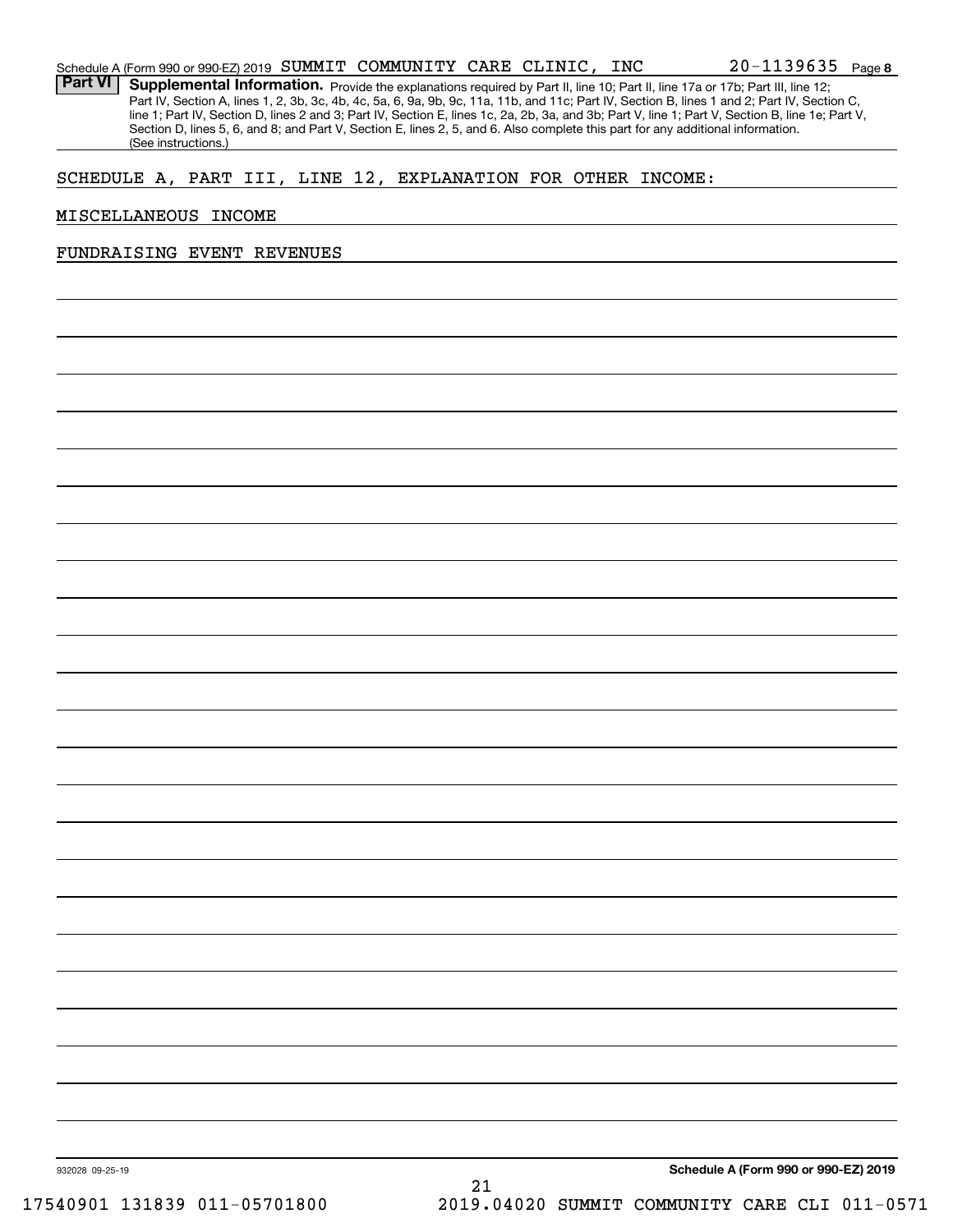| Schedule A (Form 990 or 990-EZ) 2019 SUMMIT COMMUNITY CARE CLINIC, INC |  |  | 20-1139635 | Page |
|------------------------------------------------------------------------|--|--|------------|------|
|                                                                        |  |  |            |      |

Part VI | Supplemental Information. Provide the explanations required by Part II, line 10; Part II, line 17a or 17b; Part III, line 12; Part IV, Section A, lines 1, 2, 3b, 3c, 4b, 4c, 5a, 6, 9a, 9b, 9c, 11a, 11b, and 11c; Part IV, Section B, lines 1 and 2; Part IV, Section C, line 1; Part IV, Section D, lines 2 and 3; Part IV, Section E, lines 1c, 2a, 2b, 3a, and 3b; Part V, line 1; Part V, Section B, line 1e; Part V, Section D, lines 5, 6, and 8; and Part V, Section E, lines 2, 5, and 6. Also complete this part for any additional information. (See instructions.)

#### SCHEDULE A, PART III, LINE 12, EXPLANATION FOR OTHER INCOME:

#### MISCELLANEOUS INCOME

#### FUNDRAISING EVENT REVENUES

**Schedule A (Form 990 or 990-EZ) 2019**

**8**

932028 09-25-19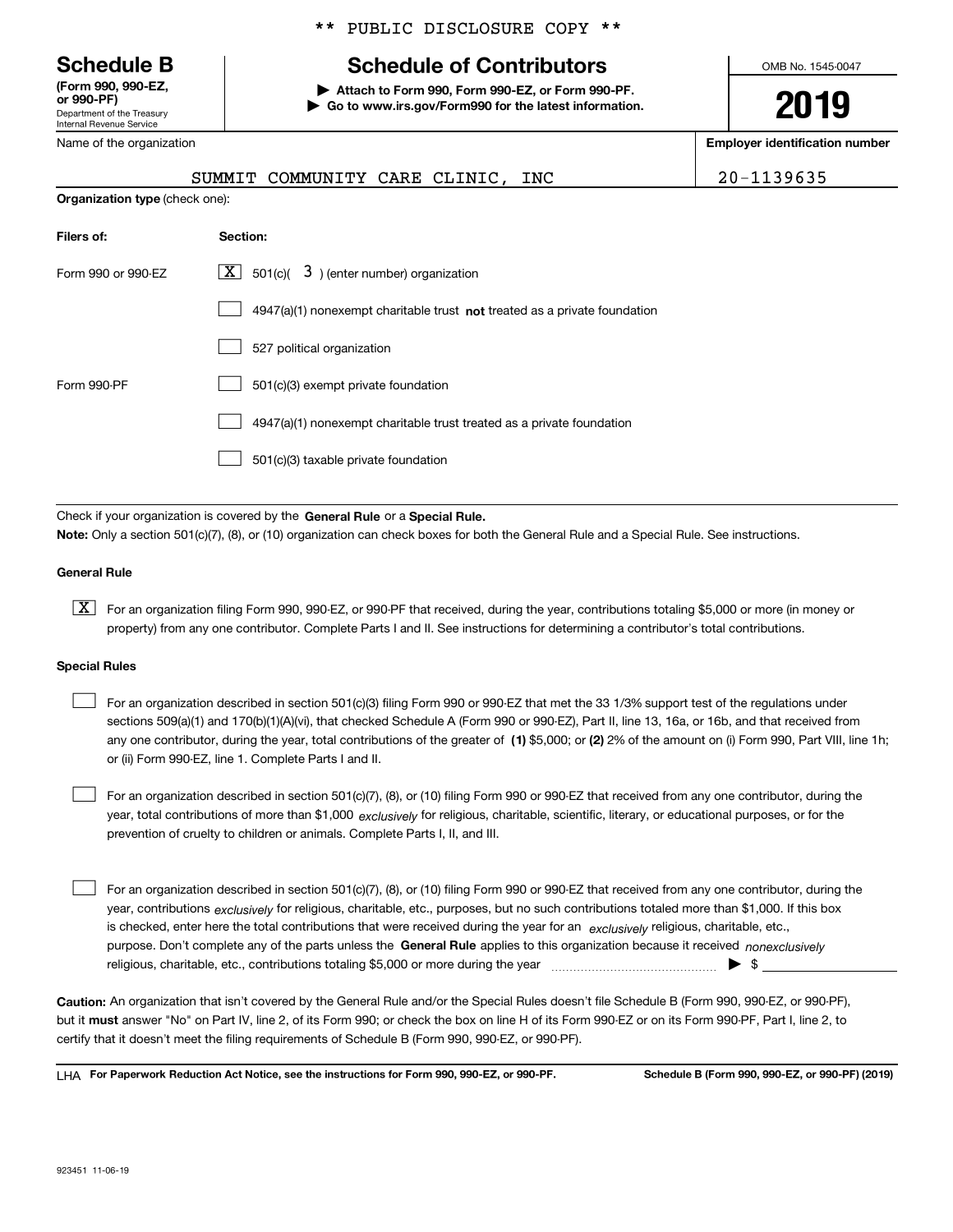Department of the Treasury Internal Revenue Service **(Form 990, 990-EZ, or 990-PF)**

Name of the organization

#### \*\* PUBLIC DISCLOSURE COPY \*\*

## **Schedule B Schedule of Contributors**

**| Attach to Form 990, Form 990-EZ, or Form 990-PF. | Go to www.irs.gov/Form990 for the latest information.** OMB No. 1545-0047

**2019**

**Employer identification number**

|                                       |                                                                                    | = p.v, v. .aovao. |
|---------------------------------------|------------------------------------------------------------------------------------|-------------------|
|                                       | SUMMIT COMMUNITY CARE CLINIC, INC                                                  | 20-1139635        |
| <b>Organization type</b> (check one): |                                                                                    |                   |
| Filers of:                            | Section:                                                                           |                   |
| Form 990 or 990-EZ                    | $\lfloor x \rfloor$ 501(c)( 3) (enter number) organization                         |                   |
|                                       | $4947(a)(1)$ nonexempt charitable trust <b>not</b> treated as a private foundation |                   |
|                                       | 527 political organization                                                         |                   |
| Form 990-PF                           | 501(c)(3) exempt private foundation                                                |                   |
|                                       | 4947(a)(1) nonexempt charitable trust treated as a private foundation              |                   |

501(c)(3) taxable private foundation  $\mathcal{L}^{\text{max}}$ 

Check if your organization is covered by the **General Rule** or a **Special Rule. Note:**  Only a section 501(c)(7), (8), or (10) organization can check boxes for both the General Rule and a Special Rule. See instructions.

#### **General Rule**

 $\boxed{\textbf{X}}$  For an organization filing Form 990, 990-EZ, or 990-PF that received, during the year, contributions totaling \$5,000 or more (in money or property) from any one contributor. Complete Parts I and II. See instructions for determining a contributor's total contributions.

#### **Special Rules**

any one contributor, during the year, total contributions of the greater of  $\,$  (1) \$5,000; or **(2)** 2% of the amount on (i) Form 990, Part VIII, line 1h; For an organization described in section 501(c)(3) filing Form 990 or 990-EZ that met the 33 1/3% support test of the regulations under sections 509(a)(1) and 170(b)(1)(A)(vi), that checked Schedule A (Form 990 or 990-EZ), Part II, line 13, 16a, or 16b, and that received from or (ii) Form 990-EZ, line 1. Complete Parts I and II.  $\mathcal{L}^{\text{max}}$ 

year, total contributions of more than \$1,000 *exclusively* for religious, charitable, scientific, literary, or educational purposes, or for the For an organization described in section 501(c)(7), (8), or (10) filing Form 990 or 990-EZ that received from any one contributor, during the prevention of cruelty to children or animals. Complete Parts I, II, and III.  $\mathcal{L}^{\text{max}}$ 

purpose. Don't complete any of the parts unless the **General Rule** applies to this organization because it received *nonexclusively* year, contributions <sub>exclusively</sub> for religious, charitable, etc., purposes, but no such contributions totaled more than \$1,000. If this box is checked, enter here the total contributions that were received during the year for an  $\;$ exclusively religious, charitable, etc., For an organization described in section 501(c)(7), (8), or (10) filing Form 990 or 990-EZ that received from any one contributor, during the religious, charitable, etc., contributions totaling \$5,000 or more during the year  $\Box$ — $\Box$   $\Box$  $\mathcal{L}^{\text{max}}$ 

**Caution:**  An organization that isn't covered by the General Rule and/or the Special Rules doesn't file Schedule B (Form 990, 990-EZ, or 990-PF),  **must** but it answer "No" on Part IV, line 2, of its Form 990; or check the box on line H of its Form 990-EZ or on its Form 990-PF, Part I, line 2, to certify that it doesn't meet the filing requirements of Schedule B (Form 990, 990-EZ, or 990-PF).

**For Paperwork Reduction Act Notice, see the instructions for Form 990, 990-EZ, or 990-PF. Schedule B (Form 990, 990-EZ, or 990-PF) (2019)** LHA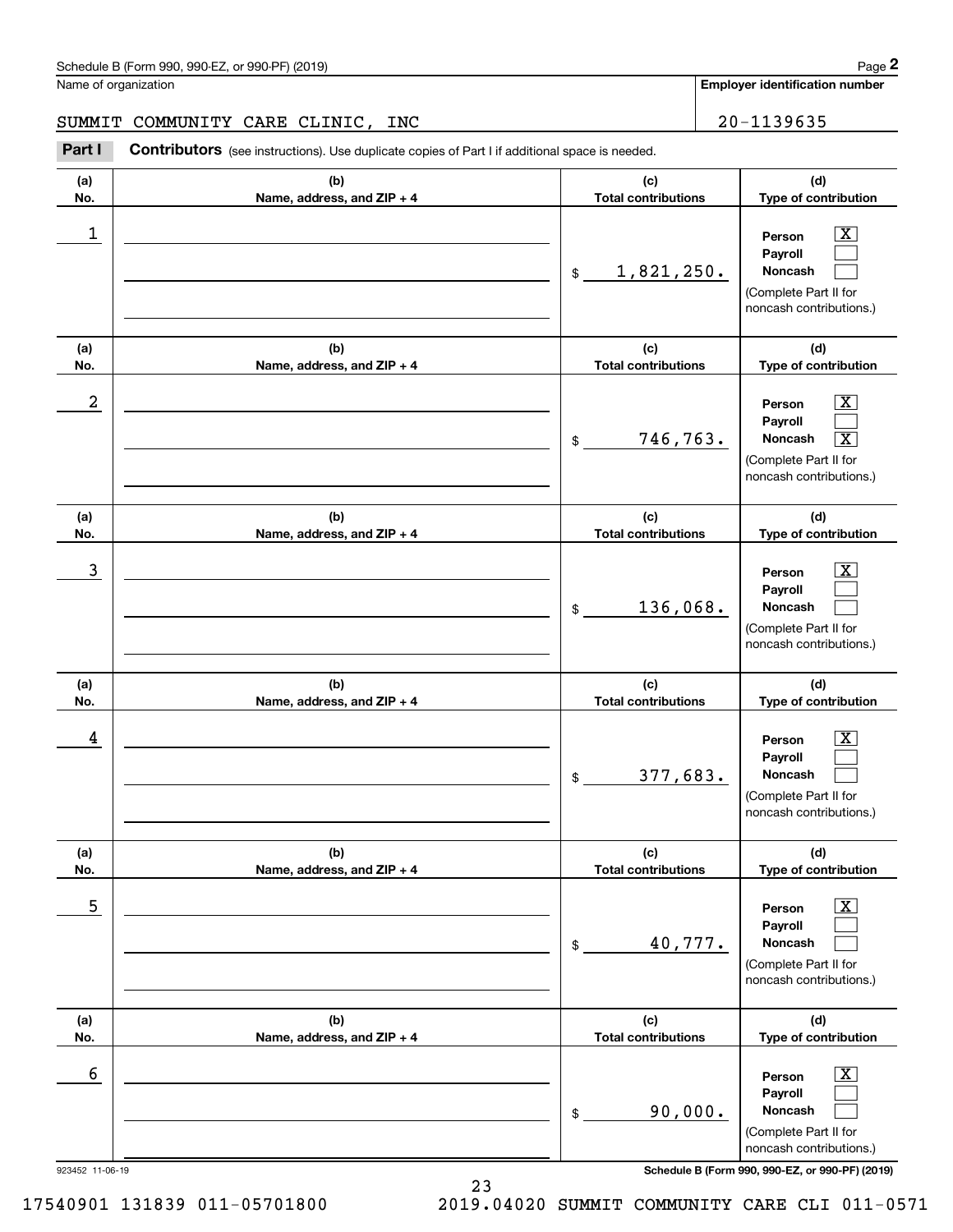#### SUMMIT COMMUNITY CARE CLINIC, INC | 20-1139635

Contributors (see instructions). Use duplicate copies of Part I if additional space is needed. Chedule B (Form 990, 990-EZ, or 990-PF) (2019)<br>Iame of organization<br>**20-1139635 Employer identification number**<br>**Part I** Contributors (see instructions). Use duplicate copies of Part I if additional space is needed.

| (a) | (b)                        | (c)                        | (d)                                                                                                            |
|-----|----------------------------|----------------------------|----------------------------------------------------------------------------------------------------------------|
| No. | Name, address, and ZIP + 4 | <b>Total contributions</b> | Type of contribution                                                                                           |
| 1   |                            | 1,821,250.<br>\$           | X<br>Person<br>Payroll<br>Noncash<br>(Complete Part II for<br>noncash contributions.)                          |
| (a) | (b)                        | (c)                        | (d)                                                                                                            |
| No. | Name, address, and ZIP + 4 | <b>Total contributions</b> | Type of contribution                                                                                           |
| 2   |                            | 746,763.<br>\$             | X<br>Person<br>Payroll<br>Noncash<br>$\overline{\text{X}}$<br>(Complete Part II for<br>noncash contributions.) |
| (a) | (b)                        | (c)                        | (d)                                                                                                            |
| No. | Name, address, and ZIP + 4 | <b>Total contributions</b> | Type of contribution                                                                                           |
| 3   |                            | 136,068.<br>$\mathfrak{S}$ | X.<br>Person<br>Payroll<br>Noncash<br>(Complete Part II for<br>noncash contributions.)                         |
| (a) | (b)                        | (c)                        | (d)                                                                                                            |
| No. | Name, address, and ZIP + 4 | <b>Total contributions</b> | Type of contribution                                                                                           |
| 4   |                            | 377,683.<br>\$             | X.<br>Person<br>Payroll<br>Noncash<br>(Complete Part II for<br>noncash contributions.)                         |
| (a) | (b)                        | (c)                        | (d)                                                                                                            |
| No. | Name, address, and ZIP + 4 | <b>Total contributions</b> | Type of contribution                                                                                           |
| 5   |                            | 40,777.<br>\$              | $\overline{\mathbf{X}}$<br>Person<br>Payroll<br>Noncash<br>(Complete Part II for<br>noncash contributions.)    |
| (a) | (b)                        | (c)                        | (d)                                                                                                            |
| No. | Name, address, and ZIP + 4 | <b>Total contributions</b> | Type of contribution                                                                                           |
| 6   |                            | 90,000.<br>$\$$            | $\overline{\mathbf{X}}$<br>Person<br>Payroll<br>Noncash<br>(Complete Part II for<br>noncash contributions.)    |

923452 11-06-19 **Schedule B (Form 990, 990-EZ, or 990-PF) (2019)**

17540901 131839 011-05701800 2019.04020 SUMMIT COMMUNITY CARE CLI 011-0571

23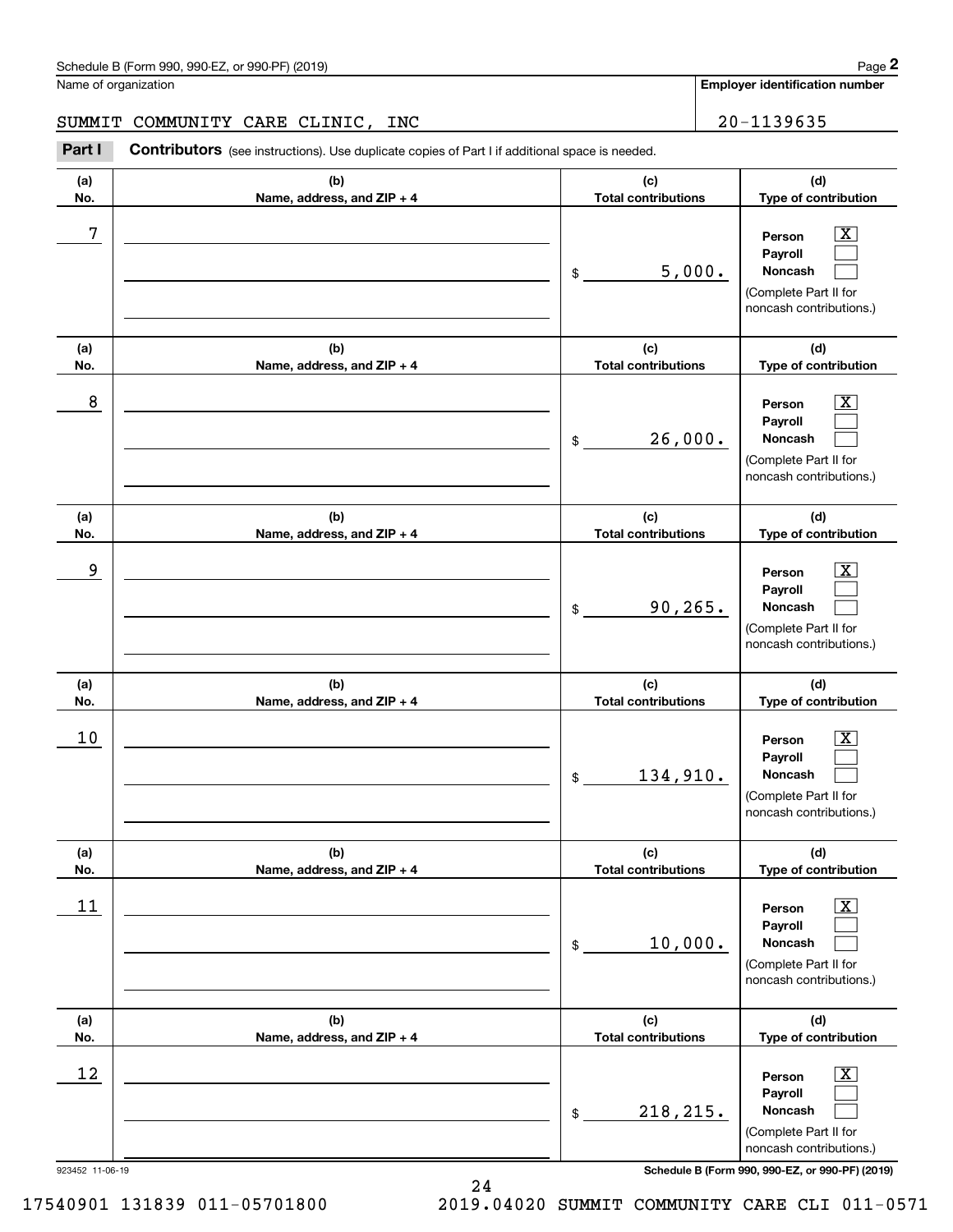#### SUMMIT COMMUNITY CARE CLINIC, INC | 20-1139635

Chedule B (Form 990, 990-EZ, or 990-PF) (2019)<br> **20 MILERT COMMUNITY CARE CLINIC, INC**<br> **20 - 1139635**<br> **20 - 1139635**<br> **20 - 1139635** 

| (a)<br>No. | (b)<br>Name, address, and ZIP + 4 | (c)<br><b>Total contributions</b> | (d)<br>Type of contribution                                                                                        |
|------------|-----------------------------------|-----------------------------------|--------------------------------------------------------------------------------------------------------------------|
| 7          |                                   | 5,000.<br>\$                      | $\overline{\texttt{X}}$<br>Person<br>Payroll<br><b>Noncash</b><br>(Complete Part II for<br>noncash contributions.) |
| (a)<br>No. | (b)<br>Name, address, and ZIP + 4 | (c)<br><b>Total contributions</b> | (d)<br>Type of contribution                                                                                        |
| 8          |                                   | 26,000.<br>\$                     | $\overline{\texttt{X}}$<br>Person<br>Payroll<br>Noncash<br>(Complete Part II for<br>noncash contributions.)        |
| (a)<br>No. | (b)<br>Name, address, and ZIP + 4 | (c)<br><b>Total contributions</b> | (d)<br>Type of contribution                                                                                        |
| 9          |                                   | 90, 265.<br>\$                    | $\overline{\texttt{X}}$<br>Person<br>Payroll<br>Noncash<br>(Complete Part II for<br>noncash contributions.)        |
| (a)<br>No. | (b)<br>Name, address, and ZIP + 4 | (c)<br><b>Total contributions</b> | (d)<br>Type of contribution                                                                                        |
| 10         |                                   | 134,910.<br>\$                    | $\overline{\texttt{X}}$<br>Person<br>Payroll<br>Noncash<br>(Complete Part II for<br>noncash contributions.)        |
| (a)<br>No. | (b)<br>Name, address, and ZIP + 4 | (c)<br><b>Total contributions</b> | (d)<br>Type of contribution                                                                                        |
| 11         |                                   | 10,000.<br>\$                     | $\overline{\texttt{X}}$<br>Person<br>Payroll<br>Noncash<br>(Complete Part II for<br>noncash contributions.)        |
| (a)<br>No. | (b)<br>Name, address, and ZIP + 4 | (c)<br><b>Total contributions</b> | (d)<br>Type of contribution                                                                                        |
| 12         |                                   | 218, 215.<br>\$                   | $\overline{\texttt{X}}$<br>Person<br>Payroll<br>Noncash<br>(Complete Part II for<br>noncash contributions.)        |

923452 11-06-19 **Schedule B (Form 990, 990-EZ, or 990-PF) (2019)**

24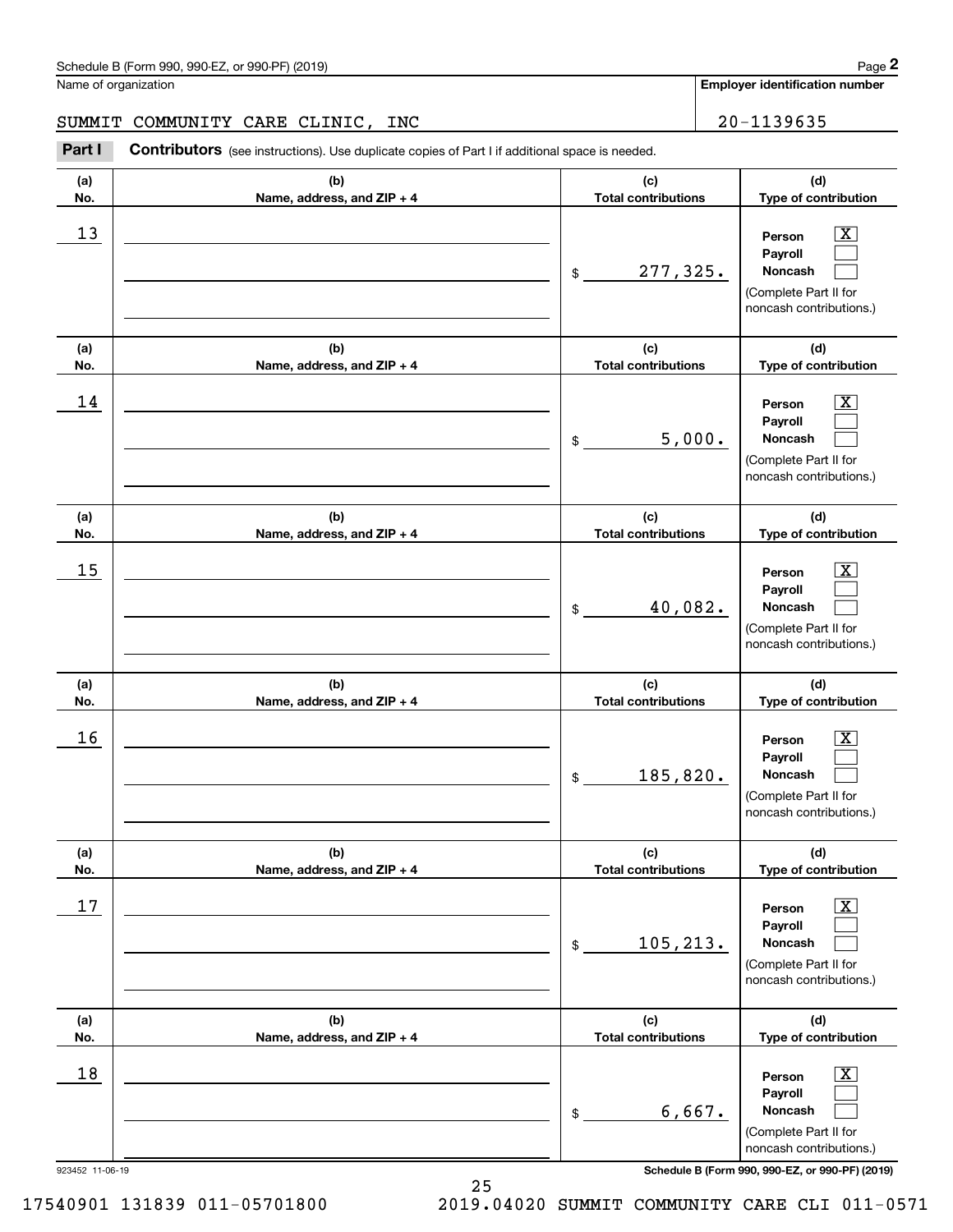#### SUMMIT COMMUNITY CARE CLINIC, INC | 20-1139635

**(a)(b)(c)**Contributors (see instructions). Use duplicate copies of Part I if additional space is needed. Chedule B (Form 990, 990-EZ, or 990-PF) (2019)<br>Iame of organization<br>**20-1139635 Employer identification number**<br>**Part I** Contributors (see instructions). Use duplicate copies of Part I if additional space is needed.

| (a)                   | (b)                        | (c)                        | (d)                                                                                                                                                          |  |
|-----------------------|----------------------------|----------------------------|--------------------------------------------------------------------------------------------------------------------------------------------------------------|--|
| No.                   | Name, address, and ZIP + 4 | <b>Total contributions</b> | Type of contribution                                                                                                                                         |  |
| 13                    |                            | 277,325.<br>$\$$           | $\overline{\text{X}}$<br>Person<br>Payroll<br>Noncash<br>(Complete Part II for<br>noncash contributions.)                                                    |  |
| (a)                   | (b)                        | (c)                        | (d)                                                                                                                                                          |  |
| No.                   | Name, address, and ZIP + 4 | <b>Total contributions</b> | Type of contribution                                                                                                                                         |  |
| 14                    |                            | 5,000.<br>\$               | $\mathbf{X}$<br>Person<br>Payroll<br>Noncash<br>(Complete Part II for<br>noncash contributions.)                                                             |  |
| (a)                   | (b)                        | (c)                        | (d)                                                                                                                                                          |  |
| No.                   | Name, address, and ZIP + 4 | <b>Total contributions</b> | Type of contribution                                                                                                                                         |  |
| 15                    |                            | 40,082.<br>\$              | $\overline{\mathbf{X}}$<br>Person<br>Payroll<br><b>Noncash</b><br>(Complete Part II for<br>noncash contributions.)                                           |  |
| (a)                   | (b)                        | (c)                        | (d)                                                                                                                                                          |  |
| No.                   | Name, address, and ZIP + 4 | <b>Total contributions</b> | Type of contribution                                                                                                                                         |  |
| 16                    |                            | 185,820.<br>\$             | $\overline{\mathbf{X}}$<br>Person<br>Payroll<br>Noncash<br>(Complete Part II for<br>noncash contributions.)                                                  |  |
| (a)                   | (b)                        | (c)                        | (d)                                                                                                                                                          |  |
| No.                   | Name, address, and ZIP + 4 | <b>Total contributions</b> | Type of contribution                                                                                                                                         |  |
| 17                    |                            | 105, 213.<br>\$            | $\overline{\text{X}}$<br>Person<br>Payroll<br>Noncash<br>(Complete Part II for<br>noncash contributions.)                                                    |  |
| (a)                   | (b)                        | (c)                        | (d)                                                                                                                                                          |  |
| No.                   | Name, address, and ZIP + 4 | <b>Total contributions</b> | Type of contribution                                                                                                                                         |  |
| 18<br>923452 11-06-19 |                            | 6,667.<br>\$               | $\overline{\text{X}}$<br>Person<br>Payroll<br>Noncash<br>(Complete Part II for<br>noncash contributions.)<br>Schedule B (Form 990, 990-EZ, or 990-PF) (2019) |  |

25

17540901 131839 011-05701800 2019.04020 SUMMIT COMMUNITY CARE CLI 011-0571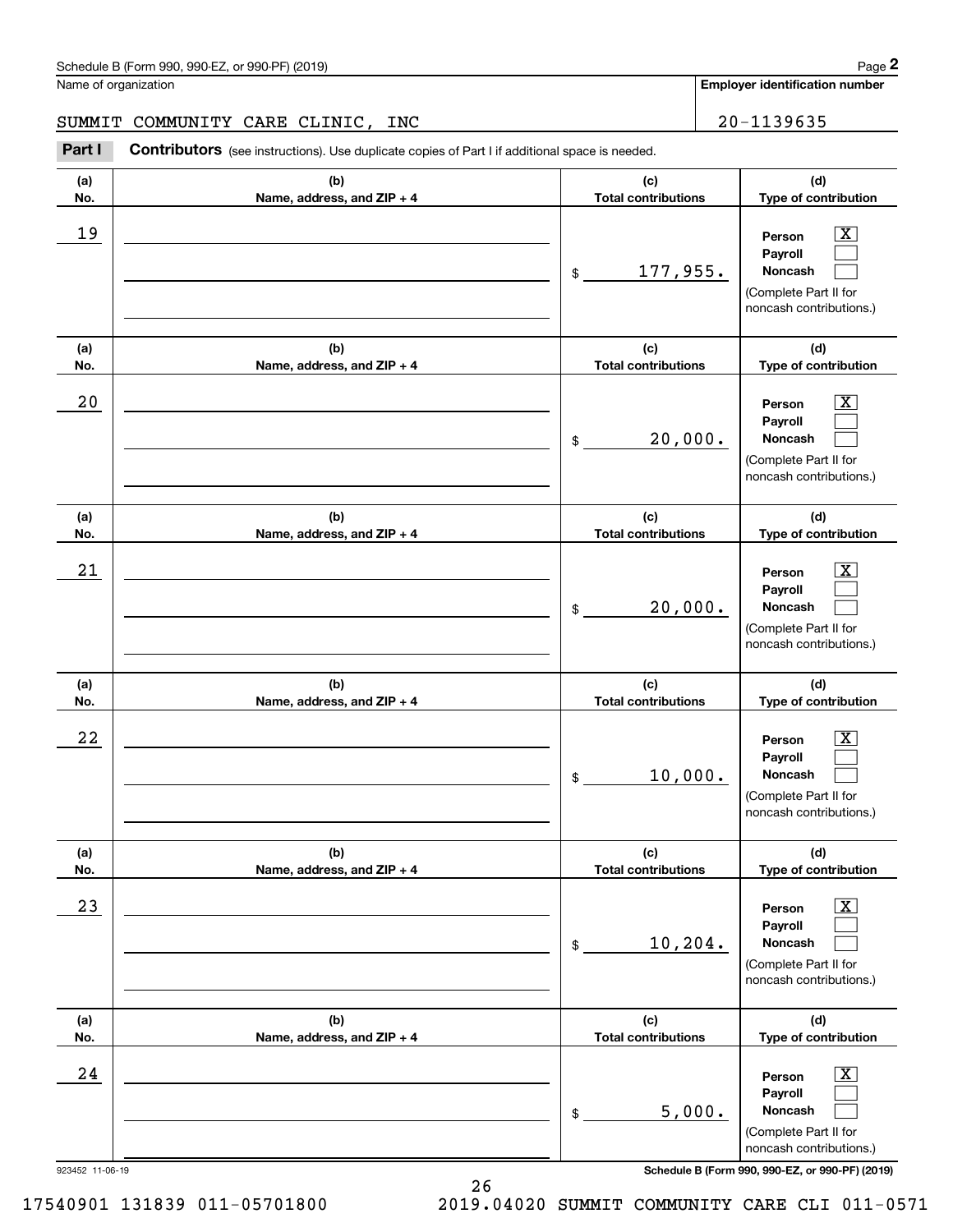#### SUMMIT COMMUNITY CARE CLINIC, INC | 20-1139635

Chedule B (Form 990, 990-EZ, or 990-PF) (2019)<br>Iame of organization<br>**20-1139635 Employer identification number**<br>**Part I** Contributors (see instructions). Use duplicate copies of Part I if additional space is needed. **Contributors** (see instructions). Use duplicate copies of Part I if additional space is needed. **(a)**ヿ **(b)** $\overline{f}$ 

| (a)<br>No.            | (b)<br>Name, address, and ZIP + 4 | (d)<br>(c)<br><b>Total contributions</b><br>Type of contribution |                                                                                                                                                              |  |  |
|-----------------------|-----------------------------------|------------------------------------------------------------------|--------------------------------------------------------------------------------------------------------------------------------------------------------------|--|--|
| 19                    |                                   | 177,955.<br>$\mathfrak{S}$                                       | $\overline{\texttt{X}}$<br>Person<br>Payroll<br>Noncash<br>(Complete Part II for<br>noncash contributions.)                                                  |  |  |
| (a)<br>No.            | (b)<br>Name, address, and ZIP + 4 | (c)<br><b>Total contributions</b>                                | (d)<br>Type of contribution                                                                                                                                  |  |  |
| 20                    |                                   | 20,000.<br>\$                                                    | x<br>Person<br>Payroll<br>Noncash<br>(Complete Part II for<br>noncash contributions.)                                                                        |  |  |
| (a)<br>No.            | (b)<br>Name, address, and ZIP + 4 | (c)<br><b>Total contributions</b>                                | (d)<br>Type of contribution                                                                                                                                  |  |  |
| 21                    |                                   | 20,000.<br>\$                                                    | x<br>Person<br>Payroll<br>Noncash<br>(Complete Part II for<br>noncash contributions.)                                                                        |  |  |
| (a)<br>No.            | (b)<br>Name, address, and ZIP + 4 | (c)<br><b>Total contributions</b>                                | (d)<br>Type of contribution                                                                                                                                  |  |  |
| 22                    |                                   | 10,000.<br>\$                                                    | X<br>Person<br>Payroll<br>Noncash<br>(Complete Part II for<br>noncash contributions.)                                                                        |  |  |
| (a)<br>No.            | (b)<br>Name, address, and ZIP + 4 | (c)<br>Total contributions                                       | (d)<br>Type of contribution                                                                                                                                  |  |  |
| 23                    |                                   | 10, 204.<br>\$                                                   | $\overline{\mathbf{X}}$<br>Person<br>Payroll<br>Noncash<br>(Complete Part II for<br>noncash contributions.)                                                  |  |  |
| (a)<br>No.            | (b)<br>Name, address, and ZIP + 4 | (c)<br><b>Total contributions</b>                                | (d)<br>Type of contribution                                                                                                                                  |  |  |
| 24<br>923452 11-06-19 |                                   | 5,000.<br>\$                                                     | $\overline{\text{X}}$<br>Person<br>Payroll<br>Noncash<br>(Complete Part II for<br>noncash contributions.)<br>Schedule B (Form 990, 990-EZ, or 990-PF) (2019) |  |  |

26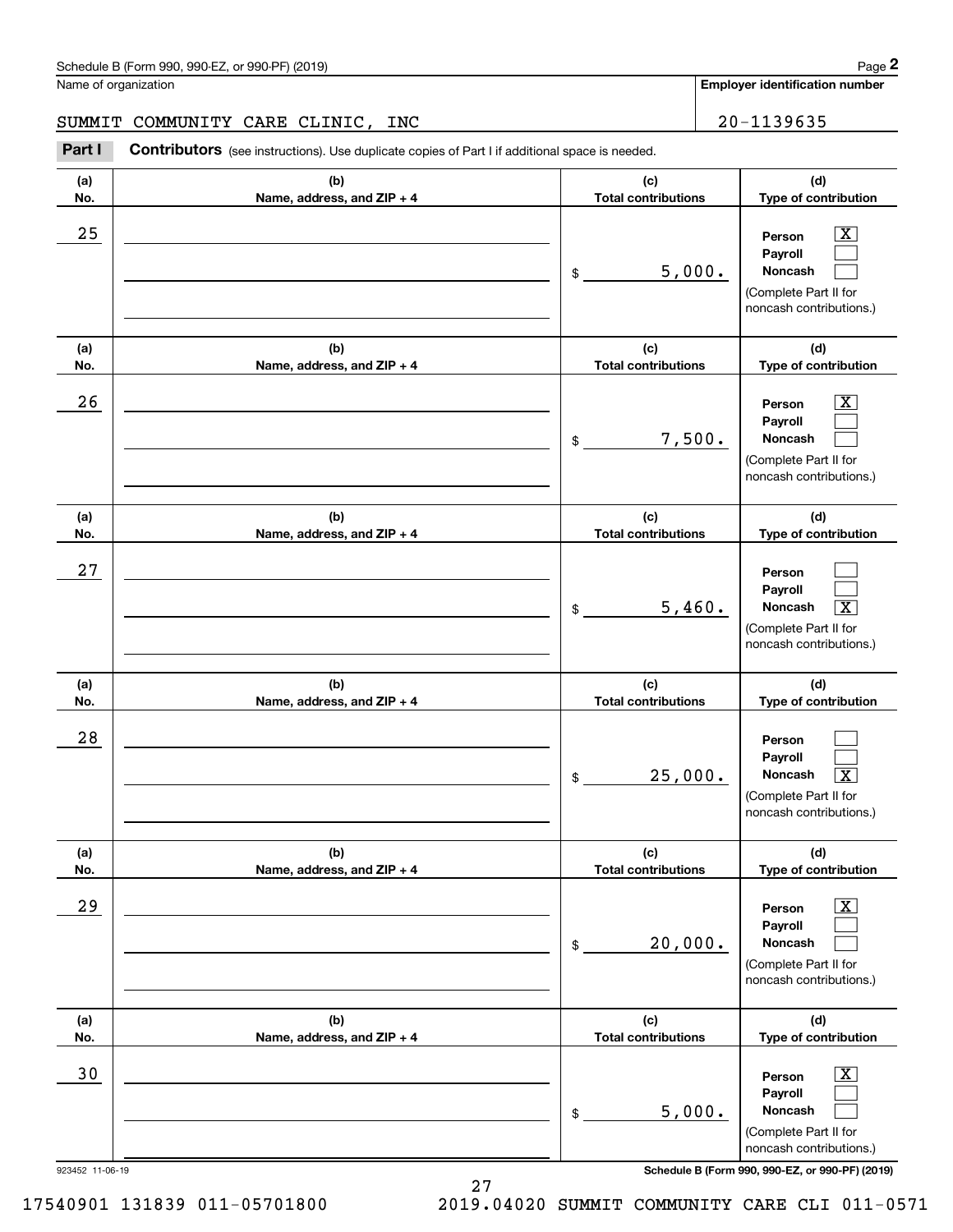#### SUMMIT COMMUNITY CARE CLINIC, INC | 20-1139635

Chedule B (Form 990, 990-EZ, or 990-PF) (2019)<br> **20 MILERT COMMUNITY CARE CLINIC, INC**<br> **20 - 1139635**<br> **20 - 1139635**<br> **20 - 1139635** 

| (a)<br>No.                   | (b)<br>Name, address, and ZIP + 4 | (d)<br>(c)<br><b>Total contributions</b><br>Type of contribution |                                                                                                                                                                                      |  |  |
|------------------------------|-----------------------------------|------------------------------------------------------------------|--------------------------------------------------------------------------------------------------------------------------------------------------------------------------------------|--|--|
| 25<br>(a)                    | (b)                               | 5,000.<br>\$<br>(c)                                              | x<br>Person<br>Payroll<br>Noncash<br>(Complete Part II for<br>noncash contributions.)<br>(d)                                                                                         |  |  |
| No.                          | Name, address, and ZIP + 4        | <b>Total contributions</b>                                       | Type of contribution                                                                                                                                                                 |  |  |
| 26                           |                                   | 7,500.<br>\$                                                     | x.<br>Person<br>Payroll<br>Noncash<br>(Complete Part II for<br>noncash contributions.)                                                                                               |  |  |
| (a)<br>No.                   | (b)<br>Name, address, and ZIP + 4 | (c)<br><b>Total contributions</b>                                | (d)<br>Type of contribution                                                                                                                                                          |  |  |
| 27                           |                                   | 5,460.<br>\$                                                     | Person<br>Payroll<br>$\overline{\texttt{x}}$<br>Noncash<br>(Complete Part II for<br>noncash contributions.)                                                                          |  |  |
| (a)                          | (b)                               | (c)                                                              | (d)                                                                                                                                                                                  |  |  |
| No.<br>28                    | Name, address, and ZIP + 4        | <b>Total contributions</b><br>25,000.<br>\$                      | Type of contribution<br>Person<br>Payroll<br>$\overline{\texttt{x}}$<br>Noncash<br>(Complete Part II for<br>noncash contributions.)                                                  |  |  |
| (a)                          | (b)                               | (c)                                                              | (d)                                                                                                                                                                                  |  |  |
| No.<br>29                    | Name, address, and $ZIP + 4$      | <b>Total contributions</b><br>20,000.<br>\$                      | <b>Type of contribution</b><br>$\overline{\mathbf{X}}$<br>Person<br>Payroll<br>Noncash<br>(Complete Part II for<br>noncash contributions.)                                           |  |  |
| (a)                          | (b)                               | (c)                                                              | (d)                                                                                                                                                                                  |  |  |
| No.<br>30<br>923452 11-06-19 | Name, address, and ZIP + 4        | <b>Total contributions</b><br>5,000.<br>\$                       | Type of contribution<br>$\overline{\text{X}}$<br>Person<br>Payroll<br>Noncash<br>(Complete Part II for<br>noncash contributions.)<br>Schedule B (Form 990, 990-EZ, or 990-PF) (2019) |  |  |

27 17540901 131839 011-05701800 2019.04020 SUMMIT COMMUNITY CARE CLI 011-0571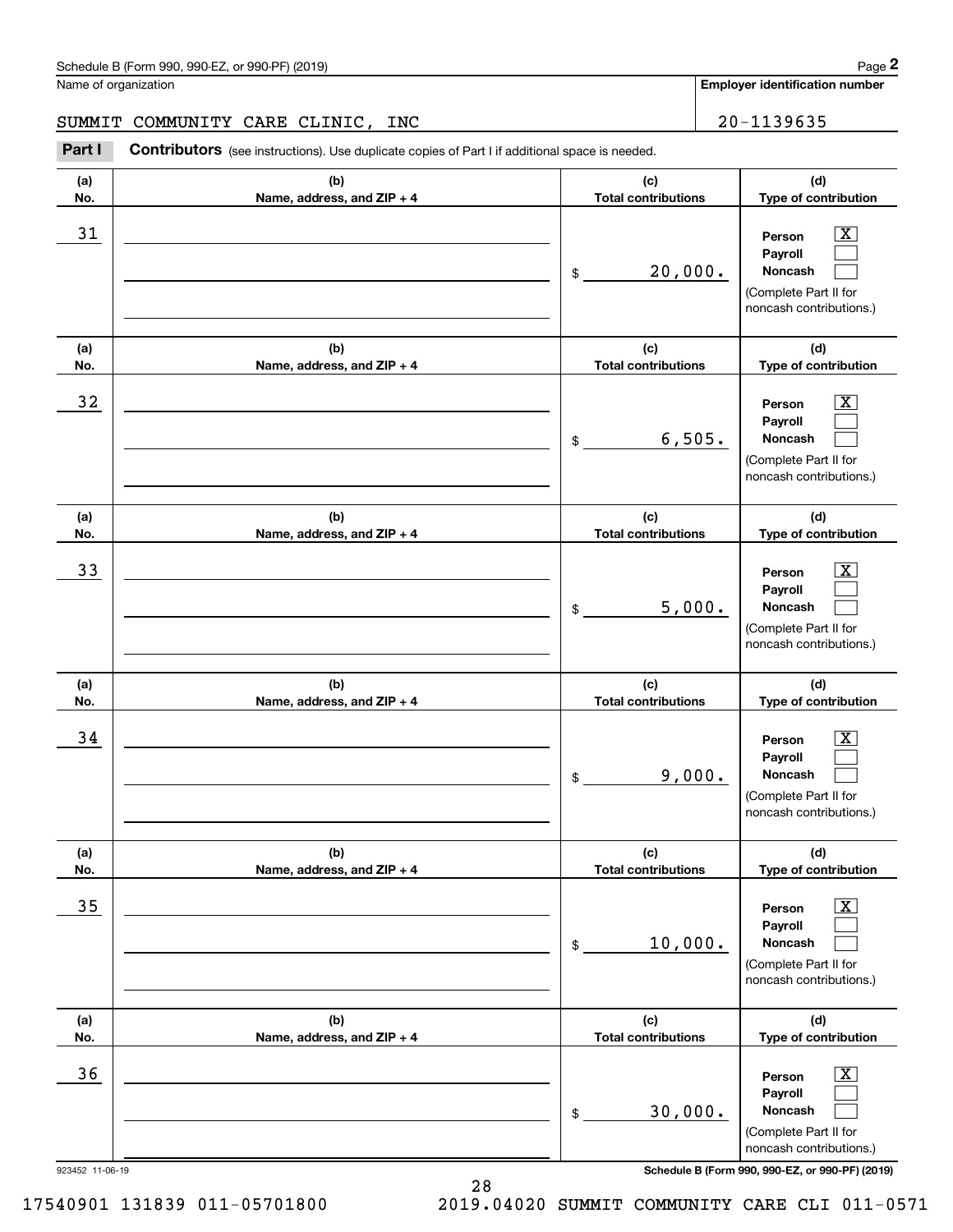#### SUMMIT COMMUNITY CARE CLINIC, INC | 20-1139635

Chedule B (Form 990, 990-EZ, or 990-PF) (2019)<br> **20 MILERT COMMUNITY CARE CLINIC, INC**<br> **20 - 1139635**<br> **20 - 1139635**<br> **20 - 1139635** 

| (a)<br>No.      | (b)<br>Name, address, and ZIP + 4 | (d)<br>(c)<br><b>Total contributions</b><br>Type of contribution |                                                                                                                                                     |  |  |
|-----------------|-----------------------------------|------------------------------------------------------------------|-----------------------------------------------------------------------------------------------------------------------------------------------------|--|--|
| 31              |                                   | 20,000.<br>\$                                                    | $\overline{\text{X}}$<br>Person<br>Payroll<br>Noncash<br>(Complete Part II for<br>noncash contributions.)                                           |  |  |
| (a)<br>No.      | (b)<br>Name, address, and ZIP + 4 | (c)<br><b>Total contributions</b>                                | (d)<br>Type of contribution                                                                                                                         |  |  |
| 32              |                                   | 6,505.<br>\$                                                     | $\overline{\text{X}}$<br>Person<br>Payroll<br>Noncash<br>(Complete Part II for<br>noncash contributions.)                                           |  |  |
| (a)<br>No.      | (b)<br>Name, address, and ZIP + 4 | (c)<br><b>Total contributions</b>                                | (d)<br>Type of contribution                                                                                                                         |  |  |
| 33              |                                   | 5,000.<br>\$                                                     | $\overline{\text{X}}$<br>Person<br>Payroll<br>Noncash<br>(Complete Part II for<br>noncash contributions.)                                           |  |  |
| (a)<br>No.      | (b)<br>Name, address, and ZIP + 4 | (c)<br><b>Total contributions</b>                                | (d)<br>Type of contribution                                                                                                                         |  |  |
| 34              |                                   | 9,000.<br>\$                                                     | $\overline{\text{X}}$<br>Person<br>Payroll<br><b>Noncash</b><br>(Complete Part II for<br>noncash contributions.)                                    |  |  |
| (a)<br>No.      | (b)<br>Name, address, and ZIP + 4 | (c)<br><b>Total contributions</b>                                | (d)<br>Type of contribution                                                                                                                         |  |  |
| 35              |                                   | 10,000.<br>$\$$                                                  | $\overline{\mathbf{X}}$<br>Person<br>Payroll<br>Noncash<br>(Complete Part II for<br>noncash contributions.)                                         |  |  |
| (a)<br>No.      | (b)<br>Name, address, and ZIP + 4 | (c)<br><b>Total contributions</b>                                | (d)<br>Type of contribution                                                                                                                         |  |  |
| 36              |                                   | 30,000.<br>\$                                                    | $\mathbf{X}$<br>Person<br>Payroll<br>Noncash<br>(Complete Part II for<br>noncash contributions.)<br>Schedule B (Form 990, 990-EZ, or 990-PF) (2019) |  |  |
| 923452 11-06-19 |                                   |                                                                  |                                                                                                                                                     |  |  |

28

17540901 131839 011-05701800 2019.04020 SUMMIT COMMUNITY CARE CLI 011-0571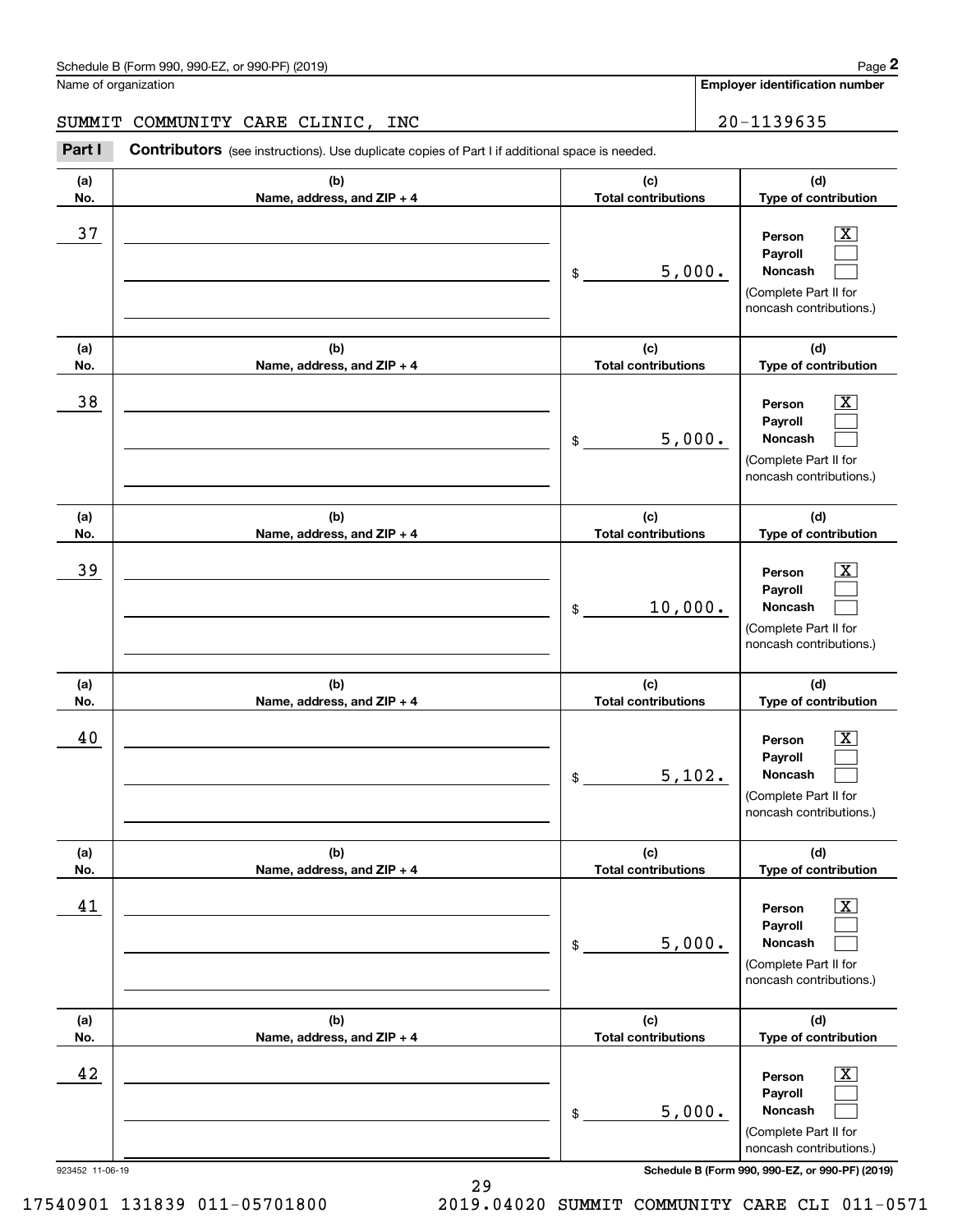#### SUMMIT COMMUNITY CARE CLINIC, INC | 20-1139635

Chedule B (Form 990, 990-EZ, or 990-PF) (2019)<br> **20 MILERT COMMUNITY CARE CLINIC, INC**<br> **20 - 1139635**<br> **20 - 1139635**<br> **20 - 1139635** 

| (a) | (b)                          | (c)<br>(d)                                         |                                                                                                           |  |
|-----|------------------------------|----------------------------------------------------|-----------------------------------------------------------------------------------------------------------|--|
| No. | Name, address, and ZIP + 4   | Type of contribution<br><b>Total contributions</b> |                                                                                                           |  |
| 37  |                              | 5,000.<br>$$^{\circ}$                              | X<br>Person<br>Payroll<br>Noncash<br>(Complete Part II for<br>noncash contributions.)                     |  |
| (a) | (b)                          | (c)                                                | (d)                                                                                                       |  |
| No. | Name, address, and ZIP + 4   | <b>Total contributions</b>                         | Type of contribution                                                                                      |  |
| 38  |                              | 5,000.<br>$$^{\circ}$                              | X.<br>Person<br>Payroll<br>Noncash<br>(Complete Part II for<br>noncash contributions.)                    |  |
| (a) | (b)                          | (c)                                                | (d)                                                                                                       |  |
| No. | Name, address, and ZIP + 4   | <b>Total contributions</b>                         | Type of contribution                                                                                      |  |
| 39  |                              | 10,000.<br>\$                                      | X.<br>Person<br>Payroll<br>Noncash<br>(Complete Part II for<br>noncash contributions.)                    |  |
|     |                              |                                                    |                                                                                                           |  |
| (a) | (b)                          | (c)                                                | (d)                                                                                                       |  |
| No. | Name, address, and ZIP + 4   | <b>Total contributions</b>                         | Type of contribution                                                                                      |  |
| 40  |                              | 5,102.<br>$\frac{1}{2}$                            | X.<br>Person<br>Payroll<br>Noncash<br>(Complete Part II for<br>noncash contributions.)                    |  |
| (a) | (b)                          | (c)                                                | (d)                                                                                                       |  |
| No. | Name, address, and $ZIP + 4$ | <b>Total contributions</b>                         | Type of contribution                                                                                      |  |
| 41  |                              | 5,000.<br>\$                                       | $\overline{\text{X}}$<br>Person<br>Payroll<br>Noncash<br>(Complete Part II for<br>noncash contributions.) |  |
| (a) | (b)                          | (c)                                                | (d)                                                                                                       |  |
| No. | Name, address, and ZIP + 4   | <b>Total contributions</b>                         | Type of contribution                                                                                      |  |
| 42  |                              | 5,000.<br>\$                                       | $\mathbf{X}$<br>Person<br>Payroll<br>Noncash<br>(Complete Part II for<br>noncash contributions.)          |  |

29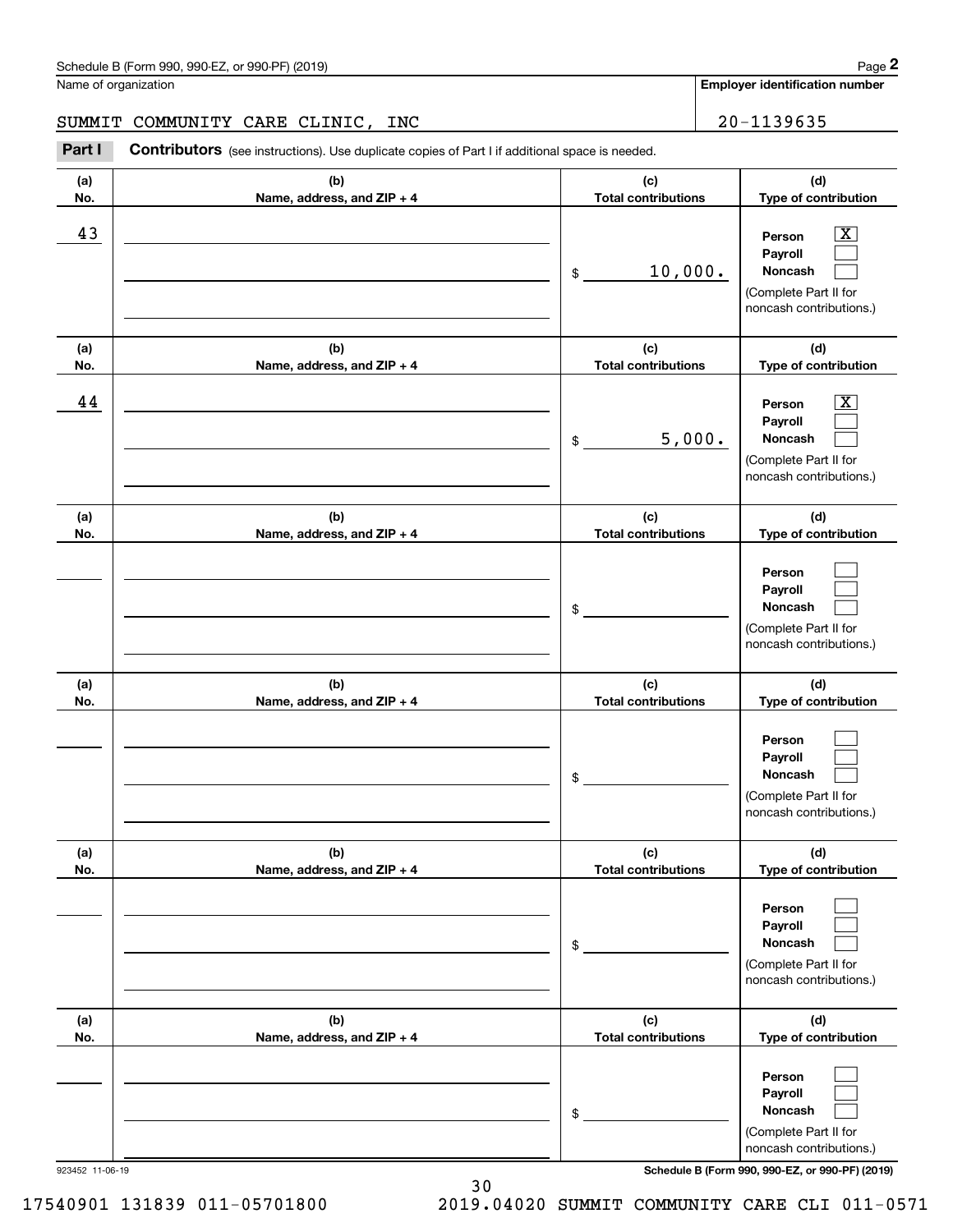**(d) Type of contribution**

 $\boxed{\text{X}}$ 

**Person Payroll**

#### SUMMIT COMMUNITY CARE CLINIC, INC  $\vert$  20-1139635

**(a) No.(b) Name, address, and ZIP + 4 (c) Total contributions** Chedule B (Form 990, 990-EZ, or 990-PF) (2019)<br> **20 MILERT COMMUNITY CARE CLINIC, INC**<br> **20 - 1139635**<br> **20 - 1139635**<br> **20 - 1139635** \$43 Person X 10,000.

|                 |                                   | 10,000.<br>\$                     | Payroll<br>Noncash<br>(Complete Part II for<br>noncash contributions.)                                      |
|-----------------|-----------------------------------|-----------------------------------|-------------------------------------------------------------------------------------------------------------|
| (a)<br>No.      | (b)<br>Name, address, and ZIP + 4 | (c)<br><b>Total contributions</b> | (d)<br>Type of contribution                                                                                 |
| 44              |                                   | 5,000.<br>\$                      | $\overline{\texttt{X}}$<br>Person<br>Payroll<br>Noncash<br>(Complete Part II for<br>noncash contributions.) |
| (a)<br>No.      | (b)<br>Name, address, and ZIP + 4 | (c)<br><b>Total contributions</b> | (d)<br>Type of contribution                                                                                 |
|                 |                                   | \$                                | Person<br>Payroll<br>Noncash<br>(Complete Part II for<br>noncash contributions.)                            |
| (a)<br>No.      | (b)<br>Name, address, and ZIP + 4 | (c)<br><b>Total contributions</b> | (d)<br>Type of contribution                                                                                 |
|                 |                                   | \$                                | Person<br>Payroll<br>Noncash<br>(Complete Part II for<br>noncash contributions.)                            |
| (a)<br>No.      | (b)<br>Name, address, and ZIP + 4 | (c)<br><b>Total contributions</b> | (d)<br>Type of contribution                                                                                 |
|                 |                                   | \$                                | Person<br>Payroll<br>Noncash<br>L<br>(Complete Part II for<br>noncash contributions.)                       |
| (a)<br>No.      | (b)<br>Name, address, and ZIP + 4 | (c)<br><b>Total contributions</b> | (d)<br>Type of contribution                                                                                 |
|                 |                                   | \$                                | Person<br>Payroll<br>Noncash<br>(Complete Part II for<br>noncash contributions.)                            |
| 923452 11-06-19 |                                   |                                   | Schedule B (Form 990, 990-EZ, or 990-PF) (2019)                                                             |

30

17540901 131839 011-05701800 2019.04020 SUMMIT COMMUNITY CARE CLI 011-0571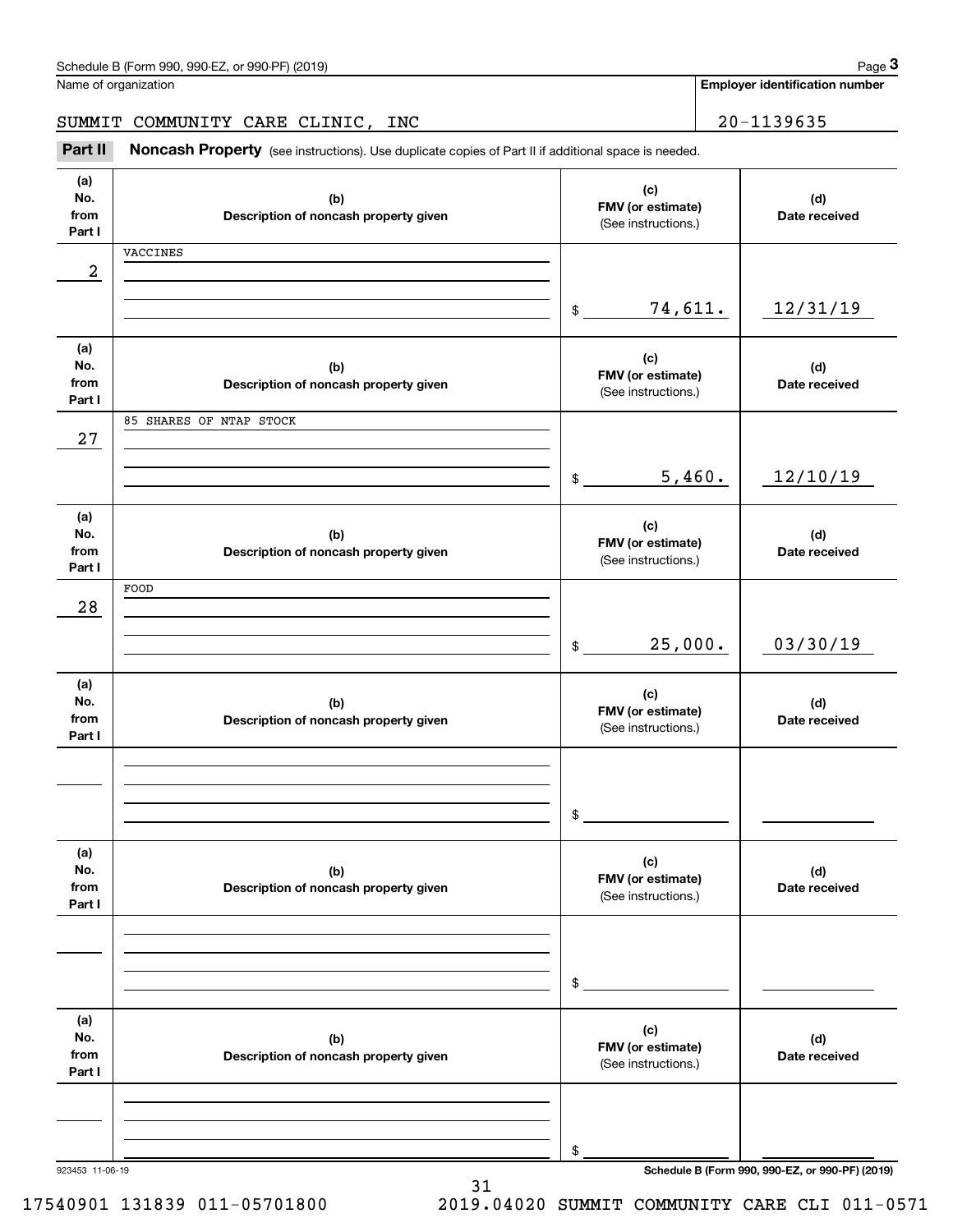SUMMIT COMMUNITY CARE CLINIC, INC | 20-1139635

Chedule B (Form 990, 990-EZ, or 990-PF) (2019)<br> **20 MILERT COMMUNITY CARE CLINIC, INC**<br> **3Part II Noncash Property** (see instructions). Use duplicate copies of Part II if additional space is needed.

| (a)<br>No.<br>from<br>Part I | (b)<br>Description of noncash property given | (c)<br>FMV (or estimate)<br>(See instructions.) | (d)<br>Date received                            |
|------------------------------|----------------------------------------------|-------------------------------------------------|-------------------------------------------------|
|                              | VACCINES                                     |                                                 |                                                 |
| 2                            |                                              |                                                 |                                                 |
|                              |                                              | 74,611.<br>$\mathsf{\$}$                        | 12/31/19                                        |
| (a)                          |                                              | (c)                                             |                                                 |
| No.<br>from                  | (b)<br>Description of noncash property given | FMV (or estimate)                               | (d)<br>Date received                            |
| Part I                       |                                              | (See instructions.)                             |                                                 |
|                              | 85 SHARES OF NTAP STOCK                      |                                                 |                                                 |
| 27                           |                                              |                                                 |                                                 |
|                              |                                              | 5,460.<br>$\mathsf{\$}$                         | 12/10/19                                        |
| (a)                          |                                              | (c)                                             |                                                 |
| No.<br>from                  | (b)                                          | FMV (or estimate)                               | (d)<br>Date received                            |
| Part I                       | Description of noncash property given        | (See instructions.)                             |                                                 |
|                              | FOOD                                         |                                                 |                                                 |
| 28                           |                                              |                                                 |                                                 |
|                              |                                              | 25,000.<br>$$\circ$$                            | 03/30/19                                        |
|                              |                                              |                                                 |                                                 |
| (a)<br>No.                   |                                              | (c)                                             |                                                 |
| from                         | (b)<br>Description of noncash property given | FMV (or estimate)                               | (d)<br>Date received                            |
| Part I                       |                                              | (See instructions.)                             |                                                 |
|                              |                                              |                                                 |                                                 |
|                              |                                              |                                                 |                                                 |
|                              |                                              | \$                                              |                                                 |
|                              |                                              |                                                 |                                                 |
| (a)<br>No.                   | (b)                                          | (c)                                             | (d)                                             |
| from                         | Description of noncash property given        | FMV (or estimate)<br>(See instructions.)        | Date received                                   |
| Part I                       |                                              |                                                 |                                                 |
|                              |                                              |                                                 |                                                 |
|                              |                                              |                                                 |                                                 |
|                              |                                              | \$                                              |                                                 |
| (a)                          |                                              |                                                 |                                                 |
| No.                          | (b)                                          | (c)<br>FMV (or estimate)                        | (d)                                             |
| from<br>Part I               | Description of noncash property given        | (See instructions.)                             | Date received                                   |
|                              |                                              |                                                 |                                                 |
|                              |                                              |                                                 |                                                 |
|                              |                                              | \$                                              |                                                 |
| 923453 11-06-19              |                                              |                                                 | Schedule B (Form 990, 990-EZ, or 990-PF) (2019) |

31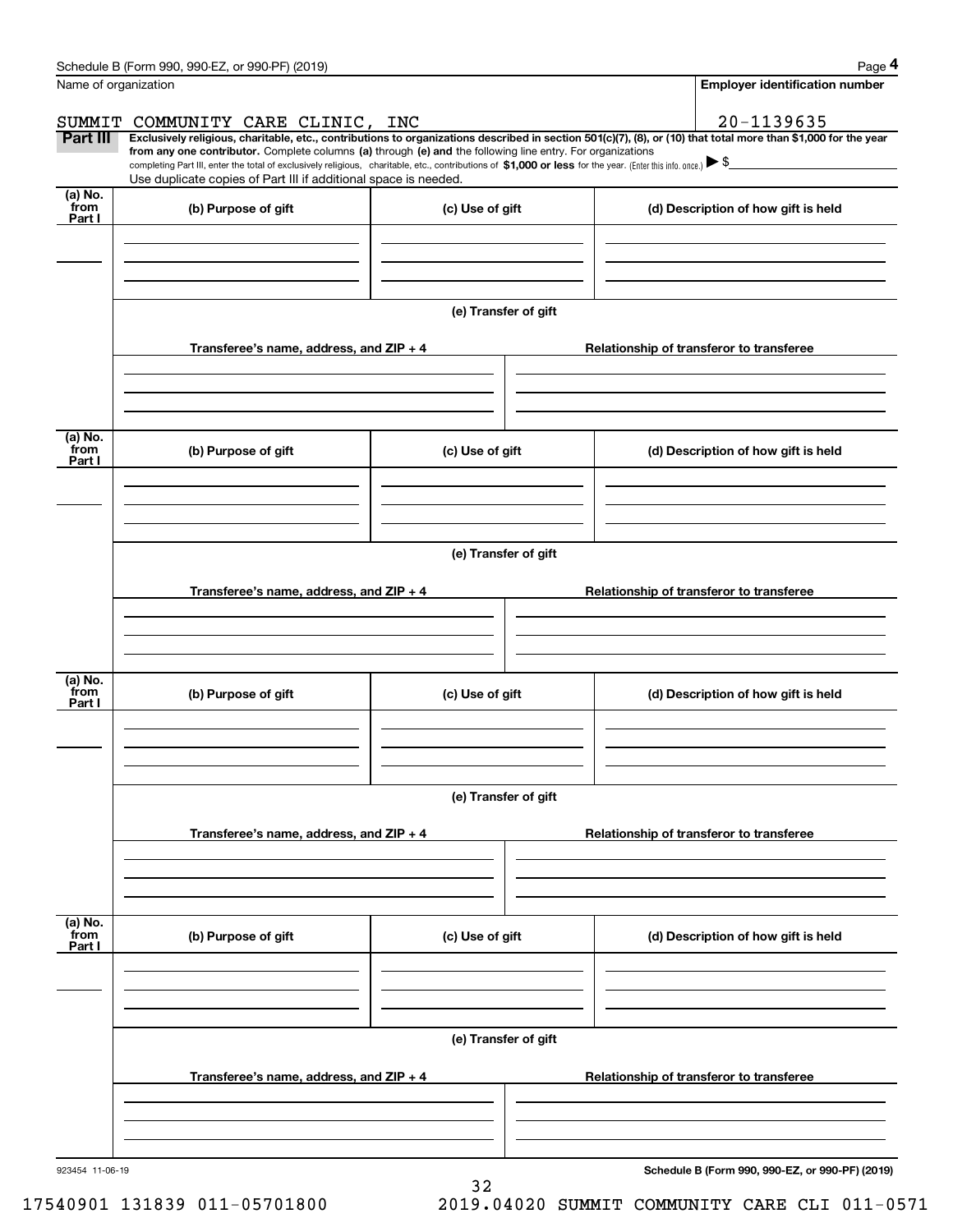|                           | Schedule B (Form 990, 990-EZ, or 990-PF) (2019)                                                                                                              |                      | Page 4                                                                                                                                                         |
|---------------------------|--------------------------------------------------------------------------------------------------------------------------------------------------------------|----------------------|----------------------------------------------------------------------------------------------------------------------------------------------------------------|
|                           | Name of organization                                                                                                                                         |                      | <b>Employer identification number</b>                                                                                                                          |
|                           | SUMMIT COMMUNITY CARE CLINIC, INC                                                                                                                            |                      | 20-1139635                                                                                                                                                     |
| <b>Part III</b>           | from any one contributor. Complete columns (a) through (e) and the following line entry. For organizations                                                   |                      | Exclusively religious, charitable, etc., contributions to organizations described in section 501(c)(7), (8), or (10) that total more than \$1,000 for the year |
|                           | completing Part III, enter the total of exclusively religious, charitable, etc., contributions of \$1,000 or less for the year. (Enter this info. once.) \\$ |                      |                                                                                                                                                                |
| (a) No.                   | Use duplicate copies of Part III if additional space is needed.                                                                                              |                      |                                                                                                                                                                |
| from<br>Part I            | (b) Purpose of gift                                                                                                                                          | (c) Use of gift      | (d) Description of how gift is held                                                                                                                            |
|                           |                                                                                                                                                              |                      |                                                                                                                                                                |
|                           |                                                                                                                                                              |                      |                                                                                                                                                                |
|                           |                                                                                                                                                              |                      |                                                                                                                                                                |
|                           |                                                                                                                                                              | (e) Transfer of gift |                                                                                                                                                                |
|                           | Transferee's name, address, and $ZIP + 4$                                                                                                                    |                      | Relationship of transferor to transferee                                                                                                                       |
|                           |                                                                                                                                                              |                      |                                                                                                                                                                |
|                           |                                                                                                                                                              |                      |                                                                                                                                                                |
|                           |                                                                                                                                                              |                      |                                                                                                                                                                |
| (a) No.<br>from           | (b) Purpose of gift                                                                                                                                          | (c) Use of gift      | (d) Description of how gift is held                                                                                                                            |
| Part I                    |                                                                                                                                                              |                      |                                                                                                                                                                |
|                           |                                                                                                                                                              |                      |                                                                                                                                                                |
|                           |                                                                                                                                                              |                      |                                                                                                                                                                |
|                           |                                                                                                                                                              | (e) Transfer of gift |                                                                                                                                                                |
|                           |                                                                                                                                                              |                      |                                                                                                                                                                |
|                           | Transferee's name, address, and $ZIP + 4$                                                                                                                    |                      | Relationship of transferor to transferee                                                                                                                       |
|                           |                                                                                                                                                              |                      |                                                                                                                                                                |
|                           |                                                                                                                                                              |                      |                                                                                                                                                                |
| (a) No.                   |                                                                                                                                                              |                      |                                                                                                                                                                |
| from<br>Part I            | (b) Purpose of gift                                                                                                                                          | (c) Use of gift      | (d) Description of how gift is held                                                                                                                            |
|                           |                                                                                                                                                              |                      |                                                                                                                                                                |
|                           |                                                                                                                                                              |                      |                                                                                                                                                                |
|                           |                                                                                                                                                              |                      |                                                                                                                                                                |
|                           |                                                                                                                                                              | (e) Transfer of gift |                                                                                                                                                                |
|                           | Transferee's name, address, and $ZIP + 4$                                                                                                                    |                      | Relationship of transferor to transferee                                                                                                                       |
|                           |                                                                                                                                                              |                      |                                                                                                                                                                |
|                           |                                                                                                                                                              |                      |                                                                                                                                                                |
|                           |                                                                                                                                                              |                      |                                                                                                                                                                |
| (a) No.<br>from<br>Part I | (b) Purpose of gift                                                                                                                                          | (c) Use of gift      | (d) Description of how gift is held                                                                                                                            |
|                           |                                                                                                                                                              |                      |                                                                                                                                                                |
|                           |                                                                                                                                                              |                      |                                                                                                                                                                |
|                           |                                                                                                                                                              |                      |                                                                                                                                                                |
|                           |                                                                                                                                                              | (e) Transfer of gift |                                                                                                                                                                |
|                           |                                                                                                                                                              |                      |                                                                                                                                                                |
|                           | Transferee's name, address, and ZIP + 4                                                                                                                      |                      | Relationship of transferor to transferee                                                                                                                       |
|                           |                                                                                                                                                              |                      |                                                                                                                                                                |
|                           |                                                                                                                                                              |                      |                                                                                                                                                                |
| 923454 11-06-19           |                                                                                                                                                              |                      | Schedule B (Form 990, 990-EZ, or 990-PF) (2019)                                                                                                                |

32

**Schedule B (Form 990, 990-EZ, or 990-PF) (2019)**

17540901 131839 011-05701800 2019.04020 SUMMIT COMMUNITY CARE CLI 011-0571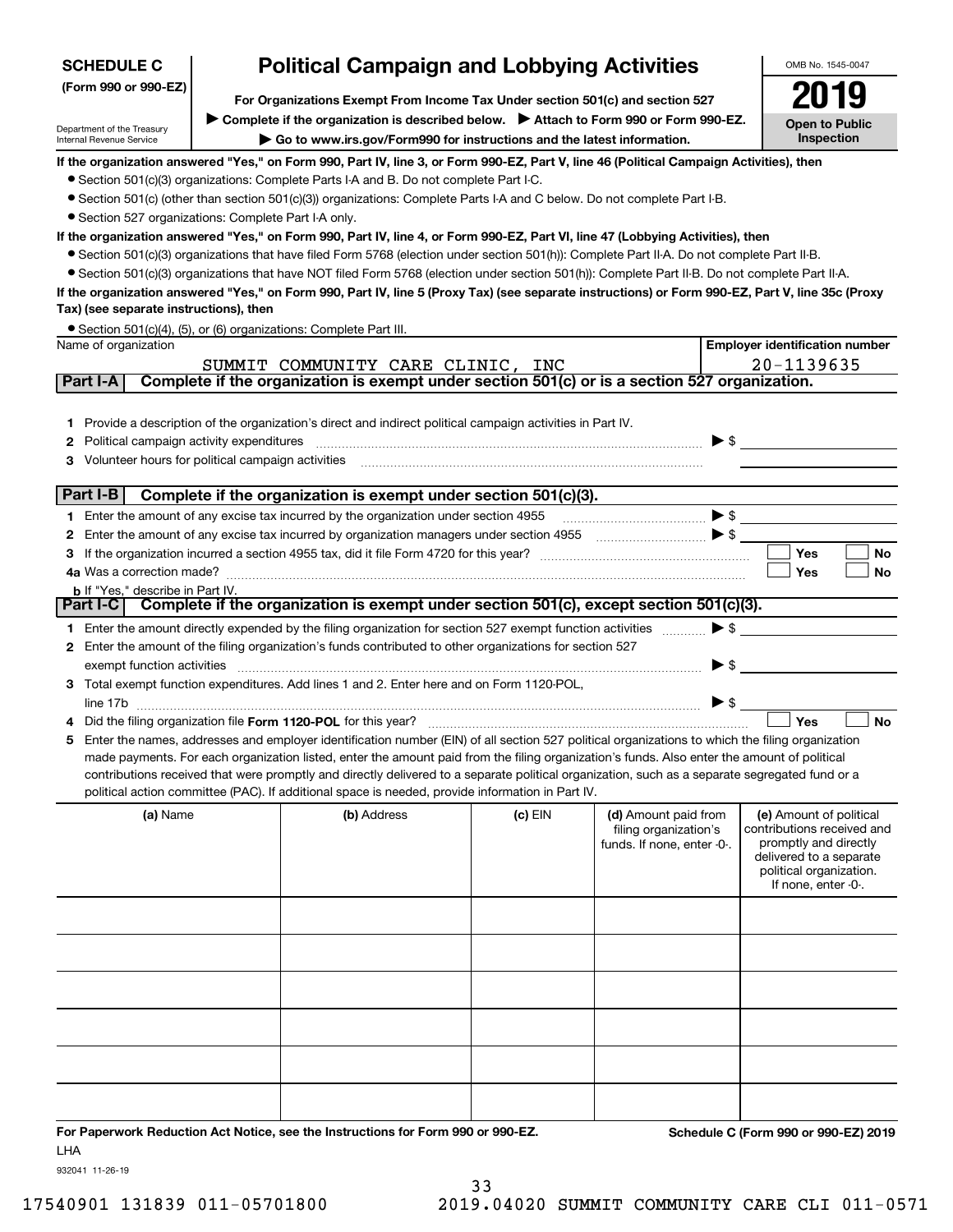| <b>SCHEDULE C</b>                                      |                                                                                                                                                                   | <b>Political Campaign and Lobbying Activities</b>                                                                                                 |           |                                               | OMB No. 1545-0047                                     |  |  |
|--------------------------------------------------------|-------------------------------------------------------------------------------------------------------------------------------------------------------------------|---------------------------------------------------------------------------------------------------------------------------------------------------|-----------|-----------------------------------------------|-------------------------------------------------------|--|--|
| (Form 990 or 990-EZ)                                   |                                                                                                                                                                   |                                                                                                                                                   |           |                                               |                                                       |  |  |
|                                                        |                                                                                                                                                                   | For Organizations Exempt From Income Tax Under section 501(c) and section 527                                                                     |           |                                               | <b>Open to Public</b>                                 |  |  |
| Department of the Treasury<br>Internal Revenue Service | ▶ Complete if the organization is described below. ▶ Attach to Form 990 or Form 990-EZ.<br>Go to www.irs.gov/Form990 for instructions and the latest information. |                                                                                                                                                   |           |                                               |                                                       |  |  |
|                                                        |                                                                                                                                                                   | If the organization answered "Yes," on Form 990, Part IV, line 3, or Form 990-EZ, Part V, line 46 (Political Campaign Activities), then           |           |                                               | Inspection                                            |  |  |
|                                                        |                                                                                                                                                                   | • Section 501(c)(3) organizations: Complete Parts I-A and B. Do not complete Part I-C.                                                            |           |                                               |                                                       |  |  |
|                                                        |                                                                                                                                                                   | • Section 501(c) (other than section 501(c)(3)) organizations: Complete Parts I-A and C below. Do not complete Part I-B.                          |           |                                               |                                                       |  |  |
| • Section 527 organizations: Complete Part I-A only.   |                                                                                                                                                                   |                                                                                                                                                   |           |                                               |                                                       |  |  |
|                                                        |                                                                                                                                                                   | If the organization answered "Yes," on Form 990, Part IV, line 4, or Form 990-EZ, Part VI, line 47 (Lobbying Activities), then                    |           |                                               |                                                       |  |  |
|                                                        |                                                                                                                                                                   | • Section 501(c)(3) organizations that have filed Form 5768 (election under section 501(h)): Complete Part II-A. Do not complete Part II-B.       |           |                                               |                                                       |  |  |
|                                                        |                                                                                                                                                                   | • Section 501(c)(3) organizations that have NOT filed Form 5768 (election under section 501(h)): Complete Part II-B. Do not complete Part II-A.   |           |                                               |                                                       |  |  |
|                                                        |                                                                                                                                                                   | If the organization answered "Yes," on Form 990, Part IV, line 5 (Proxy Tax) (see separate instructions) or Form 990-EZ, Part V, line 35c (Proxy  |           |                                               |                                                       |  |  |
| Tax) (see separate instructions), then                 |                                                                                                                                                                   |                                                                                                                                                   |           |                                               |                                                       |  |  |
|                                                        |                                                                                                                                                                   | • Section 501(c)(4), (5), or (6) organizations: Complete Part III.                                                                                |           |                                               |                                                       |  |  |
| Name of organization                                   |                                                                                                                                                                   |                                                                                                                                                   |           |                                               | <b>Employer identification number</b>                 |  |  |
|                                                        |                                                                                                                                                                   | SUMMIT COMMUNITY CARE CLINIC, INC                                                                                                                 |           |                                               | 20-1139635                                            |  |  |
| Part I-A                                               |                                                                                                                                                                   | Complete if the organization is exempt under section 501(c) or is a section 527 organization.                                                     |           |                                               |                                                       |  |  |
|                                                        |                                                                                                                                                                   |                                                                                                                                                   |           |                                               |                                                       |  |  |
|                                                        |                                                                                                                                                                   | 1 Provide a description of the organization's direct and indirect political campaign activities in Part IV.                                       |           |                                               |                                                       |  |  |
| Political campaign activity expenditures<br>2          |                                                                                                                                                                   |                                                                                                                                                   |           |                                               | $\blacktriangleright$ \$                              |  |  |
| Volunteer hours for political campaign activities<br>з |                                                                                                                                                                   |                                                                                                                                                   |           |                                               |                                                       |  |  |
| Part I-B                                               |                                                                                                                                                                   | Complete if the organization is exempt under section 501(c)(3).                                                                                   |           |                                               |                                                       |  |  |
|                                                        |                                                                                                                                                                   | 1 Enter the amount of any excise tax incurred by the organization under section 4955                                                              |           |                                               | $\blacktriangleright$ \$                              |  |  |
| 2                                                      |                                                                                                                                                                   | Enter the amount of any excise tax incurred by organization managers under section 4955                                                           |           |                                               |                                                       |  |  |
| з                                                      |                                                                                                                                                                   |                                                                                                                                                   |           |                                               | <b>Yes</b><br><b>No</b>                               |  |  |
| 4a Was a correction made?                              |                                                                                                                                                                   |                                                                                                                                                   |           |                                               | Yes<br>No                                             |  |  |
| <b>b</b> If "Yes," describe in Part IV.                |                                                                                                                                                                   |                                                                                                                                                   |           |                                               |                                                       |  |  |
|                                                        |                                                                                                                                                                   | Part I-C   Complete if the organization is exempt under section 501(c), except section 501(c)(3).                                                 |           |                                               |                                                       |  |  |
|                                                        |                                                                                                                                                                   | 1 Enter the amount directly expended by the filing organization for section 527 exempt function activities                                        |           |                                               | $\blacktriangleright$ \$                              |  |  |
|                                                        |                                                                                                                                                                   | 2 Enter the amount of the filing organization's funds contributed to other organizations for section 527                                          |           |                                               |                                                       |  |  |
| exempt function activities                             |                                                                                                                                                                   |                                                                                                                                                   |           |                                               | $\blacktriangleright$ \$                              |  |  |
|                                                        |                                                                                                                                                                   | 3 Total exempt function expenditures. Add lines 1 and 2. Enter here and on Form 1120-POL,                                                         |           |                                               |                                                       |  |  |
|                                                        |                                                                                                                                                                   |                                                                                                                                                   |           |                                               | $\blacktriangleright$ \$                              |  |  |
|                                                        |                                                                                                                                                                   | Did the filing organization file Form 1120-POL for this year?                                                                                     |           |                                               | Yes<br><b>No</b>                                      |  |  |
|                                                        |                                                                                                                                                                   | 5 Enter the names, addresses and employer identification number (EIN) of all section 527 political organizations to which the filing organization |           |                                               |                                                       |  |  |
|                                                        |                                                                                                                                                                   | made payments. For each organization listed, enter the amount paid from the filing organization's funds. Also enter the amount of political       |           |                                               |                                                       |  |  |
|                                                        |                                                                                                                                                                   | contributions received that were promptly and directly delivered to a separate political organization, such as a separate segregated fund or a    |           |                                               |                                                       |  |  |
|                                                        |                                                                                                                                                                   | political action committee (PAC). If additional space is needed, provide information in Part IV.                                                  |           |                                               |                                                       |  |  |
| (a) Name                                               |                                                                                                                                                                   | (b) Address                                                                                                                                       | $(c)$ EIN | (d) Amount paid from<br>filing organization's | (e) Amount of political<br>contributions received and |  |  |
|                                                        |                                                                                                                                                                   |                                                                                                                                                   |           | funds. If none, enter -0-.                    | promptly and directly                                 |  |  |
|                                                        |                                                                                                                                                                   |                                                                                                                                                   |           |                                               | delivered to a separate                               |  |  |
|                                                        |                                                                                                                                                                   |                                                                                                                                                   |           |                                               | political organization.<br>If none, enter -0-.        |  |  |
|                                                        |                                                                                                                                                                   |                                                                                                                                                   |           |                                               |                                                       |  |  |
|                                                        |                                                                                                                                                                   |                                                                                                                                                   |           |                                               |                                                       |  |  |
|                                                        |                                                                                                                                                                   |                                                                                                                                                   |           |                                               |                                                       |  |  |
|                                                        |                                                                                                                                                                   |                                                                                                                                                   |           |                                               |                                                       |  |  |
|                                                        |                                                                                                                                                                   |                                                                                                                                                   |           |                                               |                                                       |  |  |
|                                                        |                                                                                                                                                                   |                                                                                                                                                   |           |                                               |                                                       |  |  |
|                                                        |                                                                                                                                                                   |                                                                                                                                                   |           |                                               |                                                       |  |  |
|                                                        |                                                                                                                                                                   |                                                                                                                                                   |           |                                               |                                                       |  |  |
|                                                        |                                                                                                                                                                   |                                                                                                                                                   |           |                                               |                                                       |  |  |
|                                                        |                                                                                                                                                                   |                                                                                                                                                   |           |                                               |                                                       |  |  |
|                                                        |                                                                                                                                                                   |                                                                                                                                                   |           |                                               |                                                       |  |  |
|                                                        |                                                                                                                                                                   |                                                                                                                                                   |           |                                               |                                                       |  |  |

**For Paperwork Reduction Act Notice, see the Instructions for Form 990 or 990-EZ. Schedule C (Form 990 or 990-EZ) 2019** LHA

 $\mathbf{I}$ 

932041 11-26-19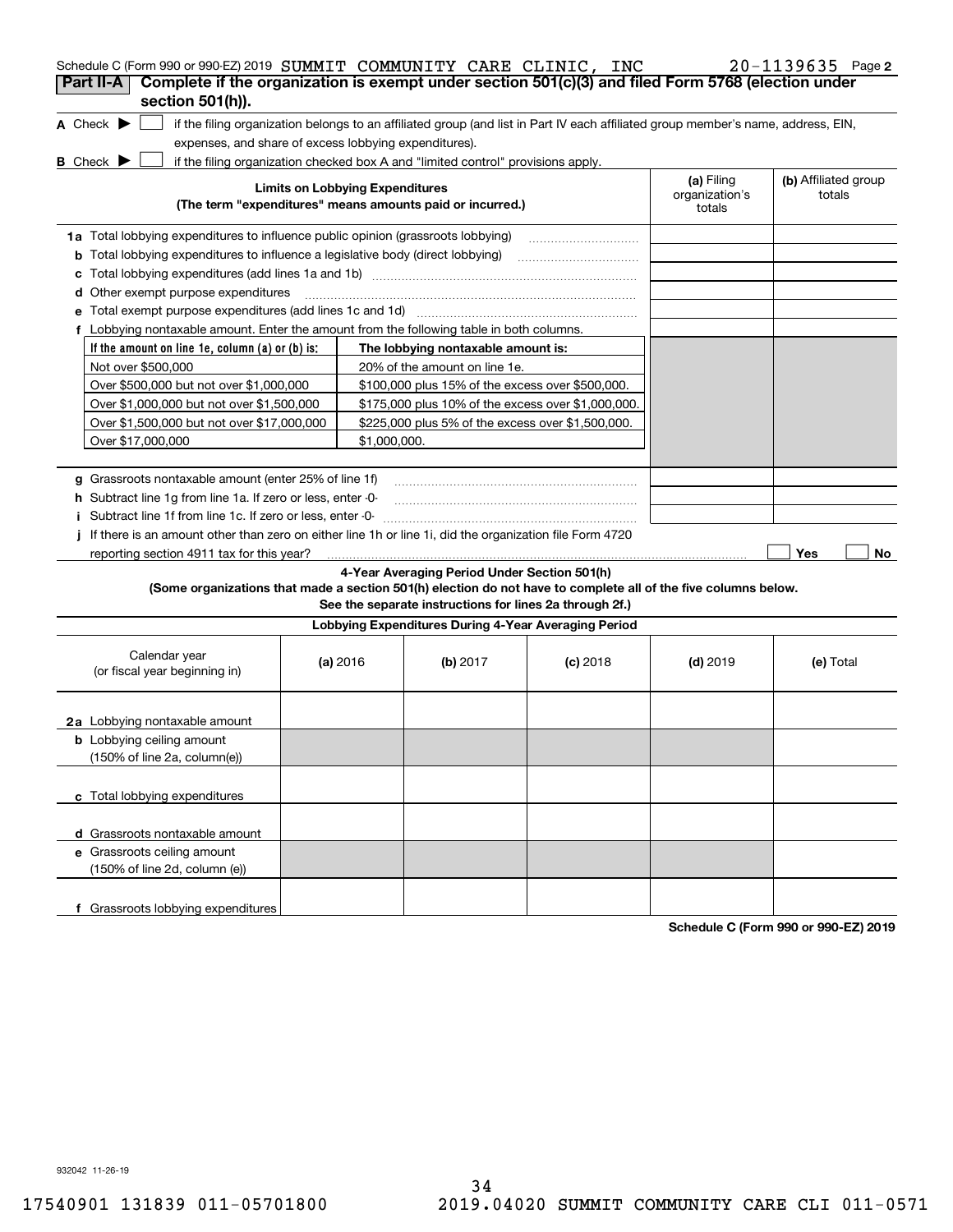| Schedule C (Form 990 or 990-EZ) 2019 SUMMIT COMMUNITY CARE CLINIC, INC                                                              |                                        |                                                                                  |                                                                                                                                   |                              | $20 - 1139635$ Page 2          |
|-------------------------------------------------------------------------------------------------------------------------------------|----------------------------------------|----------------------------------------------------------------------------------|-----------------------------------------------------------------------------------------------------------------------------------|------------------------------|--------------------------------|
| Complete if the organization is exempt under section 501(c)(3) and filed Form 5768 (election under<br>Part II-A<br>section 501(h)). |                                        |                                                                                  |                                                                                                                                   |                              |                                |
| A Check $\blacktriangleright$                                                                                                       |                                        |                                                                                  | if the filing organization belongs to an affiliated group (and list in Part IV each affiliated group member's name, address, EIN, |                              |                                |
| expenses, and share of excess lobbying expenditures).                                                                               |                                        |                                                                                  |                                                                                                                                   |                              |                                |
| <b>B</b> Check $\blacktriangleright$                                                                                                |                                        | if the filing organization checked box A and "limited control" provisions apply. |                                                                                                                                   |                              |                                |
|                                                                                                                                     | <b>Limits on Lobbying Expenditures</b> |                                                                                  |                                                                                                                                   | (a) Filing<br>organization's | (b) Affiliated group<br>totals |
|                                                                                                                                     |                                        | (The term "expenditures" means amounts paid or incurred.)                        |                                                                                                                                   | totals                       |                                |
| 1a Total lobbying expenditures to influence public opinion (grassroots lobbying)                                                    |                                        |                                                                                  |                                                                                                                                   |                              |                                |
| <b>b</b> Total lobbying expenditures to influence a legislative body (direct lobbying)                                              |                                        |                                                                                  |                                                                                                                                   |                              |                                |
| c                                                                                                                                   |                                        |                                                                                  |                                                                                                                                   |                              |                                |
| d Other exempt purpose expenditures                                                                                                 |                                        |                                                                                  |                                                                                                                                   |                              |                                |
|                                                                                                                                     |                                        |                                                                                  |                                                                                                                                   |                              |                                |
| f Lobbying nontaxable amount. Enter the amount from the following table in both columns.                                            |                                        |                                                                                  |                                                                                                                                   |                              |                                |
| If the amount on line 1e, column $(a)$ or $(b)$ is:                                                                                 |                                        | The lobbying nontaxable amount is:                                               |                                                                                                                                   |                              |                                |
| Not over \$500,000                                                                                                                  |                                        | 20% of the amount on line 1e.                                                    |                                                                                                                                   |                              |                                |
| Over \$500,000 but not over \$1,000,000                                                                                             |                                        | \$100,000 plus 15% of the excess over \$500,000.                                 |                                                                                                                                   |                              |                                |
| Over \$1,000,000 but not over \$1,500,000                                                                                           |                                        | \$175,000 plus 10% of the excess over \$1,000,000.                               |                                                                                                                                   |                              |                                |
| Over \$1,500,000 but not over \$17,000,000                                                                                          |                                        | \$225,000 plus 5% of the excess over \$1,500,000.                                |                                                                                                                                   |                              |                                |
| Over \$17,000,000                                                                                                                   | \$1,000,000.                           |                                                                                  |                                                                                                                                   |                              |                                |
|                                                                                                                                     |                                        |                                                                                  |                                                                                                                                   |                              |                                |
| g Grassroots nontaxable amount (enter 25% of line 1f)                                                                               |                                        |                                                                                  |                                                                                                                                   |                              |                                |
| <b>h</b> Subtract line 1g from line 1a. If zero or less, enter -0-                                                                  |                                        |                                                                                  |                                                                                                                                   |                              |                                |
| Subtract line 1f from line 1c. If zero or less, enter -0-                                                                           |                                        |                                                                                  |                                                                                                                                   |                              |                                |
| If there is an amount other than zero on either line 1h or line 1i, did the organization file Form 4720                             |                                        |                                                                                  |                                                                                                                                   |                              |                                |
| reporting section 4911 tax for this year?                                                                                           |                                        |                                                                                  |                                                                                                                                   |                              | Yes<br>No                      |
|                                                                                                                                     |                                        | 4-Year Averaging Period Under Section 501(h)                                     |                                                                                                                                   |                              |                                |
| (Some organizations that made a section 501(h) election do not have to complete all of the five columns below.                      |                                        | See the separate instructions for lines 2a through 2f.)                          |                                                                                                                                   |                              |                                |
|                                                                                                                                     |                                        | Lobbying Expenditures During 4-Year Averaging Period                             |                                                                                                                                   |                              |                                |
| Calendar year<br>(or fiscal year beginning in)                                                                                      | (a) 2016                               | (b) $2017$                                                                       | $(c)$ 2018                                                                                                                        | $(d)$ 2019                   | (e) Total                      |
| 2a Lobbying nontaxable amount                                                                                                       |                                        |                                                                                  |                                                                                                                                   |                              |                                |
| <b>b</b> Lobbying ceiling amount<br>(150% of line 2a, column(e))                                                                    |                                        |                                                                                  |                                                                                                                                   |                              |                                |
| c Total lobbying expenditures                                                                                                       |                                        |                                                                                  |                                                                                                                                   |                              |                                |
| d Grassroots nontaxable amount                                                                                                      |                                        |                                                                                  |                                                                                                                                   |                              |                                |
| e Grassroots ceiling amount                                                                                                         |                                        |                                                                                  |                                                                                                                                   |                              |                                |
| (150% of line 2d, column (e))                                                                                                       |                                        |                                                                                  |                                                                                                                                   |                              |                                |
|                                                                                                                                     |                                        |                                                                                  |                                                                                                                                   |                              |                                |
| f Grassroots lobbying expenditures                                                                                                  |                                        |                                                                                  |                                                                                                                                   |                              |                                |

**Schedule C (Form 990 or 990-EZ) 2019**

932042 11-26-19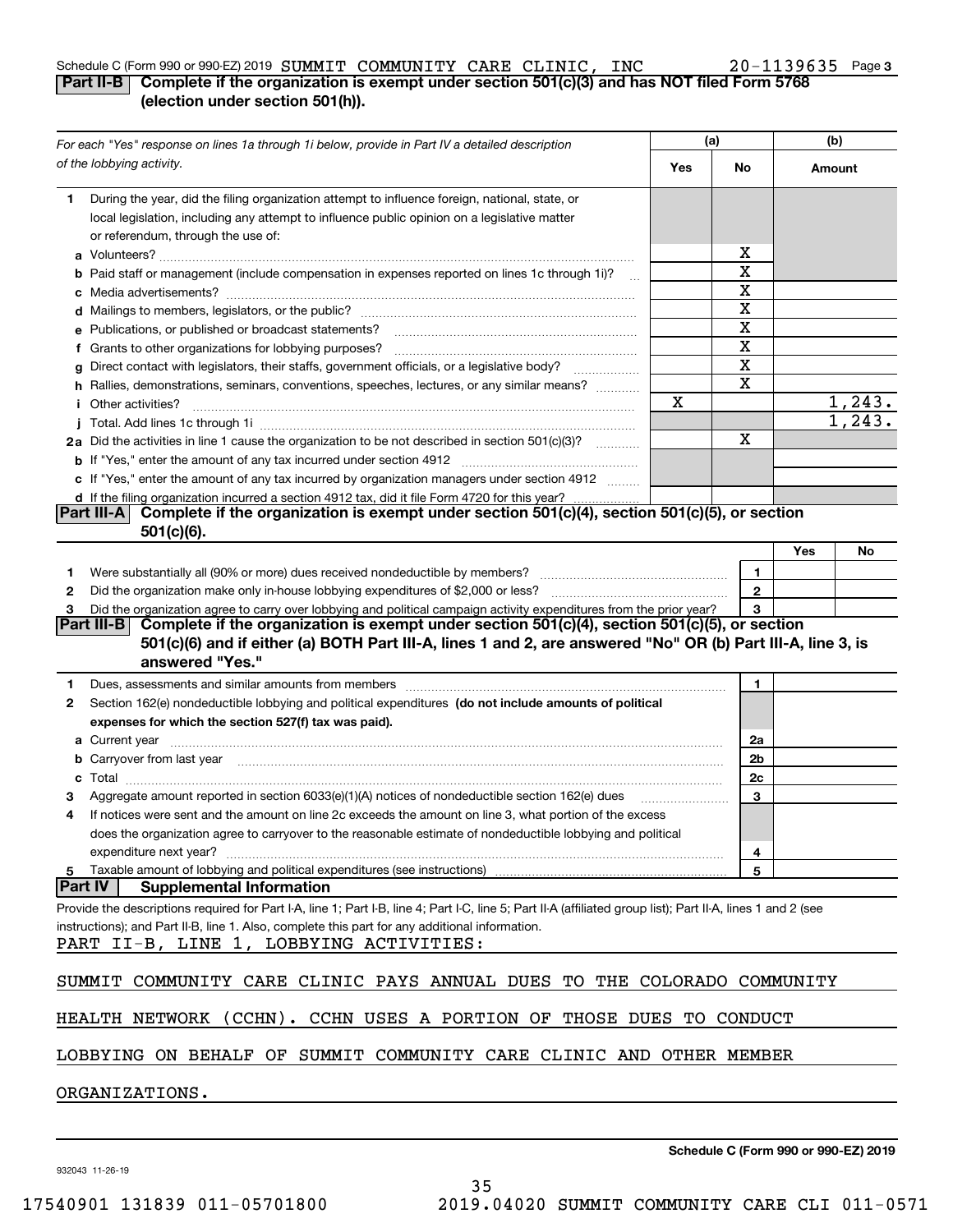## Schedule C (Form 990 or 990-EZ) 2019  ${\bf SUMMIT}$   ${\bf COMMUNITY}$   ${\bf CARE}$   ${\bf CLINIC}$ ,  ${\bf INC}$   $20-1139635$  Page

#### **3**

#### **Part II-B Complete if the organization is exempt under section 501(c)(3) and has NOT filed Form 5768 (election under section 501(h)).**

| For each "Yes" response on lines 1a through 1i below, provide in Part IV a detailed description |                                                                                                                                                                                                                                      | (a) |              | (b)    |         |
|-------------------------------------------------------------------------------------------------|--------------------------------------------------------------------------------------------------------------------------------------------------------------------------------------------------------------------------------------|-----|--------------|--------|---------|
|                                                                                                 | of the lobbying activity.                                                                                                                                                                                                            | Yes | No           | Amount |         |
| 1.                                                                                              | During the year, did the filing organization attempt to influence foreign, national, state, or<br>local legislation, including any attempt to influence public opinion on a legislative matter<br>or referendum, through the use of: |     | х            |        |         |
|                                                                                                 | <b>b</b> Paid staff or management (include compensation in expenses reported on lines 1c through 1i)?                                                                                                                                |     | X            |        |         |
|                                                                                                 |                                                                                                                                                                                                                                      |     | X            |        |         |
|                                                                                                 |                                                                                                                                                                                                                                      |     | X            |        |         |
|                                                                                                 | e Publications, or published or broadcast statements?                                                                                                                                                                                |     | X            |        |         |
|                                                                                                 | f Grants to other organizations for lobbying purposes?                                                                                                                                                                               |     | X            |        |         |
|                                                                                                 | g Direct contact with legislators, their staffs, government officials, or a legislative body?                                                                                                                                        |     | X            |        |         |
|                                                                                                 | h Rallies, demonstrations, seminars, conventions, speeches, lectures, or any similar means?                                                                                                                                          |     | X            |        |         |
|                                                                                                 | <i>i</i> Other activities?                                                                                                                                                                                                           | X   |              |        | 1,243.  |
|                                                                                                 |                                                                                                                                                                                                                                      |     |              |        | 1, 243. |
|                                                                                                 | 2a Did the activities in line 1 cause the organization to be not described in section 501(c)(3)?                                                                                                                                     |     | х            |        |         |
|                                                                                                 |                                                                                                                                                                                                                                      |     |              |        |         |
|                                                                                                 | c If "Yes," enter the amount of any tax incurred by organization managers under section 4912                                                                                                                                         |     |              |        |         |
|                                                                                                 | d If the filing organization incurred a section 4912 tax, did it file Form 4720 for this year?                                                                                                                                       |     |              |        |         |
|                                                                                                 | Complete if the organization is exempt under section 501(c)(4), section 501(c)(5), or section<br><b>Part III-AI</b><br>$501(c)(6)$ .                                                                                                 |     |              |        |         |
|                                                                                                 |                                                                                                                                                                                                                                      |     |              | Yes    | No      |
| 1.                                                                                              |                                                                                                                                                                                                                                      |     | 1            |        |         |
| 2                                                                                               |                                                                                                                                                                                                                                      |     | $\mathbf{2}$ |        |         |
| з                                                                                               | Did the organization agree to carry over lobbying and political campaign activity expenditures from the prior year?                                                                                                                  |     | 3            |        |         |
|                                                                                                 | Complete if the organization is exempt under section 501(c)(4), section 501(c)(5), or section<br>Part III-B I                                                                                                                        |     |              |        |         |
|                                                                                                 | 501(c)(6) and if either (a) BOTH Part III-A, lines 1 and 2, are answered "No" OR (b) Part III-A, line 3, is                                                                                                                          |     |              |        |         |
|                                                                                                 | answered "Yes."                                                                                                                                                                                                                      |     |              |        |         |
| 1.                                                                                              | Dues, assessments and similar amounts from members [11] matter continuum matter assessments and similar amounts from members [11] matter continuum matter assessments and similar amounts from members [11] matter and the sta       |     | 1.           |        |         |
| 2                                                                                               | Section 162(e) nondeductible lobbying and political expenditures (do not include amounts of political                                                                                                                                |     |              |        |         |
|                                                                                                 | expenses for which the section 527(f) tax was paid).                                                                                                                                                                                 |     |              |        |         |
|                                                                                                 |                                                                                                                                                                                                                                      |     | 2a           |        |         |
|                                                                                                 | <b>b</b> Carryover from last year manufactured and content to content the content of the content of the content of the content of the content of the content of the content of the content of the content of the content of the con  |     | 2b           |        |         |
| c                                                                                               |                                                                                                                                                                                                                                      |     | 2c           |        |         |
|                                                                                                 | Aggregate amount reported in section 6033(e)(1)(A) notices of nondeductible section 162(e) dues                                                                                                                                      |     | 3            |        |         |
| 4                                                                                               | If notices were sent and the amount on line 2c exceeds the amount on line 3, what portion of the excess                                                                                                                              |     |              |        |         |
|                                                                                                 | does the organization agree to carryover to the reasonable estimate of nondeductible lobbying and political                                                                                                                          |     |              |        |         |
|                                                                                                 | expenditure next year?                                                                                                                                                                                                               |     | 4            |        |         |
| 5                                                                                               | Taxable amount of lobbying and political expenditures (see instructions)                                                                                                                                                             |     | 5            |        |         |
| <b>Part IV</b>                                                                                  | <b>Supplemental Information</b>                                                                                                                                                                                                      |     |              |        |         |
|                                                                                                 | Provide the descriptions required for Part I-A, line 1; Part I-B, line 4; Part I-C, line 5; Part II-A (affiliated group list); Part II-A, lines 1 and 2 (see                                                                         |     |              |        |         |
|                                                                                                 | instructions); and Part II-B, line 1. Also, complete this part for any additional information.                                                                                                                                       |     |              |        |         |
|                                                                                                 | PART II-B, LINE 1, LOBBYING ACTIVITIES:                                                                                                                                                                                              |     |              |        |         |
|                                                                                                 | COMMUNITY CARE CLINIC PAYS ANNUAL DUES TO THE COLORADO COMMUNITY                                                                                                                                                                     |     |              |        |         |
|                                                                                                 | SUMMIT                                                                                                                                                                                                                               |     |              |        |         |
|                                                                                                 | HEALTH NETWORK (CCHN). CCHN USES A PORTION OF THOSE DUES TO CONDUCT                                                                                                                                                                  |     |              |        |         |
|                                                                                                 | LOBBYING ON BEHALF OF SUMMIT COMMUNITY CARE CLINIC AND OTHER MEMBER                                                                                                                                                                  |     |              |        |         |
|                                                                                                 | ORGANIZATIONS.                                                                                                                                                                                                                       |     |              |        |         |
|                                                                                                 |                                                                                                                                                                                                                                      |     |              |        |         |

932043 11-26-19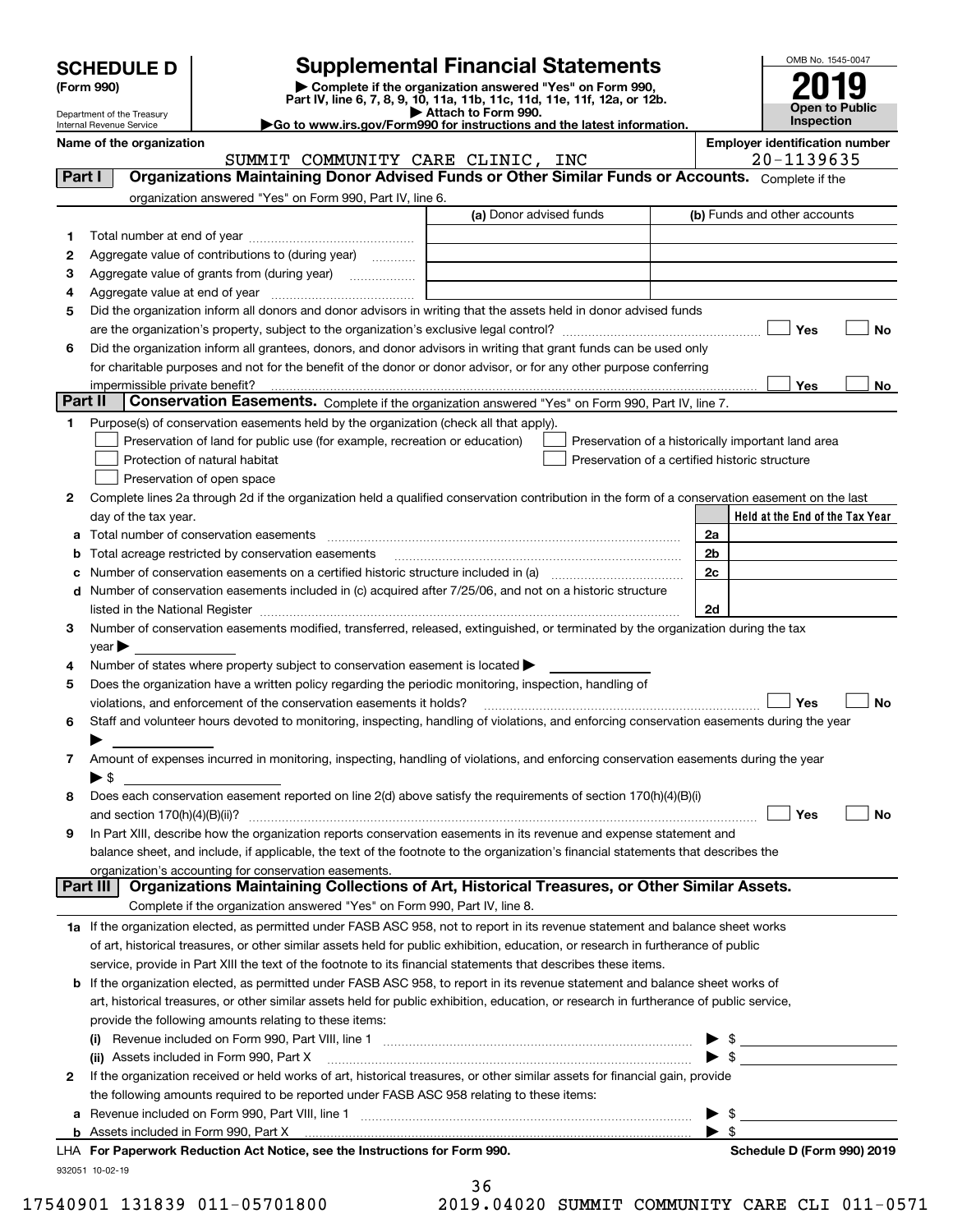| <b>SCHEDULE D</b> |  |
|-------------------|--|
|-------------------|--|

| (Form 990) |  |
|------------|--|
|------------|--|

## **Supplemental Financial Statements**

(Form 990)<br>
Pepartment of the Treasury<br>
Department of the Treasury<br>
Department of the Treasury<br>
Department of the Treasury<br> **Co to www.irs.gov/Form990 for instructions and the latest information.**<br> **Co to www.irs.gov/Form9** 



Department of the Treasury Internal Revenue Service

**Name of the organization Employer identification number**

SUMMIT COMMUNITY CARE CLINIC, INC 20-1139635

Complete it the set

| Part I  | Organizations Maintaining Donor Advised Funds or Other Similar Funds or Accounts. Complete if the                                                                                                                                                                                                                                                                 |                         |                                                    |
|---------|-------------------------------------------------------------------------------------------------------------------------------------------------------------------------------------------------------------------------------------------------------------------------------------------------------------------------------------------------------------------|-------------------------|----------------------------------------------------|
|         | organization answered "Yes" on Form 990, Part IV, line 6.                                                                                                                                                                                                                                                                                                         |                         |                                                    |
|         |                                                                                                                                                                                                                                                                                                                                                                   | (a) Donor advised funds | (b) Funds and other accounts                       |
| 1       |                                                                                                                                                                                                                                                                                                                                                                   |                         |                                                    |
| 2       | Aggregate value of contributions to (during year)                                                                                                                                                                                                                                                                                                                 |                         |                                                    |
| 3       | Aggregate value of grants from (during year)                                                                                                                                                                                                                                                                                                                      |                         |                                                    |
| 4       |                                                                                                                                                                                                                                                                                                                                                                   |                         |                                                    |
| 5       | Did the organization inform all donors and donor advisors in writing that the assets held in donor advised funds                                                                                                                                                                                                                                                  |                         |                                                    |
|         |                                                                                                                                                                                                                                                                                                                                                                   |                         | Yes<br>No                                          |
| 6       | Did the organization inform all grantees, donors, and donor advisors in writing that grant funds can be used only                                                                                                                                                                                                                                                 |                         |                                                    |
|         | for charitable purposes and not for the benefit of the donor or donor advisor, or for any other purpose conferring                                                                                                                                                                                                                                                |                         |                                                    |
|         | impermissible private benefit?                                                                                                                                                                                                                                                                                                                                    |                         | Yes<br>No                                          |
| Part II | Conservation Easements. Complete if the organization answered "Yes" on Form 990, Part IV, line 7.                                                                                                                                                                                                                                                                 |                         |                                                    |
| 1.      | Purpose(s) of conservation easements held by the organization (check all that apply).                                                                                                                                                                                                                                                                             |                         |                                                    |
|         | Preservation of land for public use (for example, recreation or education)                                                                                                                                                                                                                                                                                        |                         | Preservation of a historically important land area |
|         | Protection of natural habitat                                                                                                                                                                                                                                                                                                                                     |                         | Preservation of a certified historic structure     |
|         | Preservation of open space                                                                                                                                                                                                                                                                                                                                        |                         |                                                    |
| 2       | Complete lines 2a through 2d if the organization held a qualified conservation contribution in the form of a conservation easement on the last                                                                                                                                                                                                                    |                         |                                                    |
|         | day of the tax year.                                                                                                                                                                                                                                                                                                                                              |                         | Held at the End of the Tax Year                    |
|         | a Total number of conservation easements [[11] non-minimum materials in the state of conservation easements [[11] non-minimum materials in the state of conservation easements [[11] non-minimum materials in the state of con                                                                                                                                    |                         | 2a                                                 |
|         | <b>b</b> Total acreage restricted by conservation easements                                                                                                                                                                                                                                                                                                       |                         | 2 <sub>b</sub>                                     |
|         | c Number of conservation easements on a certified historic structure included in (a) manufacture included in (a)                                                                                                                                                                                                                                                  |                         | 2c                                                 |
|         | d Number of conservation easements included in (c) acquired after 7/25/06, and not on a historic structure                                                                                                                                                                                                                                                        |                         |                                                    |
|         |                                                                                                                                                                                                                                                                                                                                                                   |                         | 2d                                                 |
| 3       | listed in the National Register [11, 1200] [12] The National Register [11, 1200] [12] The National Register [11, 1200] [12] The National Register [11, 1200] [12] The National Register [11, 1200] [12] The National Register<br>Number of conservation easements modified, transferred, released, extinguished, or terminated by the organization during the tax |                         |                                                    |
|         |                                                                                                                                                                                                                                                                                                                                                                   |                         |                                                    |
|         | $year \blacktriangleright$                                                                                                                                                                                                                                                                                                                                        |                         |                                                    |
| 4       | Number of states where property subject to conservation easement is located >                                                                                                                                                                                                                                                                                     |                         |                                                    |
| 5       | Does the organization have a written policy regarding the periodic monitoring, inspection, handling of                                                                                                                                                                                                                                                            |                         | Yes<br>No                                          |
|         | violations, and enforcement of the conservation easements it holds?<br>Staff and volunteer hours devoted to monitoring, inspecting, handling of violations, and enforcing conservation easements during the year                                                                                                                                                  |                         |                                                    |
| 6       |                                                                                                                                                                                                                                                                                                                                                                   |                         |                                                    |
|         |                                                                                                                                                                                                                                                                                                                                                                   |                         |                                                    |
| 7       | Amount of expenses incurred in monitoring, inspecting, handling of violations, and enforcing conservation easements during the year                                                                                                                                                                                                                               |                         |                                                    |
|         | $\blacktriangleright$ \$<br>Does each conservation easement reported on line 2(d) above satisfy the requirements of section 170(h)(4)(B)(i)                                                                                                                                                                                                                       |                         |                                                    |
| 8       |                                                                                                                                                                                                                                                                                                                                                                   |                         |                                                    |
|         |                                                                                                                                                                                                                                                                                                                                                                   |                         | Yes<br>No                                          |
| 9       | In Part XIII, describe how the organization reports conservation easements in its revenue and expense statement and                                                                                                                                                                                                                                               |                         |                                                    |
|         | balance sheet, and include, if applicable, the text of the footnote to the organization's financial statements that describes the                                                                                                                                                                                                                                 |                         |                                                    |
|         | organization's accounting for conservation easements.<br>Organizations Maintaining Collections of Art, Historical Treasures, or Other Similar Assets.<br>Part III                                                                                                                                                                                                 |                         |                                                    |
|         | Complete if the organization answered "Yes" on Form 990, Part IV, line 8.                                                                                                                                                                                                                                                                                         |                         |                                                    |
|         |                                                                                                                                                                                                                                                                                                                                                                   |                         |                                                    |
|         | 1a If the organization elected, as permitted under FASB ASC 958, not to report in its revenue statement and balance sheet works                                                                                                                                                                                                                                   |                         |                                                    |
|         | of art, historical treasures, or other similar assets held for public exhibition, education, or research in furtherance of public                                                                                                                                                                                                                                 |                         |                                                    |
|         | service, provide in Part XIII the text of the footnote to its financial statements that describes these items.                                                                                                                                                                                                                                                    |                         |                                                    |
|         | <b>b</b> If the organization elected, as permitted under FASB ASC 958, to report in its revenue statement and balance sheet works of                                                                                                                                                                                                                              |                         |                                                    |
|         | art, historical treasures, or other similar assets held for public exhibition, education, or research in furtherance of public service,                                                                                                                                                                                                                           |                         |                                                    |
|         | provide the following amounts relating to these items:                                                                                                                                                                                                                                                                                                            |                         |                                                    |
|         |                                                                                                                                                                                                                                                                                                                                                                   |                         |                                                    |
|         | (ii) Assets included in Form 990, Part X                                                                                                                                                                                                                                                                                                                          |                         | $\blacktriangleright$ s                            |
| 2       | If the organization received or held works of art, historical treasures, or other similar assets for financial gain, provide                                                                                                                                                                                                                                      |                         |                                                    |
|         | the following amounts required to be reported under FASB ASC 958 relating to these items:                                                                                                                                                                                                                                                                         |                         |                                                    |
|         |                                                                                                                                                                                                                                                                                                                                                                   |                         |                                                    |
|         |                                                                                                                                                                                                                                                                                                                                                                   |                         | $\blacktriangleright$ s                            |
|         | LHA For Paperwork Reduction Act Notice, see the Instructions for Form 990.                                                                                                                                                                                                                                                                                        |                         | Schedule D (Form 990) 2019                         |
|         | 932051 10-02-19                                                                                                                                                                                                                                                                                                                                                   |                         |                                                    |
|         |                                                                                                                                                                                                                                                                                                                                                                   | 36                      |                                                    |

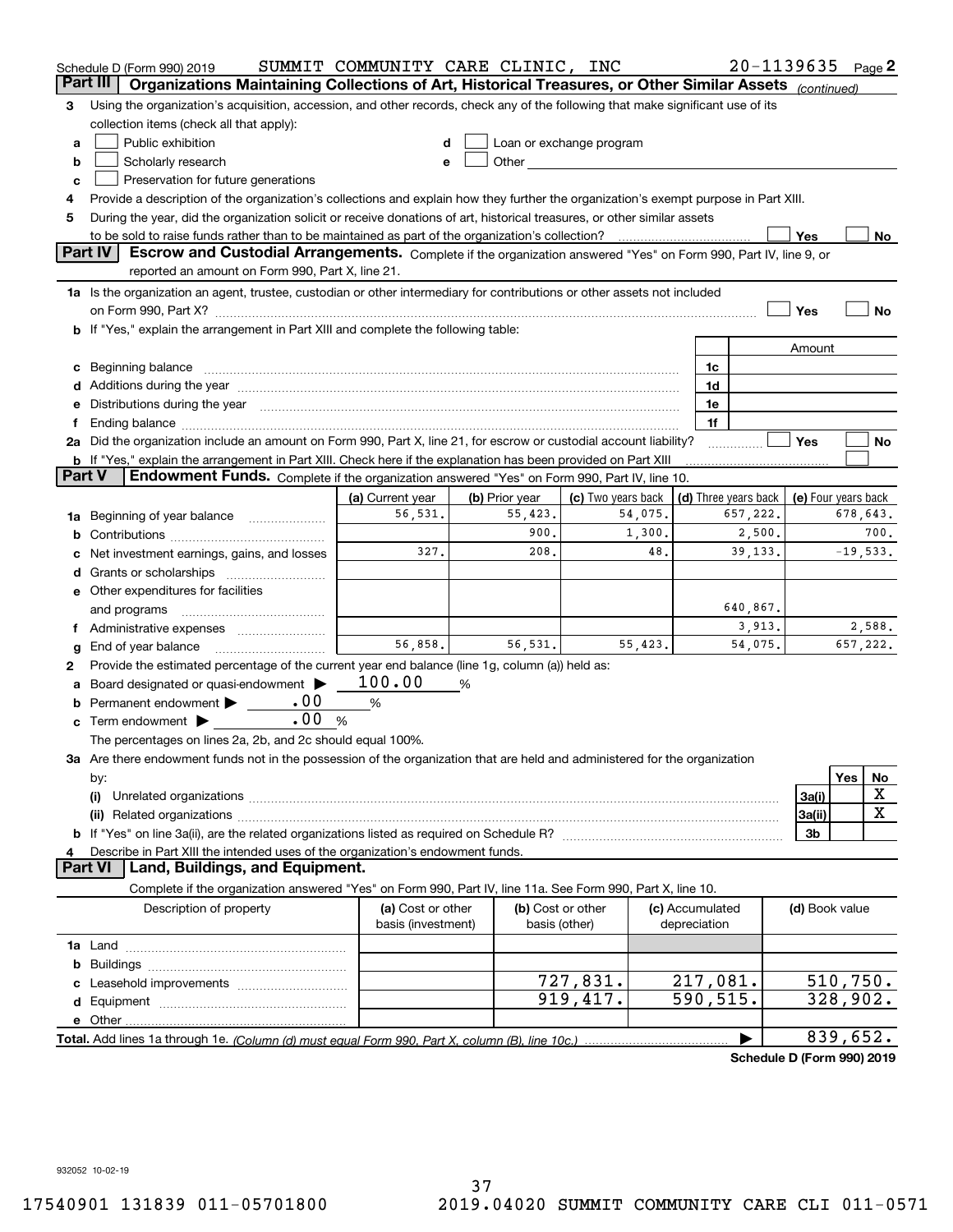|        | Schedule D (Form 990) 2019                                                                                                                                                                                                     | SUMMIT COMMUNITY CARE CLINIC, INC       |                |                                                                                                                                                                                                                               |         |                                 | $20 - 1139635$ Page 2 |                                |            |        |
|--------|--------------------------------------------------------------------------------------------------------------------------------------------------------------------------------------------------------------------------------|-----------------------------------------|----------------|-------------------------------------------------------------------------------------------------------------------------------------------------------------------------------------------------------------------------------|---------|---------------------------------|-----------------------|--------------------------------|------------|--------|
|        | Part III<br>Organizations Maintaining Collections of Art, Historical Treasures, or Other Similar Assets (continued)                                                                                                            |                                         |                |                                                                                                                                                                                                                               |         |                                 |                       |                                |            |        |
| з      | Using the organization's acquisition, accession, and other records, check any of the following that make significant use of its                                                                                                |                                         |                |                                                                                                                                                                                                                               |         |                                 |                       |                                |            |        |
|        | collection items (check all that apply):                                                                                                                                                                                       |                                         |                |                                                                                                                                                                                                                               |         |                                 |                       |                                |            |        |
| a      | Public exhibition                                                                                                                                                                                                              | d                                       |                | Loan or exchange program                                                                                                                                                                                                      |         |                                 |                       |                                |            |        |
| b      | Scholarly research                                                                                                                                                                                                             |                                         |                | Other and the contract of the contract of the contract of the contract of the contract of the contract of the contract of the contract of the contract of the contract of the contract of the contract of the contract of the |         |                                 |                       |                                |            |        |
| с      | Preservation for future generations                                                                                                                                                                                            |                                         |                |                                                                                                                                                                                                                               |         |                                 |                       |                                |            |        |
| 4      | Provide a description of the organization's collections and explain how they further the organization's exempt purpose in Part XIII.                                                                                           |                                         |                |                                                                                                                                                                                                                               |         |                                 |                       |                                |            |        |
| 5      | During the year, did the organization solicit or receive donations of art, historical treasures, or other similar assets                                                                                                       |                                         |                |                                                                                                                                                                                                                               |         |                                 |                       |                                |            |        |
|        |                                                                                                                                                                                                                                |                                         |                |                                                                                                                                                                                                                               |         |                                 |                       | Yes                            |            | No     |
|        | Escrow and Custodial Arrangements. Complete if the organization answered "Yes" on Form 990, Part IV, line 9, or<br>Part IV                                                                                                     |                                         |                |                                                                                                                                                                                                                               |         |                                 |                       |                                |            |        |
|        | reported an amount on Form 990, Part X, line 21.                                                                                                                                                                               |                                         |                |                                                                                                                                                                                                                               |         |                                 |                       |                                |            |        |
|        | 1a Is the organization an agent, trustee, custodian or other intermediary for contributions or other assets not included                                                                                                       |                                         |                |                                                                                                                                                                                                                               |         |                                 |                       |                                |            |        |
|        |                                                                                                                                                                                                                                |                                         |                |                                                                                                                                                                                                                               |         |                                 |                       | Yes                            |            | No     |
|        | <b>b</b> If "Yes," explain the arrangement in Part XIII and complete the following table:                                                                                                                                      |                                         |                |                                                                                                                                                                                                                               |         |                                 |                       |                                |            |        |
|        |                                                                                                                                                                                                                                |                                         |                |                                                                                                                                                                                                                               |         |                                 |                       | Amount                         |            |        |
|        |                                                                                                                                                                                                                                |                                         |                |                                                                                                                                                                                                                               |         | 1c                              |                       |                                |            |        |
|        | d Additions during the year measurements are all an according to the year.                                                                                                                                                     |                                         |                |                                                                                                                                                                                                                               |         | 1d                              |                       |                                |            |        |
|        | e Distributions during the year manufactured and an according to the year manufactured and the year manufactur                                                                                                                 |                                         |                |                                                                                                                                                                                                                               |         | 1e                              |                       |                                |            |        |
| f.     | Ending balance manufacture contract contract contract contract contract contract contract contract contract contract contract contract contract contract contract contract contract contract contract contract contract contra |                                         |                |                                                                                                                                                                                                                               |         | 1f                              |                       |                                |            |        |
|        | 2a Did the organization include an amount on Form 990, Part X, line 21, for escrow or custodial account liability?                                                                                                             |                                         |                |                                                                                                                                                                                                                               |         |                                 | .                     | Yes                            |            | No     |
| Part V | <b>b</b> If "Yes," explain the arrangement in Part XIII. Check here if the explanation has been provided on Part XIII<br>Endowment Funds. Complete if the organization answered "Yes" on Form 990, Part IV, line 10.           |                                         |                |                                                                                                                                                                                                                               |         |                                 |                       |                                |            |        |
|        |                                                                                                                                                                                                                                | (a) Current year                        | (b) Prior year | (c) Two years back                                                                                                                                                                                                            |         |                                 | (d) Three years back  | (e) Four years back            |            |        |
|        | 1a Beginning of year balance                                                                                                                                                                                                   | 56,531.                                 | 55,423.        |                                                                                                                                                                                                                               | 54,075. |                                 | 657,222.              |                                | 678,643.   |        |
| b      |                                                                                                                                                                                                                                |                                         | 900.           |                                                                                                                                                                                                                               | 1,300.  |                                 | 2,500.                |                                |            | 700.   |
|        | Net investment earnings, gains, and losses                                                                                                                                                                                     | 327.                                    | 208.           |                                                                                                                                                                                                                               | 48.     |                                 | 39,133.               |                                | $-19,533.$ |        |
|        | <b>d</b> Grants or scholarships <i>mummummum</i>                                                                                                                                                                               |                                         |                |                                                                                                                                                                                                                               |         |                                 |                       |                                |            |        |
|        | e Other expenditures for facilities                                                                                                                                                                                            |                                         |                |                                                                                                                                                                                                                               |         |                                 |                       |                                |            |        |
|        | and programs                                                                                                                                                                                                                   |                                         |                |                                                                                                                                                                                                                               |         |                                 | 640,867.              |                                |            |        |
|        |                                                                                                                                                                                                                                |                                         |                |                                                                                                                                                                                                                               |         |                                 | 3,913.                |                                |            | 2,588. |
| g      | End of year balance                                                                                                                                                                                                            | 56.858.                                 | 56,531.        |                                                                                                                                                                                                                               | 55,423. |                                 | 54,075.               |                                | 657,222.   |        |
| 2      | Provide the estimated percentage of the current year end balance (line 1g, column (a)) held as:                                                                                                                                |                                         |                |                                                                                                                                                                                                                               |         |                                 |                       |                                |            |        |
| а      | Board designated or quasi-endowment                                                                                                                                                                                            | 100.00                                  | %              |                                                                                                                                                                                                                               |         |                                 |                       |                                |            |        |
| b      | Permanent endowment $\blacktriangleright$ _ $\ldots$ . 00                                                                                                                                                                      | %                                       |                |                                                                                                                                                                                                                               |         |                                 |                       |                                |            |        |
|        | .00<br>$\mathbf c$ Term endowment $\blacktriangleright$                                                                                                                                                                        | %                                       |                |                                                                                                                                                                                                                               |         |                                 |                       |                                |            |        |
|        | The percentages on lines 2a, 2b, and 2c should equal 100%.                                                                                                                                                                     |                                         |                |                                                                                                                                                                                                                               |         |                                 |                       |                                |            |        |
|        | 3a Are there endowment funds not in the possession of the organization that are held and administered for the organization                                                                                                     |                                         |                |                                                                                                                                                                                                                               |         |                                 |                       |                                |            |        |
|        | by:                                                                                                                                                                                                                            |                                         |                |                                                                                                                                                                                                                               |         |                                 |                       |                                | Yes        | No     |
|        | (i)                                                                                                                                                                                                                            |                                         |                |                                                                                                                                                                                                                               |         |                                 |                       | 3a(i)                          |            | x      |
|        |                                                                                                                                                                                                                                |                                         |                |                                                                                                                                                                                                                               |         |                                 |                       | 3a(ii)                         |            | X      |
|        |                                                                                                                                                                                                                                |                                         |                |                                                                                                                                                                                                                               |         |                                 |                       | 3b                             |            |        |
| 4      | Describe in Part XIII the intended uses of the organization's endowment funds.                                                                                                                                                 |                                         |                |                                                                                                                                                                                                                               |         |                                 |                       |                                |            |        |
|        | Land, Buildings, and Equipment.<br><b>Part VI</b>                                                                                                                                                                              |                                         |                |                                                                                                                                                                                                                               |         |                                 |                       |                                |            |        |
|        | Complete if the organization answered "Yes" on Form 990, Part IV, line 11a. See Form 990, Part X, line 10.                                                                                                                     |                                         |                |                                                                                                                                                                                                                               |         |                                 |                       |                                |            |        |
|        | Description of property                                                                                                                                                                                                        | (a) Cost or other<br>basis (investment) |                | (b) Cost or other<br>basis (other)                                                                                                                                                                                            |         | (c) Accumulated<br>depreciation |                       | (d) Book value                 |            |        |
|        |                                                                                                                                                                                                                                |                                         |                |                                                                                                                                                                                                                               |         |                                 |                       |                                |            |        |
| b      |                                                                                                                                                                                                                                |                                         |                |                                                                                                                                                                                                                               |         |                                 |                       |                                |            |        |
|        |                                                                                                                                                                                                                                |                                         |                | 727,831.                                                                                                                                                                                                                      |         | 217,081.                        |                       |                                | 510,750.   |        |
|        |                                                                                                                                                                                                                                |                                         |                | 919,417.                                                                                                                                                                                                                      |         | 590,515.                        |                       |                                | 328,902.   |        |
|        |                                                                                                                                                                                                                                |                                         |                |                                                                                                                                                                                                                               |         |                                 |                       |                                |            |        |
|        |                                                                                                                                                                                                                                |                                         |                |                                                                                                                                                                                                                               |         |                                 |                       |                                | 839,652.   |        |
|        |                                                                                                                                                                                                                                |                                         |                |                                                                                                                                                                                                                               |         |                                 |                       | $\sim$ dule D (Ferra 000) 0040 |            |        |

**Schedule D (Form 990) 2019**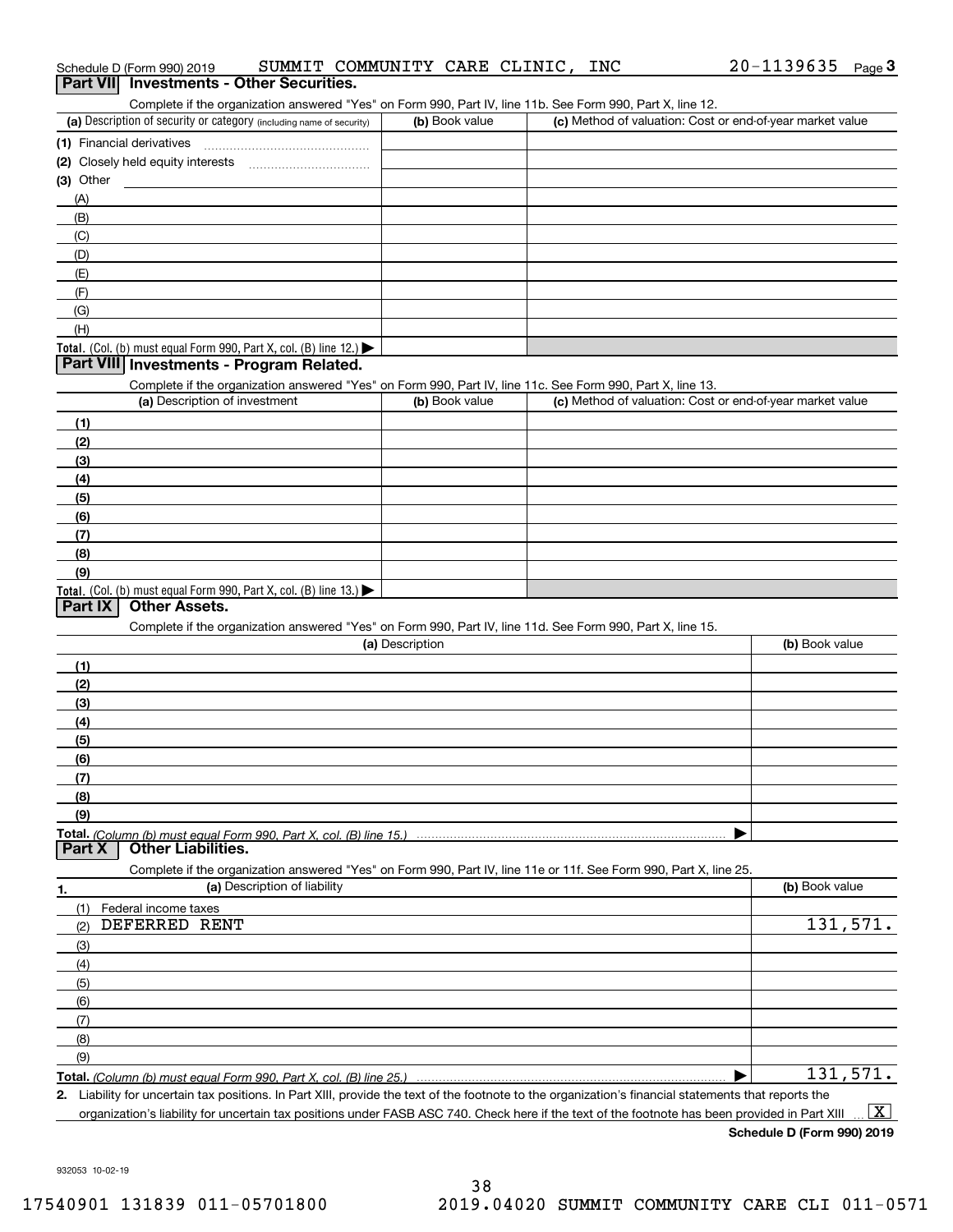| Complete if the organization answered "Yes" on Form 990, Part IV, line 11b. See Form 990, Part X, line 12.                                           |                 |                                                           |                |
|------------------------------------------------------------------------------------------------------------------------------------------------------|-----------------|-----------------------------------------------------------|----------------|
| (a) Description of security or category (including name of security)                                                                                 | (b) Book value  | (c) Method of valuation: Cost or end-of-year market value |                |
| (1) Financial derivatives                                                                                                                            |                 |                                                           |                |
|                                                                                                                                                      |                 |                                                           |                |
| (3) Other                                                                                                                                            |                 |                                                           |                |
| (A)                                                                                                                                                  |                 |                                                           |                |
| (B)                                                                                                                                                  |                 |                                                           |                |
| (C)                                                                                                                                                  |                 |                                                           |                |
| (D)                                                                                                                                                  |                 |                                                           |                |
| (E)                                                                                                                                                  |                 |                                                           |                |
| (F)                                                                                                                                                  |                 |                                                           |                |
| (G)                                                                                                                                                  |                 |                                                           |                |
| (H)                                                                                                                                                  |                 |                                                           |                |
| Total. (Col. (b) must equal Form 990, Part X, col. (B) line 12.)                                                                                     |                 |                                                           |                |
| Part VIII Investments - Program Related.                                                                                                             |                 |                                                           |                |
|                                                                                                                                                      |                 |                                                           |                |
| Complete if the organization answered "Yes" on Form 990, Part IV, line 11c. See Form 990, Part X, line 13.<br>(a) Description of investment          | (b) Book value  | (c) Method of valuation: Cost or end-of-year market value |                |
|                                                                                                                                                      |                 |                                                           |                |
| (1)                                                                                                                                                  |                 |                                                           |                |
| (2)                                                                                                                                                  |                 |                                                           |                |
| (3)                                                                                                                                                  |                 |                                                           |                |
| (4)                                                                                                                                                  |                 |                                                           |                |
| (5)                                                                                                                                                  |                 |                                                           |                |
| (6)                                                                                                                                                  |                 |                                                           |                |
| (7)                                                                                                                                                  |                 |                                                           |                |
| (8)                                                                                                                                                  |                 |                                                           |                |
| (9)                                                                                                                                                  |                 |                                                           |                |
| Total. (Col. (b) must equal Form 990, Part X, col. (B) line 13.)                                                                                     |                 |                                                           |                |
| <b>Part IX</b><br><b>Other Assets.</b>                                                                                                               |                 |                                                           |                |
| Complete if the organization answered "Yes" on Form 990, Part IV, line 11d. See Form 990, Part X, line 15.                                           |                 |                                                           |                |
|                                                                                                                                                      | (a) Description |                                                           | (b) Book value |
| (1)                                                                                                                                                  |                 |                                                           |                |
| (2)                                                                                                                                                  |                 |                                                           |                |
| (3)                                                                                                                                                  |                 |                                                           |                |
| (4)                                                                                                                                                  |                 |                                                           |                |
| (5)                                                                                                                                                  |                 |                                                           |                |
| (6)                                                                                                                                                  |                 |                                                           |                |
| (7)                                                                                                                                                  |                 |                                                           |                |
| (8)                                                                                                                                                  |                 |                                                           |                |
| (9)                                                                                                                                                  |                 |                                                           |                |
| Total. (Column (b) must equal Form 990. Part X. col. (B) line 15.)                                                                                   |                 |                                                           |                |
| <b>Part X</b><br>Other Liabilities.                                                                                                                  |                 |                                                           |                |
| Complete if the organization answered "Yes" on Form 990, Part IV, line 11e or 11f. See Form 990, Part X, line 25.                                    |                 |                                                           |                |
| (a) Description of liability                                                                                                                         |                 |                                                           | (b) Book value |
| 1.                                                                                                                                                   |                 |                                                           |                |
| (1)<br>Federal income taxes<br>DEFERRED RENT                                                                                                         |                 |                                                           | 131,571.       |
| (2)                                                                                                                                                  |                 |                                                           |                |
| (3)                                                                                                                                                  |                 |                                                           |                |
| (4)                                                                                                                                                  |                 |                                                           |                |
| (5)                                                                                                                                                  |                 |                                                           |                |
| (6)                                                                                                                                                  |                 |                                                           |                |
| (7)                                                                                                                                                  |                 |                                                           |                |
| (8)                                                                                                                                                  |                 |                                                           |                |
| (9)                                                                                                                                                  |                 |                                                           |                |
|                                                                                                                                                      |                 |                                                           | 131,571.       |
| 2. Liability for uncertain tax positions. In Part XIII, provide the text of the footnote to the organization's financial statements that reports the |                 |                                                           |                |

organization's liability for uncertain tax positions under FASB ASC 740. Check here if the text of the footnote has been provided in Part XIII

932053 10-02-19

 $\boxed{\text{X}}$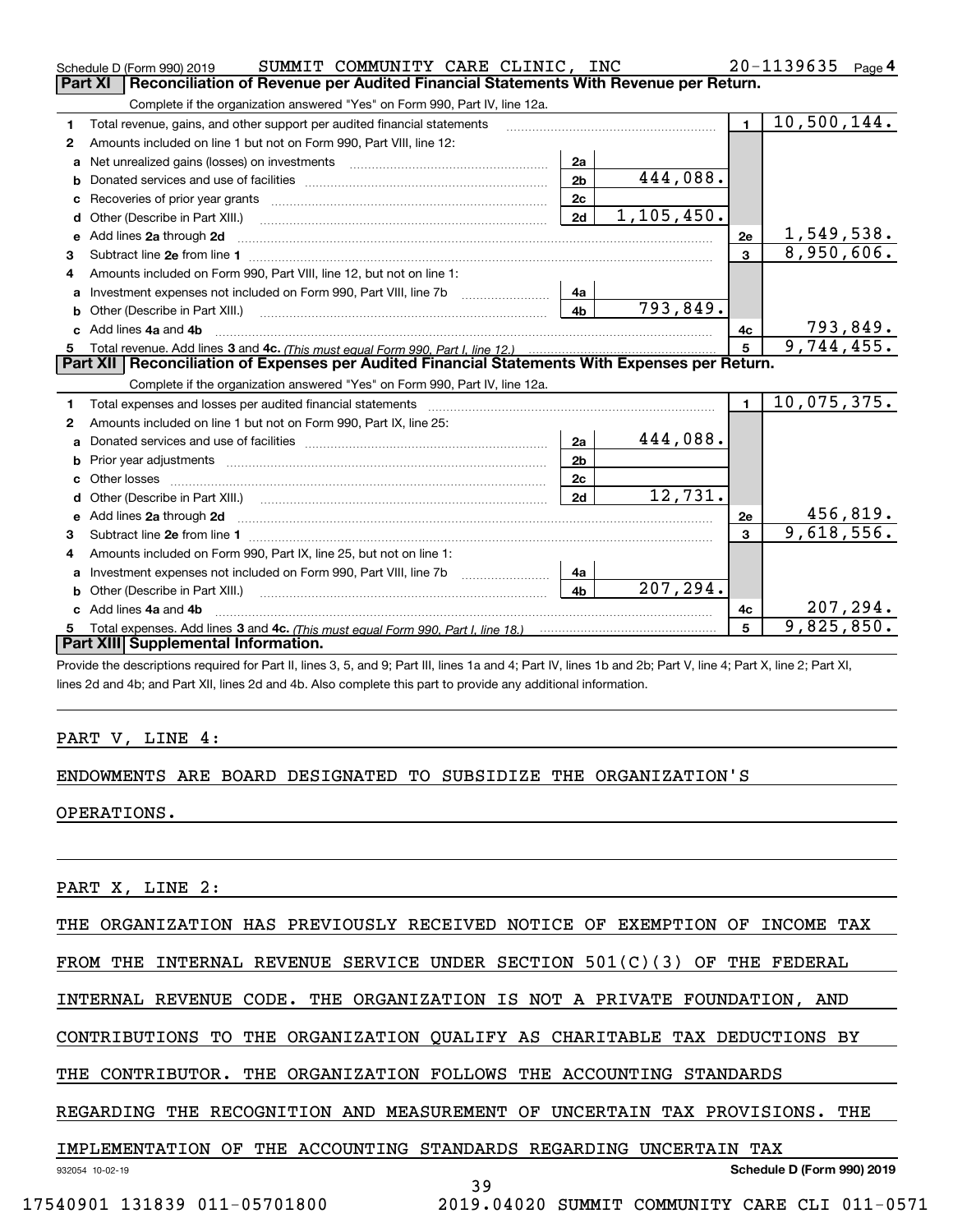|              | SUMMIT COMMUNITY CARE CLINIC, INC<br>Schedule D (Form 990) 2019                                                                                                                                                                     |                |            |                | 20-1139635<br>Page $4$ |  |  |  |  |  |
|--------------|-------------------------------------------------------------------------------------------------------------------------------------------------------------------------------------------------------------------------------------|----------------|------------|----------------|------------------------|--|--|--|--|--|
|              | Part XI<br>Reconciliation of Revenue per Audited Financial Statements With Revenue per Return.                                                                                                                                      |                |            |                |                        |  |  |  |  |  |
|              | Complete if the organization answered "Yes" on Form 990, Part IV, line 12a.                                                                                                                                                         |                |            |                |                        |  |  |  |  |  |
| 1            | Total revenue, gains, and other support per audited financial statements                                                                                                                                                            |                |            | $\blacksquare$ | 10,500,144.            |  |  |  |  |  |
| $\mathbf{2}$ | Amounts included on line 1 but not on Form 990, Part VIII, line 12:                                                                                                                                                                 |                |            |                |                        |  |  |  |  |  |
| a            | Net unrealized gains (losses) on investments [11] matter contracts and the unrealized gains (losses) on investments                                                                                                                 | 2a             |            |                |                        |  |  |  |  |  |
|              |                                                                                                                                                                                                                                     | 2 <sub>b</sub> | 444,088.   |                |                        |  |  |  |  |  |
|              |                                                                                                                                                                                                                                     | 2c             |            |                |                        |  |  |  |  |  |
| d            |                                                                                                                                                                                                                                     | 2d             | 1,105,450. |                |                        |  |  |  |  |  |
| е            | Add lines 2a through 2d                                                                                                                                                                                                             |                |            | 2e             | 1,549,538.             |  |  |  |  |  |
| 3            |                                                                                                                                                                                                                                     |                |            | $\mathbf{3}$   | 8,950,606.             |  |  |  |  |  |
| 4            | Amounts included on Form 990, Part VIII, line 12, but not on line 1:                                                                                                                                                                |                |            |                |                        |  |  |  |  |  |
|              |                                                                                                                                                                                                                                     | 4a             |            |                |                        |  |  |  |  |  |
|              |                                                                                                                                                                                                                                     | 4 <sub>b</sub> | 793,849.   |                |                        |  |  |  |  |  |
| C.           | Add lines 4a and 4b                                                                                                                                                                                                                 |                |            | 4с             | <u>793,849.</u>        |  |  |  |  |  |
|              |                                                                                                                                                                                                                                     |                |            |                |                        |  |  |  |  |  |
|              |                                                                                                                                                                                                                                     |                |            | 5              | 9,744,455.             |  |  |  |  |  |
|              | Part XII   Reconciliation of Expenses per Audited Financial Statements With Expenses per Return.                                                                                                                                    |                |            |                |                        |  |  |  |  |  |
|              | Complete if the organization answered "Yes" on Form 990, Part IV, line 12a.                                                                                                                                                         |                |            |                |                        |  |  |  |  |  |
| 1            | Total expenses and losses per audited financial statements [11, 11] manuscription control expenses and losses per audited financial statements [11] manuscription of the statements [11] manuscription of the statements [11]       |                |            | $\blacksquare$ | 10,075,375.            |  |  |  |  |  |
| 2            | Amounts included on line 1 but not on Form 990, Part IX, line 25:                                                                                                                                                                   |                |            |                |                        |  |  |  |  |  |
| a            |                                                                                                                                                                                                                                     | 2a             | 444,088.   |                |                        |  |  |  |  |  |
| b            |                                                                                                                                                                                                                                     | 2 <sub>b</sub> |            |                |                        |  |  |  |  |  |
| C.           |                                                                                                                                                                                                                                     | 2c             |            |                |                        |  |  |  |  |  |
| d            |                                                                                                                                                                                                                                     | 2d             | 12,731.    |                |                        |  |  |  |  |  |
|              | Add lines 2a through 2d <b>contained a contained a contained a contained a</b> contained a contained a contained a contained a contained a contained a contained a contained a contained a contained a contained a contained a cont |                |            | 2e             | 456,819.               |  |  |  |  |  |
| 3            |                                                                                                                                                                                                                                     |                |            | $\mathbf{a}$   | 9,618,556.             |  |  |  |  |  |
| 4            | Amounts included on Form 990, Part IX, line 25, but not on line 1:                                                                                                                                                                  |                |            |                |                        |  |  |  |  |  |
|              | Investment expenses not included on Form 990, Part VIII, line 7b [1000000000000000000000000000000000                                                                                                                                | 4a             |            |                |                        |  |  |  |  |  |
| b            |                                                                                                                                                                                                                                     | 4 <sub>b</sub> | 207,294.   |                |                        |  |  |  |  |  |
|              | Add lines 4a and 4b                                                                                                                                                                                                                 |                |            | 4c             | 207, 294.              |  |  |  |  |  |
|              | Part XIII Supplemental Information.                                                                                                                                                                                                 |                |            | 5              | 9,825,850.             |  |  |  |  |  |

Provide the descriptions required for Part II, lines 3, 5, and 9; Part III, lines 1a and 4; Part IV, lines 1b and 2b; Part V, line 4; Part X, line 2; Part XI, lines 2d and 4b; and Part XII, lines 2d and 4b. Also complete this part to provide any additional information.

#### PART V, LINE 4:

#### ENDOWMENTS ARE BOARD DESIGNATED TO SUBSIDIZE THE ORGANIZATION'S

OPERATIONS.

PART X, LINE 2:

THE ORGANIZATION HAS PREVIOUSLY RECEIVED NOTICE OF EXEMPTION OF INCOME TAX

FROM THE INTERNAL REVENUE SERVICE UNDER SECTION  $501(C)(3)$  OF THE FEDERAL

INTERNAL REVENUE CODE. THE ORGANIZATION IS NOT A PRIVATE FOUNDATION, AND

CONTRIBUTIONS TO THE ORGANIZATION QUALIFY AS CHARITABLE TAX DEDUCTIONS BY

THE CONTRIBUTOR. THE ORGANIZATION FOLLOWS THE ACCOUNTING STANDARDS

REGARDING THE RECOGNITION AND MEASUREMENT OF UNCERTAIN TAX PROVISIONS. THE

#### IMPLEMENTATION OF THE ACCOUNTING STANDARDS REGARDING UNCERTAIN TAX

39

17540901 131839 011-05701800 2019.04020 SUMMIT COMMUNITY CARE CLI 011-0571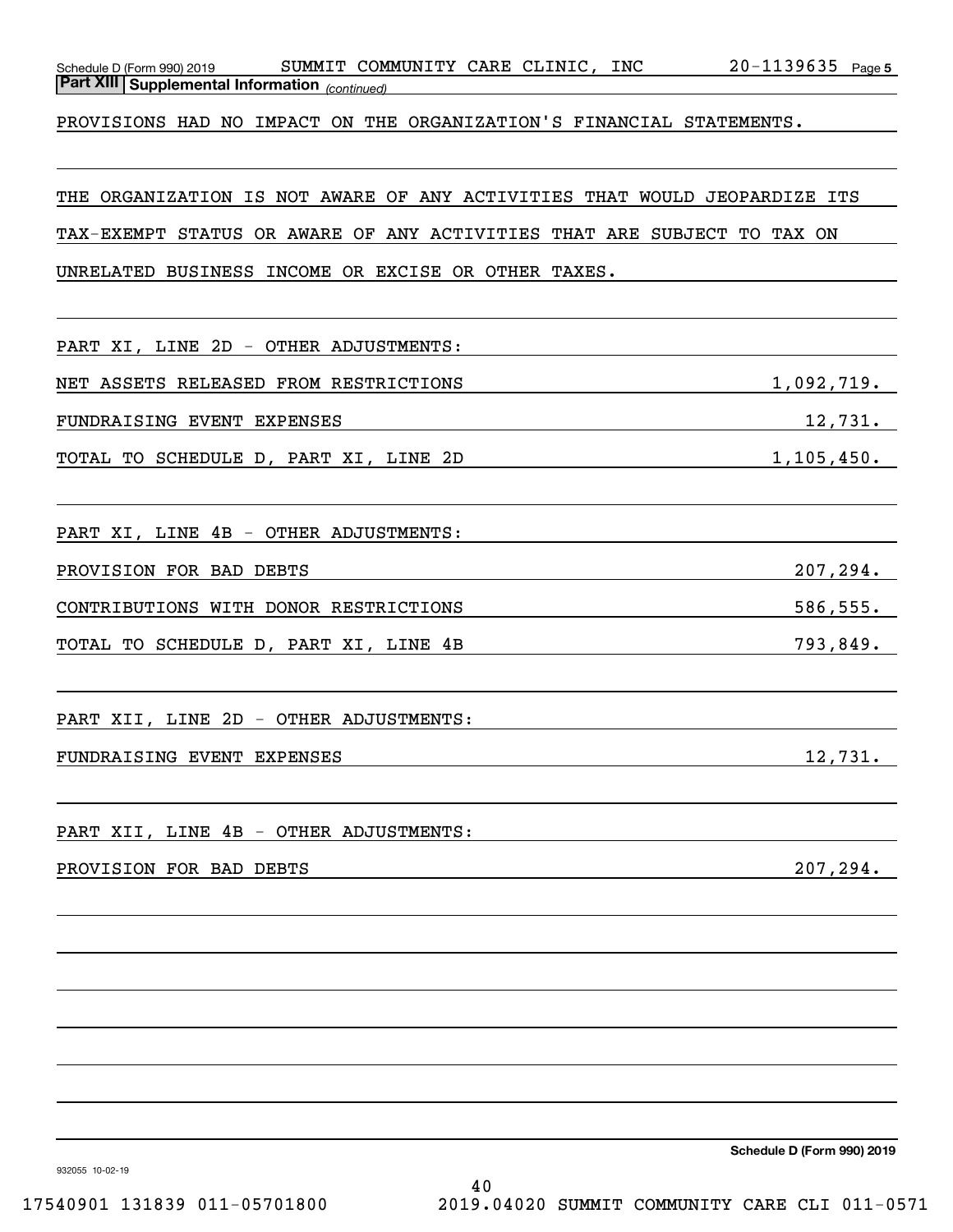| Schedule D (Form 990) 2019 |
|----------------------------|
|----------------------------|

*(continued)* **Part XIII Supplemental Information** 

PROVISIONS HAD NO IMPACT ON THE ORGANIZATION'S FINANCIAL STATEMENTS.

THE ORGANIZATION IS NOT AWARE OF ANY ACTIVITIES THAT WOULD JEOPARDIZE ITS

TAX-EXEMPT STATUS OR AWARE OF ANY ACTIVITIES THAT ARE SUBJECT TO TAX ON

UNRELATED BUSINESS INCOME OR EXCISE OR OTHER TAXES.

PART XI, LINE 2D - OTHER ADJUSTMENTS: NET ASSETS RELEASED FROM RESTRICTIONS 1,092,719. FUNDRAISING EVENT EXPENSES 12,731. TOTAL TO SCHEDULE D, PART XI, LINE 2D 1,105,450. PART XI, LINE 4B - OTHER ADJUSTMENTS: PROVISION FOR BAD DEBTS 207, 294. CONTRIBUTIONS WITH DONOR RESTRICTIONS 586,555. TOTAL TO SCHEDULE D, PART XI, LINE 4B 793,849. PART XII, LINE 2D - OTHER ADJUSTMENTS: FUNDRAISING EVENT EXPENSES 12,731. PART XII, LINE 4B - OTHER ADJUSTMENTS: PROVISION FOR BAD DEBTS 2007, 294.

**Schedule D (Form 990) 2019**

932055 10-02-19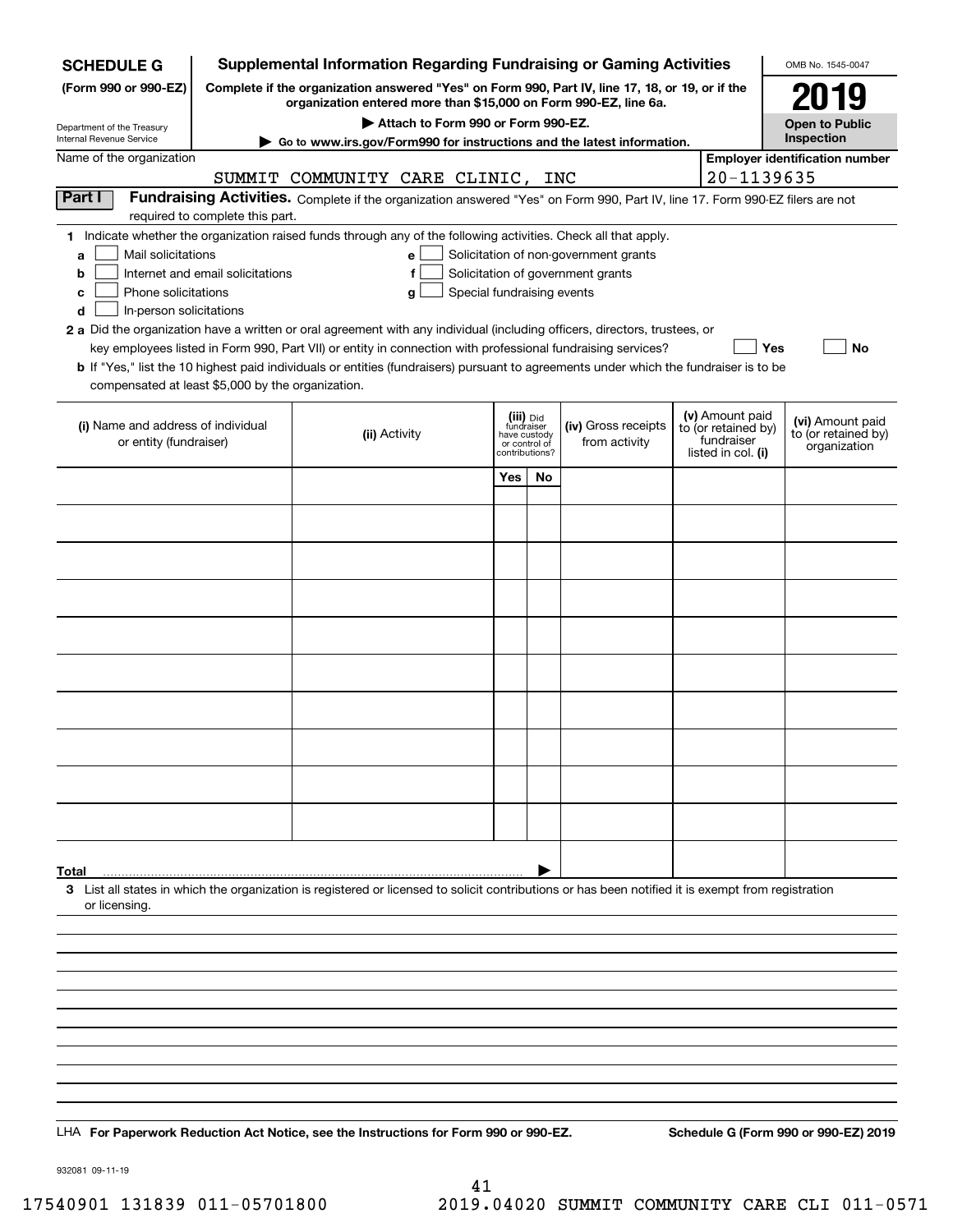| <b>SCHEDULE G</b>                                                                                                                                                                           |                                  | <b>Supplemental Information Regarding Fundraising or Gaming Activities</b>                                                                                                                                                                                                                                                                                                                                                                                                                                                                                |                                                                            |    |                                                                            |  |                                                                            | OMB No. 1545-0047                                       |  |
|---------------------------------------------------------------------------------------------------------------------------------------------------------------------------------------------|----------------------------------|-----------------------------------------------------------------------------------------------------------------------------------------------------------------------------------------------------------------------------------------------------------------------------------------------------------------------------------------------------------------------------------------------------------------------------------------------------------------------------------------------------------------------------------------------------------|----------------------------------------------------------------------------|----|----------------------------------------------------------------------------|--|----------------------------------------------------------------------------|---------------------------------------------------------|--|
| Complete if the organization answered "Yes" on Form 990, Part IV, line 17, 18, or 19, or if the<br>(Form 990 or 990-EZ)<br>organization entered more than \$15,000 on Form 990-EZ, line 6a. |                                  |                                                                                                                                                                                                                                                                                                                                                                                                                                                                                                                                                           |                                                                            |    |                                                                            |  |                                                                            |                                                         |  |
|                                                                                                                                                                                             |                                  | 2019<br><b>Open to Public</b>                                                                                                                                                                                                                                                                                                                                                                                                                                                                                                                             |                                                                            |    |                                                                            |  |                                                                            |                                                         |  |
| Department of the Treasury<br>Internal Revenue Service                                                                                                                                      |                                  | Attach to Form 990 or Form 990-EZ.<br>Go to www.irs.gov/Form990 for instructions and the latest information.                                                                                                                                                                                                                                                                                                                                                                                                                                              |                                                                            |    |                                                                            |  |                                                                            | Inspection                                              |  |
| Name of the organization                                                                                                                                                                    |                                  |                                                                                                                                                                                                                                                                                                                                                                                                                                                                                                                                                           |                                                                            |    |                                                                            |  |                                                                            | <b>Employer identification number</b>                   |  |
| Part I                                                                                                                                                                                      |                                  | SUMMIT COMMUNITY CARE CLINIC, INC                                                                                                                                                                                                                                                                                                                                                                                                                                                                                                                         |                                                                            |    |                                                                            |  | 20-1139635                                                                 |                                                         |  |
|                                                                                                                                                                                             | required to complete this part.  | Fundraising Activities. Complete if the organization answered "Yes" on Form 990, Part IV, line 17. Form 990-EZ filers are not                                                                                                                                                                                                                                                                                                                                                                                                                             |                                                                            |    |                                                                            |  |                                                                            |                                                         |  |
| Mail solicitations<br>a<br>b<br>Phone solicitations<br>c<br>In-person solicitations<br>d                                                                                                    | Internet and email solicitations | 1 Indicate whether the organization raised funds through any of the following activities. Check all that apply.<br>e<br>f<br>Special fundraising events<br>g<br>2 a Did the organization have a written or oral agreement with any individual (including officers, directors, trustees, or<br>key employees listed in Form 990, Part VII) or entity in connection with professional fundraising services?<br><b>b</b> If "Yes," list the 10 highest paid individuals or entities (fundraisers) pursuant to agreements under which the fundraiser is to be |                                                                            |    | Solicitation of non-government grants<br>Solicitation of government grants |  | Yes                                                                        | No                                                      |  |
| compensated at least \$5,000 by the organization.                                                                                                                                           |                                  |                                                                                                                                                                                                                                                                                                                                                                                                                                                                                                                                                           |                                                                            |    |                                                                            |  |                                                                            |                                                         |  |
| (i) Name and address of individual<br>or entity (fundraiser)                                                                                                                                |                                  | (ii) Activity                                                                                                                                                                                                                                                                                                                                                                                                                                                                                                                                             | (iii) Did<br>fundraiser<br>have custody<br>or control of<br>contributions? |    | (iv) Gross receipts<br>from activity                                       |  | (v) Amount paid<br>to (or retained by)<br>fundraiser<br>listed in col. (i) | (vi) Amount paid<br>to (or retained by)<br>organization |  |
|                                                                                                                                                                                             |                                  |                                                                                                                                                                                                                                                                                                                                                                                                                                                                                                                                                           | Yes                                                                        | No |                                                                            |  |                                                                            |                                                         |  |
|                                                                                                                                                                                             |                                  |                                                                                                                                                                                                                                                                                                                                                                                                                                                                                                                                                           |                                                                            |    |                                                                            |  |                                                                            |                                                         |  |
|                                                                                                                                                                                             |                                  |                                                                                                                                                                                                                                                                                                                                                                                                                                                                                                                                                           |                                                                            |    |                                                                            |  |                                                                            |                                                         |  |
|                                                                                                                                                                                             |                                  |                                                                                                                                                                                                                                                                                                                                                                                                                                                                                                                                                           |                                                                            |    |                                                                            |  |                                                                            |                                                         |  |
|                                                                                                                                                                                             |                                  |                                                                                                                                                                                                                                                                                                                                                                                                                                                                                                                                                           |                                                                            |    |                                                                            |  |                                                                            |                                                         |  |
|                                                                                                                                                                                             |                                  |                                                                                                                                                                                                                                                                                                                                                                                                                                                                                                                                                           |                                                                            |    |                                                                            |  |                                                                            |                                                         |  |
|                                                                                                                                                                                             |                                  |                                                                                                                                                                                                                                                                                                                                                                                                                                                                                                                                                           |                                                                            |    |                                                                            |  |                                                                            |                                                         |  |
|                                                                                                                                                                                             |                                  |                                                                                                                                                                                                                                                                                                                                                                                                                                                                                                                                                           |                                                                            |    |                                                                            |  |                                                                            |                                                         |  |
|                                                                                                                                                                                             |                                  |                                                                                                                                                                                                                                                                                                                                                                                                                                                                                                                                                           |                                                                            |    |                                                                            |  |                                                                            |                                                         |  |
|                                                                                                                                                                                             |                                  |                                                                                                                                                                                                                                                                                                                                                                                                                                                                                                                                                           |                                                                            |    |                                                                            |  |                                                                            |                                                         |  |
|                                                                                                                                                                                             |                                  |                                                                                                                                                                                                                                                                                                                                                                                                                                                                                                                                                           |                                                                            |    |                                                                            |  |                                                                            |                                                         |  |
|                                                                                                                                                                                             |                                  |                                                                                                                                                                                                                                                                                                                                                                                                                                                                                                                                                           |                                                                            |    |                                                                            |  |                                                                            |                                                         |  |
|                                                                                                                                                                                             |                                  |                                                                                                                                                                                                                                                                                                                                                                                                                                                                                                                                                           |                                                                            |    |                                                                            |  |                                                                            |                                                         |  |
| Total                                                                                                                                                                                       |                                  | 3 List all states in which the organization is registered or licensed to solicit contributions or has been notified it is exempt from registration                                                                                                                                                                                                                                                                                                                                                                                                        |                                                                            |    |                                                                            |  |                                                                            |                                                         |  |
| or licensing.                                                                                                                                                                               |                                  |                                                                                                                                                                                                                                                                                                                                                                                                                                                                                                                                                           |                                                                            |    |                                                                            |  |                                                                            |                                                         |  |
|                                                                                                                                                                                             |                                  |                                                                                                                                                                                                                                                                                                                                                                                                                                                                                                                                                           |                                                                            |    |                                                                            |  |                                                                            |                                                         |  |
|                                                                                                                                                                                             |                                  |                                                                                                                                                                                                                                                                                                                                                                                                                                                                                                                                                           |                                                                            |    |                                                                            |  |                                                                            |                                                         |  |
|                                                                                                                                                                                             |                                  |                                                                                                                                                                                                                                                                                                                                                                                                                                                                                                                                                           |                                                                            |    |                                                                            |  |                                                                            |                                                         |  |
|                                                                                                                                                                                             |                                  |                                                                                                                                                                                                                                                                                                                                                                                                                                                                                                                                                           |                                                                            |    |                                                                            |  |                                                                            |                                                         |  |
|                                                                                                                                                                                             |                                  |                                                                                                                                                                                                                                                                                                                                                                                                                                                                                                                                                           |                                                                            |    |                                                                            |  |                                                                            |                                                         |  |
|                                                                                                                                                                                             |                                  |                                                                                                                                                                                                                                                                                                                                                                                                                                                                                                                                                           |                                                                            |    |                                                                            |  |                                                                            |                                                         |  |
|                                                                                                                                                                                             |                                  |                                                                                                                                                                                                                                                                                                                                                                                                                                                                                                                                                           |                                                                            |    |                                                                            |  |                                                                            |                                                         |  |
|                                                                                                                                                                                             |                                  | LHA For Paperwork Reduction Act Notice, see the Instructions for Form 990 or 990-EZ.                                                                                                                                                                                                                                                                                                                                                                                                                                                                      |                                                                            |    |                                                                            |  |                                                                            | Schedule G (Form 990 or 990-EZ) 2019                    |  |

932081 09-11-19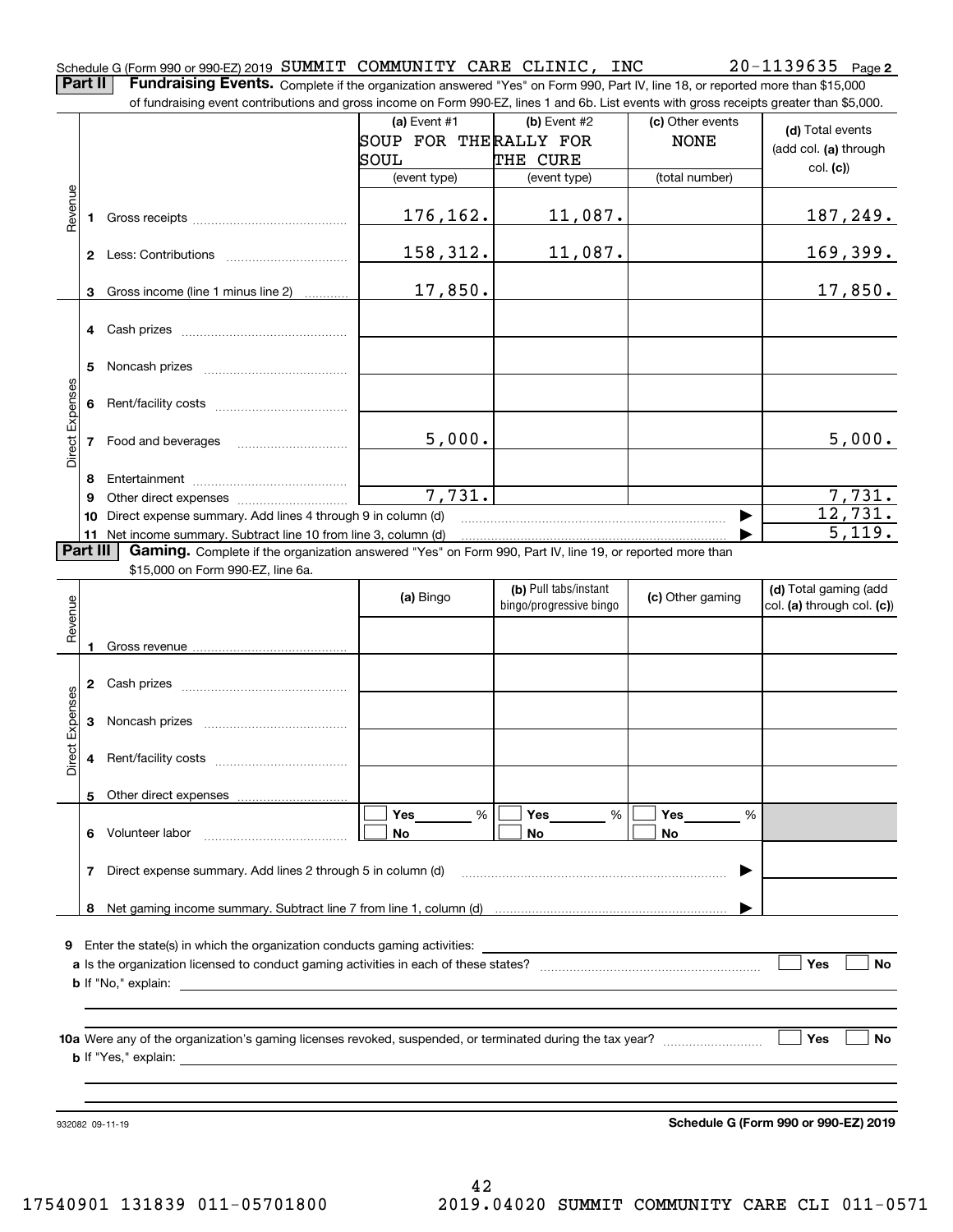**2**

**Part II** | Fundraising Events. Complete if the organization answered "Yes" on Form 990, Part IV, line 18, or reported more than \$15,000 of fundraising event contributions and gross income on Form 990-EZ, lines 1 and 6b. List events with gross receipts greater than \$5,000.

|                 |          | ו ומחמומוסות פעטות סטומוסמוטוס מחט קוטסס וחסטות טורו טווח סטט בב, ווווטס דמותו טט. בוסג כעטותס שומרקוטסס וטטטוסט קוטמטר מומח שט,טטט.                |                       |                                                  |                  |                                                     |
|-----------------|----------|-----------------------------------------------------------------------------------------------------------------------------------------------------|-----------------------|--------------------------------------------------|------------------|-----------------------------------------------------|
|                 |          |                                                                                                                                                     | (a) Event $#1$        | (b) Event $#2$                                   | (c) Other events | (d) Total events                                    |
|                 |          |                                                                                                                                                     | SOUP FOR THERALLY FOR |                                                  | <b>NONE</b>      | (add col. (a) through                               |
|                 |          |                                                                                                                                                     | SOUL                  | THE CURE                                         |                  | col. (c)                                            |
|                 |          |                                                                                                                                                     | (event type)          | (event type)                                     | (total number)   |                                                     |
| Revenue         | 1.       |                                                                                                                                                     | 176, 162.             | 11,087.                                          |                  | 187,249.                                            |
|                 |          |                                                                                                                                                     | 158,312.              | 11,087.                                          |                  | 169,399.                                            |
|                 | з        | Gross income (line 1 minus line 2)                                                                                                                  | 17,850.               |                                                  |                  | 17,850.                                             |
|                 |          |                                                                                                                                                     |                       |                                                  |                  |                                                     |
|                 | 5        |                                                                                                                                                     |                       |                                                  |                  |                                                     |
|                 | 6        |                                                                                                                                                     |                       |                                                  |                  |                                                     |
| Direct Expenses | 7        |                                                                                                                                                     | 5,000.                |                                                  |                  | 5,000.                                              |
|                 | 8        |                                                                                                                                                     |                       |                                                  |                  |                                                     |
|                 | 9        |                                                                                                                                                     | 7,731.                |                                                  |                  | 7,731.                                              |
|                 | 10       | Direct expense summary. Add lines 4 through 9 in column (d)                                                                                         |                       |                                                  |                  | 12,731.                                             |
|                 |          | 11 Net income summary. Subtract line 10 from line 3, column (d)                                                                                     |                       |                                                  |                  | 5,119.                                              |
|                 | Part III | Gaming. Complete if the organization answered "Yes" on Form 990, Part IV, line 19, or reported more than<br>\$15,000 on Form 990-EZ, line 6a.       |                       |                                                  |                  |                                                     |
| Revenue         |          |                                                                                                                                                     | (a) Bingo             | (b) Pull tabs/instant<br>bingo/progressive bingo | (c) Other gaming | (d) Total gaming (add<br>col. (a) through col. (c)) |
|                 |          |                                                                                                                                                     |                       |                                                  |                  |                                                     |
|                 | 2        |                                                                                                                                                     |                       |                                                  |                  |                                                     |
| Direct Expenses | 3        |                                                                                                                                                     |                       |                                                  |                  |                                                     |
|                 | 4        |                                                                                                                                                     |                       |                                                  |                  |                                                     |
|                 |          |                                                                                                                                                     |                       |                                                  |                  |                                                     |
|                 | 6        | Volunteer labor                                                                                                                                     | Yes<br>%<br>No        | Yes<br>%<br>No                                   | Yes<br>%<br>No   |                                                     |
|                 |          |                                                                                                                                                     |                       |                                                  |                  |                                                     |
|                 | 7        | Direct expense summary. Add lines 2 through 5 in column (d)                                                                                         |                       |                                                  |                  |                                                     |
|                 | 8        |                                                                                                                                                     |                       |                                                  |                  |                                                     |
| 9               |          | Enter the state(s) in which the organization conducts gaming activities:                                                                            |                       |                                                  |                  |                                                     |
|                 |          |                                                                                                                                                     |                       |                                                  |                  | Yes<br><b>No</b>                                    |
|                 |          | <b>b</b> If "No," explain:<br><u>and the state of the state of the state of the state of the state of the state of the state of the state of th</u> |                       |                                                  |                  |                                                     |
|                 |          |                                                                                                                                                     |                       |                                                  |                  |                                                     |
|                 |          |                                                                                                                                                     |                       |                                                  |                  |                                                     |
|                 |          |                                                                                                                                                     |                       |                                                  |                  | Yes<br><b>No</b>                                    |
|                 |          |                                                                                                                                                     |                       |                                                  |                  |                                                     |
|                 |          |                                                                                                                                                     |                       |                                                  |                  |                                                     |
|                 |          |                                                                                                                                                     |                       |                                                  |                  |                                                     |
|                 |          | 932082 09-11-19                                                                                                                                     |                       |                                                  |                  | Schedule G (Form 990 or 990-EZ) 2019                |

**Schedule G (Form 990 or 990-EZ) 2019**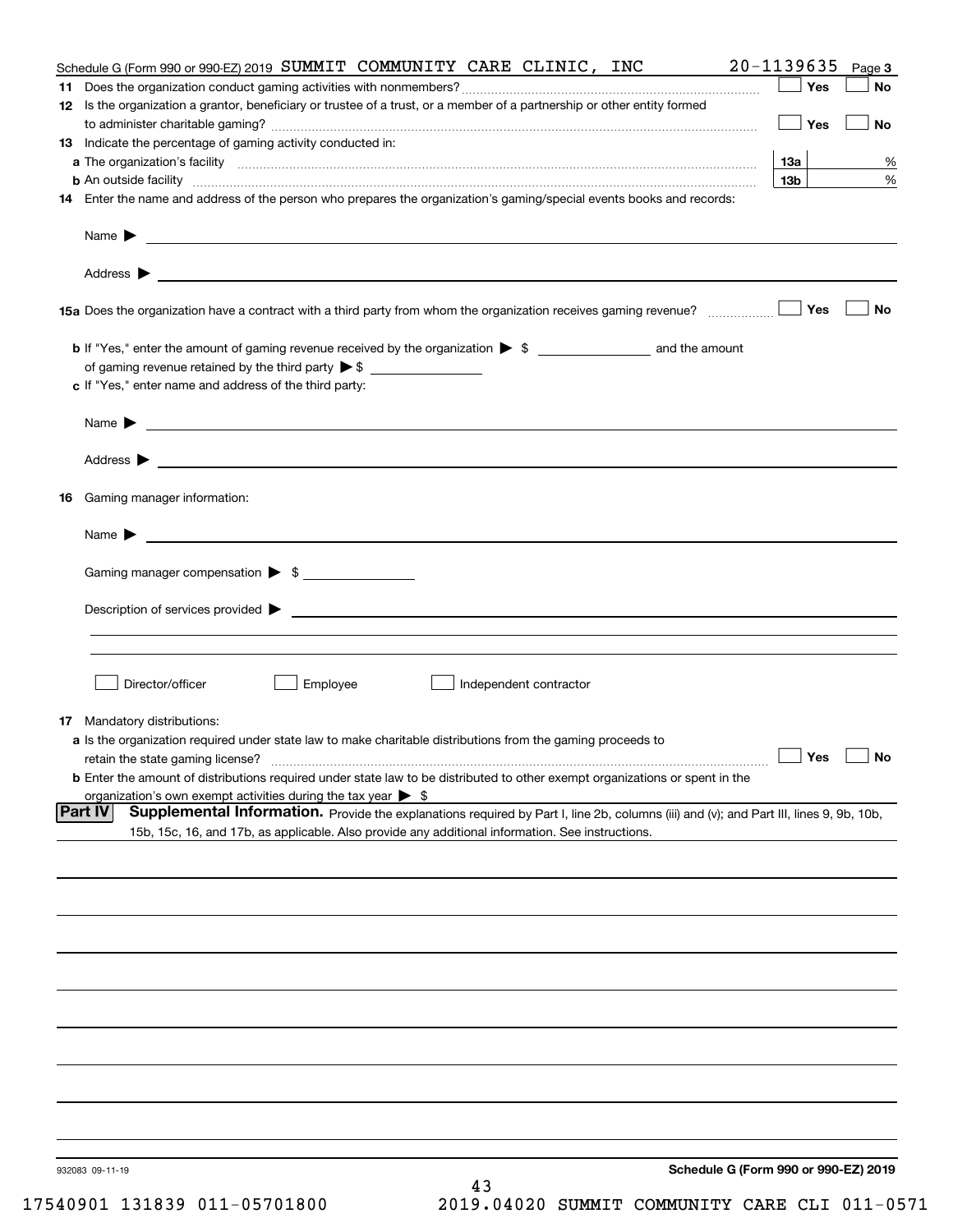|     | Schedule G (Form 990 or 990-EZ) 2019 SUMMIT COMMUNITY CARE CLINIC, INC                                                                                                                                                             | 20-1139635      | Page 3    |
|-----|------------------------------------------------------------------------------------------------------------------------------------------------------------------------------------------------------------------------------------|-----------------|-----------|
| 11. |                                                                                                                                                                                                                                    | Yes             | No        |
|     | 12 Is the organization a grantor, beneficiary or trustee of a trust, or a member of a partnership or other entity formed                                                                                                           |                 |           |
|     |                                                                                                                                                                                                                                    | Yes             | No        |
|     | 13 Indicate the percentage of gaming activity conducted in:                                                                                                                                                                        |                 |           |
|     |                                                                                                                                                                                                                                    | <b>13a</b>      | %         |
|     | <b>b</b> An outside facility <i>www.communicality www.communicality.communicality www.communicality www.communicality.communicality</i>                                                                                            | 13 <sub>b</sub> | %         |
|     | 14 Enter the name and address of the person who prepares the organization's gaming/special events books and records:                                                                                                               |                 |           |
|     |                                                                                                                                                                                                                                    |                 |           |
|     |                                                                                                                                                                                                                                    |                 |           |
|     |                                                                                                                                                                                                                                    | Yes             | No        |
|     |                                                                                                                                                                                                                                    |                 |           |
|     |                                                                                                                                                                                                                                    |                 |           |
|     | c If "Yes," enter name and address of the third party:                                                                                                                                                                             |                 |           |
|     |                                                                                                                                                                                                                                    |                 |           |
|     | Name $\blacktriangleright$                                                                                                                                                                                                         |                 |           |
|     |                                                                                                                                                                                                                                    |                 |           |
|     |                                                                                                                                                                                                                                    |                 |           |
|     | 16 Gaming manager information:                                                                                                                                                                                                     |                 |           |
|     | Name $\blacktriangleright$ $\lrcorner$                                                                                                                                                                                             |                 |           |
|     |                                                                                                                                                                                                                                    |                 |           |
|     | Gaming manager compensation > \$                                                                                                                                                                                                   |                 |           |
|     | $Description of services provided$ $\triangleright$                                                                                                                                                                                |                 |           |
|     |                                                                                                                                                                                                                                    |                 |           |
|     |                                                                                                                                                                                                                                    |                 |           |
|     | Director/officer<br>Employee<br>Independent contractor                                                                                                                                                                             |                 |           |
|     |                                                                                                                                                                                                                                    |                 |           |
|     | <b>17</b> Mandatory distributions:                                                                                                                                                                                                 |                 |           |
|     | a Is the organization required under state law to make charitable distributions from the gaming proceeds to                                                                                                                        |                 |           |
|     | retain the state gaming license?                                                                                                                                                                                                   | $\Box$ Yes      | $\Box$ No |
|     | <b>b</b> Enter the amount of distributions required under state law to be distributed to other exempt organizations or spent in the                                                                                                |                 |           |
|     | organization's own exempt activities during the tax year $\triangleright$ \$<br>Supplemental Information. Provide the explanations required by Part I, line 2b, columns (iii) and (v); and Part III, lines 9, 9b, 10b,<br> Part IV |                 |           |
|     | 15b, 15c, 16, and 17b, as applicable. Also provide any additional information. See instructions.                                                                                                                                   |                 |           |
|     |                                                                                                                                                                                                                                    |                 |           |
|     |                                                                                                                                                                                                                                    |                 |           |
|     |                                                                                                                                                                                                                                    |                 |           |
|     |                                                                                                                                                                                                                                    |                 |           |
|     |                                                                                                                                                                                                                                    |                 |           |
|     |                                                                                                                                                                                                                                    |                 |           |
|     |                                                                                                                                                                                                                                    |                 |           |
|     |                                                                                                                                                                                                                                    |                 |           |
|     |                                                                                                                                                                                                                                    |                 |           |
|     |                                                                                                                                                                                                                                    |                 |           |
|     |                                                                                                                                                                                                                                    |                 |           |
|     | Schedule G (Form 990 or 990-EZ) 2019<br>932083 09-11-19                                                                                                                                                                            |                 |           |
|     | 43                                                                                                                                                                                                                                 |                 |           |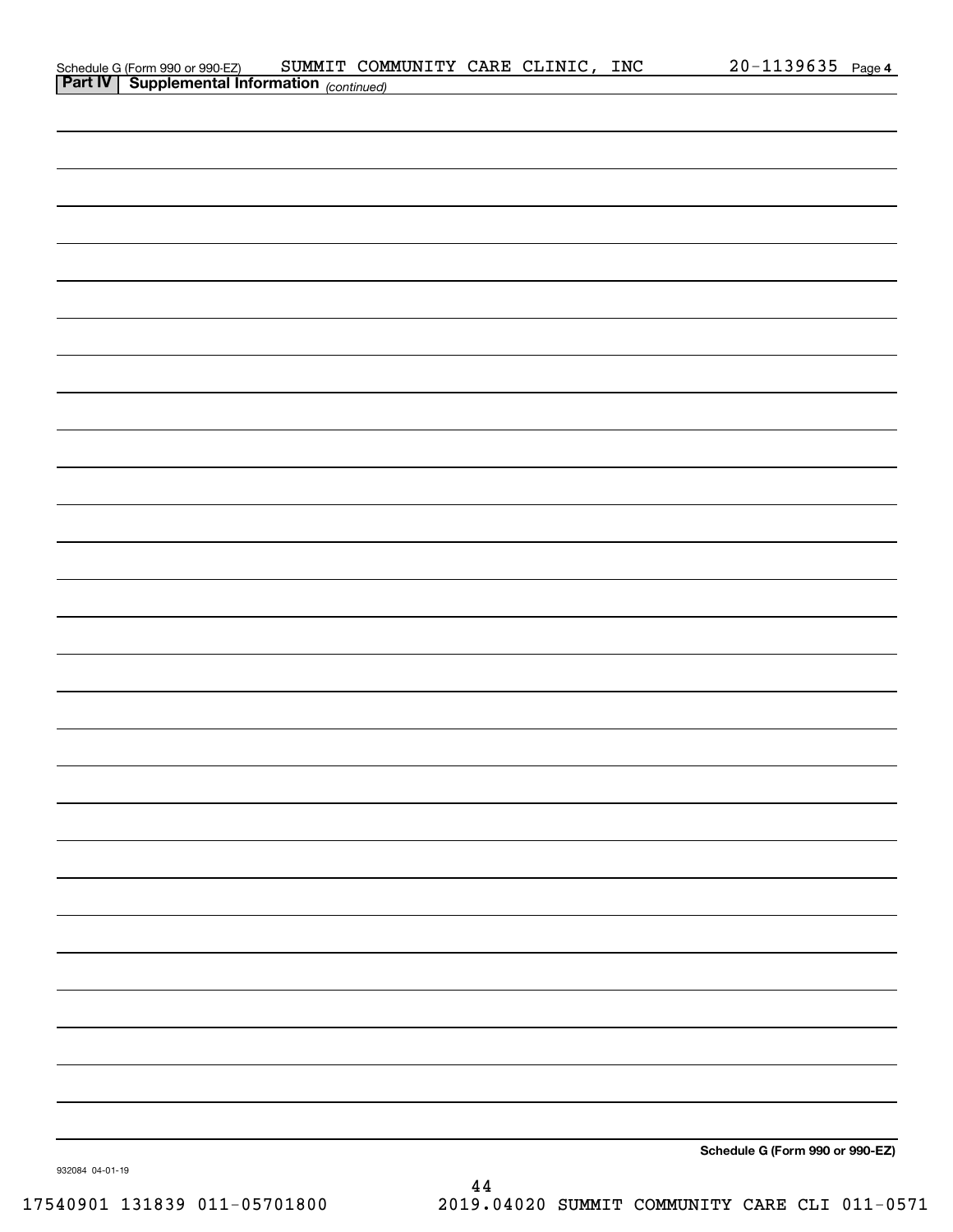| Schedule G (Form 990 or 990-EZ) SUMMIT COM<br>Part IV Supplemental Information (continued) | SUMMIT COMMUNITY CARE CLINIC, INC |  | 20-1139635 Page 4               |  |
|--------------------------------------------------------------------------------------------|-----------------------------------|--|---------------------------------|--|
|                                                                                            |                                   |  |                                 |  |
|                                                                                            |                                   |  |                                 |  |
|                                                                                            |                                   |  |                                 |  |
|                                                                                            |                                   |  |                                 |  |
|                                                                                            |                                   |  |                                 |  |
|                                                                                            |                                   |  |                                 |  |
|                                                                                            |                                   |  |                                 |  |
|                                                                                            |                                   |  |                                 |  |
|                                                                                            |                                   |  |                                 |  |
|                                                                                            |                                   |  |                                 |  |
|                                                                                            |                                   |  |                                 |  |
|                                                                                            |                                   |  |                                 |  |
|                                                                                            |                                   |  |                                 |  |
|                                                                                            |                                   |  |                                 |  |
|                                                                                            |                                   |  |                                 |  |
|                                                                                            |                                   |  |                                 |  |
|                                                                                            |                                   |  |                                 |  |
|                                                                                            |                                   |  |                                 |  |
|                                                                                            |                                   |  |                                 |  |
|                                                                                            |                                   |  |                                 |  |
|                                                                                            |                                   |  |                                 |  |
|                                                                                            |                                   |  |                                 |  |
|                                                                                            |                                   |  |                                 |  |
|                                                                                            |                                   |  |                                 |  |
|                                                                                            |                                   |  |                                 |  |
|                                                                                            |                                   |  |                                 |  |
|                                                                                            |                                   |  |                                 |  |
|                                                                                            |                                   |  |                                 |  |
|                                                                                            |                                   |  |                                 |  |
|                                                                                            |                                   |  |                                 |  |
|                                                                                            |                                   |  |                                 |  |
|                                                                                            |                                   |  |                                 |  |
|                                                                                            |                                   |  |                                 |  |
|                                                                                            |                                   |  |                                 |  |
|                                                                                            |                                   |  |                                 |  |
|                                                                                            |                                   |  |                                 |  |
|                                                                                            |                                   |  |                                 |  |
|                                                                                            |                                   |  | Schedule G (Form 990 or 990-EZ) |  |

44

932084 04-01-19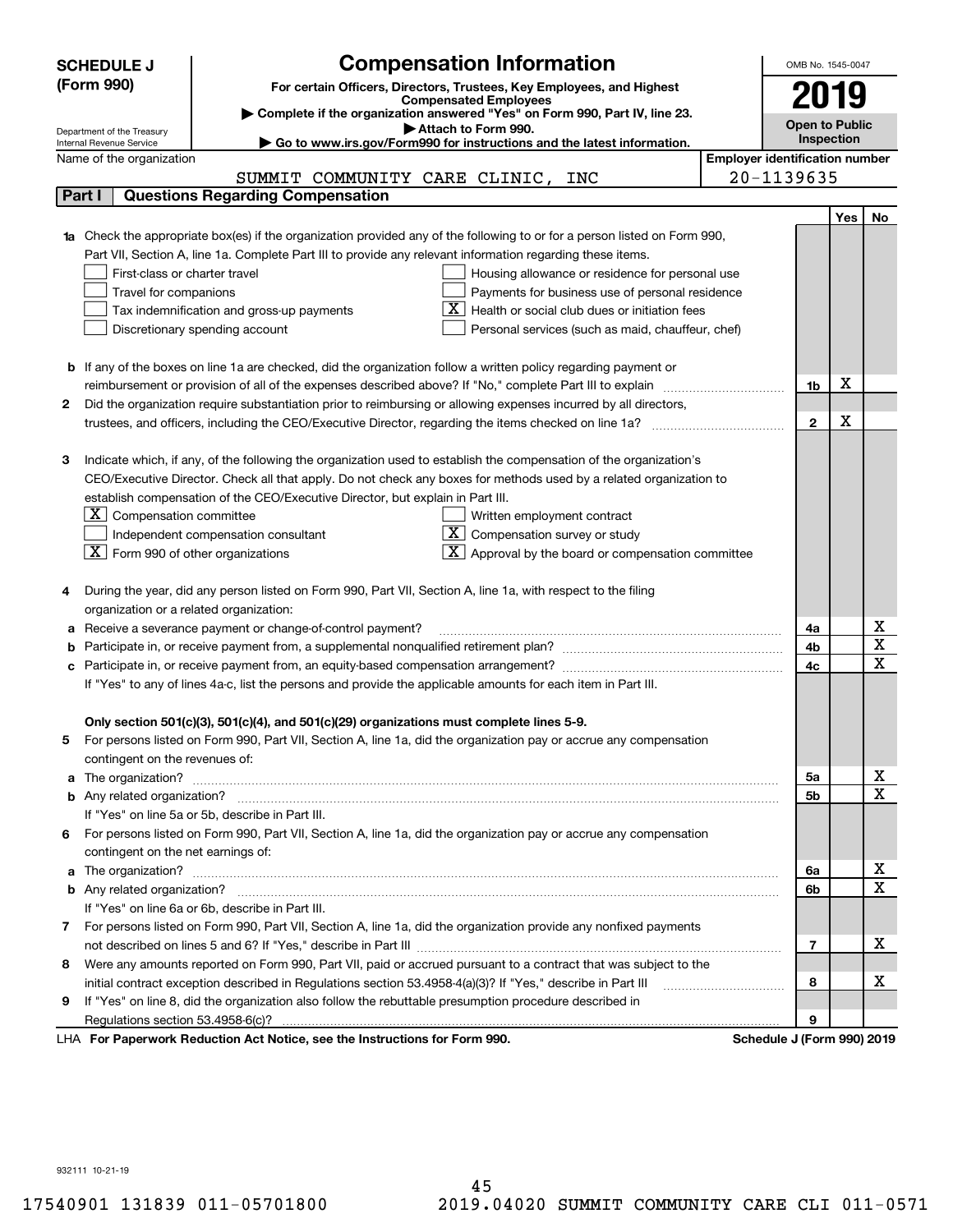| (Form 990)<br>For certain Officers, Directors, Trustees, Key Employees, and Highest<br>y<br><b>Compensated Employees</b><br>Complete if the organization answered "Yes" on Form 990, Part IV, line 23.<br><b>Open to Public</b><br>Attach to Form 990.<br>Department of the Treasury<br>Inspection<br>Go to www.irs.gov/Form990 for instructions and the latest information.<br>Internal Revenue Service<br><b>Employer identification number</b><br>Name of the organization<br>20-1139635<br>SUMMIT COMMUNITY CARE CLINIC, INC<br><b>Questions Regarding Compensation</b><br>Part I<br>Yes<br>No<br><b>1a</b> Check the appropriate box(es) if the organization provided any of the following to or for a person listed on Form 990,<br>Part VII, Section A, line 1a. Complete Part III to provide any relevant information regarding these items.<br>First-class or charter travel<br>Housing allowance or residence for personal use<br>Travel for companions<br>Payments for business use of personal residence<br>Health or social club dues or initiation fees<br>Tax indemnification and gross-up payments<br>Discretionary spending account<br>Personal services (such as maid, chauffeur, chef)<br><b>b</b> If any of the boxes on line 1a are checked, did the organization follow a written policy regarding payment or<br>х<br>1b<br>Did the organization require substantiation prior to reimbursing or allowing expenses incurred by all directors,<br>2<br>х<br>$\overline{2}$<br>Indicate which, if any, of the following the organization used to establish the compensation of the organization's<br>з<br>CEO/Executive Director. Check all that apply. Do not check any boxes for methods used by a related organization to<br>establish compensation of the CEO/Executive Director, but explain in Part III.<br>$X$ Compensation committee<br>Written employment contract<br>$X$ Compensation survey or study<br>Independent compensation consultant<br>Approval by the board or compensation committee<br>$ \mathbf{X} $ Form 990 of other organizations<br>During the year, did any person listed on Form 990, Part VII, Section A, line 1a, with respect to the filing<br>organization or a related organization:<br>х<br>Receive a severance payment or change-of-control payment?<br>4a<br>а<br>$\mathbf x$<br>4b<br>$\mathbf x$<br>4c<br>If "Yes" to any of lines 4a-c, list the persons and provide the applicable amounts for each item in Part III.<br>Only section 501(c)(3), 501(c)(4), and 501(c)(29) organizations must complete lines 5-9.<br>For persons listed on Form 990, Part VII, Section A, line 1a, did the organization pay or accrue any compensation<br>5<br>contingent on the revenues of:<br>х<br>5а<br>$\mathbf x$<br>5b<br>If "Yes" on line 5a or 5b, describe in Part III.<br>6 For persons listed on Form 990, Part VII, Section A, line 1a, did the organization pay or accrue any compensation<br>contingent on the net earnings of:<br>х<br>6a<br>$\mathbf X$<br>6b<br>If "Yes" on line 6a or 6b, describe in Part III.<br>7 For persons listed on Form 990, Part VII, Section A, line 1a, did the organization provide any nonfixed payments<br>х<br>7<br>Were any amounts reported on Form 990, Part VII, paid or accrued pursuant to a contract that was subject to the<br>8<br>х<br>initial contract exception described in Regulations section 53.4958-4(a)(3)? If "Yes," describe in Part III<br>8<br>If "Yes" on line 8, did the organization also follow the rebuttable presumption procedure described in<br>9<br>9<br>exuerk Reduction Act Notice, see the Instructions for Form 000<br>Pohodulo I (Form 000) 2010 | <b>SCHEDULE J</b> | <b>Compensation Information</b> |  | OMB No. 1545-0047 |  |  |  |
|-------------------------------------------------------------------------------------------------------------------------------------------------------------------------------------------------------------------------------------------------------------------------------------------------------------------------------------------------------------------------------------------------------------------------------------------------------------------------------------------------------------------------------------------------------------------------------------------------------------------------------------------------------------------------------------------------------------------------------------------------------------------------------------------------------------------------------------------------------------------------------------------------------------------------------------------------------------------------------------------------------------------------------------------------------------------------------------------------------------------------------------------------------------------------------------------------------------------------------------------------------------------------------------------------------------------------------------------------------------------------------------------------------------------------------------------------------------------------------------------------------------------------------------------------------------------------------------------------------------------------------------------------------------------------------------------------------------------------------------------------------------------------------------------------------------------------------------------------------------------------------------------------------------------------------------------------------------------------------------------------------------------------------------------------------------------------------------------------------------------------------------------------------------------------------------------------------------------------------------------------------------------------------------------------------------------------------------------------------------------------------------------------------------------------------------------------------------------------------------------------------------------------------------------------------------------------------------------------------------------------------------------------------------------------------------------------------------------------------------------------------------------------------------------------------------------------------------------------------------------------------------------------------------------------------------------------------------------------------------------------------------------------------------------------------------------------------------------------------------------------------------------------------------------------------------------------------------------------------------------------------------------------------------------------------------------------------------------------------------------------------------------------------------------------------------------------------------------------------------------------------------------------------------------------------------------------------------------------------------------------------------------------------------------------------------|-------------------|---------------------------------|--|-------------------|--|--|--|
|                                                                                                                                                                                                                                                                                                                                                                                                                                                                                                                                                                                                                                                                                                                                                                                                                                                                                                                                                                                                                                                                                                                                                                                                                                                                                                                                                                                                                                                                                                                                                                                                                                                                                                                                                                                                                                                                                                                                                                                                                                                                                                                                                                                                                                                                                                                                                                                                                                                                                                                                                                                                                                                                                                                                                                                                                                                                                                                                                                                                                                                                                                                                                                                                                                                                                                                                                                                                                                                                                                                                                                                                                                                                                     |                   |                                 |  |                   |  |  |  |
|                                                                                                                                                                                                                                                                                                                                                                                                                                                                                                                                                                                                                                                                                                                                                                                                                                                                                                                                                                                                                                                                                                                                                                                                                                                                                                                                                                                                                                                                                                                                                                                                                                                                                                                                                                                                                                                                                                                                                                                                                                                                                                                                                                                                                                                                                                                                                                                                                                                                                                                                                                                                                                                                                                                                                                                                                                                                                                                                                                                                                                                                                                                                                                                                                                                                                                                                                                                                                                                                                                                                                                                                                                                                                     |                   |                                 |  |                   |  |  |  |
|                                                                                                                                                                                                                                                                                                                                                                                                                                                                                                                                                                                                                                                                                                                                                                                                                                                                                                                                                                                                                                                                                                                                                                                                                                                                                                                                                                                                                                                                                                                                                                                                                                                                                                                                                                                                                                                                                                                                                                                                                                                                                                                                                                                                                                                                                                                                                                                                                                                                                                                                                                                                                                                                                                                                                                                                                                                                                                                                                                                                                                                                                                                                                                                                                                                                                                                                                                                                                                                                                                                                                                                                                                                                                     |                   |                                 |  |                   |  |  |  |
|                                                                                                                                                                                                                                                                                                                                                                                                                                                                                                                                                                                                                                                                                                                                                                                                                                                                                                                                                                                                                                                                                                                                                                                                                                                                                                                                                                                                                                                                                                                                                                                                                                                                                                                                                                                                                                                                                                                                                                                                                                                                                                                                                                                                                                                                                                                                                                                                                                                                                                                                                                                                                                                                                                                                                                                                                                                                                                                                                                                                                                                                                                                                                                                                                                                                                                                                                                                                                                                                                                                                                                                                                                                                                     |                   |                                 |  |                   |  |  |  |
|                                                                                                                                                                                                                                                                                                                                                                                                                                                                                                                                                                                                                                                                                                                                                                                                                                                                                                                                                                                                                                                                                                                                                                                                                                                                                                                                                                                                                                                                                                                                                                                                                                                                                                                                                                                                                                                                                                                                                                                                                                                                                                                                                                                                                                                                                                                                                                                                                                                                                                                                                                                                                                                                                                                                                                                                                                                                                                                                                                                                                                                                                                                                                                                                                                                                                                                                                                                                                                                                                                                                                                                                                                                                                     |                   |                                 |  |                   |  |  |  |
|                                                                                                                                                                                                                                                                                                                                                                                                                                                                                                                                                                                                                                                                                                                                                                                                                                                                                                                                                                                                                                                                                                                                                                                                                                                                                                                                                                                                                                                                                                                                                                                                                                                                                                                                                                                                                                                                                                                                                                                                                                                                                                                                                                                                                                                                                                                                                                                                                                                                                                                                                                                                                                                                                                                                                                                                                                                                                                                                                                                                                                                                                                                                                                                                                                                                                                                                                                                                                                                                                                                                                                                                                                                                                     |                   |                                 |  |                   |  |  |  |
|                                                                                                                                                                                                                                                                                                                                                                                                                                                                                                                                                                                                                                                                                                                                                                                                                                                                                                                                                                                                                                                                                                                                                                                                                                                                                                                                                                                                                                                                                                                                                                                                                                                                                                                                                                                                                                                                                                                                                                                                                                                                                                                                                                                                                                                                                                                                                                                                                                                                                                                                                                                                                                                                                                                                                                                                                                                                                                                                                                                                                                                                                                                                                                                                                                                                                                                                                                                                                                                                                                                                                                                                                                                                                     |                   |                                 |  |                   |  |  |  |
|                                                                                                                                                                                                                                                                                                                                                                                                                                                                                                                                                                                                                                                                                                                                                                                                                                                                                                                                                                                                                                                                                                                                                                                                                                                                                                                                                                                                                                                                                                                                                                                                                                                                                                                                                                                                                                                                                                                                                                                                                                                                                                                                                                                                                                                                                                                                                                                                                                                                                                                                                                                                                                                                                                                                                                                                                                                                                                                                                                                                                                                                                                                                                                                                                                                                                                                                                                                                                                                                                                                                                                                                                                                                                     |                   |                                 |  |                   |  |  |  |
|                                                                                                                                                                                                                                                                                                                                                                                                                                                                                                                                                                                                                                                                                                                                                                                                                                                                                                                                                                                                                                                                                                                                                                                                                                                                                                                                                                                                                                                                                                                                                                                                                                                                                                                                                                                                                                                                                                                                                                                                                                                                                                                                                                                                                                                                                                                                                                                                                                                                                                                                                                                                                                                                                                                                                                                                                                                                                                                                                                                                                                                                                                                                                                                                                                                                                                                                                                                                                                                                                                                                                                                                                                                                                     |                   |                                 |  |                   |  |  |  |
|                                                                                                                                                                                                                                                                                                                                                                                                                                                                                                                                                                                                                                                                                                                                                                                                                                                                                                                                                                                                                                                                                                                                                                                                                                                                                                                                                                                                                                                                                                                                                                                                                                                                                                                                                                                                                                                                                                                                                                                                                                                                                                                                                                                                                                                                                                                                                                                                                                                                                                                                                                                                                                                                                                                                                                                                                                                                                                                                                                                                                                                                                                                                                                                                                                                                                                                                                                                                                                                                                                                                                                                                                                                                                     |                   |                                 |  |                   |  |  |  |
|                                                                                                                                                                                                                                                                                                                                                                                                                                                                                                                                                                                                                                                                                                                                                                                                                                                                                                                                                                                                                                                                                                                                                                                                                                                                                                                                                                                                                                                                                                                                                                                                                                                                                                                                                                                                                                                                                                                                                                                                                                                                                                                                                                                                                                                                                                                                                                                                                                                                                                                                                                                                                                                                                                                                                                                                                                                                                                                                                                                                                                                                                                                                                                                                                                                                                                                                                                                                                                                                                                                                                                                                                                                                                     |                   |                                 |  |                   |  |  |  |
|                                                                                                                                                                                                                                                                                                                                                                                                                                                                                                                                                                                                                                                                                                                                                                                                                                                                                                                                                                                                                                                                                                                                                                                                                                                                                                                                                                                                                                                                                                                                                                                                                                                                                                                                                                                                                                                                                                                                                                                                                                                                                                                                                                                                                                                                                                                                                                                                                                                                                                                                                                                                                                                                                                                                                                                                                                                                                                                                                                                                                                                                                                                                                                                                                                                                                                                                                                                                                                                                                                                                                                                                                                                                                     |                   |                                 |  |                   |  |  |  |
|                                                                                                                                                                                                                                                                                                                                                                                                                                                                                                                                                                                                                                                                                                                                                                                                                                                                                                                                                                                                                                                                                                                                                                                                                                                                                                                                                                                                                                                                                                                                                                                                                                                                                                                                                                                                                                                                                                                                                                                                                                                                                                                                                                                                                                                                                                                                                                                                                                                                                                                                                                                                                                                                                                                                                                                                                                                                                                                                                                                                                                                                                                                                                                                                                                                                                                                                                                                                                                                                                                                                                                                                                                                                                     |                   |                                 |  |                   |  |  |  |
|                                                                                                                                                                                                                                                                                                                                                                                                                                                                                                                                                                                                                                                                                                                                                                                                                                                                                                                                                                                                                                                                                                                                                                                                                                                                                                                                                                                                                                                                                                                                                                                                                                                                                                                                                                                                                                                                                                                                                                                                                                                                                                                                                                                                                                                                                                                                                                                                                                                                                                                                                                                                                                                                                                                                                                                                                                                                                                                                                                                                                                                                                                                                                                                                                                                                                                                                                                                                                                                                                                                                                                                                                                                                                     |                   |                                 |  |                   |  |  |  |
|                                                                                                                                                                                                                                                                                                                                                                                                                                                                                                                                                                                                                                                                                                                                                                                                                                                                                                                                                                                                                                                                                                                                                                                                                                                                                                                                                                                                                                                                                                                                                                                                                                                                                                                                                                                                                                                                                                                                                                                                                                                                                                                                                                                                                                                                                                                                                                                                                                                                                                                                                                                                                                                                                                                                                                                                                                                                                                                                                                                                                                                                                                                                                                                                                                                                                                                                                                                                                                                                                                                                                                                                                                                                                     |                   |                                 |  |                   |  |  |  |
|                                                                                                                                                                                                                                                                                                                                                                                                                                                                                                                                                                                                                                                                                                                                                                                                                                                                                                                                                                                                                                                                                                                                                                                                                                                                                                                                                                                                                                                                                                                                                                                                                                                                                                                                                                                                                                                                                                                                                                                                                                                                                                                                                                                                                                                                                                                                                                                                                                                                                                                                                                                                                                                                                                                                                                                                                                                                                                                                                                                                                                                                                                                                                                                                                                                                                                                                                                                                                                                                                                                                                                                                                                                                                     |                   |                                 |  |                   |  |  |  |
|                                                                                                                                                                                                                                                                                                                                                                                                                                                                                                                                                                                                                                                                                                                                                                                                                                                                                                                                                                                                                                                                                                                                                                                                                                                                                                                                                                                                                                                                                                                                                                                                                                                                                                                                                                                                                                                                                                                                                                                                                                                                                                                                                                                                                                                                                                                                                                                                                                                                                                                                                                                                                                                                                                                                                                                                                                                                                                                                                                                                                                                                                                                                                                                                                                                                                                                                                                                                                                                                                                                                                                                                                                                                                     |                   |                                 |  |                   |  |  |  |
|                                                                                                                                                                                                                                                                                                                                                                                                                                                                                                                                                                                                                                                                                                                                                                                                                                                                                                                                                                                                                                                                                                                                                                                                                                                                                                                                                                                                                                                                                                                                                                                                                                                                                                                                                                                                                                                                                                                                                                                                                                                                                                                                                                                                                                                                                                                                                                                                                                                                                                                                                                                                                                                                                                                                                                                                                                                                                                                                                                                                                                                                                                                                                                                                                                                                                                                                                                                                                                                                                                                                                                                                                                                                                     |                   |                                 |  |                   |  |  |  |
|                                                                                                                                                                                                                                                                                                                                                                                                                                                                                                                                                                                                                                                                                                                                                                                                                                                                                                                                                                                                                                                                                                                                                                                                                                                                                                                                                                                                                                                                                                                                                                                                                                                                                                                                                                                                                                                                                                                                                                                                                                                                                                                                                                                                                                                                                                                                                                                                                                                                                                                                                                                                                                                                                                                                                                                                                                                                                                                                                                                                                                                                                                                                                                                                                                                                                                                                                                                                                                                                                                                                                                                                                                                                                     |                   |                                 |  |                   |  |  |  |
|                                                                                                                                                                                                                                                                                                                                                                                                                                                                                                                                                                                                                                                                                                                                                                                                                                                                                                                                                                                                                                                                                                                                                                                                                                                                                                                                                                                                                                                                                                                                                                                                                                                                                                                                                                                                                                                                                                                                                                                                                                                                                                                                                                                                                                                                                                                                                                                                                                                                                                                                                                                                                                                                                                                                                                                                                                                                                                                                                                                                                                                                                                                                                                                                                                                                                                                                                                                                                                                                                                                                                                                                                                                                                     |                   |                                 |  |                   |  |  |  |
|                                                                                                                                                                                                                                                                                                                                                                                                                                                                                                                                                                                                                                                                                                                                                                                                                                                                                                                                                                                                                                                                                                                                                                                                                                                                                                                                                                                                                                                                                                                                                                                                                                                                                                                                                                                                                                                                                                                                                                                                                                                                                                                                                                                                                                                                                                                                                                                                                                                                                                                                                                                                                                                                                                                                                                                                                                                                                                                                                                                                                                                                                                                                                                                                                                                                                                                                                                                                                                                                                                                                                                                                                                                                                     |                   |                                 |  |                   |  |  |  |
|                                                                                                                                                                                                                                                                                                                                                                                                                                                                                                                                                                                                                                                                                                                                                                                                                                                                                                                                                                                                                                                                                                                                                                                                                                                                                                                                                                                                                                                                                                                                                                                                                                                                                                                                                                                                                                                                                                                                                                                                                                                                                                                                                                                                                                                                                                                                                                                                                                                                                                                                                                                                                                                                                                                                                                                                                                                                                                                                                                                                                                                                                                                                                                                                                                                                                                                                                                                                                                                                                                                                                                                                                                                                                     |                   |                                 |  |                   |  |  |  |
|                                                                                                                                                                                                                                                                                                                                                                                                                                                                                                                                                                                                                                                                                                                                                                                                                                                                                                                                                                                                                                                                                                                                                                                                                                                                                                                                                                                                                                                                                                                                                                                                                                                                                                                                                                                                                                                                                                                                                                                                                                                                                                                                                                                                                                                                                                                                                                                                                                                                                                                                                                                                                                                                                                                                                                                                                                                                                                                                                                                                                                                                                                                                                                                                                                                                                                                                                                                                                                                                                                                                                                                                                                                                                     |                   |                                 |  |                   |  |  |  |
|                                                                                                                                                                                                                                                                                                                                                                                                                                                                                                                                                                                                                                                                                                                                                                                                                                                                                                                                                                                                                                                                                                                                                                                                                                                                                                                                                                                                                                                                                                                                                                                                                                                                                                                                                                                                                                                                                                                                                                                                                                                                                                                                                                                                                                                                                                                                                                                                                                                                                                                                                                                                                                                                                                                                                                                                                                                                                                                                                                                                                                                                                                                                                                                                                                                                                                                                                                                                                                                                                                                                                                                                                                                                                     |                   |                                 |  |                   |  |  |  |
|                                                                                                                                                                                                                                                                                                                                                                                                                                                                                                                                                                                                                                                                                                                                                                                                                                                                                                                                                                                                                                                                                                                                                                                                                                                                                                                                                                                                                                                                                                                                                                                                                                                                                                                                                                                                                                                                                                                                                                                                                                                                                                                                                                                                                                                                                                                                                                                                                                                                                                                                                                                                                                                                                                                                                                                                                                                                                                                                                                                                                                                                                                                                                                                                                                                                                                                                                                                                                                                                                                                                                                                                                                                                                     |                   |                                 |  |                   |  |  |  |
|                                                                                                                                                                                                                                                                                                                                                                                                                                                                                                                                                                                                                                                                                                                                                                                                                                                                                                                                                                                                                                                                                                                                                                                                                                                                                                                                                                                                                                                                                                                                                                                                                                                                                                                                                                                                                                                                                                                                                                                                                                                                                                                                                                                                                                                                                                                                                                                                                                                                                                                                                                                                                                                                                                                                                                                                                                                                                                                                                                                                                                                                                                                                                                                                                                                                                                                                                                                                                                                                                                                                                                                                                                                                                     |                   |                                 |  |                   |  |  |  |
|                                                                                                                                                                                                                                                                                                                                                                                                                                                                                                                                                                                                                                                                                                                                                                                                                                                                                                                                                                                                                                                                                                                                                                                                                                                                                                                                                                                                                                                                                                                                                                                                                                                                                                                                                                                                                                                                                                                                                                                                                                                                                                                                                                                                                                                                                                                                                                                                                                                                                                                                                                                                                                                                                                                                                                                                                                                                                                                                                                                                                                                                                                                                                                                                                                                                                                                                                                                                                                                                                                                                                                                                                                                                                     |                   |                                 |  |                   |  |  |  |
|                                                                                                                                                                                                                                                                                                                                                                                                                                                                                                                                                                                                                                                                                                                                                                                                                                                                                                                                                                                                                                                                                                                                                                                                                                                                                                                                                                                                                                                                                                                                                                                                                                                                                                                                                                                                                                                                                                                                                                                                                                                                                                                                                                                                                                                                                                                                                                                                                                                                                                                                                                                                                                                                                                                                                                                                                                                                                                                                                                                                                                                                                                                                                                                                                                                                                                                                                                                                                                                                                                                                                                                                                                                                                     |                   |                                 |  |                   |  |  |  |
|                                                                                                                                                                                                                                                                                                                                                                                                                                                                                                                                                                                                                                                                                                                                                                                                                                                                                                                                                                                                                                                                                                                                                                                                                                                                                                                                                                                                                                                                                                                                                                                                                                                                                                                                                                                                                                                                                                                                                                                                                                                                                                                                                                                                                                                                                                                                                                                                                                                                                                                                                                                                                                                                                                                                                                                                                                                                                                                                                                                                                                                                                                                                                                                                                                                                                                                                                                                                                                                                                                                                                                                                                                                                                     |                   |                                 |  |                   |  |  |  |
|                                                                                                                                                                                                                                                                                                                                                                                                                                                                                                                                                                                                                                                                                                                                                                                                                                                                                                                                                                                                                                                                                                                                                                                                                                                                                                                                                                                                                                                                                                                                                                                                                                                                                                                                                                                                                                                                                                                                                                                                                                                                                                                                                                                                                                                                                                                                                                                                                                                                                                                                                                                                                                                                                                                                                                                                                                                                                                                                                                                                                                                                                                                                                                                                                                                                                                                                                                                                                                                                                                                                                                                                                                                                                     |                   |                                 |  |                   |  |  |  |
|                                                                                                                                                                                                                                                                                                                                                                                                                                                                                                                                                                                                                                                                                                                                                                                                                                                                                                                                                                                                                                                                                                                                                                                                                                                                                                                                                                                                                                                                                                                                                                                                                                                                                                                                                                                                                                                                                                                                                                                                                                                                                                                                                                                                                                                                                                                                                                                                                                                                                                                                                                                                                                                                                                                                                                                                                                                                                                                                                                                                                                                                                                                                                                                                                                                                                                                                                                                                                                                                                                                                                                                                                                                                                     |                   |                                 |  |                   |  |  |  |
|                                                                                                                                                                                                                                                                                                                                                                                                                                                                                                                                                                                                                                                                                                                                                                                                                                                                                                                                                                                                                                                                                                                                                                                                                                                                                                                                                                                                                                                                                                                                                                                                                                                                                                                                                                                                                                                                                                                                                                                                                                                                                                                                                                                                                                                                                                                                                                                                                                                                                                                                                                                                                                                                                                                                                                                                                                                                                                                                                                                                                                                                                                                                                                                                                                                                                                                                                                                                                                                                                                                                                                                                                                                                                     |                   |                                 |  |                   |  |  |  |
|                                                                                                                                                                                                                                                                                                                                                                                                                                                                                                                                                                                                                                                                                                                                                                                                                                                                                                                                                                                                                                                                                                                                                                                                                                                                                                                                                                                                                                                                                                                                                                                                                                                                                                                                                                                                                                                                                                                                                                                                                                                                                                                                                                                                                                                                                                                                                                                                                                                                                                                                                                                                                                                                                                                                                                                                                                                                                                                                                                                                                                                                                                                                                                                                                                                                                                                                                                                                                                                                                                                                                                                                                                                                                     |                   |                                 |  |                   |  |  |  |
|                                                                                                                                                                                                                                                                                                                                                                                                                                                                                                                                                                                                                                                                                                                                                                                                                                                                                                                                                                                                                                                                                                                                                                                                                                                                                                                                                                                                                                                                                                                                                                                                                                                                                                                                                                                                                                                                                                                                                                                                                                                                                                                                                                                                                                                                                                                                                                                                                                                                                                                                                                                                                                                                                                                                                                                                                                                                                                                                                                                                                                                                                                                                                                                                                                                                                                                                                                                                                                                                                                                                                                                                                                                                                     |                   |                                 |  |                   |  |  |  |
|                                                                                                                                                                                                                                                                                                                                                                                                                                                                                                                                                                                                                                                                                                                                                                                                                                                                                                                                                                                                                                                                                                                                                                                                                                                                                                                                                                                                                                                                                                                                                                                                                                                                                                                                                                                                                                                                                                                                                                                                                                                                                                                                                                                                                                                                                                                                                                                                                                                                                                                                                                                                                                                                                                                                                                                                                                                                                                                                                                                                                                                                                                                                                                                                                                                                                                                                                                                                                                                                                                                                                                                                                                                                                     |                   |                                 |  |                   |  |  |  |
|                                                                                                                                                                                                                                                                                                                                                                                                                                                                                                                                                                                                                                                                                                                                                                                                                                                                                                                                                                                                                                                                                                                                                                                                                                                                                                                                                                                                                                                                                                                                                                                                                                                                                                                                                                                                                                                                                                                                                                                                                                                                                                                                                                                                                                                                                                                                                                                                                                                                                                                                                                                                                                                                                                                                                                                                                                                                                                                                                                                                                                                                                                                                                                                                                                                                                                                                                                                                                                                                                                                                                                                                                                                                                     |                   |                                 |  |                   |  |  |  |
|                                                                                                                                                                                                                                                                                                                                                                                                                                                                                                                                                                                                                                                                                                                                                                                                                                                                                                                                                                                                                                                                                                                                                                                                                                                                                                                                                                                                                                                                                                                                                                                                                                                                                                                                                                                                                                                                                                                                                                                                                                                                                                                                                                                                                                                                                                                                                                                                                                                                                                                                                                                                                                                                                                                                                                                                                                                                                                                                                                                                                                                                                                                                                                                                                                                                                                                                                                                                                                                                                                                                                                                                                                                                                     |                   |                                 |  |                   |  |  |  |
|                                                                                                                                                                                                                                                                                                                                                                                                                                                                                                                                                                                                                                                                                                                                                                                                                                                                                                                                                                                                                                                                                                                                                                                                                                                                                                                                                                                                                                                                                                                                                                                                                                                                                                                                                                                                                                                                                                                                                                                                                                                                                                                                                                                                                                                                                                                                                                                                                                                                                                                                                                                                                                                                                                                                                                                                                                                                                                                                                                                                                                                                                                                                                                                                                                                                                                                                                                                                                                                                                                                                                                                                                                                                                     |                   |                                 |  |                   |  |  |  |
|                                                                                                                                                                                                                                                                                                                                                                                                                                                                                                                                                                                                                                                                                                                                                                                                                                                                                                                                                                                                                                                                                                                                                                                                                                                                                                                                                                                                                                                                                                                                                                                                                                                                                                                                                                                                                                                                                                                                                                                                                                                                                                                                                                                                                                                                                                                                                                                                                                                                                                                                                                                                                                                                                                                                                                                                                                                                                                                                                                                                                                                                                                                                                                                                                                                                                                                                                                                                                                                                                                                                                                                                                                                                                     |                   |                                 |  |                   |  |  |  |
|                                                                                                                                                                                                                                                                                                                                                                                                                                                                                                                                                                                                                                                                                                                                                                                                                                                                                                                                                                                                                                                                                                                                                                                                                                                                                                                                                                                                                                                                                                                                                                                                                                                                                                                                                                                                                                                                                                                                                                                                                                                                                                                                                                                                                                                                                                                                                                                                                                                                                                                                                                                                                                                                                                                                                                                                                                                                                                                                                                                                                                                                                                                                                                                                                                                                                                                                                                                                                                                                                                                                                                                                                                                                                     |                   |                                 |  |                   |  |  |  |
|                                                                                                                                                                                                                                                                                                                                                                                                                                                                                                                                                                                                                                                                                                                                                                                                                                                                                                                                                                                                                                                                                                                                                                                                                                                                                                                                                                                                                                                                                                                                                                                                                                                                                                                                                                                                                                                                                                                                                                                                                                                                                                                                                                                                                                                                                                                                                                                                                                                                                                                                                                                                                                                                                                                                                                                                                                                                                                                                                                                                                                                                                                                                                                                                                                                                                                                                                                                                                                                                                                                                                                                                                                                                                     |                   |                                 |  |                   |  |  |  |
|                                                                                                                                                                                                                                                                                                                                                                                                                                                                                                                                                                                                                                                                                                                                                                                                                                                                                                                                                                                                                                                                                                                                                                                                                                                                                                                                                                                                                                                                                                                                                                                                                                                                                                                                                                                                                                                                                                                                                                                                                                                                                                                                                                                                                                                                                                                                                                                                                                                                                                                                                                                                                                                                                                                                                                                                                                                                                                                                                                                                                                                                                                                                                                                                                                                                                                                                                                                                                                                                                                                                                                                                                                                                                     |                   |                                 |  |                   |  |  |  |
|                                                                                                                                                                                                                                                                                                                                                                                                                                                                                                                                                                                                                                                                                                                                                                                                                                                                                                                                                                                                                                                                                                                                                                                                                                                                                                                                                                                                                                                                                                                                                                                                                                                                                                                                                                                                                                                                                                                                                                                                                                                                                                                                                                                                                                                                                                                                                                                                                                                                                                                                                                                                                                                                                                                                                                                                                                                                                                                                                                                                                                                                                                                                                                                                                                                                                                                                                                                                                                                                                                                                                                                                                                                                                     |                   |                                 |  |                   |  |  |  |
|                                                                                                                                                                                                                                                                                                                                                                                                                                                                                                                                                                                                                                                                                                                                                                                                                                                                                                                                                                                                                                                                                                                                                                                                                                                                                                                                                                                                                                                                                                                                                                                                                                                                                                                                                                                                                                                                                                                                                                                                                                                                                                                                                                                                                                                                                                                                                                                                                                                                                                                                                                                                                                                                                                                                                                                                                                                                                                                                                                                                                                                                                                                                                                                                                                                                                                                                                                                                                                                                                                                                                                                                                                                                                     |                   |                                 |  |                   |  |  |  |
|                                                                                                                                                                                                                                                                                                                                                                                                                                                                                                                                                                                                                                                                                                                                                                                                                                                                                                                                                                                                                                                                                                                                                                                                                                                                                                                                                                                                                                                                                                                                                                                                                                                                                                                                                                                                                                                                                                                                                                                                                                                                                                                                                                                                                                                                                                                                                                                                                                                                                                                                                                                                                                                                                                                                                                                                                                                                                                                                                                                                                                                                                                                                                                                                                                                                                                                                                                                                                                                                                                                                                                                                                                                                                     |                   |                                 |  |                   |  |  |  |
|                                                                                                                                                                                                                                                                                                                                                                                                                                                                                                                                                                                                                                                                                                                                                                                                                                                                                                                                                                                                                                                                                                                                                                                                                                                                                                                                                                                                                                                                                                                                                                                                                                                                                                                                                                                                                                                                                                                                                                                                                                                                                                                                                                                                                                                                                                                                                                                                                                                                                                                                                                                                                                                                                                                                                                                                                                                                                                                                                                                                                                                                                                                                                                                                                                                                                                                                                                                                                                                                                                                                                                                                                                                                                     |                   |                                 |  |                   |  |  |  |
|                                                                                                                                                                                                                                                                                                                                                                                                                                                                                                                                                                                                                                                                                                                                                                                                                                                                                                                                                                                                                                                                                                                                                                                                                                                                                                                                                                                                                                                                                                                                                                                                                                                                                                                                                                                                                                                                                                                                                                                                                                                                                                                                                                                                                                                                                                                                                                                                                                                                                                                                                                                                                                                                                                                                                                                                                                                                                                                                                                                                                                                                                                                                                                                                                                                                                                                                                                                                                                                                                                                                                                                                                                                                                     |                   |                                 |  |                   |  |  |  |
|                                                                                                                                                                                                                                                                                                                                                                                                                                                                                                                                                                                                                                                                                                                                                                                                                                                                                                                                                                                                                                                                                                                                                                                                                                                                                                                                                                                                                                                                                                                                                                                                                                                                                                                                                                                                                                                                                                                                                                                                                                                                                                                                                                                                                                                                                                                                                                                                                                                                                                                                                                                                                                                                                                                                                                                                                                                                                                                                                                                                                                                                                                                                                                                                                                                                                                                                                                                                                                                                                                                                                                                                                                                                                     |                   |                                 |  |                   |  |  |  |
|                                                                                                                                                                                                                                                                                                                                                                                                                                                                                                                                                                                                                                                                                                                                                                                                                                                                                                                                                                                                                                                                                                                                                                                                                                                                                                                                                                                                                                                                                                                                                                                                                                                                                                                                                                                                                                                                                                                                                                                                                                                                                                                                                                                                                                                                                                                                                                                                                                                                                                                                                                                                                                                                                                                                                                                                                                                                                                                                                                                                                                                                                                                                                                                                                                                                                                                                                                                                                                                                                                                                                                                                                                                                                     |                   |                                 |  |                   |  |  |  |

LHA For Paperwork Reduction Act Notice, see the Instructions for Form 990. Schedule J (Form 990) 2019

932111 10-21-19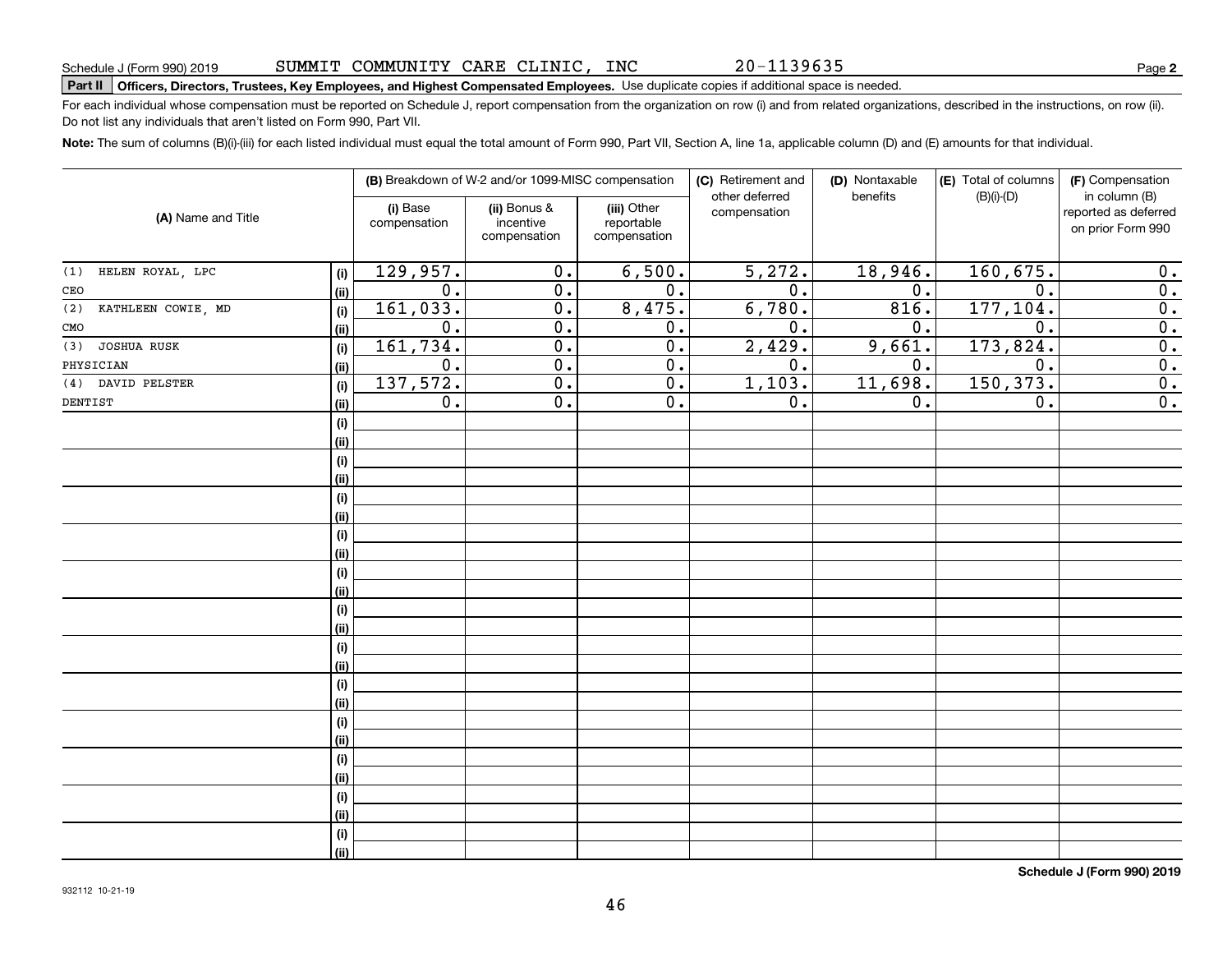20-1139635

# **Part II Officers, Directors, Trustees, Key Employees, and Highest Compensated Employees.**  Schedule J (Form 990) 2019 Page Use duplicate copies if additional space is needed.

For each individual whose compensation must be reported on Schedule J, report compensation from the organization on row (i) and from related organizations, described in the instructions, on row (ii). Do not list any individuals that aren't listed on Form 990, Part VII.

**Note:**  The sum of columns (B)(i)-(iii) for each listed individual must equal the total amount of Form 990, Part VII, Section A, line 1a, applicable column (D) and (E) amounts for that individual.

|                                  |                          |                  | (B) Breakdown of W-2 and/or 1099-MISC compensation |                                           | (C) Retirement and             | (D) Nontaxable   | (E) Total of columns | (F) Compensation                                           |
|----------------------------------|--------------------------|------------------|----------------------------------------------------|-------------------------------------------|--------------------------------|------------------|----------------------|------------------------------------------------------------|
| (A) Name and Title               | (i) Base<br>compensation |                  | (ii) Bonus &<br>incentive<br>compensation          | (iii) Other<br>reportable<br>compensation | other deferred<br>compensation | benefits         | $(B)(i)-(D)$         | in column (B)<br>reported as deferred<br>on prior Form 990 |
| HELEN ROYAL, LPC<br>(1)<br>(i)   |                          | 129,957.         | $\overline{0}$ .                                   | 6,500.                                    | 5,272.                         | 18,946.          | 160,675.             | 0.                                                         |
| CEO<br>(ii)                      |                          | $\overline{0}$ . | $\overline{0}$ .                                   | $\overline{0}$ .                          | $\overline{0}$ .               | 0.               | $\overline{0}$ .     | $\overline{0}$ .                                           |
| (2)<br>KATHLEEN COWIE, MD<br>(i) |                          | 161,033.         | $\overline{0}$ .                                   | 8,475.                                    | 6,780.                         | 816.             | 177, 104.            | $\overline{0}$ .                                           |
| CMO<br>(ii)                      |                          | $\overline{0}$ . | $\overline{0}$ .                                   | $\overline{0}$ .                          | $\overline{0}$ .               | $\overline{0}$ . | $\overline{0}$ .     | $\overline{0}$ .                                           |
| (3)<br>JOSHUA RUSK<br>(i)        |                          | 161,734.         | $\overline{0}$ .                                   | $\overline{0}$ .                          | 2,429.                         | 9,661.           | 173,824.             | $\overline{0}$ .                                           |
| PHYSICIAN<br>(ii)                |                          | $\overline{0}$ . | $\overline{0}$ .                                   | $\overline{0}$ .                          | $\overline{0}$ .               | 0.               | $\overline{0}$ .     | $\overline{0}$ .                                           |
| DAVID PELSTER<br>(4)<br>(i)      |                          | 137,572.         | $\overline{0}$ .                                   | $\overline{0}$ .                          | 1,103.                         | 11,698.          | 150, 373.            | $\overline{0}$ .                                           |
| DENTIST<br>(ii)                  |                          | $\overline{0}$ . | $\overline{0}$ .                                   | $\overline{0}$ .                          | $\overline{0}$ .               | 0.               | 0.                   | $\overline{0}$ .                                           |
| (i)                              |                          |                  |                                                    |                                           |                                |                  |                      |                                                            |
| (ii)                             |                          |                  |                                                    |                                           |                                |                  |                      |                                                            |
| (i)                              |                          |                  |                                                    |                                           |                                |                  |                      |                                                            |
| (ii)                             |                          |                  |                                                    |                                           |                                |                  |                      |                                                            |
| (i)                              |                          |                  |                                                    |                                           |                                |                  |                      |                                                            |
| (ii)                             |                          |                  |                                                    |                                           |                                |                  |                      |                                                            |
| (i)                              |                          |                  |                                                    |                                           |                                |                  |                      |                                                            |
| (ii)                             |                          |                  |                                                    |                                           |                                |                  |                      |                                                            |
| (i)                              |                          |                  |                                                    |                                           |                                |                  |                      |                                                            |
| (ii)                             |                          |                  |                                                    |                                           |                                |                  |                      |                                                            |
| (i)<br>(ii)                      |                          |                  |                                                    |                                           |                                |                  |                      |                                                            |
| (i)                              |                          |                  |                                                    |                                           |                                |                  |                      |                                                            |
| (ii)                             |                          |                  |                                                    |                                           |                                |                  |                      |                                                            |
| (i)                              |                          |                  |                                                    |                                           |                                |                  |                      |                                                            |
| (ii)                             |                          |                  |                                                    |                                           |                                |                  |                      |                                                            |
| (i)                              |                          |                  |                                                    |                                           |                                |                  |                      |                                                            |
| (ii)                             |                          |                  |                                                    |                                           |                                |                  |                      |                                                            |
| (i)                              |                          |                  |                                                    |                                           |                                |                  |                      |                                                            |
| (ii)                             |                          |                  |                                                    |                                           |                                |                  |                      |                                                            |
| (i)                              |                          |                  |                                                    |                                           |                                |                  |                      |                                                            |
| (ii)                             |                          |                  |                                                    |                                           |                                |                  |                      |                                                            |
| (i)                              |                          |                  |                                                    |                                           |                                |                  |                      |                                                            |
| (ii)                             |                          |                  |                                                    |                                           |                                |                  |                      |                                                            |

**Schedule J (Form 990) 2019**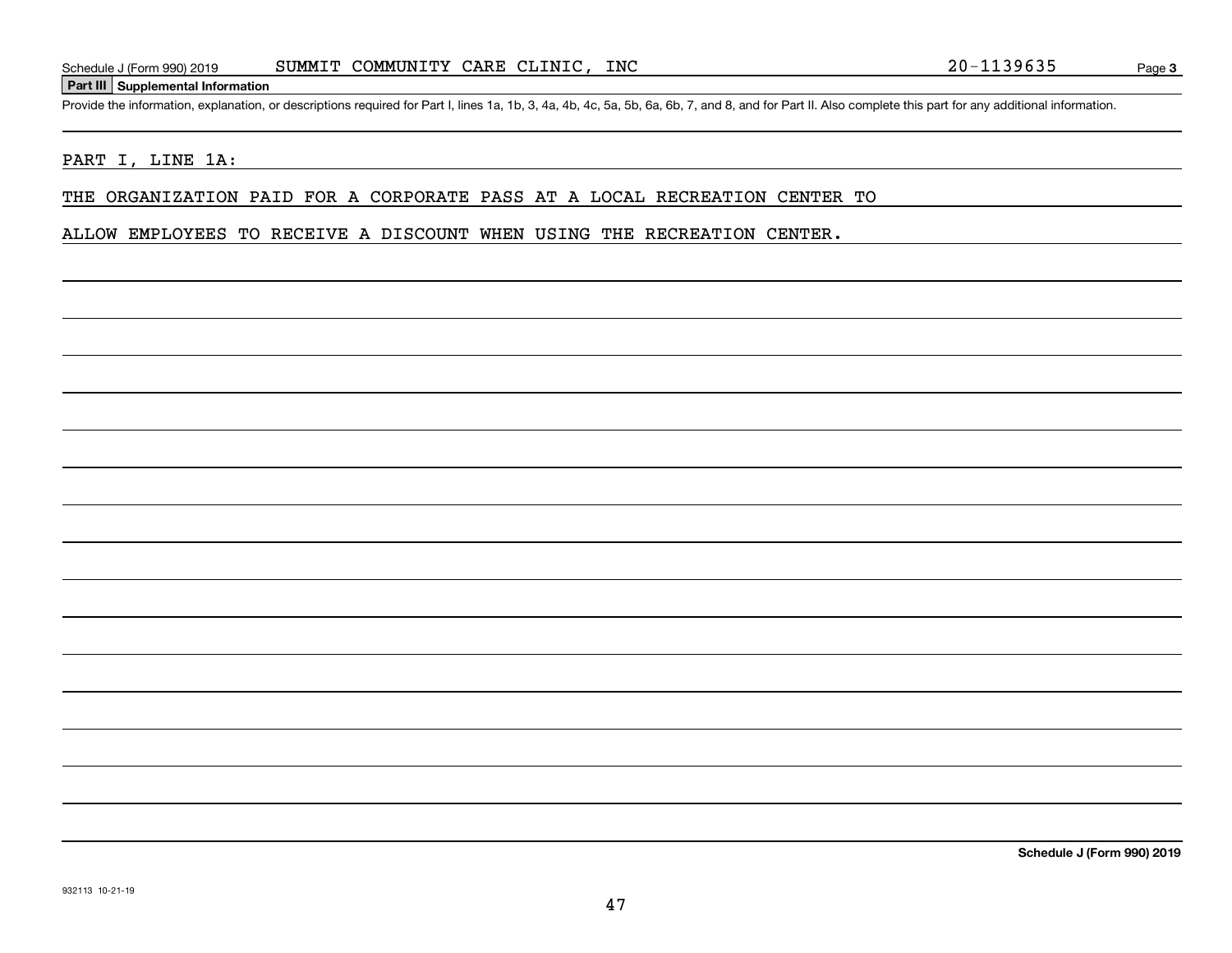#### **Part III Supplemental Information**

Schedule J (Form 990) 2019 SUMMIT COMMUNITY CARE CLINIC, INC<br>Part III Supplemental Information<br>Provide the information, explanation, or descriptions required for Part I, lines 1a, 1b, 3, 4a, 4b, 4c, 5a, 5b, 6a, 6b, 7, and

#### PART I, LINE 1A:

THE ORGANIZATION PAID FOR A CORPORATE PASS AT A LOCAL RECREATION CENTER TO

ALLOW EMPLOYEES TO RECEIVE A DISCOUNT WHEN USING THE RECREATION CENTER.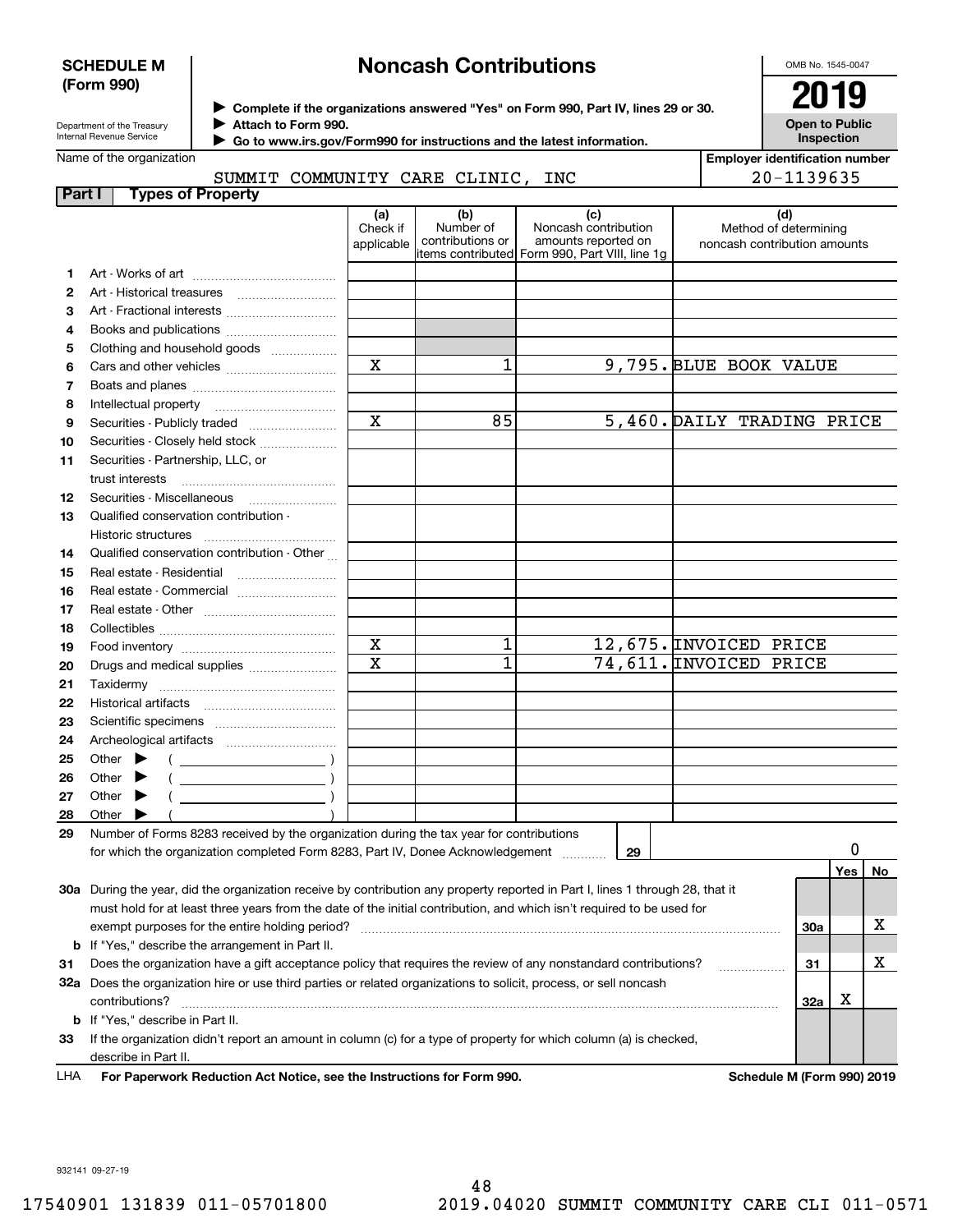#### **SCHEDULE M (Form 990)**

## **Noncash Contributions**

OMB No. 1545-0047

**Open to Public Inspection**

| Department of the Treasury |  |  |  |  |
|----------------------------|--|--|--|--|
| Internal Revenue Service   |  |  |  |  |

**Complete if the organizations answered "Yes" on Form 990, Part IV, lines 29 or 30.** <sup>J</sup>**2019**

**Attach to Form 990.** J

 **Go to www.irs.gov/Form990 for instructions and the latest information.** J

Name of the organization

SUMMIT COMMUNITY CARE CLINIC, INC

**Employer identification number** 20-1139635

| Part I | <b>Types of Property</b>                                                                                                                                                  |                               |                                      |                                                                                                      |                                                              |     |    |
|--------|---------------------------------------------------------------------------------------------------------------------------------------------------------------------------|-------------------------------|--------------------------------------|------------------------------------------------------------------------------------------------------|--------------------------------------------------------------|-----|----|
|        |                                                                                                                                                                           | (a)<br>Check if<br>applicable | (b)<br>Number of<br>contributions or | (c)<br>Noncash contribution<br>amounts reported on<br>items contributed Form 990, Part VIII, line 1g | (d)<br>Method of determining<br>noncash contribution amounts |     |    |
| 1      |                                                                                                                                                                           |                               |                                      |                                                                                                      |                                                              |     |    |
| 2      |                                                                                                                                                                           |                               |                                      |                                                                                                      |                                                              |     |    |
| З      | Art - Fractional interests                                                                                                                                                |                               |                                      |                                                                                                      |                                                              |     |    |
| 4      | Books and publications                                                                                                                                                    |                               |                                      |                                                                                                      |                                                              |     |    |
| 5      | Clothing and household goods                                                                                                                                              |                               |                                      |                                                                                                      |                                                              |     |    |
| 6      |                                                                                                                                                                           | X                             | 1                                    |                                                                                                      | 9,795. BLUE BOOK VALUE                                       |     |    |
| 7      |                                                                                                                                                                           |                               |                                      |                                                                                                      |                                                              |     |    |
| 8      |                                                                                                                                                                           |                               |                                      |                                                                                                      |                                                              |     |    |
| 9      | Securities - Publicly traded                                                                                                                                              | $\overline{\mathbf{x}}$       | 85                                   |                                                                                                      | 5,460. DAILY TRADING PRICE                                   |     |    |
| 10     | Securities - Closely held stock                                                                                                                                           |                               |                                      |                                                                                                      |                                                              |     |    |
| 11     | Securities - Partnership, LLC, or<br>trust interests                                                                                                                      |                               |                                      |                                                                                                      |                                                              |     |    |
| 12     | Securities - Miscellaneous                                                                                                                                                |                               |                                      |                                                                                                      |                                                              |     |    |
| 13     | Qualified conservation contribution -<br>Historic structures                                                                                                              |                               |                                      |                                                                                                      |                                                              |     |    |
| 14     | Qualified conservation contribution - Other                                                                                                                               |                               |                                      |                                                                                                      |                                                              |     |    |
| 15     |                                                                                                                                                                           |                               |                                      |                                                                                                      |                                                              |     |    |
| 16     | Real estate - Commercial                                                                                                                                                  |                               |                                      |                                                                                                      |                                                              |     |    |
| 17     |                                                                                                                                                                           |                               |                                      |                                                                                                      |                                                              |     |    |
| 18     |                                                                                                                                                                           |                               |                                      |                                                                                                      |                                                              |     |    |
| 19     |                                                                                                                                                                           | $\mathbf x$                   | 1                                    |                                                                                                      | 12,675. INVOICED PRICE                                       |     |    |
| 20     | Drugs and medical supplies                                                                                                                                                | $\overline{\text{x}}$         | 1                                    |                                                                                                      | 74,611. INVOICED PRICE                                       |     |    |
| 21     |                                                                                                                                                                           |                               |                                      |                                                                                                      |                                                              |     |    |
| 22     |                                                                                                                                                                           |                               |                                      |                                                                                                      |                                                              |     |    |
| 23     |                                                                                                                                                                           |                               |                                      |                                                                                                      |                                                              |     |    |
| 24     |                                                                                                                                                                           |                               |                                      |                                                                                                      |                                                              |     |    |
| 25     | Other $\blacktriangleright$<br>$\left($ $\right)$                                                                                                                         |                               |                                      |                                                                                                      |                                                              |     |    |
| 26     | Other                                                                                                                                                                     |                               |                                      |                                                                                                      |                                                              |     |    |
| 27     | Other                                                                                                                                                                     |                               |                                      |                                                                                                      |                                                              |     |    |
| 28     | Other                                                                                                                                                                     |                               |                                      |                                                                                                      |                                                              |     |    |
| 29     | Number of Forms 8283 received by the organization during the tax year for contributions<br>for which the organization completed Form 8283, Part IV, Donee Acknowledgement |                               |                                      | 29                                                                                                   |                                                              | 0   |    |
|        |                                                                                                                                                                           |                               |                                      |                                                                                                      |                                                              | Yes | No |
|        | 30a During the year, did the organization receive by contribution any property reported in Part I, lines 1 through 28, that it                                            |                               |                                      |                                                                                                      |                                                              |     |    |
|        | must hold for at least three years from the date of the initial contribution, and which isn't required to be used for                                                     |                               |                                      |                                                                                                      |                                                              |     |    |
|        |                                                                                                                                                                           |                               |                                      |                                                                                                      | 30a                                                          |     | х  |
|        | <b>b</b> If "Yes," describe the arrangement in Part II.                                                                                                                   |                               |                                      |                                                                                                      |                                                              |     |    |
| 31     | Does the organization have a gift acceptance policy that requires the review of any nonstandard contributions?                                                            |                               |                                      |                                                                                                      | 31                                                           |     | х  |
|        | 32a Does the organization hire or use third parties or related organizations to solicit, process, or sell noncash                                                         |                               |                                      |                                                                                                      |                                                              |     |    |
|        | contributions?                                                                                                                                                            |                               |                                      |                                                                                                      | 32a                                                          | х   |    |
|        | b If "Yes," describe in Part II.                                                                                                                                          |                               |                                      |                                                                                                      |                                                              |     |    |
| 33     | If the organization didn't report an amount in column (c) for a type of property for which column (a) is checked,                                                         |                               |                                      |                                                                                                      |                                                              |     |    |
|        | describe in Part II.                                                                                                                                                      |                               |                                      |                                                                                                      |                                                              |     |    |

**For Paperwork Reduction Act Notice, see the Instructions for Form 990. Schedule M (Form 990) 2019** LHA

932141 09-27-19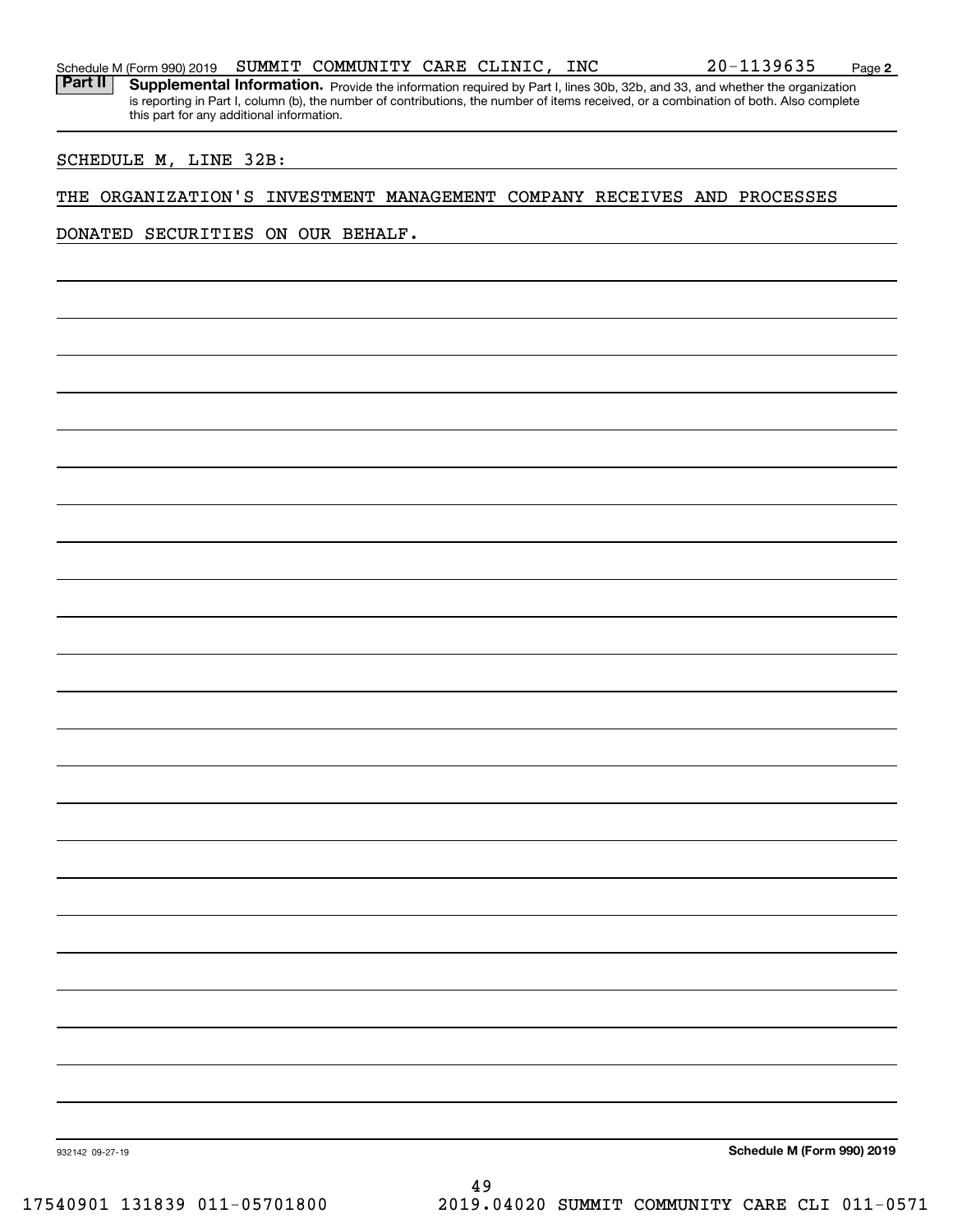Part II | Supplemental Information. Provide the information required by Part I, lines 30b, 32b, and 33, and whether the organization is reporting in Part I, column (b), the number of contributions, the number of items received, or a combination of both. Also complete this part for any additional information.

#### SCHEDULE M, LINE 32B:

#### THE ORGANIZATION'S INVESTMENT MANAGEMENT COMPANY RECEIVES AND PROCESSES

DONATED SECURITIES ON OUR BEHALF.

**Schedule M (Form 990) 2019**

932142 09-27-19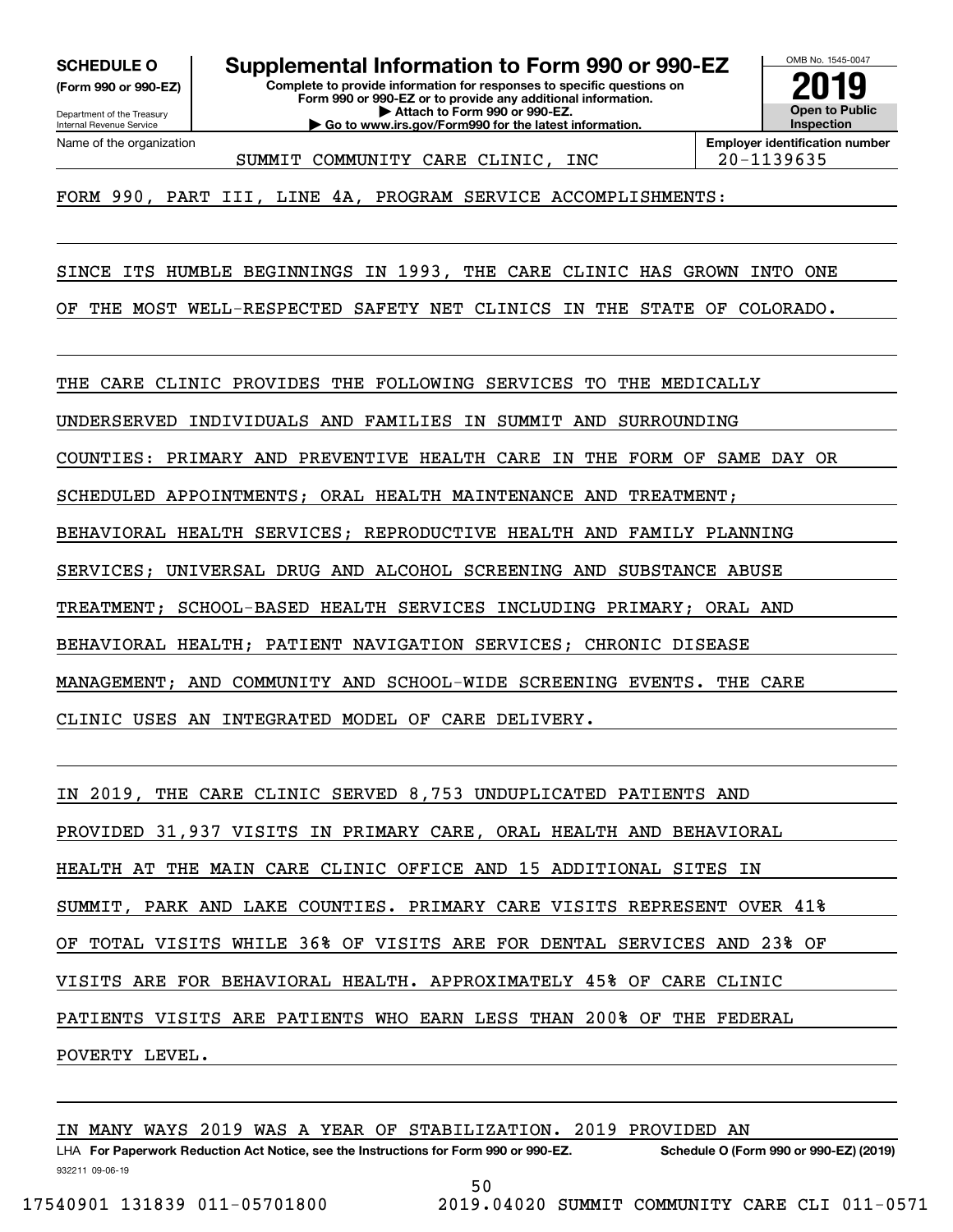**(Form 990 or 990-EZ)**

Department of the Treasury Internal Revenue Service Name of the organization

**Complete to provide information for responses to specific questions on SCHEDULE O Supplemental Information to Form 990 or 990-EZ**

**Form 990 or 990-EZ or to provide any additional information. | Attach to Form 990 or 990-EZ. | Go to www.irs.gov/Form990 for the latest information.**



SUMMIT COMMUNITY CARE CLINIC, INC | 20-1139635

**Employer identification number**

FORM 990, PART III, LINE 4A, PROGRAM SERVICE ACCOMPLISHMENTS:

SINCE ITS HUMBLE BEGINNINGS IN 1993, THE CARE CLINIC HAS GROWN INTO ONE

OF THE MOST WELL-RESPECTED SAFETY NET CLINICS IN THE STATE OF COLORADO.

THE CARE CLINIC PROVIDES THE FOLLOWING SERVICES TO THE MEDICALLY

UNDERSERVED INDIVIDUALS AND FAMILIES IN SUMMIT AND SURROUNDING

COUNTIES: PRIMARY AND PREVENTIVE HEALTH CARE IN THE FORM OF SAME DAY OR

SCHEDULED APPOINTMENTS; ORAL HEALTH MAINTENANCE AND TREATMENT;

BEHAVIORAL HEALTH SERVICES; REPRODUCTIVE HEALTH AND FAMILY PLANNING

SERVICES; UNIVERSAL DRUG AND ALCOHOL SCREENING AND SUBSTANCE ABUSE

TREATMENT; SCHOOL-BASED HEALTH SERVICES INCLUDING PRIMARY; ORAL AND

BEHAVIORAL HEALTH; PATIENT NAVIGATION SERVICES; CHRONIC DISEASE

MANAGEMENT; AND COMMUNITY AND SCHOOL-WIDE SCREENING EVENTS. THE CARE

CLINIC USES AN INTEGRATED MODEL OF CARE DELIVERY.

IN 2019, THE CARE CLINIC SERVED 8,753 UNDUPLICATED PATIENTS AND PROVIDED 31,937 VISITS IN PRIMARY CARE, ORAL HEALTH AND BEHAVIORAL HEALTH AT THE MAIN CARE CLINIC OFFICE AND 15 ADDITIONAL SITES IN SUMMIT, PARK AND LAKE COUNTIES. PRIMARY CARE VISITS REPRESENT OVER 41% OF TOTAL VISITS WHILE 36% OF VISITS ARE FOR DENTAL SERVICES AND 23% OF VISITS ARE FOR BEHAVIORAL HEALTH. APPROXIMATELY 45% OF CARE CLINIC PATIENTS VISITS ARE PATIENTS WHO EARN LESS THAN 200% OF THE FEDERAL POVERTY LEVEL.

932211 09-06-19 LHA For Paperwork Reduction Act Notice, see the Instructions for Form 990 or 990-EZ. Schedule O (Form 990 or 990-EZ) (2019) IN MANY WAYS 2019 WAS A YEAR OF STABILIZATION. 2019 PROVIDED AN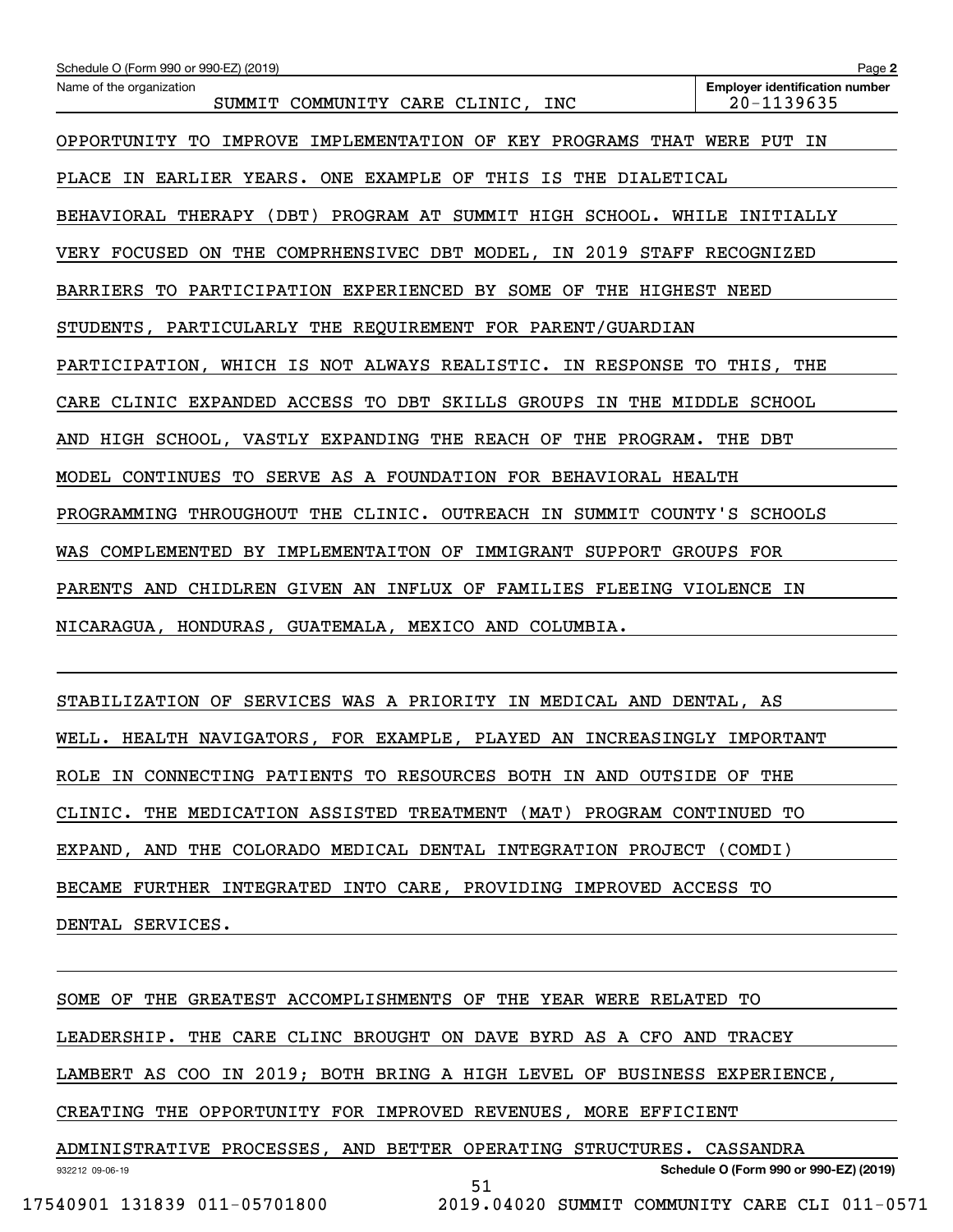| Schedule O (Form 990 or 990-EZ) (2019)                                    | Page 2                                              |
|---------------------------------------------------------------------------|-----------------------------------------------------|
| Name of the organization<br>SUMMIT COMMUNITY CARE CLINIC, INC             | <b>Employer identification number</b><br>20-1139635 |
| IMPROVE IMPLEMENTATION OF KEY PROGRAMS THAT WERE PUT IN<br>OPPORTUNITY TO |                                                     |
| PLACE IN EARLIER YEARS. ONE EXAMPLE OF THIS IS THE DIALETICAL             |                                                     |
| BEHAVIORAL THERAPY (DBT) PROGRAM AT SUMMIT HIGH SCHOOL. WHILE INITIALLY   |                                                     |
| VERY FOCUSED ON THE COMPRHENSIVEC DBT MODEL, IN 2019 STAFF RECOGNIZED     |                                                     |
| BARRIERS TO PARTICIPATION EXPERIENCED BY SOME OF THE HIGHEST NEED         |                                                     |
| STUDENTS, PARTICULARLY THE REQUIREMENT FOR PARENT/GUARDIAN                |                                                     |
| PARTICIPATION, WHICH IS NOT ALWAYS REALISTIC. IN RESPONSE TO THIS, THE    |                                                     |
| CARE CLINIC EXPANDED ACCESS TO DBT SKILLS GROUPS IN THE MIDDLE SCHOOL     |                                                     |
| AND HIGH SCHOOL, VASTLY EXPANDING THE REACH OF THE PROGRAM. THE DBT       |                                                     |
| MODEL CONTINUES TO SERVE AS A FOUNDATION FOR BEHAVIORAL HEALTH            |                                                     |
| PROGRAMMING THROUGHOUT THE CLINIC. OUTREACH IN SUMMIT COUNTY'S SCHOOLS    |                                                     |
| WAS COMPLEMENTED BY IMPLEMENTAITON OF IMMIGRANT SUPPORT GROUPS FOR        |                                                     |
| PARENTS AND CHIDLREN GIVEN AN INFLUX OF FAMILIES FLEEING VIOLENCE IN      |                                                     |
| NICARAGUA, HONDURAS, GUATEMALA, MEXICO AND COLUMBIA.                      |                                                     |
|                                                                           |                                                     |

STABILIZATION OF SERVICES WAS A PRIORITY IN MEDICAL AND DENTAL, AS WELL. HEALTH NAVIGATORS, FOR EXAMPLE, PLAYED AN INCREASINGLY IMPORTANT ROLE IN CONNECTING PATIENTS TO RESOURCES BOTH IN AND OUTSIDE OF THE CLINIC. THE MEDICATION ASSISTED TREATMENT (MAT) PROGRAM CONTINUED TO EXPAND, AND THE COLORADO MEDICAL DENTAL INTEGRATION PROJECT (COMDI) BECAME FURTHER INTEGRATED INTO CARE, PROVIDING IMPROVED ACCESS TO DENTAL SERVICES.

932212 09-06-19 **Schedule O (Form 990 or 990-EZ) (2019)** SOME OF THE GREATEST ACCOMPLISHMENTS OF THE YEAR WERE RELATED TO LEADERSHIP. THE CARE CLINC BROUGHT ON DAVE BYRD AS A CFO AND TRACEY LAMBERT AS COO IN 2019; BOTH BRING A HIGH LEVEL OF BUSINESS EXPERIENCE, CREATING THE OPPORTUNITY FOR IMPROVED REVENUES, MORE EFFICIENT ADMINISTRATIVE PROCESSES, AND BETTER OPERATING STRUCTURES. CASSANDRA 51

17540901 131839 011-05701800 2019.04020 SUMMIT COMMUNITY CARE CLI 011-0571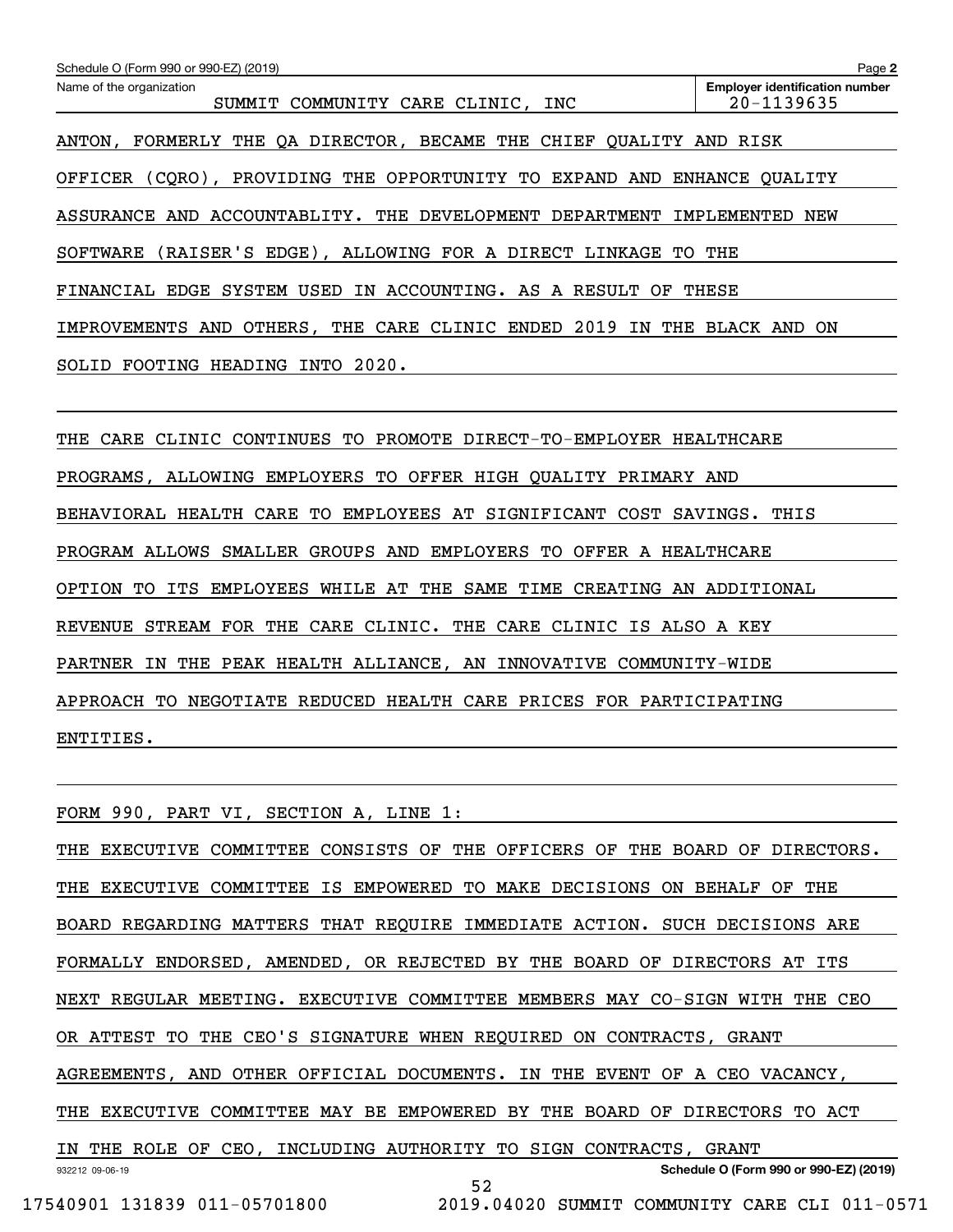| Schedule O (Form 990 or 990-EZ) (2019)                                      | Page 2                                              |
|-----------------------------------------------------------------------------|-----------------------------------------------------|
| Name of the organization<br>SUMMIT COMMUNITY CARE CLINIC,<br>INC            | <b>Employer identification number</b><br>20-1139635 |
| ANTON, FORMERLY THE QA DIRECTOR, BECAME THE CHIEF QUALITY AND RISK          |                                                     |
| OFFICER (CQRO), PROVIDING THE OPPORTUNITY TO EXPAND AND ENHANCE QUALITY     |                                                     |
| ASSURANCE AND ACCOUNTABLITY. THE DEVELOPMENT DEPARTMENT IMPLEMENTED NEW     |                                                     |
| (RAISER'S EDGE), ALLOWING FOR A DIRECT LINKAGE TO THE<br>SOFTWARE           |                                                     |
| FINANCIAL EDGE SYSTEM USED IN ACCOUNTING. AS A RESULT OF THESE              |                                                     |
| IMPROVEMENTS AND OTHERS, THE CARE CLINIC ENDED 2019 IN THE BLACK AND ON     |                                                     |
| SOLID FOOTING HEADING INTO 2020.                                            |                                                     |
|                                                                             |                                                     |
| THE CARE CLINIC CONTINUES TO PROMOTE DIRECT-TO-EMPLOYER HEALTHCARE          |                                                     |
| PROGRAMS, ALLOWING EMPLOYERS TO OFFER HIGH QUALITY PRIMARY AND              |                                                     |
| BEHAVIORAL HEALTH CARE TO EMPLOYEES AT SIGNIFICANT COST SAVINGS. THIS       |                                                     |
| PROGRAM ALLOWS SMALLER GROUPS AND EMPLOYERS TO OFFER A HEALTHCARE           |                                                     |
| OPTION TO ITS EMPLOYEES WHILE AT THE SAME TIME CREATING AN ADDITIONAL       |                                                     |
| REVENUE STREAM FOR THE CARE CLINIC. THE CARE CLINIC IS ALSO A KEY           |                                                     |
| PARTNER IN THE PEAK HEALTH ALLIANCE, AN INNOVATIVE COMMUNITY-WIDE           |                                                     |
| APPROACH TO NEGOTIATE REDUCED HEALTH CARE PRICES FOR PARTICIPATING          |                                                     |
| ENTITIES.                                                                   |                                                     |
|                                                                             |                                                     |
| FORM 990, PART VI, SECTION A, LINE 1:                                       |                                                     |
| THE EXECUTIVE COMMITTEE CONSISTS OF THE OFFICERS OF THE BOARD OF DIRECTORS. |                                                     |
| THE EXECUTIVE COMMITTEE IS EMPOWERED TO MAKE DECISIONS ON BEHALF OF THE     |                                                     |
| BOARD REGARDING MATTERS THAT REQUIRE IMMEDIATE ACTION. SUCH DECISIONS ARE   |                                                     |
| FORMALLY ENDORSED, AMENDED, OR REJECTED BY THE BOARD OF DIRECTORS AT ITS    |                                                     |
| NEXT REGULAR MEETING. EXECUTIVE COMMITTEE MEMBERS MAY CO-SIGN WITH THE CEO  |                                                     |
| OR ATTEST TO THE CEO'S SIGNATURE WHEN REQUIRED ON CONTRACTS, GRANT          |                                                     |
| AGREEMENTS, AND OTHER OFFICIAL DOCUMENTS. IN THE EVENT OF A CEO VACANCY,    |                                                     |
| THE EXECUTIVE COMMITTEE MAY BE EMPOWERED BY THE BOARD OF DIRECTORS TO ACT   |                                                     |
| IN THE ROLE OF CEO, INCLUDING AUTHORITY TO SIGN CONTRACTS, GRANT            |                                                     |
| 932212 09-06-19<br>52                                                       | Schedule O (Form 990 or 990-EZ) (2019)              |

 <sup>17540901 131839 011-05701800 2019.04020</sup> SUMMIT COMMUNITY CARE CLI 011-0571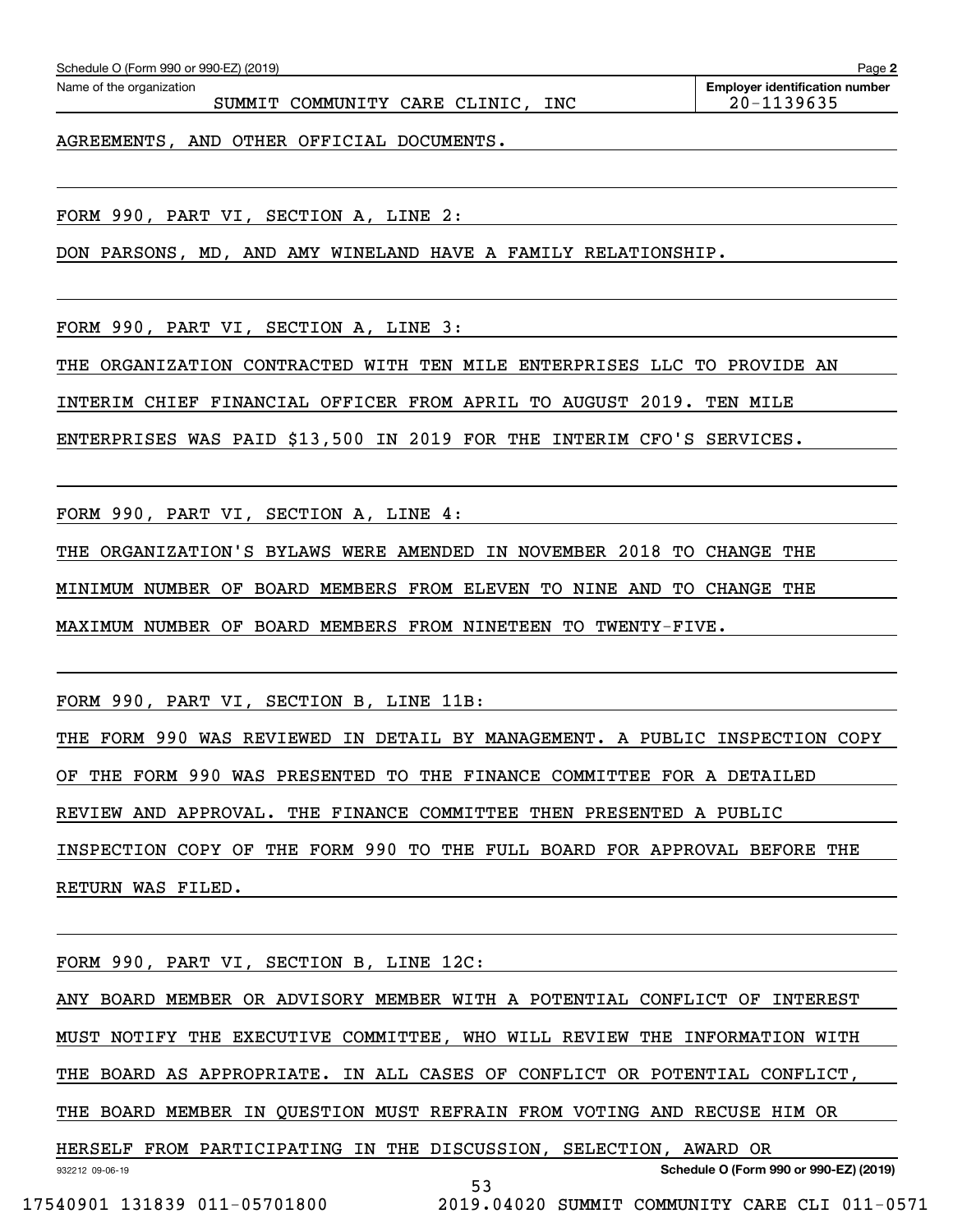| AGREEMENTS, AND OTHER OFFICIAL DOCUMENTS. | 20-1139635 |
|-------------------------------------------|------------|
|                                           |            |
|                                           |            |
|                                           |            |

Echedule O (Form 990 or 990-EZ) (2019)<br>Name of the organization **number** Name of the organization **page Name of the organization number** 

DON PARSONS, MD, AND AMY WINELAND HAVE A FAMILY RELATIONSHIP.

FORM 990, PART VI, SECTION A, LINE 3:

THE ORGANIZATION CONTRACTED WITH TEN MILE ENTERPRISES LLC TO PROVIDE AN

INTERIM CHIEF FINANCIAL OFFICER FROM APRIL TO AUGUST 2019. TEN MILE

ENTERPRISES WAS PAID \$13,500 IN 2019 FOR THE INTERIM CFO'S SERVICES.

FORM 990, PART VI, SECTION A, LINE 4:

THE ORGANIZATION'S BYLAWS WERE AMENDED IN NOVEMBER 2018 TO CHANGE THE

MINIMUM NUMBER OF BOARD MEMBERS FROM ELEVEN TO NINE AND TO CHANGE THE

MAXIMUM NUMBER OF BOARD MEMBERS FROM NINETEEN TO TWENTY-FIVE.

FORM 990, PART VI, SECTION B, LINE 11B:

THE FORM 990 WAS REVIEWED IN DETAIL BY MANAGEMENT. A PUBLIC INSPECTION COPY OF THE FORM 990 WAS PRESENTED TO THE FINANCE COMMITTEE FOR A DETAILED REVIEW AND APPROVAL. THE FINANCE COMMITTEE THEN PRESENTED A PUBLIC INSPECTION COPY OF THE FORM 990 TO THE FULL BOARD FOR APPROVAL BEFORE THE RETURN WAS FILED.

932212 09-06-19 **Schedule O (Form 990 or 990-EZ) (2019)** FORM 990, PART VI, SECTION B, LINE 12C: ANY BOARD MEMBER OR ADVISORY MEMBER WITH A POTENTIAL CONFLICT OF INTEREST MUST NOTIFY THE EXECUTIVE COMMITTEE, WHO WILL REVIEW THE INFORMATION WITH THE BOARD AS APPROPRIATE. IN ALL CASES OF CONFLICT OR POTENTIAL CONFLICT, THE BOARD MEMBER IN QUESTION MUST REFRAIN FROM VOTING AND RECUSE HIM OR HERSELF FROM PARTICIPATING IN THE DISCUSSION, SELECTION, AWARD OR 53

17540901 131839 011-05701800 2019.04020 SUMMIT COMMUNITY CARE CLI 011-0571

**2**